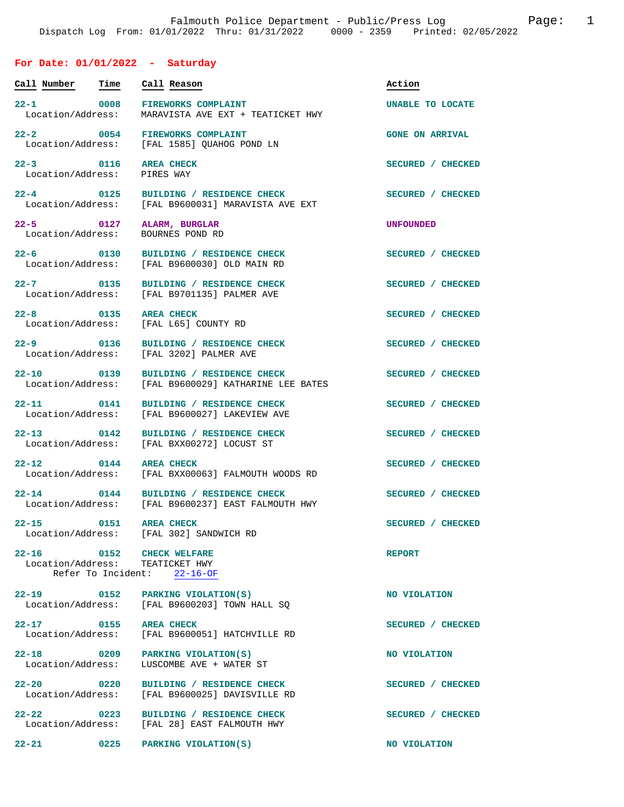## **For Date: 01/01/2022 - Saturday**

| Call Number                        | Time | Call Reason                                                                             | Action                 |
|------------------------------------|------|-----------------------------------------------------------------------------------------|------------------------|
| $22-1$<br>Location/Address:        | 0008 | <b>FIREWORKS COMPLAINT</b><br>MARAVISTA AVE EXT + TEATICKET HWY                         | UNABLE TO LOCATE       |
| $22 - 2$                           | 0054 | <b>FIREWORKS COMPLAINT</b><br>Location/Address: [FAL 1585] OUAHOG POND LN               | <b>GONE ON ARRIVAL</b> |
| $22 - 3$ 0116<br>Location/Address: |      | <b>AREA CHECK</b><br>PIRES WAY                                                          | SECURED / CHECKED      |
| $22 - 4$<br>Location/Address:      | 0125 | BUILDING / RESIDENCE CHECK<br>[FAL B9600031] MARAVISTA AVE EXT                          | SECURED / CHECKED      |
| $22 - 5$ 0127<br>Location/Address: |      | ALARM, BURGLAR<br>BOURNES POND RD                                                       | <b>UNFOUNDED</b>       |
| $22 - 6$ 0130<br>Location/Address: |      | BUILDING / RESIDENCE CHECK<br>[FAL B9600030] OLD MAIN RD                                | SECURED / CHECKED      |
| $22 - 7$ 0135                      |      | BUILDING / RESIDENCE CHECK<br>Location/Address: [FAL B9701135] PALMER AVE               | SECURED / CHECKED      |
| $22 - 8$ 0135<br>Location/Address: |      | <b>AREA CHECK</b><br>[FAL L65] COUNTY RD                                                | SECURED / CHECKED      |
| $22 - 9$<br>Location/Address:      | 0136 | BUILDING / RESIDENCE CHECK<br>[FAL 3202] PALMER AVE                                     | SECURED / CHECKED      |
| 22-10 0139                         |      | BUILDING / RESIDENCE CHECK<br>Location/Address: [FAL B9600029] KATHARINE LEE BATES      | SECURED / CHECKED      |
| $22 - 11$<br>Location/Address:     | 0141 | BUILDING / RESIDENCE CHECK<br>[FAL B9600027] LAKEVIEW AVE                               | SECURED / CHECKED      |
| $22 - 13$                          |      | 0142 BUILDING / RESIDENCE CHECK<br>Location/Address: [FAL BXX00272] LOCUST ST           | SECURED / CHECKED      |
| $22 - 12$                          | 0144 | <b>AREA CHECK</b><br>Location/Address: [FAL BXX00063] FALMOUTH WOODS RD                 | SECURED / CHECKED      |
| $22 - 14$                          |      | 0144 BUILDING / RESIDENCE CHECK<br>Location/Address: [FAL B9600237] EAST FALMOUTH HWY   | SECURED / CHECKED      |
| $22 - 15$                          | 0151 | <b>AREA CHECK</b><br>Location/Address: [FAL 302] SANDWICH RD                            | SECURED / CHECKED      |
| $22 - 16$                          |      | 0152 CHECK WELFARE<br>Location/Address: TEATICKET HWY<br>Refer To Incident: 22-16-OF    | <b>REPORT</b>          |
|                                    |      | 22-19 0152 PARKING VIOLATION(S)<br>Location/Address: [FAL B9600203] TOWN HALL SQ        | NO VIOLATION           |
| 22-17 0155 AREA CHECK              |      | Location/Address: [FAL B9600051] HATCHVILLE RD                                          | SECURED / CHECKED      |
| $22 - 18$<br>Location/Address:     |      | 0209 PARKING VIOLATION(S)<br>LUSCOMBE AVE + WATER ST                                    | NO VIOLATION           |
|                                    |      | 22-20 0220 BUILDING / RESIDENCE CHECK<br>Location/Address: [FAL B9600025] DAVISVILLE RD | SECURED / CHECKED      |
| $22 - 22$                          |      | 0223 BUILDING / RESIDENCE CHECK<br>Location/Address: [FAL 28] EAST FALMOUTH HWY         | SECURED / CHECKED      |
|                                    |      | 22-21 0225 PARKING VIOLATION(S)                                                         | NO VIOLATION           |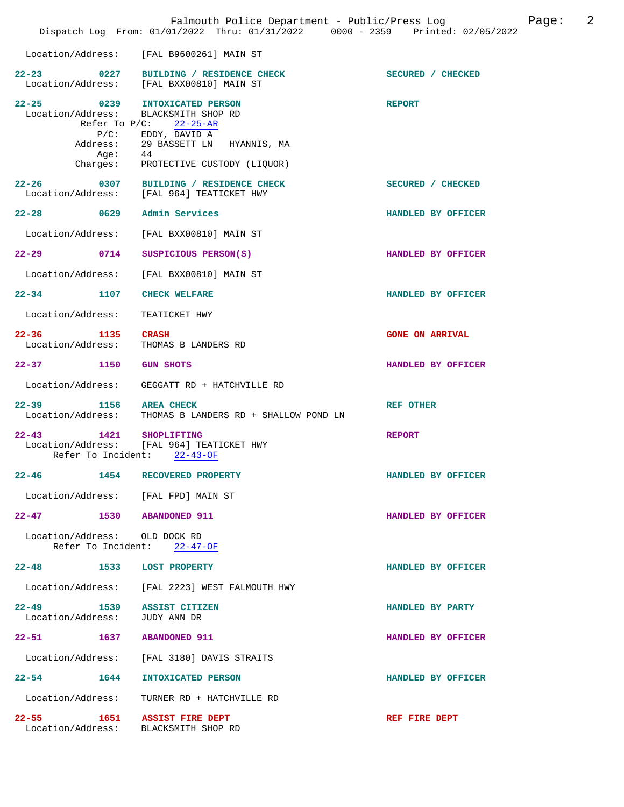|                                                            |                  | Falmouth Police Department - Public/Press Log<br>Dispatch Log From: 01/01/2022 Thru: 01/31/2022 0000 - 2359 Printed: 02/05/2022                                                                                |                        | 2<br>Page: |
|------------------------------------------------------------|------------------|----------------------------------------------------------------------------------------------------------------------------------------------------------------------------------------------------------------|------------------------|------------|
|                                                            |                  | Location/Address: [FAL B9600261] MAIN ST                                                                                                                                                                       |                        |            |
|                                                            |                  | 22-23 0227 BUILDING / RESIDENCE CHECK<br>Location/Address: [FAL BXX00810] MAIN ST                                                                                                                              | SECURED / CHECKED      |            |
|                                                            | Address:<br>Age: | 22-25 0239 INTOXICATED PERSON<br>Location/Address: BLACKSMITH SHOP RD<br>Refer To $P/C$ : 22-25-AR<br>P/C: EDDY, DAVID A<br>29 BASSETT LN HYANNIS, MA<br>44<br>Age: 44<br>Charges: PROTECTIVE CUSTODY (LIQUOR) | <b>REPORT</b>          |            |
|                                                            |                  | 22-26 0307 BUILDING / RESIDENCE CHECK<br>Location/Address: [FAL 964] TEATICKET HWY                                                                                                                             | SECURED / CHECKED      |            |
| 22-28 0629 Admin Services                                  |                  |                                                                                                                                                                                                                | HANDLED BY OFFICER     |            |
| Location/Address:                                          |                  | [FAL BXX00810] MAIN ST                                                                                                                                                                                         |                        |            |
| 22-29 0714                                                 |                  | SUSPICIOUS PERSON(S)                                                                                                                                                                                           | HANDLED BY OFFICER     |            |
| Location/Address:                                          |                  | [FAL BXX00810] MAIN ST                                                                                                                                                                                         |                        |            |
| $22 - 34$                                                  | 1107             | <b>CHECK WELFARE</b>                                                                                                                                                                                           | HANDLED BY OFFICER     |            |
| Location/Address:                                          |                  | TEATICKET HWY                                                                                                                                                                                                  |                        |            |
| 22-36 1135 CRASH                                           |                  | Location/Address: THOMAS B LANDERS RD                                                                                                                                                                          | <b>GONE ON ARRIVAL</b> |            |
| 22-37 1150 GUN SHOTS                                       |                  |                                                                                                                                                                                                                | HANDLED BY OFFICER     |            |
| Location/Address:                                          |                  | GEGGATT RD + HATCHVILLE RD                                                                                                                                                                                     |                        |            |
|                                                            |                  | 22-39 1156 AREA CHECK<br>Location/Address: THOMAS B LANDERS RD + SHALLOW POND LN                                                                                                                               | <b>REF OTHER</b>       |            |
| $22 - 43$<br>Refer To Incident:                            |                  | 1421 SHOPLIFTING<br>Location/Address: [FAL 964] TEATICKET HWY<br>$22 - 43 - OF$                                                                                                                                | <b>REPORT</b>          |            |
| $22 - 46$                                                  |                  | 1454 RECOVERED PROPERTY                                                                                                                                                                                        | HANDLED BY OFFICER     |            |
|                                                            |                  | Location/Address: [FAL FPD] MAIN ST                                                                                                                                                                            |                        |            |
| 22-47 1530 ABANDONED 911                                   |                  |                                                                                                                                                                                                                | HANDLED BY OFFICER     |            |
| Location/Address: OLD DOCK RD                              |                  | Refer To Incident: $22-47-OF$                                                                                                                                                                                  |                        |            |
| 22-48 1533 LOST PROPERTY                                   |                  |                                                                                                                                                                                                                | HANDLED BY OFFICER     |            |
|                                                            |                  | Location/Address: [FAL 2223] WEST FALMOUTH HWY                                                                                                                                                                 |                        |            |
| 22-49 1539 ASSIST CITIZEN<br>Location/Address: JUDY ANN DR |                  |                                                                                                                                                                                                                | HANDLED BY PARTY       |            |
| 22-51 1637 ABANDONED 911                                   |                  |                                                                                                                                                                                                                | HANDLED BY OFFICER     |            |
|                                                            |                  | Location/Address: [FAL 3180] DAVIS STRAITS                                                                                                                                                                     |                        |            |
|                                                            |                  | 22-54 1644 INTOXICATED PERSON                                                                                                                                                                                  | HANDLED BY OFFICER     |            |
| Location/Address:                                          |                  | TURNER RD + HATCHVILLE RD                                                                                                                                                                                      |                        |            |
|                                                            |                  | 22-55 1651 ASSIST FIRE DEPT<br>Location/Address: BLACKSMITH SHOP RD                                                                                                                                            | REF FIRE DEPT          |            |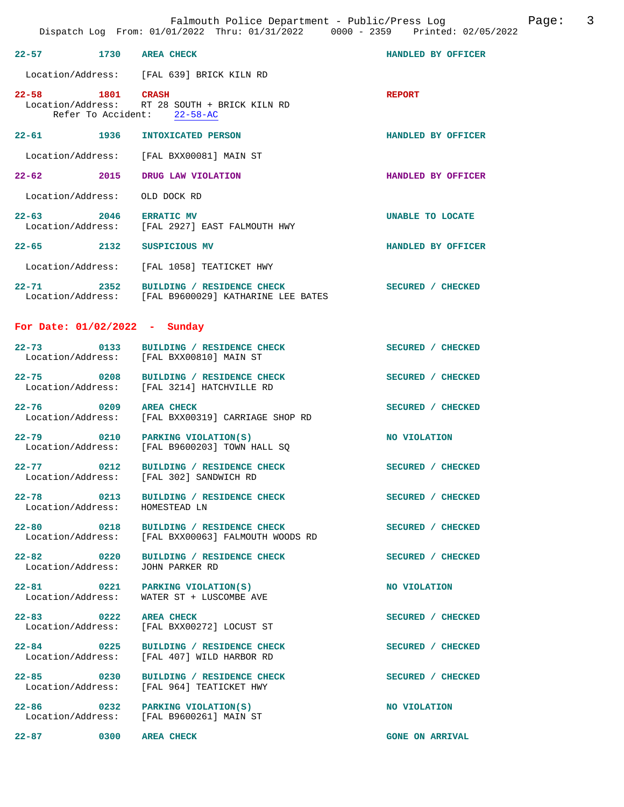|                                 | Dispatch Log From: 01/01/2022 Thru: 01/31/2022 0000 - 2359 Printed: 02/05/                                                  |                    |
|---------------------------------|-----------------------------------------------------------------------------------------------------------------------------|--------------------|
| 22-57 1730 AREA CHECK           |                                                                                                                             | HANDLED BY OFFICER |
|                                 | Location/Address: [FAL 639] BRICK KILN RD                                                                                   |                    |
| 22-58 1801 CRASH                | Location/Address: RT 28 SOUTH + BRICK KILN RD<br>Refer To Accident: 22-58-AC                                                | <b>REPORT</b>      |
| 22-61 1936                      | INTOXICATED PERSON                                                                                                          | HANDLED BY OFFICER |
|                                 | Location/Address: [FAL BXX00081] MAIN ST                                                                                    |                    |
| 22-62 2015 DRUG LAW VIOLATION   |                                                                                                                             | HANDLED BY OFFICER |
| Location/Address: OLD DOCK RD   |                                                                                                                             |                    |
| 22-63 2046 ERRATIC MV           | Location/Address: [FAL 2927] EAST FALMOUTH HWY                                                                              | UNABLE TO LOCATE   |
| $22 - 65$ 2132                  | SUSPICIOUS MV                                                                                                               | HANDLED BY OFFICER |
|                                 | Location/Address: [FAL 1058] TEATICKET HWY                                                                                  |                    |
|                                 | BUILDING / RESIDENCE CHECK<br>22-71 2352 BUILDING / RESIDENCE CHECK<br>Location/Address: [FAL B9600029] KATHARINE LEE BATES | SECURED / CHECKED  |
| For Date: $01/02/2022 - Sunday$ |                                                                                                                             |                    |
|                                 | 22-73 0133 BUILDING / RESIDENCE CHECK<br>Location/Address: [FAL BXX00810] MAIN ST                                           | SECURED / CHECKED  |
| 22-75 0208                      | BUILDING / RESIDENCE CHECK<br>Location/Address: [FAL 3214] HATCHVILLE RD                                                    | SECURED / CHECKED  |
| $22 - 76$ 0209                  | <b>AREA CHECK</b><br>Location/Address: [FAL BXX00319] CARRIAGE SHOP RD                                                      | SECURED / CHECKED  |
|                                 | 22-79 0210 PARKING VIOLATION(S)<br>Location/Address: [FAL B9600203] TOWN HALL SQ                                            | NO VIOLATION       |
| $22 - 77$ 0212                  | BUILDING / RESIDENCE CHECK<br>Location/Address: [FAL 302] SANDWICH RD                                                       | SECURED / CHECKED  |
| Location/Address: HOMESTEAD LN  | 22-78 0213 BUILDING / RESIDENCE CHECK                                                                                       | SECURED / CHECKED  |
|                                 | 22-80 0218 BUILDING / RESIDENCE CHECK<br>Location/Address: [FAL BXX00063] FALMOUTH WOODS RD                                 | SECURED / CHECKED  |
| 22-82 0220<br>Location/Address: | BUILDING / RESIDENCE CHECK<br>JOHN PARKER RD                                                                                | SECURED / CHECKED  |
| Location/Address:               | 22-81 0221 PARKING VIOLATION(S)<br>WATER ST + LUSCOMBE AVE                                                                  | NO VIOLATION       |
| 22-83 0222 AREA CHECK           | Location/Address: [FAL BXX00272] LOCUST ST                                                                                  | SECURED / CHECKED  |
| $22 - 84$                       | 2-84 0225 BUILDING / RESIDENCE CHE<br>Location/Address: [FAL 407] WILD HARBOR RD<br>BUILDING / RESIDENCE CHECK              | SECURED / CHECKED  |
| $22 - 85$ 0230                  | BUILDING / RESIDENCE CHECK<br>Location/Address: [FAL 964] TEATICKET HWY                                                     | SECURED / CHECKED  |
|                                 | 22-86 0232 PARKING VIOLATION(S)<br>Location/Address: [FAL B9600261] MAIN ST                                                 | NO VIOLATION       |
|                                 |                                                                                                                             |                    |

**22-87** 0300 AREA CHECK **GONE ON ARRIVAL**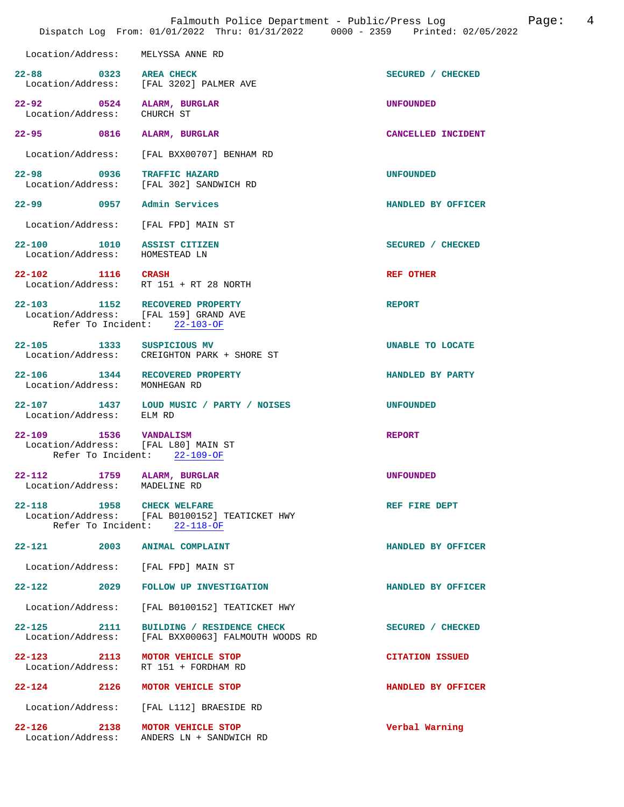|                                                                                    | Falmouth Police Department - Public/Press Log<br>Dispatch Log From: 01/01/2022 Thru: 01/31/2022 0000 - 2359 Printed: 02/05/2022 | 4<br>Page:             |
|------------------------------------------------------------------------------------|---------------------------------------------------------------------------------------------------------------------------------|------------------------|
| Location/Address:                                                                  | MELYSSA ANNE RD                                                                                                                 |                        |
| 22-88 0323 AREA CHECK                                                              | Location/Address: [FAL 3202] PALMER AVE                                                                                         | SECURED / CHECKED      |
| 22-92 0524<br>Location/Address:                                                    | ALARM, BURGLAR<br>CHURCH ST                                                                                                     | <b>UNFOUNDED</b>       |
| 22-95 0816                                                                         | ALARM, BURGLAR                                                                                                                  | CANCELLED INCIDENT     |
| Location/Address:                                                                  | [FAL BXX00707] BENHAM RD                                                                                                        |                        |
| 22-98 0936 TRAFFIC HAZARD                                                          | Location/Address: [FAL 302] SANDWICH RD                                                                                         | <b>UNFOUNDED</b>       |
| 22-99 0957 Admin Services                                                          |                                                                                                                                 | HANDLED BY OFFICER     |
| Location/Address:                                                                  | [FAL FPD] MAIN ST                                                                                                               |                        |
| 22-100 1010 ASSIST CITIZEN<br>Location/Address: HOMESTEAD LN                       |                                                                                                                                 | SECURED / CHECKED      |
| 22-102 1116 CRASH                                                                  | Location/Address: RT 151 + RT 28 NORTH                                                                                          | <b>REF OTHER</b>       |
| 22-103 1152 RECOVERED PROPERTY<br>Location/Address: [FAL 159] GRAND AVE            | Refer To Incident: 22-103-OF                                                                                                    | <b>REPORT</b>          |
| 22-105 1333 SUSPICIOUS MV                                                          | Location/Address: CREIGHTON PARK + SHORE ST                                                                                     | UNABLE TO LOCATE       |
| 22-106 1344 RECOVERED PROPERTY<br>Location/Address: MONHEGAN RD                    |                                                                                                                                 | HANDLED BY PARTY       |
| Location/Address: ELM RD                                                           | 22-107 1437 LOUD MUSIC / PARTY / NOISES                                                                                         | <b>UNFOUNDED</b>       |
| 22-109 1536 VANDALISM<br>Location/Address: [FAL L80] MAIN ST<br>Refer To Incident: | $22 - 109 - OF$                                                                                                                 | <b>REPORT</b>          |
| $22 - 112$<br>Location/Address:                                                    | 1759 ALARM, BURGLAR<br>MADELINE RD                                                                                              | <b>UNFOUNDED</b>       |
| 22-118 1958 CHECK WELFARE                                                          | Location/Address: [FAL B0100152] TEATICKET HWY<br>Refer To Incident: $22-118-OF$                                                | REF FIRE DEPT          |
| $22 - 121$<br>2003                                                                 | <b>ANIMAL COMPLAINT</b>                                                                                                         | HANDLED BY OFFICER     |
| Location/Address:                                                                  | [FAL FPD] MAIN ST                                                                                                               |                        |
| $22 - 122$ 2029                                                                    | FOLLOW UP INVESTIGATION                                                                                                         | HANDLED BY OFFICER     |
| Location/Address:                                                                  | [FAL B0100152] TEATICKET HWY                                                                                                    |                        |
| $22 - 125$<br>2111<br>Location/Address:                                            | BUILDING / RESIDENCE CHECK<br>[FAL BXX00063] FALMOUTH WOODS RD                                                                  | SECURED / CHECKED      |
| 22-123 2113<br>Location/Address:                                                   | MOTOR VEHICLE STOP<br>RT 151 + FORDHAM RD                                                                                       | <b>CITATION ISSUED</b> |
| $22 - 124$ 2126                                                                    | MOTOR VEHICLE STOP                                                                                                              | HANDLED BY OFFICER     |
| Location/Address:                                                                  | [FAL L112] BRAESIDE RD                                                                                                          |                        |
| $22 - 126$<br>2138<br>Location/Address:                                            | MOTOR VEHICLE STOP<br>ANDERS LN + SANDWICH RD                                                                                   | Verbal Warning         |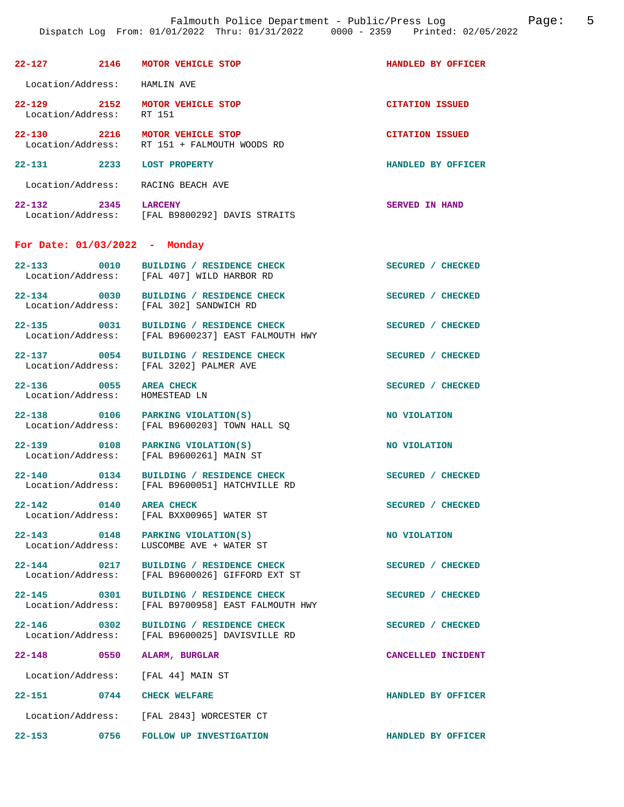| $22 - 127$                      | 2146 | <b>MOTOR VEHICLE STOP</b>                        | HANDLED BY OFFICER       |
|---------------------------------|------|--------------------------------------------------|--------------------------|
| Location/Address:               |      | HAMLIN AVE                                       |                          |
| $22 - 129$<br>Location/Address: | 2152 | <b>MOTOR VEHICLE STOP</b><br>RT 151              | <b>CITATION ISSUED</b>   |
| $22 - 130$<br>Location/Address: | 2216 | MOTOR VEHICLE STOP<br>RT 151 + FALMOUTH WOODS RD | <b>CITATION ISSUED</b>   |
| $22 - 131$                      | 2233 | <b>LOST PROPERTY</b>                             | HANDLED BY OFFICER       |
| Location/Address:               |      | RACING BEACH AVE                                 |                          |
| $22 - 132$<br>Location/Address: | 2345 | <b>LARCENY</b><br>[FAL B9800292] DAVIS STRAITS   | <b>SERVED</b><br>IN HAND |

## **For Date: 01/03/2022 - Monday**

| 22-133 0010<br>Location/Address:     | BUILDING / RESIDENCE CHECK<br>[FAL 407] WILD HARBOR RD                                       | SECURED / CHECKED  |
|--------------------------------------|----------------------------------------------------------------------------------------------|--------------------|
| Location/Address:                    | 22-134 0030 BUILDING / RESIDENCE CHECK<br>[FAL 302] SANDWICH RD                              | SECURED / CHECKED  |
|                                      | 22-135 0031 BUILDING / RESIDENCE CHECK<br>Location/Address: [FAL B9600237] EAST FALMOUTH HWY | SECURED / CHECKED  |
| Location/Address:                    | 22-137 0054 BUILDING / RESIDENCE CHECK<br>[FAL 3202] PALMER AVE                              | SECURED / CHECKED  |
| 22-136 0055<br>Location/Address:     | <b>AREA CHECK</b><br>HOMESTEAD LN                                                            | SECURED / CHECKED  |
| 22-138 0106                          | PARKING VIOLATION(S)<br>Location/Address: [FAL B9600203] TOWN HALL SQ                        | NO VIOLATION       |
| 22-139 0108 PARKING VIOLATION(S)     | Location/Address: [FAL B9600261] MAIN ST                                                     | NO VIOLATION       |
| 22-140 0134<br>Location/Address:     | BUILDING / RESIDENCE CHECK<br>[FAL B9600051] HATCHVILLE RD                                   | SECURED / CHECKED  |
| 22-142 0140                          | <b>AREA CHECK</b><br>Location/Address: [FAL BXX00965] WATER ST                               | SECURED / CHECKED  |
| Location/Address:                    | 22-143 0148 PARKING VIOLATION(S)<br>LUSCOMBE AVE + WATER ST                                  | NO VIOLATION       |
| $22 - 144$ 0217<br>Location/Address: | BUILDING / RESIDENCE CHECK<br>[FAL B9600026] GIFFORD EXT ST                                  | SECURED / CHECKED  |
| $22 - 145$<br>$\sim$ 0301            | BUILDING / RESIDENCE CHECK<br>Location/Address: [FAL B9700958] EAST FALMOUTH HWY             | SECURED / CHECKED  |
| Location/Address:                    | 22-146 0302 BUILDING / RESIDENCE CHECK<br>[FAL B9600025] DAVISVILLE RD                       | SECURED / CHECKED  |
| 22-148 0550                          | ALARM, BURGLAR                                                                               | CANCELLED INCIDENT |
| Location/Address: [FAL 44] MAIN ST   |                                                                                              |                    |
| 22-151 0744 CHECK WELFARE            |                                                                                              | HANDLED BY OFFICER |
|                                      | Location/Address: [FAL 2843] WORCESTER CT                                                    |                    |
| $22 - 153$                           | 0756 FOLLOW UP INVESTIGATION                                                                 | HANDLED BY OFFICER |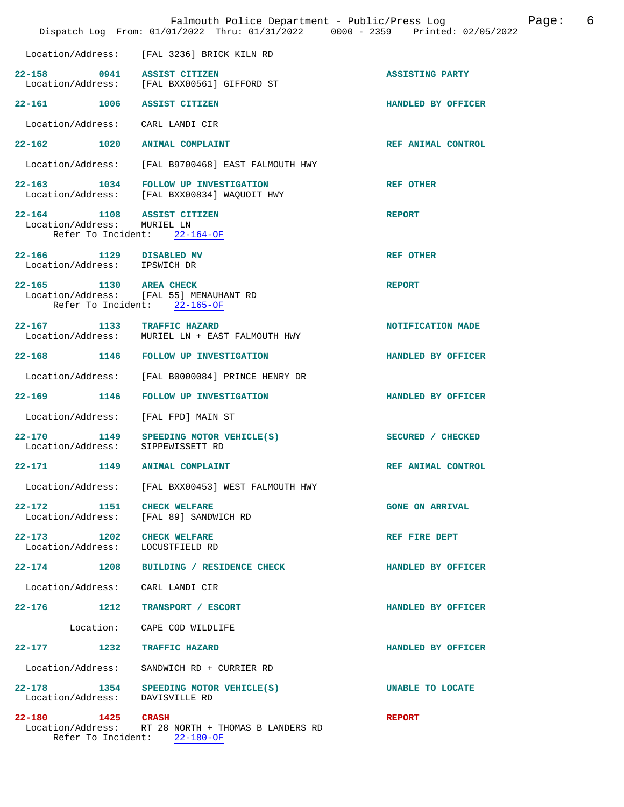|                                                         | Falmouth Police Department - Public/Press Log<br>Dispatch Log From: 01/01/2022 Thru: 01/31/2022 0000 - 2359 Printed: 02/05/2022 |                        | - 6<br>Page: |
|---------------------------------------------------------|---------------------------------------------------------------------------------------------------------------------------------|------------------------|--------------|
|                                                         | Location/Address: [FAL 3236] BRICK KILN RD                                                                                      |                        |              |
| 22-158 0941 ASSIST CITIZEN                              | Location/Address: [FAL BXX00561] GIFFORD ST                                                                                     | <b>ASSISTING PARTY</b> |              |
| 22-161 1006 ASSIST CITIZEN                              |                                                                                                                                 | HANDLED BY OFFICER     |              |
| Location/Address: CARL LANDI CIR                        |                                                                                                                                 |                        |              |
| 22-162 1020 ANIMAL COMPLAINT                            |                                                                                                                                 | REF ANIMAL CONTROL     |              |
|                                                         | Location/Address: [FAL B9700468] EAST FALMOUTH HWY                                                                              |                        |              |
|                                                         | 22-163 1034 FOLLOW UP INVESTIGATION<br>Location/Address: [FAL BXX00834] WAQUOIT HWY                                             | <b>REF OTHER</b>       |              |
| 22-164 1108 ASSIST CITIZEN                              |                                                                                                                                 | <b>REPORT</b>          |              |
| Location/Address: MURIEL LN                             | Refer To Incident: 22-164-OF                                                                                                    |                        |              |
| 22-166 1129 DISABLED MV<br>Location/Address: IPSWICH DR |                                                                                                                                 | <b>REF OTHER</b>       |              |
| 22-165 1130 AREA CHECK                                  | Location/Address: [FAL 55] MENAUHANT RD<br>Refer To Incident: 22-165-OF                                                         | <b>REPORT</b>          |              |
| 22-167 1133 TRAFFIC HAZARD                              |                                                                                                                                 |                        |              |
|                                                         | Location/Address: MURIEL LN + EAST FALMOUTH HWY                                                                                 | NOTIFICATION MADE      |              |
|                                                         | 22-168 1146 FOLLOW UP INVESTIGATION                                                                                             | HANDLED BY OFFICER     |              |
|                                                         | Location/Address: [FAL B0000084] PRINCE HENRY DR                                                                                |                        |              |
|                                                         | 22-169 1146 FOLLOW UP INVESTIGATION                                                                                             | HANDLED BY OFFICER     |              |
| Location/Address:                                       | [FAL FPD] MAIN ST                                                                                                               |                        |              |
| 22-170<br>Location/Address: SIPPEWISSETT RD             | 1149 SPEEDING MOTOR VEHICLE(S)                                                                                                  | SECURED / CHECKED      |              |
| 22-171<br>1149                                          | <b>ANIMAL COMPLAINT</b>                                                                                                         | REF ANIMAL CONTROL     |              |
|                                                         | Location/Address: [FAL BXX00453] WEST FALMOUTH HWY                                                                              |                        |              |
| 22-172 1151 CHECK WELFARE                               | Location/Address: [FAL 89] SANDWICH RD                                                                                          | <b>GONE ON ARRIVAL</b> |              |
| 22-173 1202 CHECK WELFARE<br>Location/Address:          | LOCUSTFIELD RD                                                                                                                  | REF FIRE DEPT          |              |
|                                                         | 22-174 1208 BUILDING / RESIDENCE CHECK                                                                                          | HANDLED BY OFFICER     |              |
| Location/Address: CARL LANDI CIR                        |                                                                                                                                 |                        |              |
|                                                         | 22-176 1212 TRANSPORT / ESCORT                                                                                                  | HANDLED BY OFFICER     |              |
|                                                         | Location: CAPE COD WILDLIFE                                                                                                     |                        |              |
| 22-177 1232 TRAFFIC HAZARD                              |                                                                                                                                 | HANDLED BY OFFICER     |              |
| Location/Address:                                       | SANDWICH RD + CURRIER RD                                                                                                        |                        |              |
| Location/Address: DAVISVILLE RD                         | 22-178 1354 SPEEDING MOTOR VEHICLE(S)                                                                                           | UNABLE TO LOCATE       |              |
| 22-180 1425 CRASH                                       | Location/Address: RT 28 NORTH + THOMAS B LANDERS RD<br>Refer To Incident: 22-180-OF                                             | <b>REPORT</b>          |              |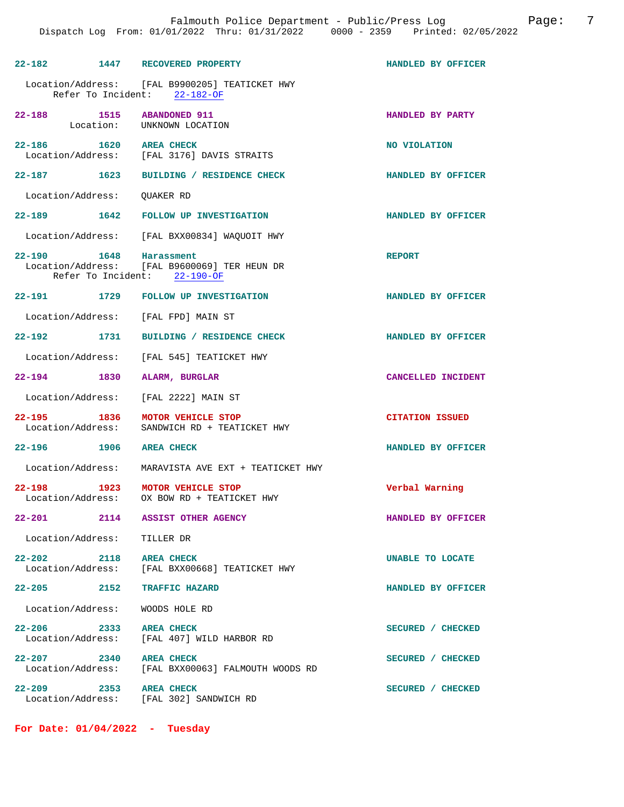| 22-182 1447 RECOVERED PROPERTY          |                                                                                                        | HANDLED BY OFFICER     |
|-----------------------------------------|--------------------------------------------------------------------------------------------------------|------------------------|
|                                         | Location/Address: [FAL B9900205] TEATICKET HWY<br>Refer To Incident: 22-182-OF                         |                        |
| 22-188                                  | 1515 ABANDONED 911<br>Location: UNKNOWN LOCATION                                                       | HANDLED BY PARTY       |
| 22-186 1620                             | <b>AREA CHECK</b><br>Location/Address: [FAL 3176] DAVIS STRAITS                                        | NO VIOLATION           |
|                                         | 22-187 1623 BUILDING / RESIDENCE CHECK                                                                 | HANDLED BY OFFICER     |
| Location/Address: OUAKER RD             |                                                                                                        |                        |
|                                         | 22-189 1642 FOLLOW UP INVESTIGATION                                                                    | HANDLED BY OFFICER     |
|                                         | Location/Address: [FAL BXX00834] WAQUOIT HWY                                                           |                        |
|                                         | 22-190 1648 Harassment<br>Location/Address: [FAL B9600069] TER HEUN DR<br>Refer To Incident: 22-190-OF | <b>REPORT</b>          |
|                                         | 22-191 1729 FOLLOW UP INVESTIGATION                                                                    | HANDLED BY OFFICER     |
| Location/Address: [FAL FPD] MAIN ST     |                                                                                                        |                        |
|                                         | 22-192 1731 BUILDING / RESIDENCE CHECK                                                                 | HANDLED BY OFFICER     |
|                                         | Location/Address: [FAL 545] TEATICKET HWY                                                              |                        |
| 22-194 1830                             | ALARM, BURGLAR                                                                                         | CANCELLED INCIDENT     |
| Location/Address: [FAL 2222] MAIN ST    |                                                                                                        |                        |
| 1836<br>$22 - 195$<br>Location/Address: | MOTOR VEHICLE STOP<br>SANDWICH RD + TEATICKET HWY                                                      | <b>CITATION ISSUED</b> |
| 22-196 1906 AREA CHECK                  |                                                                                                        | HANDLED BY OFFICER     |
|                                         | Location/Address: MARAVISTA AVE EXT + TEATICKET HWY                                                    |                        |
| $22 - 198$                              | 1923 MOTOR VEHICLE STOP<br>Location/Address: 0X BOW RD + TEATICKET HWY                                 | Verbal Warning         |
| $22 - 201$<br>2114                      | <b>ASSIST OTHER AGENCY</b>                                                                             | HANDLED BY OFFICER     |
| Location/Address: TILLER DR             |                                                                                                        |                        |
| 2118 AREA CHECK<br>$22 - 202$           | Location/Address: [FAL BXX00668] TEATICKET HWY                                                         | UNABLE TO LOCATE       |
| 22-205 2152                             | TRAFFIC HAZARD                                                                                         | HANDLED BY OFFICER     |
| Location/Address: WOODS HOLE RD         |                                                                                                        |                        |
| $22 - 206$ 2333                         | <b>AREA CHECK</b><br>Location/Address: [FAL 407] WILD HARBOR RD                                        | SECURED / CHECKED      |
| 22-207                                  | 2340 AREA CHECK<br>Location/Address: [FAL BXX00063] FALMOUTH WOODS RD                                  | SECURED / CHECKED      |
| $22 - 209$<br>2353                      | <b>AREA CHECK</b><br>Location/Address: [FAL 302] SANDWICH RD                                           | SECURED / CHECKED      |

**For Date: 01/04/2022 - Tuesday**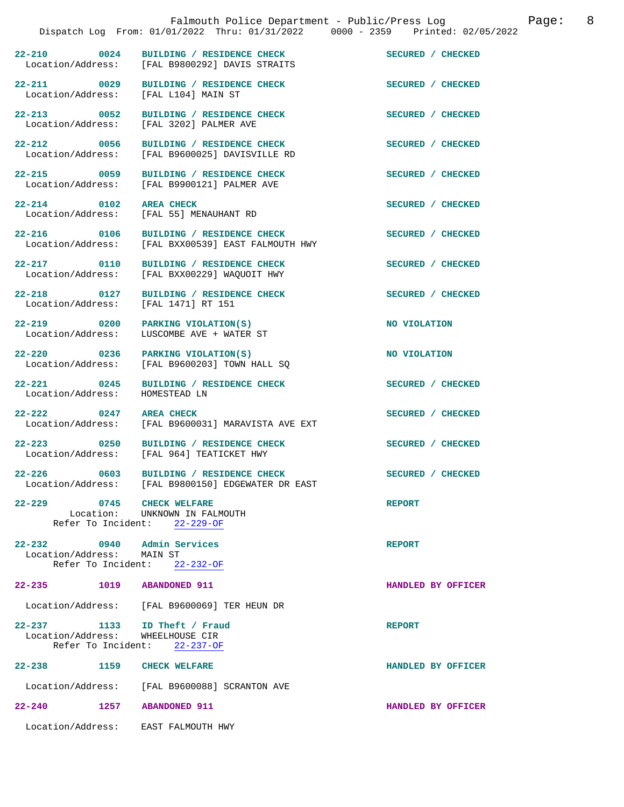|                                                         | Dispatch Log From: 01/01/2022 Thru: 01/31/2022 0000 - 2359 Printed: 02/05/2022                          | Falmouth Police Department - Public/Press Log | 8<br>Page: |
|---------------------------------------------------------|---------------------------------------------------------------------------------------------------------|-----------------------------------------------|------------|
|                                                         | 22-210 0024 BUILDING / RESIDENCE CHECK SECURED / CHECKED Location/Address: [FAL B9800292] DAVIS STRAITS |                                               |            |
| 22-211 0029                                             | BUILDING / RESIDENCE CHECK<br>Location/Address: [FAL L104] MAIN ST                                      | SECURED / CHECKED                             |            |
|                                                         | 22-213 0052 BUILDING / RESIDENCE CHECK<br>Location/Address: [FAL 3202] PALMER AVE                       | SECURED / CHECKED                             |            |
| 22-212 0056                                             | BUILDING / RESIDENCE CHECK<br>Location/Address: [FAL B9600025] DAVISVILLE RD                            | SECURED / CHECKED                             |            |
|                                                         | 22-215 0059 BUILDING / RESIDENCE CHECK<br>Location/Address: [FAL B9900121] PALMER AVE                   | SECURED / CHECKED                             |            |
| 22-214 0102 AREA CHECK                                  | Location/Address: [FAL 55] MENAUHANT RD                                                                 | SECURED / CHECKED                             |            |
|                                                         | 22-216 0106 BUILDING / RESIDENCE CHECK<br>Location/Address: [FAL BXX00539] EAST FALMOUTH HWY            | SECURED / CHECKED                             |            |
| 22-217 0110                                             | BUILDING / RESIDENCE CHECK<br>Location/Address: [FAL BXX00229] WAQUOIT HWY                              | SECURED / CHECKED                             |            |
|                                                         | 22-218 0127 BUILDING / RESIDENCE CHECK<br>Location/Address: [FAL 1471] RT 151                           | SECURED / CHECKED                             |            |
| Location/Address:                                       | 22-219 0200 PARKING VIOLATION(S)<br>LUSCOMBE AVE + WATER ST                                             | NO VIOLATION                                  |            |
|                                                         | 22-220 0236 PARKING VIOLATION(S)<br>Location/Address: [FAL B9600203] TOWN HALL SQ                       | NO VIOLATION                                  |            |
| $22 - 221$ 0245<br>Location/Address:                    | BUILDING / RESIDENCE CHECK<br>HOMESTEAD LN                                                              | SECURED / CHECKED                             |            |
| 22-222 0247 AREA CHECK                                  | Location/Address: [FAL B9600031] MARAVISTA AVE EXT                                                      | SECURED / CHECKED                             |            |
|                                                         | 22-223 0250 BUILDING / RESIDENCE CHECK<br>Location/Address: [FAL 964] TEATICKET HWY                     | SECURED / CHECKED                             |            |
| $22 - 226$                                              | 0603 BUILDING / RESIDENCE CHECK<br>Location/Address: [FAL B9800150] EDGEWATER DR EAST                   | SECURED / CHECKED                             |            |
| 22-229 0745 CHECK WELFARE                               | Location: UNKNOWN IN FALMOUTH<br>Refer To Incident: $22-229-OF$                                         | <b>REPORT</b>                                 |            |
| 22-232 0940 Admin Services<br>Location/Address: MAIN ST | Refer To Incident: 22-232-OF                                                                            | <b>REPORT</b>                                 |            |
| 22-235 1019                                             | <b>ABANDONED 911</b>                                                                                    | HANDLED BY OFFICER                            |            |
|                                                         | Location/Address: [FAL B9600069] TER HEUN DR                                                            |                                               |            |
| $22 - 237$ 1133<br>Location/Address:                    | ID Theft / Fraud<br>WHEELHOUSE CIR<br>Refer To Incident: 22-237-OF                                      | <b>REPORT</b>                                 |            |
| 22–238 1159                                             | <b>CHECK WELFARE</b>                                                                                    | HANDLED BY OFFICER                            |            |
| Location/Address:                                       | [FAL B9600088] SCRANTON AVE                                                                             |                                               |            |
| $22 - 240$<br>1257                                      | <b>ABANDONED 911</b>                                                                                    | HANDLED BY OFFICER                            |            |
|                                                         | Location/Address: EAST FALMOUTH HWY                                                                     |                                               |            |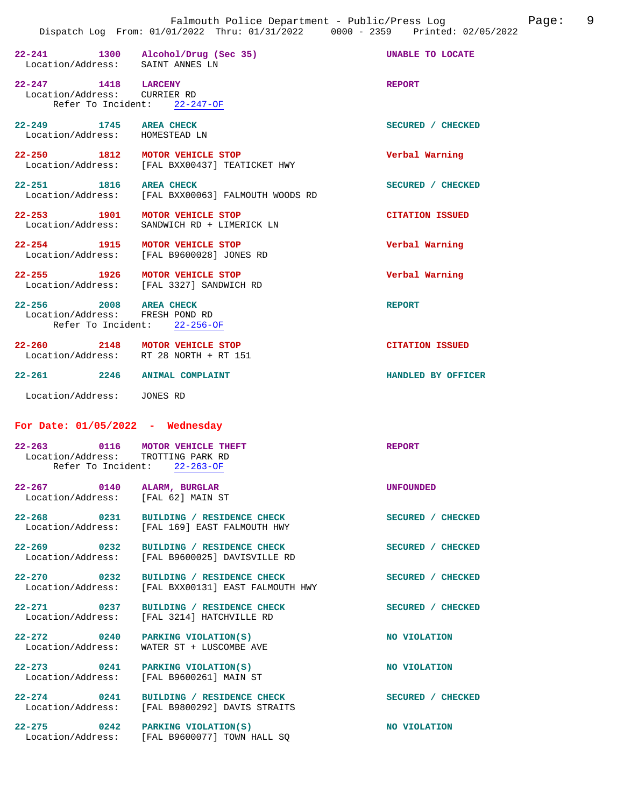| propacent nod                                                                                                                                | TION" 01/01/2022 INIU' 01/01/2022<br><b>bood</b>                                       |                        |
|----------------------------------------------------------------------------------------------------------------------------------------------|----------------------------------------------------------------------------------------|------------------------|
| Location/Address: SAINT ANNES LN                                                                                                             | 22-241 1300 Alcohol/Drug (Sec 35)                                                      | UNABLE TO LOCATE       |
| $22-247 \hspace{1.5cm} 1418 \hspace{1.5cm} \text{LARGE} \hspace{.01cm} \text{LARGE} \hspace{.01cm} \text{Y}$<br>Location/Address: CURRIER RD | Refer To Incident: 22-247-OF                                                           | <b>REPORT</b>          |
| 22-249 1745 AREA CHECK<br>Location/Address: HOMESTEAD LN                                                                                     |                                                                                        | SECURED / CHECKED      |
|                                                                                                                                              | 22-250 1812 MOTOR VEHICLE STOP<br>Location/Address: [FAL BXX00437] TEATICKET HWY       | Verbal Warning         |
| 22-251 1816 AREA CHECK                                                                                                                       | Location/Address: [FAL BXX00063] FALMOUTH WOODS RD                                     | SECURED / CHECKED      |
|                                                                                                                                              | 22-253 1901 MOTOR VEHICLE STOP<br>Location/Address: SANDWICH RD + LIMERICK LN          | <b>CITATION ISSUED</b> |
|                                                                                                                                              | 22-254 1915 MOTOR VEHICLE STOP<br>Location/Address: [FAL B9600028] JONES RD            | Verbal Warning         |
| 22-255 1926 MOTOR VEHICLE STOP                                                                                                               | Location/Address: [FAL 3327] SANDWICH RD                                               | Verbal Warning         |
| 22-256 2008 AREA CHECK<br>Location/Address: FRESH POND RD<br>Refer To Incident: 22-256-OF                                                    |                                                                                        | <b>REPORT</b>          |
| 22-260 2148 MOTOR VEHICLE STOP<br>Location/Address: RT 28 NORTH + RT 151                                                                     |                                                                                        | <b>CITATION ISSUED</b> |
| 22-261 2246 ANIMAL COMPLAINT                                                                                                                 |                                                                                        | HANDLED BY OFFICER     |
| Location/Address: JONES RD                                                                                                                   |                                                                                        |                        |
| For Date: $01/05/2022 -$ Wednesday                                                                                                           |                                                                                        |                        |
| 22-263 0116 MOTOR VEHICLE THEFT<br>Location/Address: TROTTING PARK RD                                                                        | Refer To Incident: 22-263-OF                                                           | REPORT                 |
| $22 - 267$<br>0140<br>Location/Address:                                                                                                      | ALARM, BURGLAR<br>[FAL 62] MAIN ST                                                     | <b>UNFOUNDED</b>       |
| $22 - 268$                                                                                                                                   | 2-268 0231 BUILDING / RESIDENCE CHECK<br>Location/Address: [FAL 169] EAST FALMOUTH HWY | SECURED / CHECKED      |
| $22 - 269$ 0232                                                                                                                              | BUILDING / RESIDENCE CHECK<br>Location/Address: [FAL B9600025] DAVISVILLE RD           | SECURED / CHECKED      |
| $22 - 270$ 0232                                                                                                                              | BUILDING / RESIDENCE CHECK<br>Location/Address: [FAL BXX00131] EAST FALMOUTH HWY       | SECURED / CHECKED      |
| $22 - 271$ 0237                                                                                                                              | BUILDING / RESIDENCE CHECK<br>Location/Address: [FAL 3214] HATCHVILLE RD               | SECURED / CHECKED      |
| 22-272 0240 PARKING VIOLATION(S)<br>Location/Address:                                                                                        | WATER ST + LUSCOMBE AVE                                                                | NO VIOLATION           |
| 22-273 0241 PARKING VIOLATION(S)                                                                                                             | Location/Address: [FAL B9600261] MAIN ST                                               | NO VIOLATION           |
| $22 - 274$ 0241                                                                                                                              | BUILDING / RESIDENCE CHECK<br>Location/Address: [FAL B9800292] DAVIS STRAITS           | SECURED / CHECKED      |

**22-275 0242 PARKING VIOLATION(S) NO VIOLATION**  Location/Address: [FAL B9600077] TOWN HALL SQ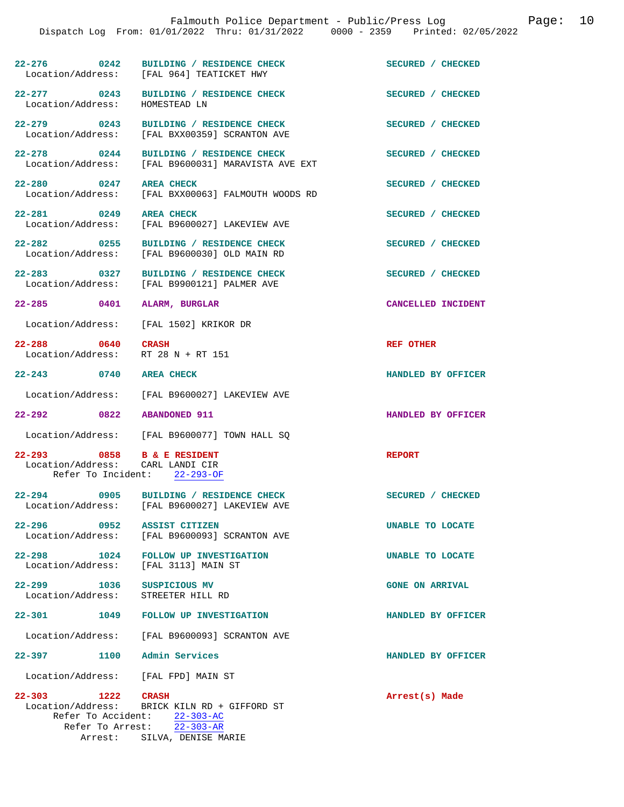|                                             |                                                                                                                             | 10<br>Falmouth Police Department - Public/Press Log<br>Page:<br>Dispatch Log From: 01/01/2022 Thru: 01/31/2022 0000 - 2359 Printed: 02/05/2022 |
|---------------------------------------------|-----------------------------------------------------------------------------------------------------------------------------|------------------------------------------------------------------------------------------------------------------------------------------------|
|                                             | 22-276 0242 BUILDING / RESIDENCE CHECK<br>Location/Address: [FAL 964] TEATICKET HWY                                         | SECURED / CHECKED                                                                                                                              |
| Location/Address:                           | 22-277 0243 BUILDING / RESIDENCE CHECK<br>HOMESTEAD LN                                                                      | SECURED / CHECKED                                                                                                                              |
|                                             | 22-279 0243 BUILDING / RESIDENCE CHECK<br>Location/Address: [FAL BXX00359] SCRANTON AVE                                     | SECURED / CHECKED                                                                                                                              |
| 22-278 0244<br>Location/Address:            | BUILDING / RESIDENCE CHECK<br>[FAL B9600031] MARAVISTA AVE EXT                                                              | SECURED / CHECKED                                                                                                                              |
| 22-280 0247 AREA CHECK                      | Location/Address: [FAL BXX00063] FALMOUTH WOODS RD                                                                          | SECURED / CHECKED                                                                                                                              |
| 22-281 0249 AREA CHECK<br>Location/Address: | [FAL B9600027] LAKEVIEW AVE                                                                                                 | SECURED / CHECKED                                                                                                                              |
|                                             | 22-282 0255 BUILDING / RESIDENCE CHECK<br>Location/Address: [FAL B9600030] OLD MAIN RD                                      | SECURED / CHECKED                                                                                                                              |
|                                             | 22-283 0327 BUILDING / RESIDENCE CHECK<br>Location/Address: [FAL B9900121] PALMER AVE                                       | SECURED / CHECKED                                                                                                                              |
| 22-285 0401 ALARM, BURGLAR                  |                                                                                                                             | CANCELLED INCIDENT                                                                                                                             |
| Location/Address:                           | [FAL 1502] KRIKOR DR                                                                                                        |                                                                                                                                                |
| 22-288 0640 CRASH                           | Location/Address: RT 28 N + RT 151                                                                                          | <b>REF OTHER</b>                                                                                                                               |
| 22-243 0740                                 | <b>AREA CHECK</b>                                                                                                           | HANDLED BY OFFICER                                                                                                                             |
| Location/Address:                           | [FAL B9600027] LAKEVIEW AVE                                                                                                 |                                                                                                                                                |
| 22-292 0822 ABANDONED 911                   |                                                                                                                             | HANDLED BY OFFICER                                                                                                                             |
|                                             | Location/Address: [FAL B9600077] TOWN HALL SQ                                                                               |                                                                                                                                                |
| 22-293 0858 B & E RESIDENT                  | Location/Address: CARL LANDI CIR<br>Refer To Incident: 22-293-OF                                                            | <b>REPORT</b>                                                                                                                                  |
| $22 - 294$<br>0905                          | BUILDING / RESIDENCE CHECK<br>Location/Address: [FAL B9600027] LAKEVIEW AVE                                                 | SECURED / CHECKED                                                                                                                              |
| Location/Address:                           | 22-296 0952 ASSIST CITIZEN<br>[FAL B9600093] SCRANTON AVE                                                                   | UNABLE TO LOCATE                                                                                                                               |
|                                             | 22-298 1024 FOLLOW UP INVESTIGATION<br>Location/Address: [FAL 3113] MAIN ST                                                 | UNABLE TO LOCATE                                                                                                                               |
| 22-299 1036 SUSPICIOUS MV                   | Location/Address: STREETER HILL RD                                                                                          | <b>GONE ON ARRIVAL</b>                                                                                                                         |
|                                             | 22-301 1049 FOLLOW UP INVESTIGATION                                                                                         | HANDLED BY OFFICER                                                                                                                             |
|                                             | Location/Address: [FAL B9600093] SCRANTON AVE                                                                               |                                                                                                                                                |
| 22-397 1100 Admin Services                  |                                                                                                                             | HANDLED BY OFFICER                                                                                                                             |
|                                             | Location/Address: [FAL FPD] MAIN ST                                                                                         |                                                                                                                                                |
| 22-303 1222 CRASH                           | Location/Address: BRICK KILN RD + GIFFORD ST<br>Refer To Accident: 22-303-AC<br>Refer To Arrest: $\overline{22} - 303 - AR$ | Arrest(s) Made                                                                                                                                 |

Arrest: SILVA, DENISE MARIE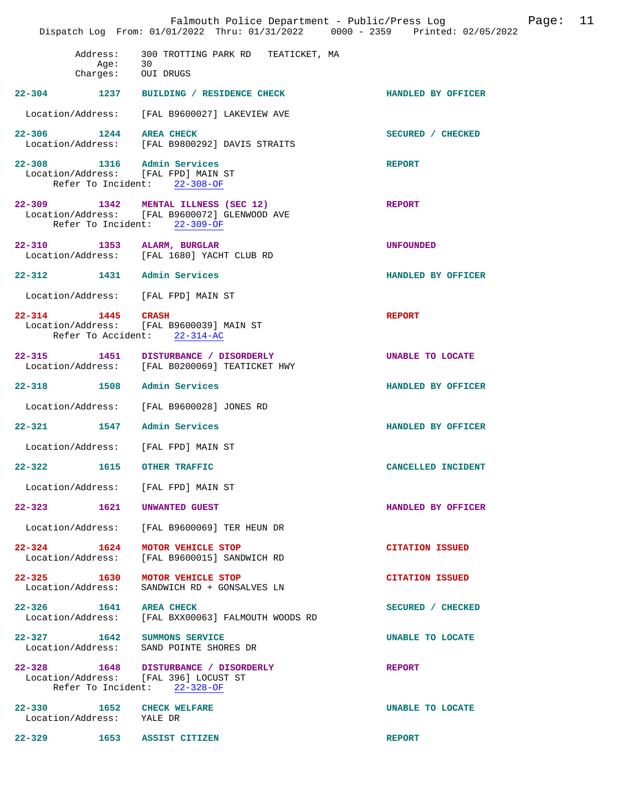|            |                           | Falmouth Police Department - Public/Press Log Fage: 11<br>Dispatch Log From: 01/01/2022 Thru: 01/31/2022 0000 - 2359 Printed: 02/05/2022 |                           |  |
|------------|---------------------------|------------------------------------------------------------------------------------------------------------------------------------------|---------------------------|--|
|            | Age:                      | Address: 300 TROTTING PARK RD TEATICKET, MA<br>30<br>Charges: OUI DRUGS                                                                  |                           |  |
|            |                           | 22-304 1237 BUILDING / RESIDENCE CHECK                                                                                                   | <b>HANDLED BY OFFICER</b> |  |
|            |                           | Location/Address: [FAL B9600027] LAKEVIEW AVE                                                                                            |                           |  |
|            |                           | 22-306 1244 AREA CHECK<br>Location/Address: [FAL B9800292] DAVIS STRAITS                                                                 | SECURED / CHECKED         |  |
|            |                           | 22-308 1316 Admin Services<br>Location/Address: [FAL FPD] MAIN ST<br>Refer To Incident: 22-308-OF                                        | <b>REPORT</b>             |  |
|            |                           | 22-309 1342 MENTAL ILLNESS (SEC 12)<br>Location/Address: [FAL B9600072] GLENWOOD AVE<br>Refer To Incident: 22-309-OF                     | <b>REPORT</b>             |  |
|            |                           | 22-310 1353 ALARM, BURGLAR<br>Location/Address: [FAL 1680] YACHT CLUB RD                                                                 | <b>UNFOUNDED</b>          |  |
|            |                           | 22-312 1431 Admin Services                                                                                                               | HANDLED BY OFFICER        |  |
|            |                           | Location/Address: [FAL FPD] MAIN ST                                                                                                      |                           |  |
|            | 22-314 1445 CRASH         | Location/Address: [FAL B9600039] MAIN ST<br>Refer To Accident: 22-314-AC                                                                 | <b>REPORT</b>             |  |
|            |                           | 22-315 1451 DISTURBANCE / DISORDERLY<br>Location/Address: [FAL B0200069] TEATICKET HWY                                                   | UNABLE TO LOCATE          |  |
|            |                           | 22-318 1508 Admin Services                                                                                                               | HANDLED BY OFFICER        |  |
|            |                           | Location/Address: [FAL B9600028] JONES RD                                                                                                |                           |  |
|            |                           | 22-321 1547 Admin Services                                                                                                               | HANDLED BY OFFICER        |  |
|            |                           | Location/Address: [FAL FPD] MAIN ST                                                                                                      |                           |  |
| $22 - 322$ |                           | 1615 OTHER TRAFFIC                                                                                                                       | CANCELLED INCIDENT        |  |
|            |                           | Location/Address: [FAL FPD] MAIN ST                                                                                                      |                           |  |
|            |                           | 22-323 1621 UNWANTED GUEST                                                                                                               | HANDLED BY OFFICER        |  |
|            |                           | Location/Address: [FAL B9600069] TER HEUN DR                                                                                             |                           |  |
|            |                           | 22-324 1624 MOTOR VEHICLE STOP<br>Location/Address: [FAL B9600015] SANDWICH RD                                                           | <b>CITATION ISSUED</b>    |  |
|            |                           | 22-325 1630 MOTOR VEHICLE STOP<br>Location/Address: SANDWICH RD + GONSALVES LN                                                           | <b>CITATION ISSUED</b>    |  |
|            |                           | 22-326 1641 AREA CHECK<br>Location/Address: [FAL BXX00063] FALMOUTH WOODS RD                                                             | SECURED / CHECKED         |  |
|            |                           | 22-327 1642 SUMMONS SERVICE<br>Location/Address: SAND POINTE SHORES DR                                                                   | UNABLE TO LOCATE          |  |
|            |                           | 22-328 1648 DISTURBANCE / DISORDERLY<br>Location/Address: [FAL 396] LOCUST ST<br>Refer To Incident: $22-328-OF$                          | <b>REPORT</b>             |  |
|            | Location/Address: YALE DR | 22-330 1652 CHECK WELFARE                                                                                                                | UNABLE TO LOCATE          |  |
|            |                           | 22-329 1653 ASSIST CITIZEN                                                                                                               | <b>REPORT</b>             |  |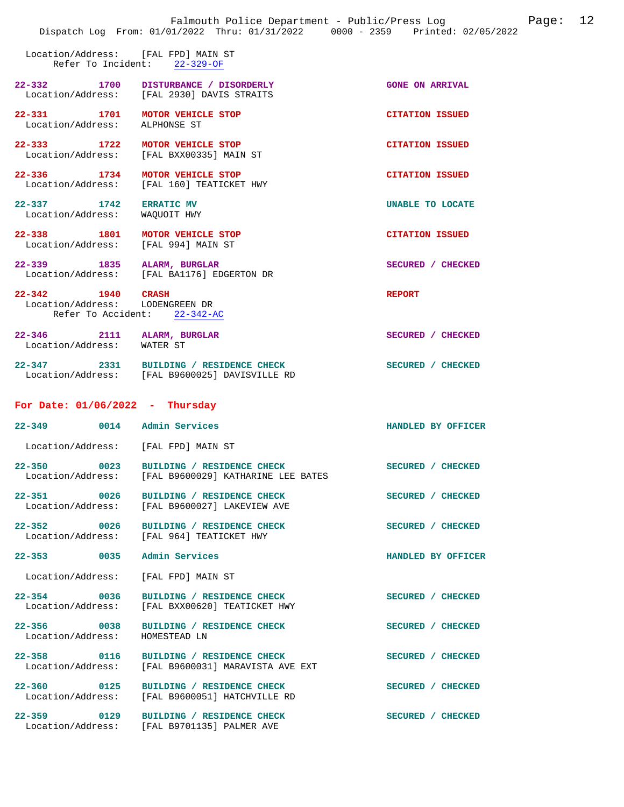|                                                           | Falmouth Police Department - Public/Press Log<br>Dispatch Log From: 01/01/2022 Thru: 01/31/2022 0000 - 2359 Printed: 02/05/2022 | 12<br>Page:            |
|-----------------------------------------------------------|---------------------------------------------------------------------------------------------------------------------------------|------------------------|
| Location/Address: [FAL FPD] MAIN ST<br>Refer To Incident: | $22 - 329 - OF$                                                                                                                 |                        |
| 22–332 1700                                               | DISTURBANCE / DISORDERLY<br>Location/Address: [FAL 2930] DAVIS STRAITS                                                          | <b>GONE ON ARRIVAL</b> |
| 22-331 1701 MOTOR VEHICLE STOP<br>Location/Address:       | ALPHONSE ST                                                                                                                     | <b>CITATION ISSUED</b> |
| 22-333 1722                                               | MOTOR VEHICLE STOP<br>Location/Address: [FAL BXX00335] MAIN ST                                                                  | <b>CITATION ISSUED</b> |
| 22-336 1734 MOTOR VEHICLE STOP                            | Location/Address: [FAL 160] TEATICKET HWY                                                                                       | <b>CITATION ISSUED</b> |
| $22 - 337$ 1742<br>Location/Address:                      | <b>ERRATIC MV</b><br>WAQUOIT HWY                                                                                                | UNABLE TO LOCATE       |
| 22-338 1801<br>Location/Address: [FAL 994] MAIN ST        | MOTOR VEHICLE STOP                                                                                                              | <b>CITATION ISSUED</b> |
| 22-339 1835                                               | ALARM, BURGLAR<br>Location/Address: [FAL BA1176] EDGERTON DR                                                                    | SECURED / CHECKED      |
| 22-342 1940<br>Location/Address:                          | <b>CRASH</b><br>LODENGREEN DR<br>Refer To Accident: 22-342-AC                                                                   | <b>REPORT</b>          |
| $22 - 346$<br>Location/Address: WATER ST                  | 2111 ALARM, BURGLAR                                                                                                             | SECURED / CHECKED      |
|                                                           | 22-347 2331 BUILDING / RESIDENCE CHECK<br>Location/Address: [FAL B9600025] DAVISVILLE RD                                        | SECURED / CHECKED      |
| For Date: $01/06/2022 - Thursday$                         |                                                                                                                                 |                        |
| 22-349 0014 Admin Services                                |                                                                                                                                 | HANDLED BY OFFICER     |
| Location/Address: [FAL FPD] MAIN ST                       |                                                                                                                                 |                        |
| $22 - 350$<br>0023<br>Location/Address:                   | BUILDING / RESIDENCE CHECK<br>[FAL B9600029] KATHARINE LEE BATES                                                                | SECURED / CHECKED      |
| 22-351 0026<br>Location/Address:                          | BUILDING / RESIDENCE CHECK<br>[FAL B9600027] LAKEVIEW AVE                                                                       | SECURED / CHECKED      |
| 22-352 0026                                               | BUILDING / RESIDENCE CHECK<br>Location/Address: [FAL 964] TEATICKET HWY                                                         | SECURED / CHECKED      |
| 22-353 0035                                               | Admin Services                                                                                                                  | HANDLED BY OFFICER     |
| Location/Address:                                         | [FAL FPD] MAIN ST                                                                                                               |                        |
| 22-354 0036<br>Location/Address:                          | BUILDING / RESIDENCE CHECK<br>[FAL BXX00620] TEATICKET HWY                                                                      | SECURED / CHECKED      |
| 22-356 0038<br>Location/Address:                          | BUILDING / RESIDENCE CHECK<br>HOMESTEAD LN                                                                                      | SECURED / CHECKED      |
| 22-358 0116<br>Location/Address:                          | BUILDING / RESIDENCE CHECK<br>[FAL B9600031] MARAVISTA AVE EXT                                                                  | SECURED / CHECKED      |
| 22-360 0125<br>Location/Address:                          | BUILDING / RESIDENCE CHECK<br>[FAL B9600051] HATCHVILLE RD                                                                      | SECURED / CHECKED      |
| 22-359 0129                                               | BUILDING / RESIDENCE CHECK<br>Location/Address: [FAL B9701135] PALMER AVE                                                       | SECURED / CHECKED      |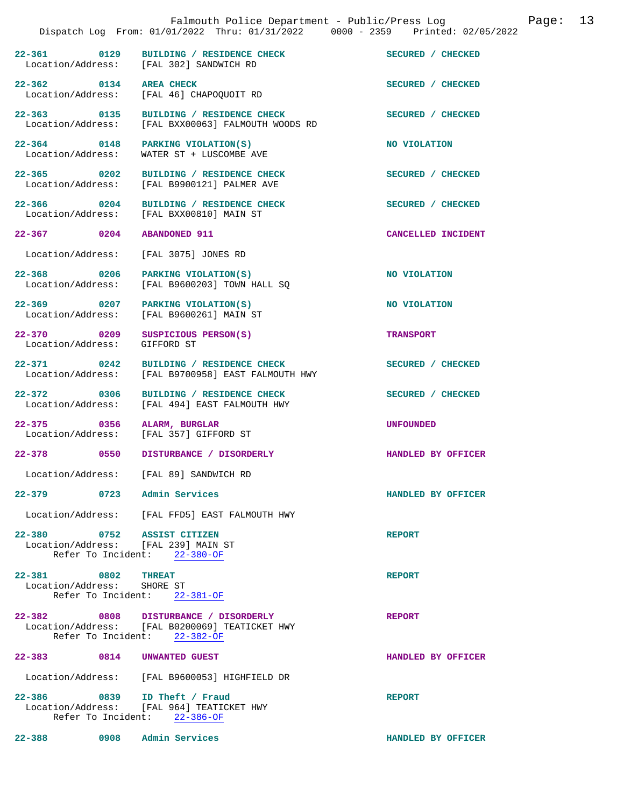|                                                  | Falmouth Police Department - Public/Press Log<br>Dispatch Log From: 01/01/2022 Thru: 01/31/2022 0000 - 2359 Printed: 02/05/2022 |                    | Page: | 13 |
|--------------------------------------------------|---------------------------------------------------------------------------------------------------------------------------------|--------------------|-------|----|
|                                                  | 22-361 0129 BUILDING / RESIDENCE CHECK SECURED / CHECKED<br>Location/Address: [FAL 302] SANDWICH RD                             |                    |       |    |
| 22-362 0134 AREA CHECK                           | Location/Address: [FAL 46] CHAPOQUOIT RD                                                                                        | SECURED / CHECKED  |       |    |
|                                                  | 22-363 0135 BUILDING / RESIDENCE CHECK<br>Location/Address: [FAL BXX00063] FALMOUTH WOODS RD                                    | SECURED / CHECKED  |       |    |
| Location/Address:                                | 22-364 0148 PARKING VIOLATION(S)<br>WATER ST + LUSCOMBE AVE                                                                     | NO VIOLATION       |       |    |
|                                                  | 22-365 0202 BUILDING / RESIDENCE CHECK<br>Location/Address: [FAL B9900121] PALMER AVE                                           | SECURED / CHECKED  |       |    |
|                                                  | 22-366 0204 BUILDING / RESIDENCE CHECK<br>Location/Address: [FAL BXX00810] MAIN ST                                              | SECURED / CHECKED  |       |    |
| $22 - 367$ 0204                                  | <b>ABANDONED 911</b>                                                                                                            | CANCELLED INCIDENT |       |    |
| Location/Address:                                | [FAL 3075] JONES RD                                                                                                             |                    |       |    |
| Location/Address:                                | 22-368 0206 PARKING VIOLATION(S)<br>[FAL B9600203] TOWN HALL SQ                                                                 | NO VIOLATION       |       |    |
|                                                  | 22-369 0207 PARKING VIOLATION(S)<br>Location/Address: [FAL B9600261] MAIN ST                                                    | NO VIOLATION       |       |    |
| Location/Address:                                | 22-370 0209 SUSPICIOUS PERSON(S)<br>GIFFORD ST                                                                                  | <b>TRANSPORT</b>   |       |    |
| 22-371 0242<br>Location/Address:                 | BUILDING / RESIDENCE CHECK<br>[FAL B9700958] EAST FALMOUTH HWY                                                                  | SECURED / CHECKED  |       |    |
|                                                  | 22-372 0306 BUILDING / RESIDENCE CHECK<br>Location/Address: [FAL 494] EAST FALMOUTH HWY                                         | SECURED / CHECKED  |       |    |
| 22-375 0356 ALARM, BURGLAR                       | Location/Address: [FAL 357] GIFFORD ST                                                                                          | <b>UNFOUNDED</b>   |       |    |
|                                                  | 22-378 0550 DISTURBANCE / DISORDERLY                                                                                            | HANDLED BY OFFICER |       |    |
|                                                  | Location/Address: [FAL 89] SANDWICH RD                                                                                          |                    |       |    |
| 22-379 0723 Admin Services                       |                                                                                                                                 | HANDLED BY OFFICER |       |    |
|                                                  | Location/Address: [FAL FFD5] EAST FALMOUTH HWY                                                                                  |                    |       |    |
| 22-380 0752 ASSIST CITIZEN                       | Location/Address: [FAL 239] MAIN ST<br>Refer To Incident: 22-380-OF                                                             | <b>REPORT</b>      |       |    |
| 22-381 0802 THREAT<br>Location/Address: SHORE ST | Refer To Incident: 22-381-OF                                                                                                    | <b>REPORT</b>      |       |    |
|                                                  | 22-382 0808 DISTURBANCE / DISORDERLY<br>Location/Address: [FAL B0200069] TEATICKET HWY<br>Refer To Incident: 22-382-OF          | <b>REPORT</b>      |       |    |
| 22-383 0814 UNWANTED GUEST                       |                                                                                                                                 | HANDLED BY OFFICER |       |    |
|                                                  | Location/Address: [FAL B9600053] HIGHFIELD DR                                                                                   |                    |       |    |
|                                                  | 22-386 0839 ID Theft / Fraud<br>Location/Address: [FAL 964] TEATICKET HWY<br>Refer To Incident: 22-386-OF                       | <b>REPORT</b>      |       |    |
| 22-388 0908 Admin Services                       |                                                                                                                                 | HANDLED BY OFFICER |       |    |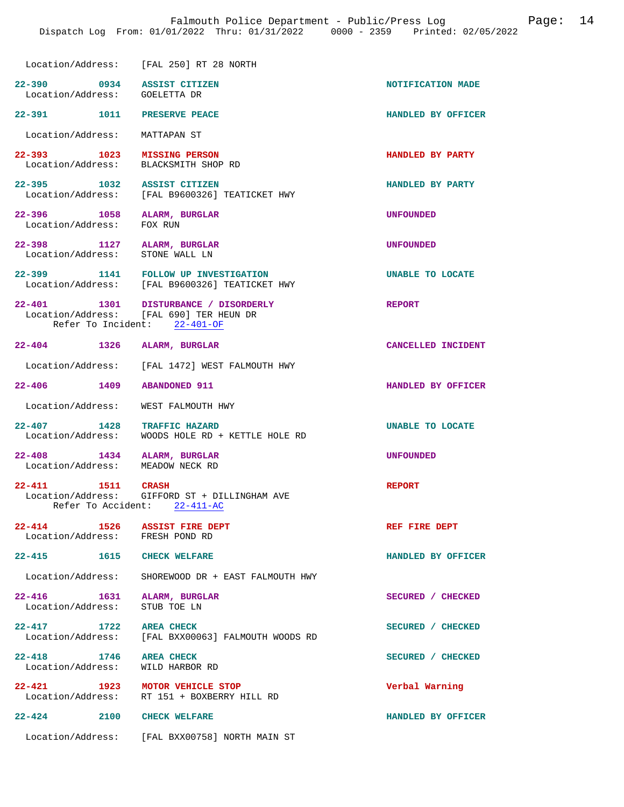|                                                                 | Dispatch Log From: 01/01/2022 Thru: 01/31/2022 0000 - 2359 Printed: 02/05/2022                                  |                    |
|-----------------------------------------------------------------|-----------------------------------------------------------------------------------------------------------------|--------------------|
|                                                                 | Location/Address: [FAL 250] RT 28 NORTH                                                                         |                    |
| 22-390 0934 ASSIST CITIZEN<br>Location/Address: GOELETTA DR     |                                                                                                                 | NOTIFICATION MADE  |
| 22-391 1011 PRESERVE PEACE                                      |                                                                                                                 | HANDLED BY OFFICER |
| Location/Address: MATTAPAN ST                                   |                                                                                                                 |                    |
| 22-393 1023 MISSING PERSON                                      | Location/Address: BLACKSMITH SHOP RD                                                                            | HANDLED BY PARTY   |
| 22-395 1032 ASSIST CITIZEN                                      | Location/Address: [FAL B9600326] TEATICKET HWY                                                                  | HANDLED BY PARTY   |
| 22-396 1058 ALARM, BURGLAR<br>Location/Address: FOX RUN         |                                                                                                                 | <b>UNFOUNDED</b>   |
| 22-398 1127 ALARM, BURGLAR<br>Location/Address:                 | STONE WALL LN                                                                                                   | <b>UNFOUNDED</b>   |
|                                                                 | 22-399 1141 FOLLOW UP INVESTIGATION<br>Location/Address: [FAL B9600326] TEATICKET HWY                           | UNABLE TO LOCATE   |
|                                                                 | 22-401 1301 DISTURBANCE / DISORDERLY<br>Location/Address: [FAL 690] TER HEUN DR<br>Refer To Incident: 22-401-OF | <b>REPORT</b>      |
| 22-404 1326 ALARM, BURGLAR                                      |                                                                                                                 | CANCELLED INCIDENT |
|                                                                 | Location/Address: [FAL 1472] WEST FALMOUTH HWY                                                                  |                    |
| 22-406 1409                                                     | <b>ABANDONED 911</b>                                                                                            | HANDLED BY OFFICER |
| Location/Address: WEST FALMOUTH HWY                             |                                                                                                                 |                    |
| 22-407 1428 TRAFFIC HAZARD                                      | Location/Address: WOODS HOLE RD + KETTLE HOLE RD                                                                | UNABLE TO LOCATE   |
| 22-408 1434 ALARM, BURGLAR<br>Location/Address: MEADOW NECK RD  |                                                                                                                 | <b>UNFOUNDED</b>   |
| 22-411 1511 CRASH                                               | Location/Address: GIFFORD ST + DILLINGHAM AVE<br>Refer To Accident: 22-411-AC                                   | <b>REPORT</b>      |
| 22-414 1526 ASSIST FIRE DEPT<br>Location/Address: FRESH POND RD |                                                                                                                 | REF FIRE DEPT      |
| 22-415 1615 CHECK WELFARE                                       |                                                                                                                 | HANDLED BY OFFICER |
|                                                                 | Location/Address: SHOREWOOD DR + EAST FALMOUTH HWY                                                              |                    |
| 22-416 1631 ALARM, BURGLAR<br>Location/Address: STUB TOE LN     |                                                                                                                 | SECURED / CHECKED  |
| 22-417 1722 AREA CHECK                                          | Location/Address: [FAL BXX00063] FALMOUTH WOODS RD                                                              | SECURED / CHECKED  |
| 22-418 1746 AREA CHECK<br>Location/Address: WILD HARBOR RD      |                                                                                                                 | SECURED / CHECKED  |
| 22-421 1923 MOTOR VEHICLE STOP                                  | Location/Address: RT 151 + BOXBERRY HILL RD                                                                     | Verbal Warning     |
| 22-424 2100 CHECK WELFARE                                       |                                                                                                                 | HANDLED BY OFFICER |
|                                                                 | Location/Address: [FAL BXX00758] NORTH MAIN ST                                                                  |                    |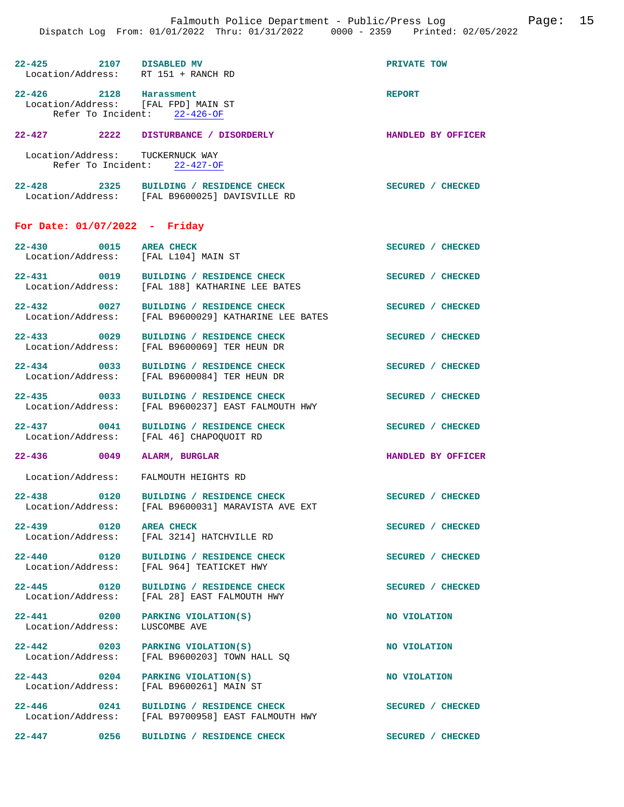|                                                                | raimouth rollee Department - rublic/riess nog<br>Dispatch Log From: 01/01/2022 Thru: 01/31/2022 0000 - 2359 Printed: 02/05/2022 |                           |
|----------------------------------------------------------------|---------------------------------------------------------------------------------------------------------------------------------|---------------------------|
| 22-425 2107 DISABLED MV<br>Location/Address: RT 151 + RANCH RD |                                                                                                                                 | PRIVATE TOW               |
| 22-426 2128 Harassment<br>Location/Address: [FAL FPD] MAIN ST  | Refer To Incident: 22-426-OF                                                                                                    | <b>REPORT</b>             |
|                                                                | 22-427 2222 DISTURBANCE / DISORDERLY                                                                                            | <b>HANDLED BY OFFICER</b> |
| Location/Address: TUCKERNUCK WAY                               | Refer To Incident: 22-427-OF                                                                                                    |                           |
|                                                                | 22-428 2325 BUILDING / RESIDENCE CHECK<br>Location/Address: [FAL B9600025] DAVISVILLE RD                                        | SECURED / CHECKED         |
| For Date: $01/07/2022$ - Friday                                |                                                                                                                                 |                           |
| 22-430 0015 AREA CHECK<br>Location/Address: [FAL L104] MAIN ST |                                                                                                                                 | SECURED / CHECKED         |
|                                                                | 22-431 0019 BUILDING / RESIDENCE CHECK<br>Location/Address: [FAL 188] KATHARINE LEE BATES                                       | SECURED / CHECKED         |
|                                                                | 22-432 0027 BUILDING / RESIDENCE CHECK<br>Location/Address: [FAL B9600029] KATHARINE LEE BATES                                  | SECURED / CHECKED         |
|                                                                | 22-433 0029 BUILDING / RESIDENCE CHECK<br>Location/Address: [FAL B9600069] TER HEUN DR                                          | SECURED / CHECKED         |
|                                                                | 22-434 0033 BUILDING / RESIDENCE CHECK<br>Location/Address: [FAL B9600084] TER HEUN DR                                          | SECURED / CHECKED         |
|                                                                | 22-435 0033 BUILDING / RESIDENCE CHECK<br>Location/Address: [FAL B9600237] EAST FALMOUTH HWY                                    | SECURED / CHECKED         |
|                                                                | 22-437 0041 BUILDING / RESIDENCE CHECK<br>Location/Address: [FAL 46] CHAPOQUOIT RD                                              | SECURED / CHECKED         |
| 22-436 0049 ALARM, BURGLAR                                     |                                                                                                                                 | HANDLED BY OFFICER        |
| Location/Address: FALMOUTH HEIGHTS RD                          |                                                                                                                                 |                           |
|                                                                | 22-438 0120 BUILDING / RESIDENCE CHECK<br>Location/Address: [FAL B9600031] MARAVISTA AVE EXT                                    | SECURED / CHECKED         |
| $22 - 439$                                                     | 0120 AREA CHECK<br>Location/Address: [FAL 3214] HATCHVILLE RD                                                                   | SECURED / CHECKED         |
|                                                                | 22-440 0120 BUILDING / RESIDENCE CHECK<br>Location/Address: [FAL 964] TEATICKET HWY                                             | SECURED / CHECKED         |
| 22-445<br>0120                                                 | BUILDING / RESIDENCE CHECK<br>Location/Address: [FAL 28] EAST FALMOUTH HWY                                                      | SECURED / CHECKED         |
| Location/Address: LUSCOMBE AVE                                 | 22-441 0200 PARKING VIOLATION(S)                                                                                                | NO VIOLATION              |

**22-442** 0203 PARKING VIOLATION(S) NO VIOLATION

**22-443 0204 PARKING VIOLATION(S) NO VIOLATION** 

**22-446 0241 BUILDING / RESIDENCE CHECK SECURED / CHECKED** 

**22-447 0256 BUILDING / RESIDENCE CHECK SECURED / CHECKED** 

Location/Address: [FAL B9600203] TOWN HALL SQ

Location/Address: [FAL B9700958] EAST FALMOUTH HWY

Location/Address: [FAL B9600261] MAIN ST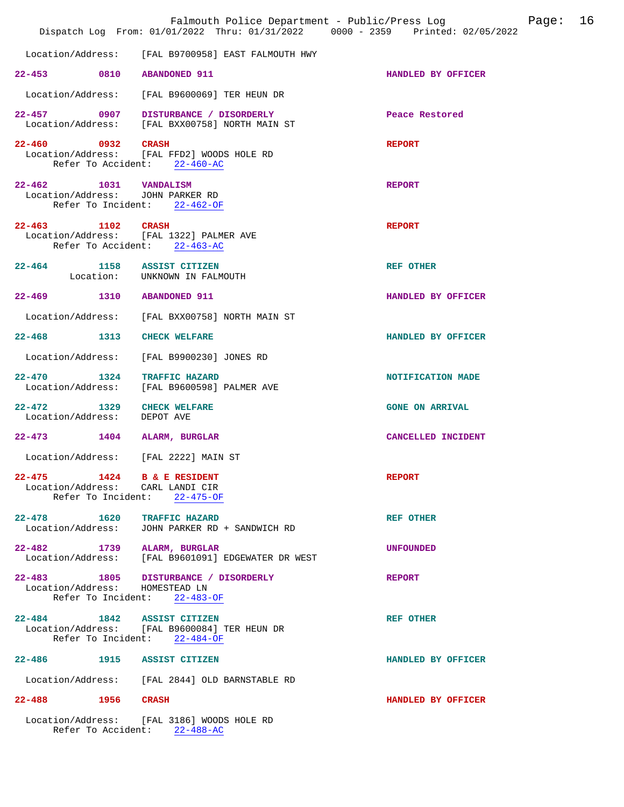|                                                                | Falmouth Police Department - Public/Press Log Cage:<br>Dispatch Log From: 01/01/2022 Thru: 01/31/2022 0000 - 2359 Printed: 02/05/2022 |                        | 16 |
|----------------------------------------------------------------|---------------------------------------------------------------------------------------------------------------------------------------|------------------------|----|
|                                                                | Location/Address: [FAL B9700958] EAST FALMOUTH HWY                                                                                    |                        |    |
| 22-453 0810 ABANDONED 911                                      |                                                                                                                                       | HANDLED BY OFFICER     |    |
|                                                                | Location/Address: [FAL B9600069] TER HEUN DR                                                                                          |                        |    |
|                                                                | 22-457 0907 DISTURBANCE / DISORDERLY<br>Location/Address: [FAL BXX00758] NORTH MAIN ST                                                | Peace Restored         |    |
| 22-460 0932 CRASH                                              | Location/Address: [FAL FFD2] WOODS HOLE RD<br>Refer To Accident: 22-460-AC                                                            | <b>REPORT</b>          |    |
| 22-462 1031 VANDALISM<br>Location/Address: JOHN PARKER RD      | Refer To Incident: 22-462-OF                                                                                                          | <b>REPORT</b>          |    |
| 22-463 1102 CRASH                                              | Location/Address: [FAL 1322] PALMER AVE<br>Refer To Accident: 22-463-AC                                                               | <b>REPORT</b>          |    |
| 22-464 1158 ASSIST CITIZEN                                     | Location: UNKNOWN IN FALMOUTH                                                                                                         | <b>REF OTHER</b>       |    |
| 22-469 1310 ABANDONED 911                                      |                                                                                                                                       | HANDLED BY OFFICER     |    |
|                                                                | Location/Address: [FAL BXX00758] NORTH MAIN ST                                                                                        |                        |    |
| 22-468 1313 CHECK WELFARE                                      |                                                                                                                                       | HANDLED BY OFFICER     |    |
|                                                                | Location/Address: [FAL B9900230] JONES RD                                                                                             |                        |    |
| $22 - 470$                                                     | 1324 TRAFFIC HAZARD<br>Location/Address: [FAL B9600598] PALMER AVE                                                                    | NOTIFICATION MADE      |    |
| 22-472 1329 CHECK WELFARE<br>Location/Address: DEPOT AVE       |                                                                                                                                       | <b>GONE ON ARRIVAL</b> |    |
| 22-473 1404 ALARM, BURGLAR                                     |                                                                                                                                       | CANCELLED INCIDENT     |    |
|                                                                | Location/Address: [FAL 2222] MAIN ST                                                                                                  |                        |    |
| 22-475 1424 B & E RESIDENT<br>Location/Address: CARL LANDI CIR | Refer To Incident: 22-475-OF                                                                                                          | <b>REPORT</b>          |    |
| $22 - 478$                                                     | 1620 TRAFFIC HAZARD<br>Location/Address: JOHN PARKER RD + SANDWICH RD                                                                 | <b>REF OTHER</b>       |    |
| 22-482 1739 ALARM, BURGLAR                                     | Location/Address: [FAL B9601091] EDGEWATER DR WEST                                                                                    | <b>UNFOUNDED</b>       |    |
| Location/Address: HOMESTEAD LN                                 | 22-483 1805 DISTURBANCE / DISORDERLY<br>Refer To Incident: 22-483-OF                                                                  | <b>REPORT</b>          |    |
| 22-484 1842 ASSIST CITIZEN                                     | Location/Address: [FAL B9600084] TER HEUN DR<br>Refer To Incident: 22-484-OF                                                          | <b>REF OTHER</b>       |    |
| 22-486 1915 ASSIST CITIZEN                                     |                                                                                                                                       | HANDLED BY OFFICER     |    |
|                                                                | Location/Address: [FAL 2844] OLD BARNSTABLE RD                                                                                        |                        |    |
| 22-488 1956 CRASH                                              |                                                                                                                                       | HANDLED BY OFFICER     |    |
|                                                                | Location/Address: [FAL 3186] WOODS HOLE RD<br>Refer To Accident: 22-488-AC                                                            |                        |    |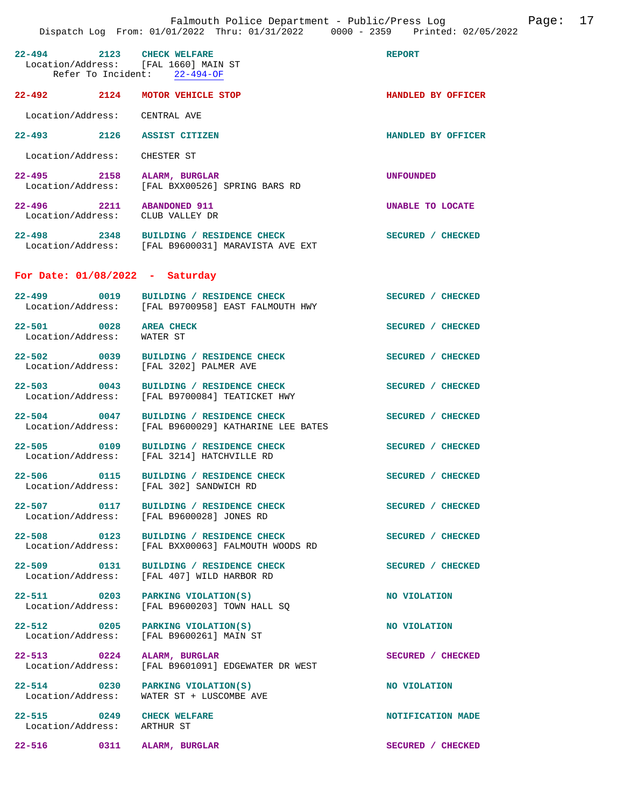| 22-494 2123 CHECK WELFARE<br>Location/Address: [FAL 1660] MAIN ST<br>Refer To Incident: 22-494-OF |                                                                                              | <b>REPORT</b>           |
|---------------------------------------------------------------------------------------------------|----------------------------------------------------------------------------------------------|-------------------------|
| 22-492 2124                                                                                       | MOTOR VEHICLE STOP                                                                           | HANDLED BY OFFICER      |
| Location/Address: CENTRAL AVE                                                                     |                                                                                              |                         |
| 22–493                                                                                            | 2126 ASSIST CITIZEN                                                                          | HANDLED BY OFFICER      |
| Location/Address:                                                                                 | CHESTER ST                                                                                   |                         |
| 22-495 2158<br>Location/Address:                                                                  | ALARM, BURGLAR<br>[FAL BXX00526] SPRING BARS RD                                              | <b>UNFOUNDED</b>        |
| 22-496 2211<br>Location/Address:                                                                  | <b>ABANDONED 911</b><br>CLUB VALLEY DR                                                       | <b>UNABLE TO LOCATE</b> |
|                                                                                                   | 22-498 2348 BUILDING / RESIDENCE CHECK<br>Location/Address: [FAL B9600031] MARAVISTA AVE EXT | SECURED / CHECKED       |
| For Date: $01/08/2022 - Saturday$                                                                 |                                                                                              |                         |
| 22–499 0019                                                                                       | BUILDING / RESIDENCE CHECK<br>Location/Address: [FAL B9700958] EAST FALMOUTH HWY             | SECURED / CHECKED       |
| 22-501 0028<br>Location/Address:                                                                  | <b>AREA CHECK</b><br>WATER ST                                                                | SECURED / CHECKED       |
| 22-502 0039<br>Location/Address:                                                                  | BUILDING / RESIDENCE CHECK<br>[FAL 3202] PALMER AVE                                          | SECURED / CHECKED       |
| 22-503 0043<br>Location/Address:                                                                  | BUILDING / RESIDENCE CHECK<br>[FAL B9700084] TEATICKET HWY                                   | SECURED / CHECKED       |
| 22-504 0047<br>Location/Address:                                                                  | BUILDING / RESIDENCE CHECK<br>[FAL B9600029] KATHARINE LEE BATES                             | SECURED / CHECKED       |
| 22-505 0109<br>Location/Address:                                                                  | BUILDING / RESIDENCE CHECK<br>[FAL 3214] HATCHVILLE RD                                       | SECURED / CHECKED       |
| 22-506 0115                                                                                       | BUILDING / RESIDENCE CHECK<br>Location/Address: [FAL 302] SANDWICH RD                        | SECURED / CHECKED       |
| 22-507 0117                                                                                       | BUILDING / RESIDENCE CHECK<br>Location/Address: [FAL B9600028] JONES RD                      | SECURED / CHECKED       |
| 22-508 0123<br>Location/Address:                                                                  | BUILDING / RESIDENCE CHECK<br>[FAL BXX00063] FALMOUTH WOODS RD                               | SECURED / CHECKED       |
| 22-509 0131<br>Location/Address:                                                                  | BUILDING / RESIDENCE CHECK<br>[FAL 407] WILD HARBOR RD                                       | SECURED / CHECKED       |
| 22-511 0203                                                                                       | PARKING VIOLATION(S)<br>Location/Address: [FAL B9600203] TOWN HALL SO                        | NO VIOLATION            |
| 22-512 0205                                                                                       | PARKING VIOLATION(S)<br>Location/Address: [FAL B9600261] MAIN ST                             | NO VIOLATION            |
| 22-513 0224<br>Location/Address:                                                                  | ALARM, BURGLAR<br>[FAL B9601091] EDGEWATER DR WEST                                           | SECURED / CHECKED       |
| 22-514 0230<br>Location/Address:                                                                  | PARKING VIOLATION(S)<br>WATER ST + LUSCOMBE AVE                                              | NO VIOLATION            |
| 22-515 0249 CHECK WELFARE<br>Location/Address: ARTHUR ST                                          |                                                                                              | NOTIFICATION MADE       |
| $22 - 516$<br>0311                                                                                | ALARM, BURGLAR                                                                               | SECURED / CHECKED       |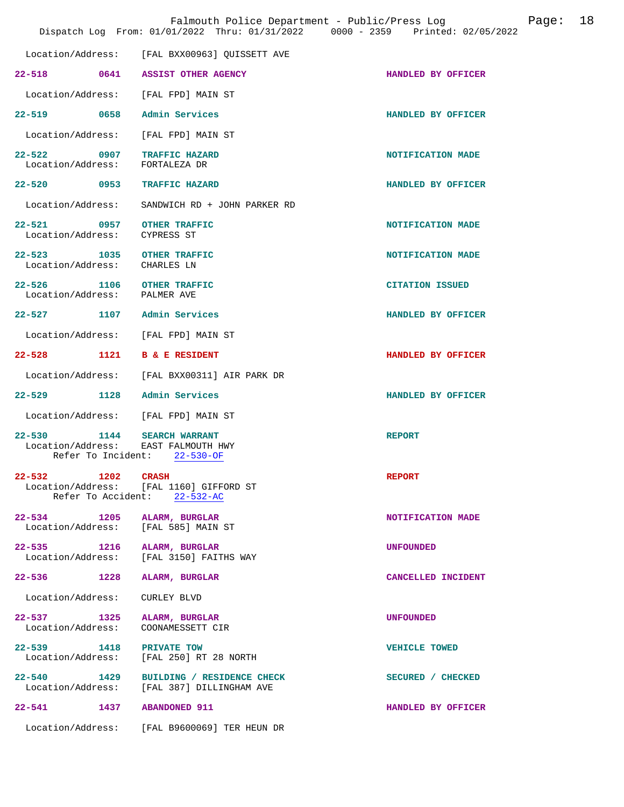|                                                           |                                                                               | Falmouth Police Department - Public/Press Log<br>Page:<br>Dispatch Log From: 01/01/2022 Thru: 01/31/2022 0000 - 2359 Printed: 02/05/2022 | 18 |
|-----------------------------------------------------------|-------------------------------------------------------------------------------|------------------------------------------------------------------------------------------------------------------------------------------|----|
| Location/Address:                                         | [FAL BXX00963] QUISSETT AVE                                                   |                                                                                                                                          |    |
|                                                           | 22-518 0641 ASSIST OTHER AGENCY                                               | HANDLED BY OFFICER                                                                                                                       |    |
|                                                           | Location/Address: [FAL FPD] MAIN ST                                           |                                                                                                                                          |    |
| 22-519 0658                                               | Admin Services                                                                | HANDLED BY OFFICER                                                                                                                       |    |
| Location/Address:                                         | [FAL FPD] MAIN ST                                                             |                                                                                                                                          |    |
| 22–522 0907<br>Location/Address:                          | <b>TRAFFIC HAZARD</b><br>FORTALEZA DR                                         | NOTIFICATION MADE                                                                                                                        |    |
| 22–520 0953                                               | <b>TRAFFIC HAZARD</b>                                                         | HANDLED BY OFFICER                                                                                                                       |    |
| Location/Address:                                         | SANDWICH RD + JOHN PARKER RD                                                  |                                                                                                                                          |    |
| 22-521 0957<br>Location/Address:                          | <b>OTHER TRAFFIC</b><br>CYPRESS ST                                            | NOTIFICATION MADE                                                                                                                        |    |
| 22-523 1035<br>Location/Address:                          | <b>OTHER TRAFFIC</b><br>CHARLES LN                                            | NOTIFICATION MADE                                                                                                                        |    |
| 22-526 1106 OTHER TRAFFIC<br>Location/Address: PALMER AVE |                                                                               | <b>CITATION ISSUED</b>                                                                                                                   |    |
| 22-527 1107 Admin Services                                |                                                                               | HANDLED BY OFFICER                                                                                                                       |    |
|                                                           | Location/Address: [FAL FPD] MAIN ST                                           |                                                                                                                                          |    |
| 22-528 1121 B & E RESIDENT                                |                                                                               | HANDLED BY OFFICER                                                                                                                       |    |
| Location/Address:                                         | [FAL BXX00311] AIR PARK DR                                                    |                                                                                                                                          |    |
| 22–529 1128                                               | Admin Services                                                                | HANDLED BY OFFICER                                                                                                                       |    |
|                                                           | Location/Address: [FAL FPD] MAIN ST                                           |                                                                                                                                          |    |
| $22 - 530$<br>Refer To Incident:                          | 1144 SEARCH WARRANT<br>Location/Address: EAST FALMOUTH HWY<br>$22 - 530 - OF$ | <b>REPORT</b>                                                                                                                            |    |
| 1202 CRASH<br>22-532                                      | Location/Address: [FAL 1160] GIFFORD ST<br>Refer To Accident: 22-532-AC       | <b>REPORT</b>                                                                                                                            |    |
| 22–534 1205<br>Location/Address:                          | ALARM, BURGLAR<br>[FAL 585] MAIN ST                                           | NOTIFICATION MADE                                                                                                                        |    |
| 22–535 1216<br>Location/Address:                          | ALARM, BURGLAR<br>[FAL 3150] FAITHS WAY                                       | <b>UNFOUNDED</b>                                                                                                                         |    |
| 22-536 1228                                               | ALARM, BURGLAR                                                                | CANCELLED INCIDENT                                                                                                                       |    |
| Location/Address:                                         | CURLEY BLVD                                                                   |                                                                                                                                          |    |
| 22–537 1325<br>Location/Address:                          | ALARM, BURGLAR<br>COONAMESSETT CIR                                            | <b>UNFOUNDED</b>                                                                                                                         |    |
| 22-539 1418<br>Location/Address:                          | PRIVATE TOW<br>[FAL 250] RT 28 NORTH                                          | <b>VEHICLE TOWED</b>                                                                                                                     |    |
| $22 - 540$<br>1429<br>Location/Address:                   | BUILDING / RESIDENCE CHECK<br>[FAL 387] DILLINGHAM AVE                        | SECURED / CHECKED                                                                                                                        |    |
| $22 - 541$<br>1437                                        | <b>ABANDONED 911</b>                                                          | HANDLED BY OFFICER                                                                                                                       |    |
|                                                           | Location/Address: [FAL B9600069] TER HEUN DR                                  |                                                                                                                                          |    |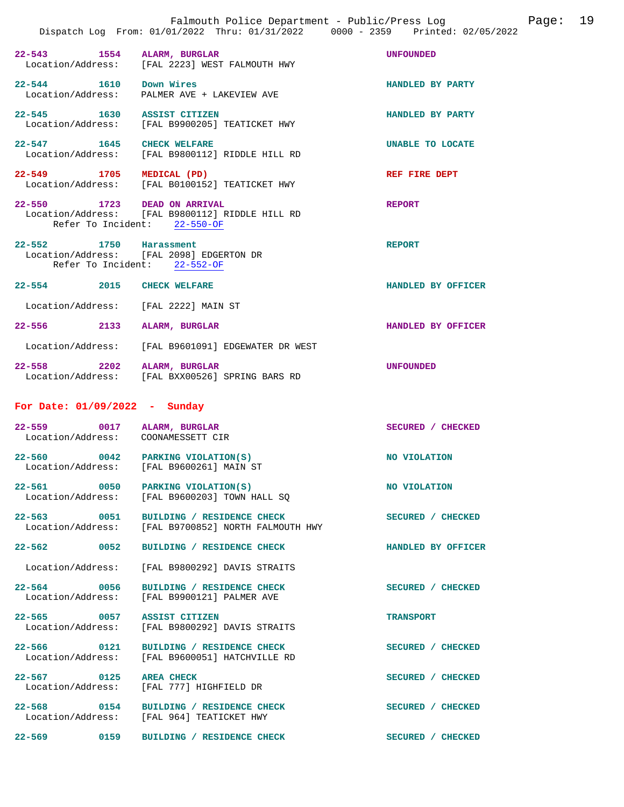**22-543 1554 ALARM, BURGLAR UNFOUNDED**  [FAL 2223] WEST FALMOUTH HWY **22-544 1610 Down Wires HANDLED BY PARTY**  PALMER AVE + LAKEVIEW AVE

**22-545 1630 ASSIST CITIZEN HANDLED BY PARTY**  Location/Address: [FAL B9900205] TEATICKET HWY

**22-547 1645 CHECK WELFARE UNABLE TO LOCATE**  [FAL B9800112] RIDDLE HILL RD

**22-549 1705 MEDICAL (PD)** REF FIRE DEPT Location/Address: [FAL B0100152] TEATICKET HWY [FAL B0100152] TEATICKET HWY

**22-550 1723 DEAD ON ARRIVAL REPORT**  Location/Address: [FAL B9800112] RIDDLE HILL RD Refer To Incident: 22-550-OF

**22-552 1750 Harassment REPORT**  Location/Address: [FAL 2098] EDGERTON DR Refer To Incident: 22-552-OF

**22-554 2015 CHECK WELFARE HANDLED BY OFFICER**  Location/Address: [FAL 2222] MAIN ST **22-556 2133 ALARM, BURGLAR HANDLED BY OFFICER**  Location/Address: [FAL B9601091] EDGEWATER DR WEST

**22-558 2202 ALARM, BURGLAR UNFOUNDED**  [FAL BXX00526] SPRING BARS RD

## **For Date: 01/09/2022 - Sunday**

| $22 - 559$                  | 0017 | ALARM, BURGLAR                                 | <b>CHECKED</b> |
|-----------------------------|------|------------------------------------------------|----------------|
| Location/Address:           |      | COONAMESSETT CIR                               | <b>SECURED</b> |
| 22–560<br>Location/Address: | 0042 | PARKING VIOLATION(S)<br>[FAL B9600261] MAIN ST | NO VIOLATION   |

**22-561** 0050 PARKING VIOLATION(S) NO VIOLATION Location/Address: [FAL B9600203] TOWN HALL SO [FAL B9600203] TOWN HALL SO

22-563 0051 BUILDING / RESIDENCE CHECK CHECK SECURED / CHECKED Location/Address: [FAL B9700852] NORTH FALMOUTH HWY [FAL B9700852] NORTH FALMOUTH HWY

**22-562 0052 BUILDING / RESIDENCE CHECK HANDLED BY OFFICER** 

Location/Address: [FAL B9800292] DAVIS STRAITS

**22-564 0056 BUILDING / RESIDENCE CHECK SECURED / CHECKED**  Location/Address: [FAL B9900121] PALMER AVE

**22-565 0057 ASSIST CITIZEN TRANSPORT**  [FAL B9800292] DAVIS STRAITS

**22-566 0121 BUILDING / RESIDENCE CHECK SECURED / CHECKED**  Location/Address: [FAL B9600051] HATCHVILLE RD

22-567 0125 AREA CHECK **SECURED** / CHECKED Location/Address: [FAL 777] HIGHFIELD DR

**22-568** 0154 BUILDING / RESIDENCE CHECK SECURED / CHECKED Location/Address: [FAL 964] TEATICKET HWY [FAL 964] TEATICKET HWY

[FAL 777] HIGHFIELD DR

**22-569 0159 BUILDING / RESIDENCE CHECK SECURED / CHECKED**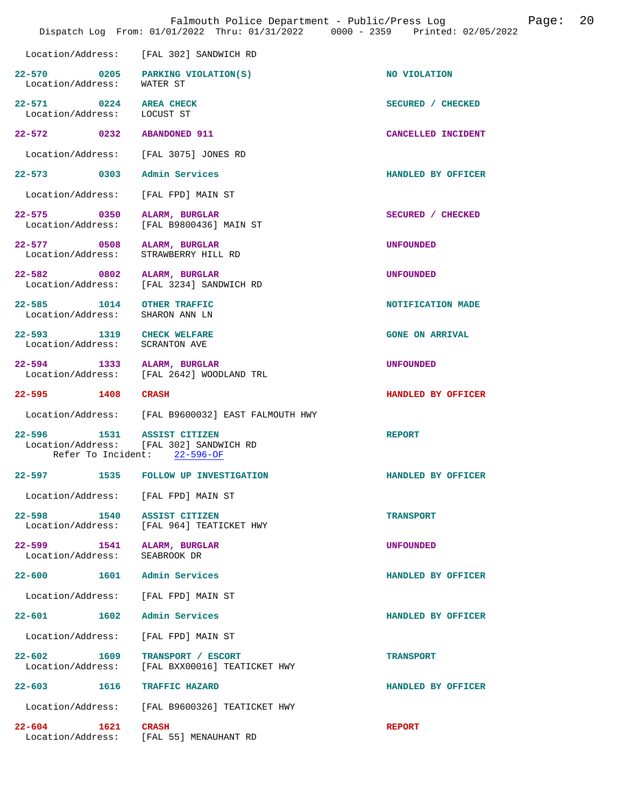|                                                              | Dispatch Log From: 01/01/2022 Thru: 01/31/2022 0000 - 2359 Printed: 02/05/2022 |                        |
|--------------------------------------------------------------|--------------------------------------------------------------------------------|------------------------|
|                                                              | Location/Address: [FAL 302] SANDWICH RD                                        |                        |
| Location/Address: WATER ST                                   | 22-570 0205 PARKING VIOLATION(S)                                               | NO VIOLATION           |
| 22-571 0224 AREA CHECK<br>Location/Address: LOCUST ST        |                                                                                | SECURED / CHECKED      |
| 22-572 0232 ABANDONED 911                                    |                                                                                | CANCELLED INCIDENT     |
|                                                              | Location/Address: [FAL 3075] JONES RD                                          |                        |
| 22-573 0303 Admin Services                                   |                                                                                | HANDLED BY OFFICER     |
| Location/Address: [FAL FPD] MAIN ST                          |                                                                                |                        |
|                                                              | 22-575 0350 ALARM, BURGLAR<br>Location/Address: [FAL B9800436] MAIN ST         | SECURED / CHECKED      |
| 22-577 0508 ALARM, BURGLAR<br>Location/Address:              | STRAWBERRY HILL RD                                                             | <b>UNFOUNDED</b>       |
| 22-582 0802 ALARM, BURGLAR                                   | Location/Address: [FAL 3234] SANDWICH RD                                       | <b>UNFOUNDED</b>       |
| 22-585 1014 OTHER TRAFFIC<br>Location/Address: SHARON ANN LN |                                                                                | NOTIFICATION MADE      |
| 22-593 1319 CHECK WELFARE<br>Location/Address: SCRANTON AVE  |                                                                                | <b>GONE ON ARRIVAL</b> |
| 22-594 1333 ALARM, BURGLAR<br>Location/Address:              | [FAL 2642] WOODLAND TRL                                                        | <b>UNFOUNDED</b>       |
| 22-595 1408 CRASH                                            |                                                                                | HANDLED BY OFFICER     |
|                                                              | Location/Address: [FAL B9600032] EAST FALMOUTH HWY                             |                        |
| 22-596 1531 ASSIST CITIZEN                                   | Location/Address: [FAL 302] SANDWICH RD<br>Refer To Incident: 22-596-OF        | <b>REPORT</b>          |
|                                                              | 22-597 1535 FOLLOW UP INVESTIGATION                                            | HANDLED BY OFFICER     |
|                                                              | Location/Address: [FAL FPD] MAIN ST                                            |                        |
| 22-598 1540 ASSIST CITIZEN                                   | Location/Address: [FAL 964] TEATICKET HWY                                      | <b>TRANSPORT</b>       |
| $22 - 599$<br>Location/Address:                              | 1541 ALARM, BURGLAR<br>SEABROOK DR                                             | <b>UNFOUNDED</b>       |
| 22-600 1601                                                  | Admin Services                                                                 | HANDLED BY OFFICER     |
| Location/Address: [FAL FPD] MAIN ST                          |                                                                                |                        |
| 22-601 1602                                                  | Admin Services                                                                 | HANDLED BY OFFICER     |
| Location/Address:                                            | [FAL FPD] MAIN ST                                                              |                        |
| 1609<br>$22 - 602$<br>Location/Address:                      | TRANSPORT / ESCORT<br>[FAL BXX00016] TEATICKET HWY                             | <b>TRANSPORT</b>       |
| 22-603 1616                                                  | <b>TRAFFIC HAZARD</b>                                                          | HANDLED BY OFFICER     |
|                                                              | Location/Address: [FAL B9600326] TEATICKET HWY                                 |                        |
| $22 - 604$<br>1621                                           | <b>CRASH</b><br>Location/Address: [FAL 55] MENAUHANT RD                        | <b>REPORT</b>          |

Falmouth Police Department - Public/Press Log Page: 20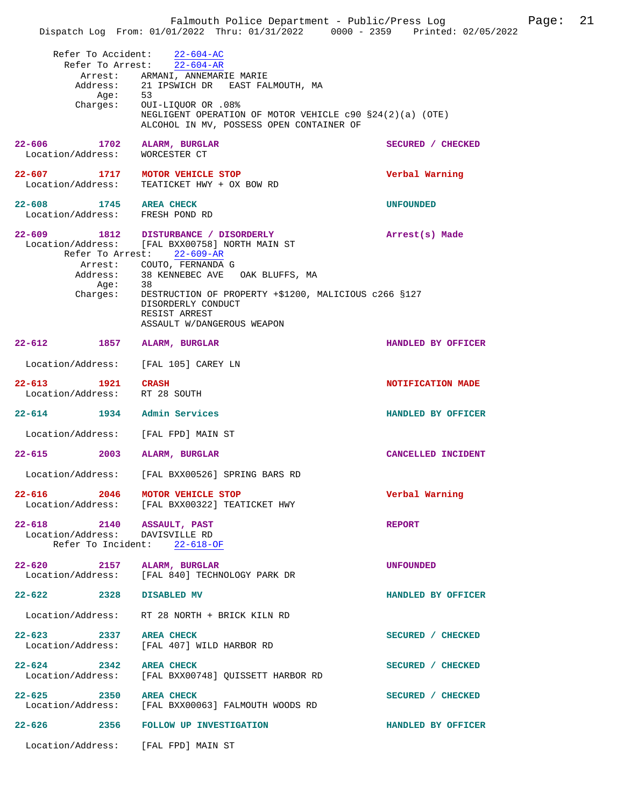|                                      |                                                                                                      | Page: 21<br>Falmouth Police Department - Public/Press Log<br>Dispatch Log From: 01/01/2022 Thru: 01/31/2022 0000 - 2359 Printed: 02/05/2022 |  |
|--------------------------------------|------------------------------------------------------------------------------------------------------|---------------------------------------------------------------------------------------------------------------------------------------------|--|
|                                      | Refer To Accident: 22-604-AC<br>Refer To Arrest: 22-604-AR                                           |                                                                                                                                             |  |
|                                      | Arrest: ARMANI, ANNEMARIE MARIE<br>Address: 21 IPSWICH DR EAST FALMOUTH, MA                          |                                                                                                                                             |  |
|                                      |                                                                                                      |                                                                                                                                             |  |
| Age: 53                              |                                                                                                      |                                                                                                                                             |  |
|                                      | Charges: OUI-LIQUOR OR .08%                                                                          |                                                                                                                                             |  |
|                                      | NEGLIGENT OPERATION OF MOTOR VEHICLE c90 §24(2)(a) (OTE)<br>ALCOHOL IN MV, POSSESS OPEN CONTAINER OF |                                                                                                                                             |  |
| $22 - 606$                           | 1702 ALARM, BURGLAR                                                                                  | SECURED / CHECKED                                                                                                                           |  |
| Location/Address:                    | WORCESTER CT                                                                                         |                                                                                                                                             |  |
|                                      |                                                                                                      |                                                                                                                                             |  |
|                                      | 22-607 1717 MOTOR VEHICLE STOP                                                                       | Verbal Warning                                                                                                                              |  |
|                                      | Location/Address: TEATICKET HWY + OX BOW RD                                                          |                                                                                                                                             |  |
| 22-608 1745 AREA CHECK               |                                                                                                      | <b>UNFOUNDED</b>                                                                                                                            |  |
| Location/Address: FRESH POND RD      |                                                                                                      |                                                                                                                                             |  |
|                                      |                                                                                                      |                                                                                                                                             |  |
|                                      | 22-609 1812 DISTURBANCE / DISORDERLY                                                                 | Arrest(s) Made                                                                                                                              |  |
|                                      | Location/Address: [FAL BXX00758] NORTH MAIN ST                                                       |                                                                                                                                             |  |
|                                      | Refer To Arrest: 22-609-AR                                                                           |                                                                                                                                             |  |
|                                      | Arrest: COUTO, FERNANDA G                                                                            |                                                                                                                                             |  |
|                                      | Address: 38 KENNEBEC AVE OAK BLUFFS, MA                                                              |                                                                                                                                             |  |
| Age: 38                              |                                                                                                      |                                                                                                                                             |  |
| Charges:                             | DESTRUCTION OF PROPERTY +\$1200, MALICIOUS c266 §127                                                 |                                                                                                                                             |  |
|                                      | DISORDERLY CONDUCT                                                                                   |                                                                                                                                             |  |
|                                      | RESIST ARREST                                                                                        |                                                                                                                                             |  |
|                                      | ASSAULT W/DANGEROUS WEAPON                                                                           |                                                                                                                                             |  |
|                                      |                                                                                                      |                                                                                                                                             |  |
| 22-612 1857 ALARM, BURGLAR           |                                                                                                      | HANDLED BY OFFICER                                                                                                                          |  |
| Location/Address: [FAL 105] CAREY LN |                                                                                                      |                                                                                                                                             |  |
|                                      |                                                                                                      |                                                                                                                                             |  |
| 22-613 1921 CRASH                    |                                                                                                      | NOTIFICATION MADE                                                                                                                           |  |
| Location/Address: RT 28 SOUTH        |                                                                                                      |                                                                                                                                             |  |
|                                      |                                                                                                      |                                                                                                                                             |  |
| 22-614 1934 Admin Services           |                                                                                                      | HANDLED BY OFFICER                                                                                                                          |  |
|                                      |                                                                                                      |                                                                                                                                             |  |
| Location/Address: [FAL FPD] MAIN ST  |                                                                                                      |                                                                                                                                             |  |
|                                      |                                                                                                      |                                                                                                                                             |  |
| 22-615 2003 ALARM, BURGLAR           |                                                                                                      | CANCELLED INCIDENT                                                                                                                          |  |
|                                      | Location/Address: [FAL BXX00526] SPRING BARS RD                                                      |                                                                                                                                             |  |
|                                      |                                                                                                      |                                                                                                                                             |  |
| 22-616 2046 MOTOR VEHICLE STOP       |                                                                                                      | Verbal Warning                                                                                                                              |  |
|                                      | Location/Address: [FAL BXX00322] TEATICKET HWY                                                       |                                                                                                                                             |  |
|                                      |                                                                                                      |                                                                                                                                             |  |
| 22-618 2140 ASSAULT, PAST            |                                                                                                      | <b>REPORT</b>                                                                                                                               |  |
| Location/Address: DAVISVILLE RD      |                                                                                                      |                                                                                                                                             |  |
|                                      | Refer To Incident: 22-618-OF                                                                         |                                                                                                                                             |  |
|                                      |                                                                                                      |                                                                                                                                             |  |
| 22-620 2157 ALARM, BURGLAR           |                                                                                                      | <b>UNFOUNDED</b>                                                                                                                            |  |
|                                      | Location/Address: [FAL 840] TECHNOLOGY PARK DR                                                       |                                                                                                                                             |  |
| 22-622 2328 DISABLED MV              |                                                                                                      | HANDLED BY OFFICER                                                                                                                          |  |
|                                      |                                                                                                      |                                                                                                                                             |  |
|                                      | Location/Address: RT 28 NORTH + BRICK KILN RD                                                        |                                                                                                                                             |  |
|                                      |                                                                                                      |                                                                                                                                             |  |
| 22-623 2337 AREA CHECK               |                                                                                                      | SECURED / CHECKED                                                                                                                           |  |
|                                      | Location/Address: [FAL 407] WILD HARBOR RD                                                           |                                                                                                                                             |  |
|                                      |                                                                                                      |                                                                                                                                             |  |
| 22-624 2342 AREA CHECK               |                                                                                                      | SECURED / CHECKED                                                                                                                           |  |
|                                      | Location/Address: [FAL BXX00748] QUISSETT HARBOR RD                                                  |                                                                                                                                             |  |
|                                      |                                                                                                      |                                                                                                                                             |  |
| 22-625 2350 AREA CHECK               |                                                                                                      | SECURED / CHECKED                                                                                                                           |  |
|                                      | Location/Address: [FAL BXX00063] FALMOUTH WOODS RD                                                   |                                                                                                                                             |  |
|                                      |                                                                                                      |                                                                                                                                             |  |
|                                      | 22-626 2356 FOLLOW UP INVESTIGATION                                                                  | HANDLED BY OFFICER                                                                                                                          |  |
| Location/Address: [FAL FPD] MAIN ST  |                                                                                                      |                                                                                                                                             |  |
|                                      |                                                                                                      |                                                                                                                                             |  |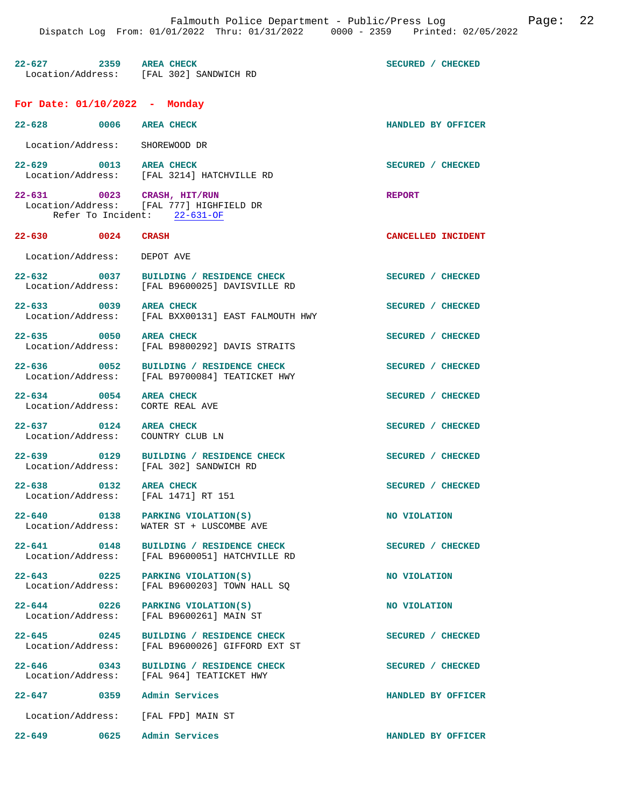| $22 - 627$<br>2359<br>Location/Address: | AREA CHECK<br>[FAL 302] SANDWICH RD | SECURED / CHECKED |
|-----------------------------------------|-------------------------------------|-------------------|

## **For Date: 01/10/2022 - Monday**

| $22 - 628$                      | 0006 | <b>AREA CHECK</b>                             | HANDLED BY OFFICER               |
|---------------------------------|------|-----------------------------------------------|----------------------------------|
| Location/Address:               |      | SHOREWOOD DR                                  |                                  |
| $22 - 629$<br>Location/Address: | 0013 | <b>AREA CHECK</b><br>[FAL 3214] HATCHVILLE RD | <b>CHECKED</b><br><b>SECURED</b> |
| $22 - 631$<br>Iocation/Address: | 0023 | CRASH, HIT/RUN<br>FAL 7771 HIGHFIELD DR       | <b>REPORT</b>                    |

 Location/Address: [FAL 777] HIGHFIELD DR Refer To Incident: 22-631-OF

- **22-630 0024 CRASH CANCELLED INCIDENT**  Location/Address: DEPOT AVE **22-632 0037 BUILDING / RESIDENCE CHECK SECURED / CHECKED**
- Location/Address: [FAL B9600025] DAVISVILLE RD
- 22-633 0039 AREA CHECK SECURED / CHECKED Location/Address: [FAL BXX00131] EAST FALMOUTH HWY
- 22-635 0050 AREA CHECK **CHECK SECURED** / CHECKED Location / Address: [FAL B9800292] DAVIS STRAITS [FAL B9800292] DAVIS STRAITS
- **22-636** 0052 BUILDING / RESIDENCE CHECK SECURED / CHECKED Location/Address: [FAL B9700084] TEATICKET HWY
- 
- Location/Address: CORTE REAL AVE

**22-637** 0124 AREA CHECK **DEALL AREA CHECK SECURED** / CHECKED Location/Address: COUNTRY CLUB LN Location/Address:

- 
- **22-638** 0132 AREA CHECK **CHECK SECURED** / CHECKED Location/Address: [FAL 1471] RT 151

**22-647 0359 Admin Services HANDLED BY OFFICER** 

[FAL B9700084] TEATICKET HWY **22-634 0054 AREA CHECK SECURED / CHECKED** 

**22-639 0129 BUILDING / RESIDENCE CHECK SECURED / CHECKED**  Location/Address: [FAL 302] SANDWICH RD

[FAL 1471] RT 151

**22-640** 0138 PARKING VIOLATION(S) NO VIOLATION Location/Address: WATER ST + LUSCOMBE AVE WATER ST + LUSCOMBE AVE

**22-641 0148 BUILDING / RESIDENCE CHECK SECURED / CHECKED**  Location/Address: [FAL B9600051] HATCHVILLE RD

**22-643 0225 PARKING VIOLATION(S) NO VIOLATION**  Location/Address: [FAL B9600203] TOWN HALL SQ

**22-644 0226 PARKING VIOLATION(S) NO VIOLATION**  Location/Address: [FAL B9600261] MAIN ST

22-645 0245 BUILDING / RESIDENCE CHECK **SECURED** / CHECKED Location/Address: [FAL B9600026] GIFFORD EXT ST [FAL B9600026] GIFFORD EXT ST

**22-646** 0343 BUILDING / RESIDENCE CHECK SECURED / CHECKED Location / Address: [FAL 964] TEATICKET HWY Location/Address: [FAL 964] TEATICKET HWY

Location/Address: [FAL FPD] MAIN ST

**22-649 0625 Admin Services HANDLED BY OFFICER**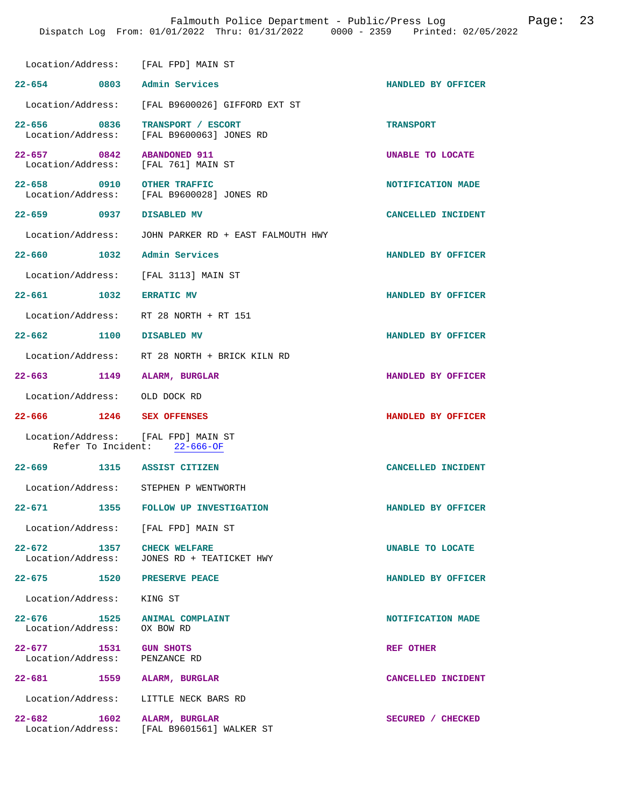|                                                        | Location/Address: [FAL FPD] MAIN ST                             |                    |
|--------------------------------------------------------|-----------------------------------------------------------------|--------------------|
| 22-654 0803 Admin Services                             |                                                                 | HANDLED BY OFFICER |
|                                                        | Location/Address: [FAL B9600026] GIFFORD EXT ST                 |                    |
| 22-656 0836                                            | TRANSPORT / ESCORT<br>Location/Address: [FAL B9600063] JONES RD | <b>TRANSPORT</b>   |
| $22 - 657$ 0842<br>Location/Address: [FAL 761] MAIN ST | <b>ABANDONED 911</b>                                            | UNABLE TO LOCATE   |
| 22-658 0910                                            | OTHER TRAFFIC<br>Location/Address: [FAL B9600028] JONES RD      | NOTIFICATION MADE  |
| 22-659 0937 DISABLED MV                                |                                                                 | CANCELLED INCIDENT |
|                                                        | Location/Address: JOHN PARKER RD + EAST FALMOUTH HWY            |                    |
| 22-660 1032                                            | Admin Services                                                  | HANDLED BY OFFICER |
|                                                        | Location/Address: [FAL 3113] MAIN ST                            |                    |
| $22 - 661$ 1032                                        | <b>ERRATIC MV</b>                                               | HANDLED BY OFFICER |
|                                                        | Location/Address: RT 28 NORTH + RT 151                          |                    |
| 22-662 1100 DISABLED MV                                |                                                                 | HANDLED BY OFFICER |
|                                                        | Location/Address: RT 28 NORTH + BRICK KILN RD                   |                    |
| 22-663 1149                                            | ALARM, BURGLAR                                                  | HANDLED BY OFFICER |
| Location/Address: OLD DOCK RD                          |                                                                 |                    |
| 22-666 1246 SEX OFFENSES                               |                                                                 | HANDLED BY OFFICER |
| Location/Address: [FAL FPD] MAIN ST                    | Refer To Incident: 22-666-OF                                    |                    |
| 22-669 1315 ASSIST CITIZEN                             |                                                                 | CANCELLED INCIDENT |
|                                                        | Location/Address: STEPHEN P WENTWORTH                           |                    |
| $22 - 671$<br>1355                                     | FOLLOW UP INVESTIGATION                                         | HANDLED BY OFFICER |
|                                                        | Location/Address: [FAL FPD] MAIN ST                             |                    |
| $22 - 672$<br>Location/Address:                        | 1357 CHECK WELFARE<br>JONES RD + TEATICKET HWY                  | UNABLE TO LOCATE   |
| 22-675 1520                                            | PRESERVE PEACE                                                  | HANDLED BY OFFICER |
| Location/Address: KING ST                              |                                                                 |                    |
| 22–676 1525<br>Location/Address:                       | <b>ANIMAL COMPLAINT</b><br>OX BOW RD                            | NOTIFICATION MADE  |
| $22 - 677$<br>1531<br>Location/Address:                | <b>GUN SHOTS</b><br>PENZANCE RD                                 | REF OTHER          |
| 22-681 1559 ALARM, BURGLAR                             |                                                                 | CANCELLED INCIDENT |
|                                                        | Location/Address: LITTLE NECK BARS RD                           |                    |
| $22 - 682$<br>1602<br>Location/Address:                | ALARM, BURGLAR<br>[FAL B9601561] WALKER ST                      | SECURED / CHECKED  |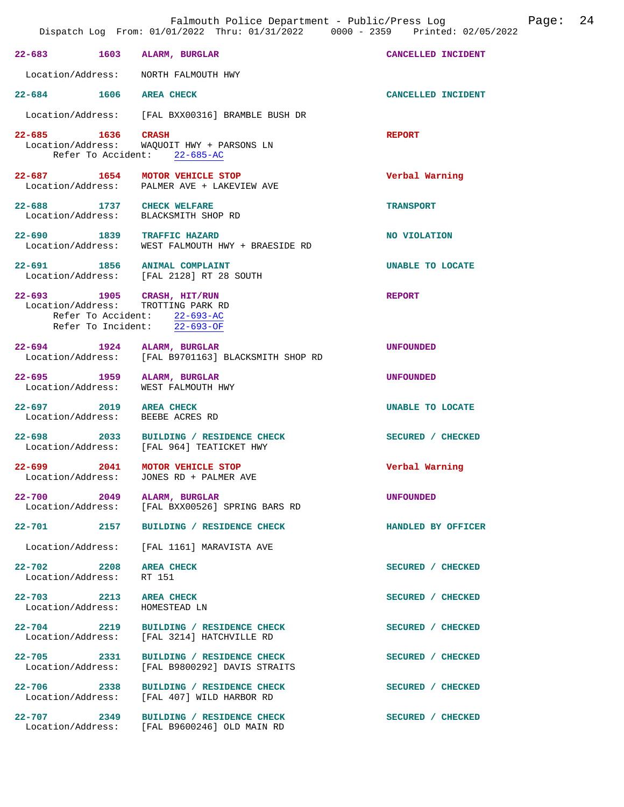|                                  |                           | Falmouth Police Department - Public/Press Log<br>Dispatch Log From: 01/01/2022 Thru: 01/31/2022 0000 - 2359 Printed: 02/05/2022  |                    | Page: | 24 |
|----------------------------------|---------------------------|----------------------------------------------------------------------------------------------------------------------------------|--------------------|-------|----|
|                                  |                           | 22-683 1603 ALARM, BURGLAR                                                                                                       | CANCELLED INCIDENT |       |    |
|                                  |                           | Location/Address: NORTH FALMOUTH HWY                                                                                             |                    |       |    |
|                                  |                           | 22-684 1606 AREA CHECK                                                                                                           | CANCELLED INCIDENT |       |    |
| Location/Address:                |                           | [FAL BXX00316] BRAMBLE BUSH DR                                                                                                   |                    |       |    |
| 22–685 1636                      |                           | <b>CRASH</b><br>Location/Address: WAQUOIT HWY + PARSONS LN<br>Refer To Accident: 22-685-AC                                       | <b>REPORT</b>      |       |    |
|                                  |                           | 22-687 1654 MOTOR VEHICLE STOP<br>Location/Address: PALMER AVE + LAKEVIEW AVE                                                    | Verbal Warning     |       |    |
|                                  |                           | 22-688 1737 CHECK WELFARE<br>Location/Address: BLACKSMITH SHOP RD                                                                | <b>TRANSPORT</b>   |       |    |
|                                  |                           | 22-690 1839 TRAFFIC HAZARD<br>Location/Address: WEST FALMOUTH HWY + BRAESIDE RD                                                  | NO VIOLATION       |       |    |
|                                  |                           | 22-691 1856 ANIMAL COMPLAINT<br>Location/Address: [FAL 2128] RT 28 SOUTH                                                         | UNABLE TO LOCATE   |       |    |
|                                  |                           | 22-693 1905 CRASH, HIT/RUN<br>Location/Address: TROTTING PARK RD<br>Refer To Accident: 22-693-AC<br>Refer To Incident: 22-693-OF | <b>REPORT</b>      |       |    |
|                                  |                           | 22-694 1924 ALARM, BURGLAR<br>Location/Address: [FAL B9701163] BLACKSMITH SHOP RD                                                | <b>UNFOUNDED</b>   |       |    |
|                                  |                           | 22-695 1959 ALARM, BURGLAR<br>Location/Address: WEST FALMOUTH HWY                                                                | <b>UNFOUNDED</b>   |       |    |
|                                  |                           | 22-697 2019 AREA CHECK<br>Location/Address: BEEBE ACRES RD                                                                       | UNABLE TO LOCATE   |       |    |
| $22 - 698$                       |                           | 2033 BUILDING / RESIDENCE CHECK<br>Location/Address: [FAL 964] TEATICKET HWY                                                     | SECURED / CHECKED  |       |    |
| $22 - 699$                       | 2041<br>Location/Address: | MOTOR VEHICLE STOP<br>JONES RD + PALMER AVE                                                                                      | Verbal Warning     |       |    |
|                                  |                           | 22-700 2049 ALARM, BURGLAR<br>Location/Address: [FAL BXX00526] SPRING BARS RD                                                    | <b>UNFOUNDED</b>   |       |    |
| 22-701 2157                      |                           | BUILDING / RESIDENCE CHECK                                                                                                       | HANDLED BY OFFICER |       |    |
| Location/Address:                |                           | [FAL 1161] MARAVISTA AVE                                                                                                         |                    |       |    |
| 22-702 2208<br>Location/Address: |                           | <b>AREA CHECK</b><br>RT 151                                                                                                      | SECURED / CHECKED  |       |    |
| Location/Address:                |                           | 22-703 2213 AREA CHECK<br>HOMESTEAD LN                                                                                           | SECURED / CHECKED  |       |    |
| 22-704 2219<br>Location/Address: |                           | BUILDING / RESIDENCE CHECK<br>[FAL 3214] HATCHVILLE RD                                                                           | SECURED / CHECKED  |       |    |
| 22-705 2331                      | Location/Address:         | BUILDING / RESIDENCE CHECK<br>[FAL B9800292] DAVIS STRAITS                                                                       | SECURED / CHECKED  |       |    |
| 22-706 2338<br>Location/Address: |                           | BUILDING / RESIDENCE CHECK<br>[FAL 407] WILD HARBOR RD                                                                           | SECURED / CHECKED  |       |    |
|                                  |                           | 22-707 2349 BUILDING / RESIDENCE CHECK<br>Location/Address: [FAL B9600246] OLD MAIN RD                                           | SECURED / CHECKED  |       |    |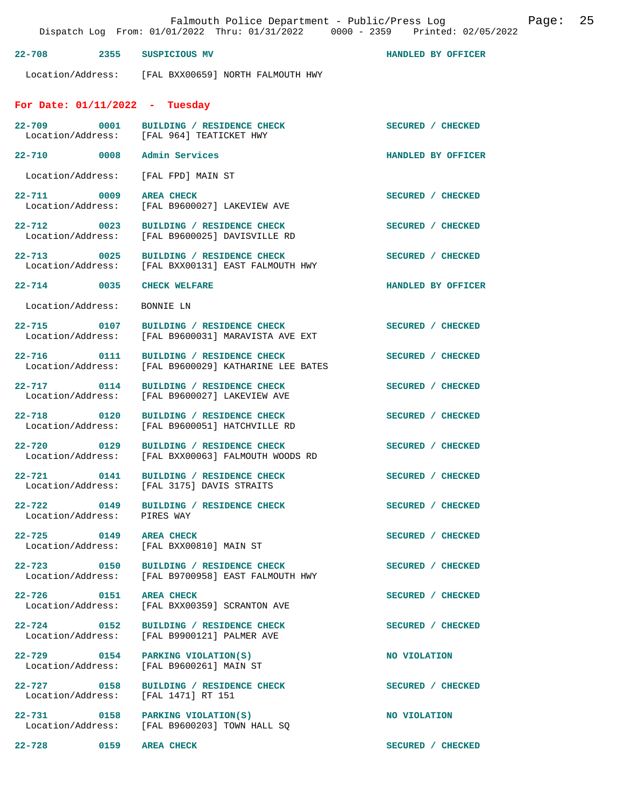|                                  | Dispatch Log From: 01/01/2022 Thru: 01/31/2022 0000 - 2359 Printed: 02/05/2022                 | Falmouth Police Department - Public/Press Log Fage: 25 |  |
|----------------------------------|------------------------------------------------------------------------------------------------|--------------------------------------------------------|--|
| 22-708 2355 SUSPICIOUS MV        |                                                                                                | HANDLED BY OFFICER                                     |  |
|                                  | Location/Address: [FAL BXX00659] NORTH FALMOUTH HWY                                            |                                                        |  |
| For Date: $01/11/2022 -$ Tuesday |                                                                                                |                                                        |  |
|                                  | 22-709 0001 BUILDING / RESIDENCE CHECK<br>Location/Address: [FAL 964] TEATICKET HWY            | SECURED / CHECKED                                      |  |
| 22-710 0008 Admin Services       |                                                                                                | HANDLED BY OFFICER                                     |  |
|                                  | Location/Address: [FAL FPD] MAIN ST                                                            |                                                        |  |
|                                  | 22-711 0009 AREA CHECK<br>Location/Address: [FAL B9600027] LAKEVIEW AVE                        | SECURED / CHECKED                                      |  |
|                                  | 22-712 0023 BUILDING / RESIDENCE CHECK<br>Location/Address: [FAL B9600025] DAVISVILLE RD       | SECURED / CHECKED                                      |  |
|                                  | 22-713 0025 BUILDING / RESIDENCE CHECK<br>Location/Address: [FAL BXX00131] EAST FALMOUTH HWY   | SECURED / CHECKED                                      |  |
| 22-714 0035 CHECK WELFARE        |                                                                                                | HANDLED BY OFFICER                                     |  |
| Location/Address:                | BONNIE LN                                                                                      |                                                        |  |
|                                  | 22-715 0107 BUILDING / RESIDENCE CHECK<br>Location/Address: [FAL B9600031] MARAVISTA AVE EXT   | SECURED / CHECKED                                      |  |
|                                  | 22-716 0111 BUILDING / RESIDENCE CHECK<br>Location/Address: [FAL B9600029] KATHARINE LEE BATES | SECURED / CHECKED                                      |  |
|                                  | 22-717 0114 BUILDING / RESIDENCE CHECK<br>Location/Address: [FAL B9600027] LAKEVIEW AVE        | SECURED / CHECKED                                      |  |
|                                  | 22-718 0120 BUILDING / RESIDENCE CHECK<br>Location/Address: [FAL B9600051] HATCHVILLE RD       | SECURED / CHECKED                                      |  |
| 22-720                           | 0129 BUILDING / RESIDENCE CHECK<br>Location/Address: [FAL BXX00063] FALMOUTH WOODS RD          | SECURED / CHECKED                                      |  |
|                                  | 22-721 0141 BUILDING / RESIDENCE CHECK<br>Location/Address: [FAL 3175] DAVIS STRAITS           | SECURED / CHECKED                                      |  |
| Location/Address: PIRES WAY      | 22-722 0149 BUILDING / RESIDENCE CHECK                                                         | SECURED / CHECKED                                      |  |
| 22-725 0149 AREA CHECK           | Location/Address: [FAL BXX00810] MAIN ST                                                       | SECURED / CHECKED                                      |  |
|                                  | 22-723 0150 BUILDING / RESIDENCE CHECK<br>Location/Address: [FAL B9700958] EAST FALMOUTH HWY   | SECURED / CHECKED                                      |  |
| 22-726 0151 AREA CHECK           | Location/Address: [FAL BXX00359] SCRANTON AVE                                                  | SECURED / CHECKED                                      |  |
|                                  | 22-724 0152 BUILDING / RESIDENCE CHECK<br>Location/Address: [FAL B9900121] PALMER AVE          | SECURED / CHECKED                                      |  |
|                                  | 22-729 0154 PARKING VIOLATION(S)<br>Location/Address: [FAL B9600261] MAIN ST                   | NO VIOLATION                                           |  |
|                                  | 22-727 0158 BUILDING / RESIDENCE CHECK<br>Location/Address: [FAL 1471] RT 151                  | SECURED / CHECKED                                      |  |

**22-731** 0158 PARKING VIOLATION(S) NO VIOLATION Location/Address: [FAL B9600203] TOWN HALL SQ

**22-728 0159 AREA CHECK SECURED / CHECKED**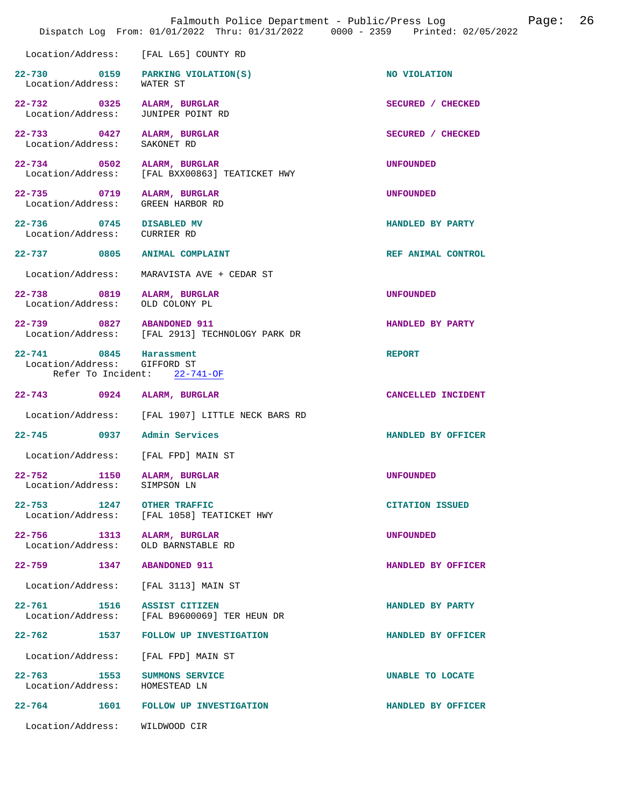|                                                        | Dispatch Log From: 01/01/2022 Thru: 01/31/2022 0000 - 2359 Printed: 02/05/2022 | Falmouth Police Department - Public/Press Log<br>Page: | 26 |
|--------------------------------------------------------|--------------------------------------------------------------------------------|--------------------------------------------------------|----|
| Location/Address:                                      | [FAL L65] COUNTY RD                                                            |                                                        |    |
| 22-730 0159<br>Location/Address:                       | PARKING VIOLATION(S)<br>WATER ST                                               | NO VIOLATION                                           |    |
| 22-732 0325<br>Location/Address:                       | ALARM, BURGLAR<br>JUNIPER POINT RD                                             | SECURED / CHECKED                                      |    |
| 22–733 0427<br>Location/Address:                       | ALARM, BURGLAR<br>SAKONET RD                                                   | SECURED / CHECKED                                      |    |
| 22-734 0502<br>Location/Address:                       | ALARM, BURGLAR<br>[FAL BXX00863] TEATICKET HWY                                 | <b>UNFOUNDED</b>                                       |    |
| 22-735 0719<br>Location/Address:                       | ALARM, BURGLAR<br>GREEN HARBOR RD                                              | <b>UNFOUNDED</b>                                       |    |
| 22-736 0745 DISABLED MV<br>Location/Address:           | CURRIER RD                                                                     | HANDLED BY PARTY                                       |    |
| 22-737 0805                                            | <b>ANIMAL COMPLAINT</b>                                                        | REF ANIMAL CONTROL                                     |    |
| Location/Address:                                      | MARAVISTA AVE + CEDAR ST                                                       |                                                        |    |
| 22-738 0819<br>Location/Address:                       | ALARM, BURGLAR<br>OLD COLONY PL                                                | <b>UNFOUNDED</b>                                       |    |
| 22-739 0827 ABANDONED 911                              | Location/Address: [FAL 2913] TECHNOLOGY PARK DR                                | HANDLED BY PARTY                                       |    |
| 22-741 0845 Harassment<br>Location/Address: GIFFORD ST | Refer To Incident: 22-741-OF                                                   | <b>REPORT</b>                                          |    |
| 22–743 0924                                            | ALARM, BURGLAR                                                                 | CANCELLED INCIDENT                                     |    |
|                                                        | Location/Address: [FAL 1907] LITTLE NECK BARS RD                               |                                                        |    |
| 22-745 0937 Admin Services                             |                                                                                | HANDLED BY OFFICER                                     |    |
| Location/Address: [FAL FPD] MAIN ST                    |                                                                                |                                                        |    |
| $22 - 752$<br>1150<br>Location/Address:                | ALARM, BURGLAR<br>SIMPSON LN                                                   | <b>UNFOUNDED</b>                                       |    |
| $22 - 753$<br>1247<br>Location/Address:                | <b>OTHER TRAFFIC</b><br>[FAL 1058] TEATICKET HWY                               | <b>CITATION ISSUED</b>                                 |    |
| $22 - 756$<br>1313<br>Location/Address:                | ALARM, BURGLAR<br>OLD BARNSTABLE RD                                            | <b>UNFOUNDED</b>                                       |    |
| 22-759 1347                                            | <b>ABANDONED 911</b>                                                           | HANDLED BY OFFICER                                     |    |
| Location/Address:                                      | [FAL 3113] MAIN ST                                                             |                                                        |    |
| $22 - 761$<br>1516<br>Location/Address:                | ASSIST CITIZEN<br>[FAL B9600069] TER HEUN DR                                   | HANDLED BY PARTY                                       |    |
| 22–762 1537                                            | FOLLOW UP INVESTIGATION                                                        | HANDLED BY OFFICER                                     |    |
| Location/Address:                                      | [FAL FPD] MAIN ST                                                              |                                                        |    |
| $22 - 763$<br>1553<br>Location/Address:                | SUMMONS SERVICE<br>HOMESTEAD LN                                                | UNABLE TO LOCATE                                       |    |
| 1601<br>22-764                                         | FOLLOW UP INVESTIGATION                                                        | HANDLED BY OFFICER                                     |    |
| Location/Address:                                      | WILDWOOD CIR                                                                   |                                                        |    |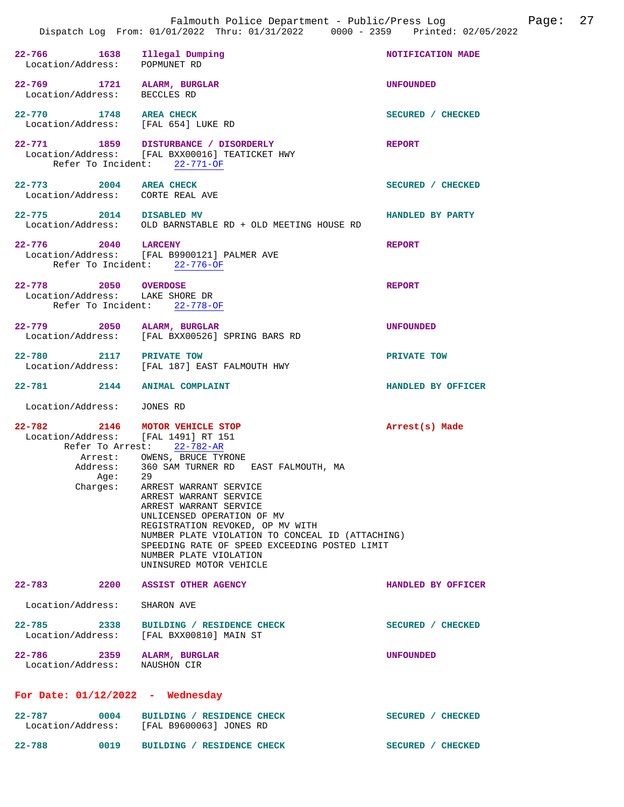|                                                               | Dispatch Log From: 01/01/2022 Thru: 01/31/2022 0000 - 2359 Printed: 02/05/2022                                                                                                                                                                                                                                                                                                                                                                                |                    |
|---------------------------------------------------------------|---------------------------------------------------------------------------------------------------------------------------------------------------------------------------------------------------------------------------------------------------------------------------------------------------------------------------------------------------------------------------------------------------------------------------------------------------------------|--------------------|
| 22-766 1638 Illegal Dumping<br>Location/Address: POPMUNET RD  |                                                                                                                                                                                                                                                                                                                                                                                                                                                               | NOTIFICATION MADE  |
| 22-769 1721 ALARM, BURGLAR<br>Location/Address: BECCLES RD    |                                                                                                                                                                                                                                                                                                                                                                                                                                                               | <b>UNFOUNDED</b>   |
| 22-770 1748 AREA CHECK<br>Location/Address: [FAL 654] LUKE RD |                                                                                                                                                                                                                                                                                                                                                                                                                                                               | SECURED / CHECKED  |
|                                                               | 22-771 1859 DISTURBANCE / DISORDERLY<br>Location/Address: [FAL BXX00016] TEATICKET HWY<br>Refer To Incident: 22-771-OF                                                                                                                                                                                                                                                                                                                                        | <b>REPORT</b>      |
| 22-773 2004 AREA CHECK<br>Location/Address: CORTE REAL AVE    |                                                                                                                                                                                                                                                                                                                                                                                                                                                               | SECURED / CHECKED  |
| 22-775 2014 DISABLED MV                                       | Location/Address: OLD BARNSTABLE RD + OLD MEETING HOUSE RD                                                                                                                                                                                                                                                                                                                                                                                                    | HANDLED BY PARTY   |
| 22-776 2040 LARCENY                                           | Location/Address: [FAL B9900121] PALMER AVE<br>Refer To Incident: 22-776-OF                                                                                                                                                                                                                                                                                                                                                                                   | <b>REPORT</b>      |
| 22-778 2050 OVERDOSE<br>Location/Address: LAKE SHORE DR       | Refer To Incident: 22-778-OF                                                                                                                                                                                                                                                                                                                                                                                                                                  | <b>REPORT</b>      |
| 22-779 2050 ALARM, BURGLAR                                    | Location/Address: [FAL BXX00526] SPRING BARS RD                                                                                                                                                                                                                                                                                                                                                                                                               | <b>UNFOUNDED</b>   |
| 22-780 2117 PRIVATE TOW                                       | Location/Address: [FAL 187] EAST FALMOUTH HWY                                                                                                                                                                                                                                                                                                                                                                                                                 | PRIVATE TOW        |
| 22-781 2144                                                   | <b>ANIMAL COMPLAINT</b>                                                                                                                                                                                                                                                                                                                                                                                                                                       | HANDLED BY OFFICER |
| Location/Address: JONES RD                                    |                                                                                                                                                                                                                                                                                                                                                                                                                                                               |                    |
| $22 - 782$<br>Location/Address: [FAL 1491] RT 151<br>Age:     | 2146 MOTOR VEHICLE STOP<br>Refer To Arrest: 22-782-AR<br>Arrest: OWENS, BRUCE TYRONE<br>Address: 360 SAM TURNER RD EAST FALMOUTH, MA<br>29<br>Charges: ARREST WARRANT SERVICE<br>ARREST WARRANT SERVICE<br>ARREST WARRANT SERVICE<br>UNLICENSED OPERATION OF MV<br>REGISTRATION REVOKED, OP MV WITH<br>NUMBER PLATE VIOLATION TO CONCEAL ID (ATTACHING)<br>SPEEDING RATE OF SPEED EXCEEDING POSTED LIMIT<br>NUMBER PLATE VIOLATION<br>UNINSURED MOTOR VEHICLE | Arrest(s) Made     |
| $22 - 783$<br>2200                                            | <b>ASSIST OTHER AGENCY</b>                                                                                                                                                                                                                                                                                                                                                                                                                                    | HANDLED BY OFFICER |
| Location/Address:                                             | SHARON AVE                                                                                                                                                                                                                                                                                                                                                                                                                                                    |                    |
| 22-785 2338                                                   | BUILDING / RESIDENCE CHECK<br>Location/Address: [FAL BXX00810] MAIN ST                                                                                                                                                                                                                                                                                                                                                                                        | SECURED / CHECKED  |
| $22 - 786$<br>2359<br>Location/Address: NAUSHON CIR           | ALARM, BURGLAR                                                                                                                                                                                                                                                                                                                                                                                                                                                | <b>UNFOUNDED</b>   |
| For Date: $01/12/2022 -$ Wednesday                            |                                                                                                                                                                                                                                                                                                                                                                                                                                                               |                    |
| $22 - 787$<br>0004                                            | BUILDING / RESIDENCE CHECK<br>Location/Address: [FAL B9600063] JONES RD                                                                                                                                                                                                                                                                                                                                                                                       | SECURED / CHECKED  |

22-788 0019 BUILDING / RESIDENCE CHECK SECURED / CHECKED

Falmouth Police Department - Public/Press Log Page: 27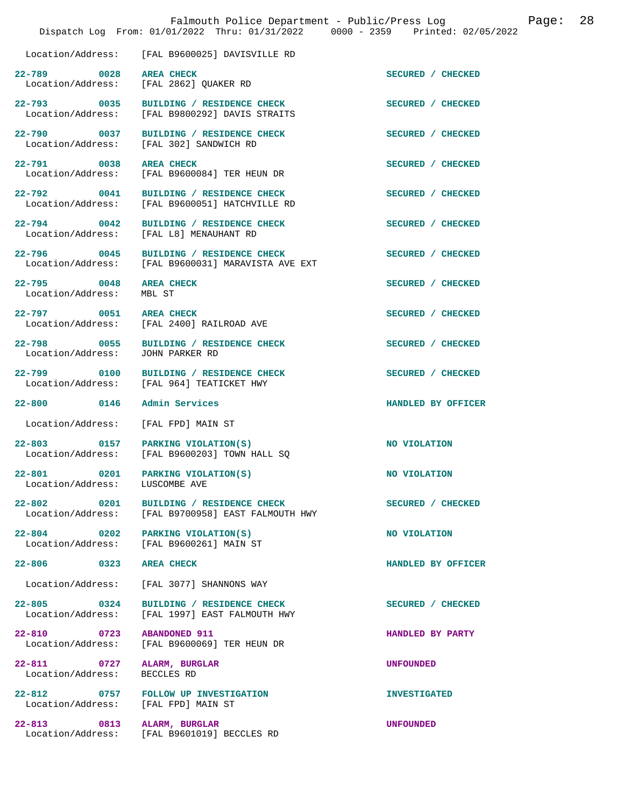|                                                                    | Falmouth Police Department - Public/Press Log<br>Dispatch Log From: 01/01/2022 Thru: 01/31/2022 0000 - 2359 Printed: 02/05/2022 |                     | 28<br>Page: |
|--------------------------------------------------------------------|---------------------------------------------------------------------------------------------------------------------------------|---------------------|-------------|
| Location/Address:                                                  | [FAL B9600025] DAVISVILLE RD                                                                                                    |                     |             |
| 22-789 0028                                                        | <b>AREA CHECK</b><br>Location/Address: [FAL 2862] QUAKER RD                                                                     | SECURED / CHECKED   |             |
|                                                                    | 22-793 0035 BUILDING / RESIDENCE CHECK<br>Location/Address: [FAL B9800292] DAVIS STRAITS                                        | SECURED / CHECKED   |             |
| 22-790 0037                                                        | BUILDING / RESIDENCE CHECK<br>Location/Address: [FAL 302] SANDWICH RD                                                           | SECURED / CHECKED   |             |
| 22-791 0038                                                        | AREA CHECK<br>Location/Address: [FAL B9600084] TER HEUN DR                                                                      | SECURED / CHECKED   |             |
|                                                                    | 22-792 0041 BUILDING / RESIDENCE CHECK<br>Location/Address: [FAL B9600051] HATCHVILLE RD                                        | SECURED / CHECKED   |             |
| 22-794 0042                                                        | BUILDING / RESIDENCE CHECK<br>Location/Address: [FAL L8] MENAUHANT RD                                                           | SECURED / CHECKED   |             |
|                                                                    | 22-796 0045 BUILDING / RESIDENCE CHECK<br>Location/Address: [FAL B9600031] MARAVISTA AVE EXT                                    | SECURED / CHECKED   |             |
| 22-795 0048<br>Location/Address:                                   | <b>AREA CHECK</b><br>MBL ST                                                                                                     | SECURED / CHECKED   |             |
| 22-797 0051 AREA CHECK                                             | Location/Address: [FAL 2400] RAILROAD AVE                                                                                       | SECURED / CHECKED   |             |
| Location/Address:                                                  | 22-798 0055 BUILDING / RESIDENCE CHECK<br>JOHN PARKER RD                                                                        | SECURED / CHECKED   |             |
|                                                                    | 22-799 0100 BUILDING / RESIDENCE CHECK<br>Location/Address: [FAL 964] TEATICKET HWY                                             | SECURED / CHECKED   |             |
| 22-800 0146                                                        | Admin Services                                                                                                                  | HANDLED BY OFFICER  |             |
| Location/Address:                                                  | [FAL FPD] MAIN ST                                                                                                               |                     |             |
|                                                                    | 22-803 0157 PARKING VIOLATION(S)<br>Location/Address: [FAL B9600203] TOWN HALL SQ                                               | NO VIOLATION        |             |
| 22-801 0201 PARKING VIOLATION(S)<br>Location/Address: LUSCOMBE AVE |                                                                                                                                 | NO VIOLATION        |             |
|                                                                    | 22-802 0201 BUILDING / RESIDENCE CHECK<br>Location/Address: [FAL B9700958] EAST FALMOUTH HWY                                    | SECURED / CHECKED   |             |
| $22 - 804$ 0202                                                    | PARKING VIOLATION(S)<br>Location/Address: [FAL B9600261] MAIN ST                                                                | NO VIOLATION        |             |
| 22-806 0323                                                        | <b>AREA CHECK</b>                                                                                                               | HANDLED BY OFFICER  |             |
|                                                                    | Location/Address: [FAL 3077] SHANNONS WAY                                                                                       |                     |             |
| $22 - 805$ 0324<br>Location/Address:                               | BUILDING / RESIDENCE CHECK<br>[FAL 1997] EAST FALMOUTH HWY                                                                      | SECURED / CHECKED   |             |
| 22-810 0723                                                        | <b>ABANDONED 911</b><br>Location/Address: [FAL B9600069] TER HEUN DR                                                            | HANDLED BY PARTY    |             |
| 22-811 0727<br>Location/Address:                                   | ALARM, BURGLAR<br>BECCLES RD                                                                                                    | <b>UNFOUNDED</b>    |             |
| Location/Address: [FAL FPD] MAIN ST                                | 22-812 0757 FOLLOW UP INVESTIGATION                                                                                             | <b>INVESTIGATED</b> |             |
| 22-813 0813                                                        | ALARM, BURGLAR<br>Location/Address: [FAL B9601019] BECCLES RD                                                                   | <b>UNFOUNDED</b>    |             |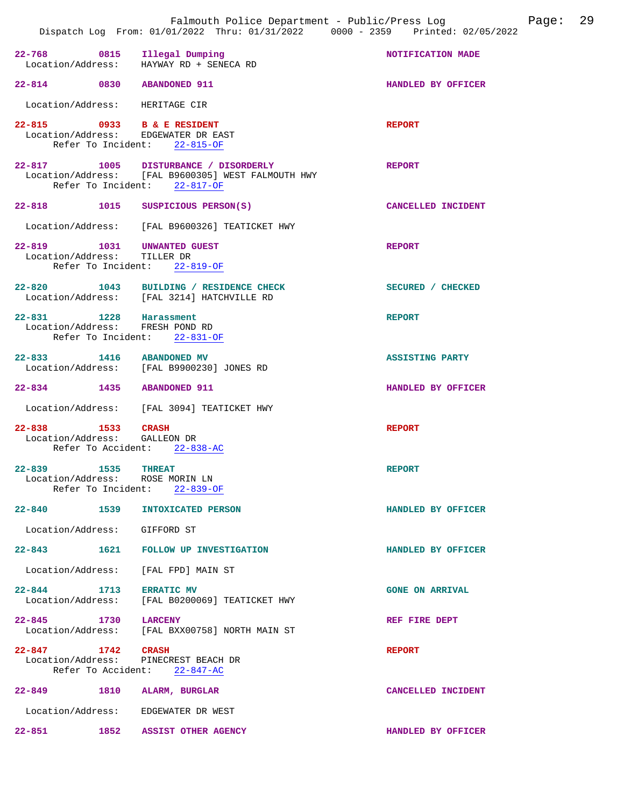|                                                           | Falmouth Police Department - Public/Press Log Fage: 29<br>Dispatch Log From: 01/01/2022 Thru: 01/31/2022 0000 - 2359 Printed: 02/05/2022 |                        |
|-----------------------------------------------------------|------------------------------------------------------------------------------------------------------------------------------------------|------------------------|
|                                                           | 22-768 0815 Illegal Dumping<br>Location/Address: HAYWAY RD + SENECA RD                                                                   | NOTIFICATION MADE      |
| 22-814 0830 ABANDONED 911                                 |                                                                                                                                          | HANDLED BY OFFICER     |
| Location/Address: HERITAGE CIR                            |                                                                                                                                          |                        |
|                                                           | 22-815 0933 B & E RESIDENT<br>Location/Address: EDGEWATER DR EAST<br>Refer To Incident: 22-815-OF                                        | <b>REPORT</b>          |
|                                                           | 22-817 1005 DISTURBANCE / DISORDERLY<br>Location/Address: [FAL B9600305] WEST FALMOUTH HWY<br>Refer To Incident: 22-817-OF               | <b>REPORT</b>          |
|                                                           | 22-818 1015 SUSPICIOUS PERSON(S)                                                                                                         | CANCELLED INCIDENT     |
|                                                           | Location/Address: [FAL B9600326] TEATICKET HWY                                                                                           |                        |
| Location/Address: TILLER DR                               | 22-819 1031 UNWANTED GUEST<br>Refer To Incident: 22-819-OF                                                                               | <b>REPORT</b>          |
|                                                           | 22-820 1043 BUILDING / RESIDENCE CHECK<br>Location/Address: [FAL 3214] HATCHVILLE RD                                                     | SECURED / CHECKED      |
| 22-831 1228 Harassment<br>Location/Address: FRESH POND RD | Refer To Incident: 22-831-OF                                                                                                             | <b>REPORT</b>          |
| 22-833 1416 ABANDONED MV                                  | Location/Address: [FAL B9900230] JONES RD                                                                                                | <b>ASSISTING PARTY</b> |
| 22-834 1435 ABANDONED 911                                 |                                                                                                                                          | HANDLED BY OFFICER     |
|                                                           | Location/Address: [FAL 3094] TEATICKET HWY                                                                                               |                        |
| 22-838 1533 CRASH<br>Location/Address: GALLEON DR         | Refer To Accident: 22-838-AC                                                                                                             | <b>REPORT</b>          |
| 22-839 1535 THREAT                                        | Location/Address: ROSE MORIN LN<br>Refer To Incident: 22-839-OF                                                                          | <b>REPORT</b>          |
| 22-840 1539                                               | <b>INTOXICATED PERSON</b>                                                                                                                | HANDLED BY OFFICER     |
| Location/Address: GIFFORD ST                              |                                                                                                                                          |                        |
|                                                           | 22-843 1621 FOLLOW UP INVESTIGATION                                                                                                      | HANDLED BY OFFICER     |
|                                                           | Location/Address: [FAL FPD] MAIN ST                                                                                                      |                        |
| 22-844 1713                                               | <b>ERRATIC MV</b><br>Location/Address: [FAL B0200069] TEATICKET HWY                                                                      | <b>GONE ON ARRIVAL</b> |
| 22-845 1730                                               | <b>LARCENY</b><br>Location/Address: [FAL BXX00758] NORTH MAIN ST                                                                         | REF FIRE DEPT          |
| 22-847 1742 CRASH                                         | Location/Address: PINECREST BEACH DR<br>Refer To Accident: 22-847-AC                                                                     | <b>REPORT</b>          |
|                                                           | 22-849 1810 ALARM, BURGLAR                                                                                                               | CANCELLED INCIDENT     |
|                                                           | Location/Address: EDGEWATER DR WEST                                                                                                      |                        |
|                                                           | 22-851 1852 ASSIST OTHER AGENCY                                                                                                          | HANDLED BY OFFICER     |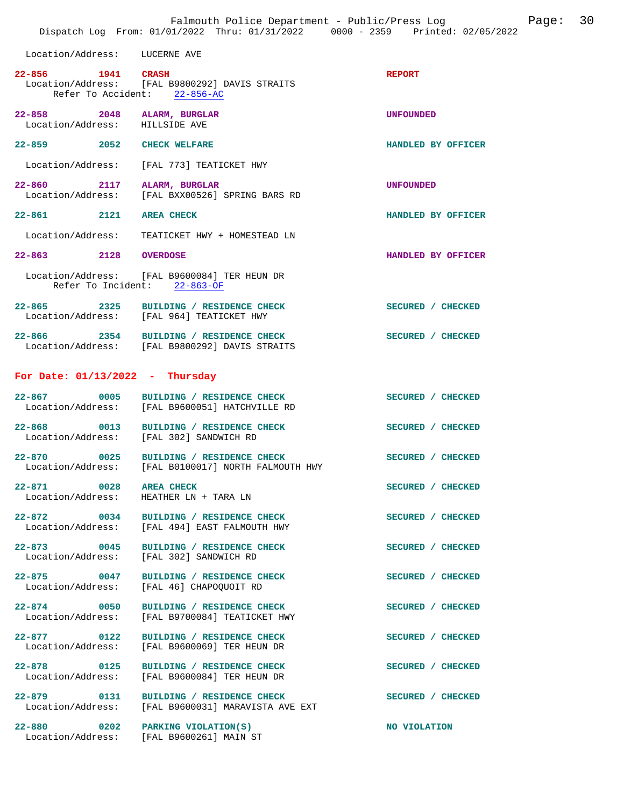|                                                              | Falmouth Police Department - Public/Press Log<br>Dispatch Log From: 01/01/2022 Thru: 01/31/2022 0000 - 2359 Printed: 02/05/2022 | 30<br>Page:        |
|--------------------------------------------------------------|---------------------------------------------------------------------------------------------------------------------------------|--------------------|
| Location/Address: LUCERNE AVE                                |                                                                                                                                 |                    |
| $22 - 856$<br><b>1941 CRASH</b>                              | Location/Address: [FAL B9800292] DAVIS STRAITS<br>Refer To Accident: 22-856-AC                                                  | <b>REPORT</b>      |
| 22-858 2048 ALARM, BURGLAR<br>Location/Address: HILLSIDE AVE |                                                                                                                                 | <b>UNFOUNDED</b>   |
| 22-859 2052 CHECK WELFARE                                    |                                                                                                                                 | HANDLED BY OFFICER |
|                                                              | Location/Address: [FAL 773] TEATICKET HWY                                                                                       |                    |
| 22-860 2117 ALARM, BURGLAR                                   | Location/Address: [FAL BXX00526] SPRING BARS RD                                                                                 | <b>UNFOUNDED</b>   |
| 22-861 2121 AREA CHECK                                       |                                                                                                                                 | HANDLED BY OFFICER |
|                                                              | Location/Address: TEATICKET HWY + HOMESTEAD LN                                                                                  |                    |
| 22-863 2128 OVERDOSE                                         |                                                                                                                                 | HANDLED BY OFFICER |
|                                                              | Location/Address: [FAL B9600084] TER HEUN DR<br>Refer To Incident: 22-863-OF                                                    |                    |
|                                                              | 22-865 2325 BUILDING / RESIDENCE CHECK<br>Location/Address: [FAL 964] TEATICKET HWY                                             | SECURED / CHECKED  |
|                                                              | 22-866 2354 BUILDING / RESIDENCE CHECK<br>Location/Address: [FAL B9800292] DAVIS STRAITS                                        | SECURED / CHECKED  |
| For Date: $01/13/2022 - Thursday$                            |                                                                                                                                 |                    |
| $22 - 867$                                                   | 0005 BUILDING / RESIDENCE CHECK<br>Location/Address: [FAL B9600051] HATCHVILLE RD                                               | SECURED / CHECKED  |
| $22 - 868$                                                   | 0013 BUILDING / RESIDENCE CHECK<br>Location/Address: [FAL 302] SANDWICH RD                                                      | SECURED / CHECKED  |
|                                                              | 22-870 0025 BUILDING / RESIDENCE CHECK<br>Location/Address: [FAL B0100017] NORTH FALMOUTH HWY                                   | SECURED / CHECKED  |
| 22-871 0028 AREA CHECK                                       | Location/Address: HEATHER LN + TARA LN                                                                                          | SECURED / CHECKED  |
| $22 - 872$ 0034<br>Location/Address:                         | BUILDING / RESIDENCE CHECK<br>[FAL 494] EAST FALMOUTH HWY                                                                       | SECURED / CHECKED  |
| Location/Address:                                            | 22-873 0045 BUILDING / RESIDENCE CHECK<br>[FAL 302] SANDWICH RD                                                                 | SECURED / CHECKED  |
| 22-875 0047<br>Location/Address:                             | BUILDING / RESIDENCE CHECK<br>[FAL 46] CHAPOQUOIT RD                                                                            | SECURED / CHECKED  |
| 22-874 0050<br>Location/Address:                             | BUILDING / RESIDENCE CHECK<br>[FAL B9700084] TEATICKET HWY                                                                      | SECURED / CHECKED  |
| $22 - 877$ 0122<br>Location/Address:                         | BUILDING / RESIDENCE CHECK<br>[FAL B9600069] TER HEUN DR                                                                        | SECURED / CHECKED  |
| 22-878 0125<br>Location/Address:                             | BUILDING / RESIDENCE CHECK<br>[FAL B9600084] TER HEUN DR                                                                        | SECURED / CHECKED  |
| Location/Address:                                            | 22-879 0131 BUILDING / RESIDENCE CHECK<br>[FAL B9600031] MARAVISTA AVE EXT                                                      | SECURED / CHECKED  |
|                                                              | 22-880 0202 PARKING VIOLATION(S)<br>Location/Address: [FAL B9600261] MAIN ST                                                    | NO VIOLATION       |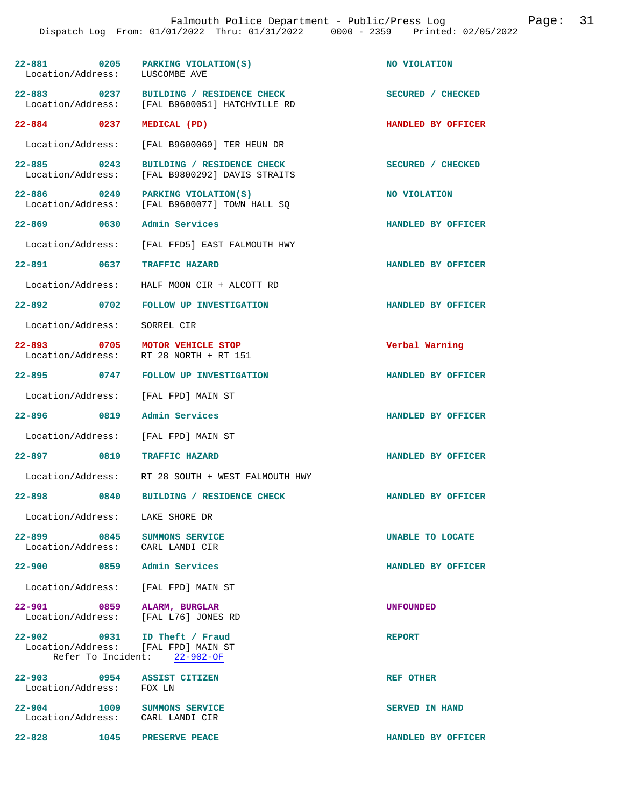|                                  | Falmouth Police Department - Public/Press Log Mage:<br>Dispatch Log From: 01/01/2022 Thru: 01/31/2022 0000 - 2359 Printed: 02/05/2022 |                       | 31 |
|----------------------------------|---------------------------------------------------------------------------------------------------------------------------------------|-----------------------|----|
| Location/Address: LUSCOMBE AVE   | 22-881 0205 PARKING VIOLATION(S)                                                                                                      | NO VIOLATION          |    |
|                                  | 22-883 0237 BUILDING / RESIDENCE CHECK<br>Location/Address: [FAL B9600051] HATCHVILLE RD                                              | SECURED / CHECKED     |    |
| 22-884 0237                      | MEDICAL (PD)                                                                                                                          | HANDLED BY OFFICER    |    |
| Location/Address:                | [FAL B9600069] TER HEUN DR                                                                                                            |                       |    |
| Location/Address:                | 22-885 0243 BUILDING / RESIDENCE CHECK<br>[FAL B9800292] DAVIS STRAITS                                                                | SECURED / CHECKED     |    |
|                                  | 22-886 0249 PARKING VIOLATION(S)<br>Location/Address: [FAL B9600077] TOWN HALL SQ                                                     | <b>NO VIOLATION</b>   |    |
|                                  | 22-869 0630 Admin Services                                                                                                            | HANDLED BY OFFICER    |    |
|                                  | Location/Address: [FAL FFD5] EAST FALMOUTH HWY                                                                                        |                       |    |
|                                  | 22-891 0637 TRAFFIC HAZARD                                                                                                            | HANDLED BY OFFICER    |    |
|                                  | Location/Address: HALF MOON CIR + ALCOTT RD                                                                                           |                       |    |
|                                  | 22-892 0702 FOLLOW UP INVESTIGATION                                                                                                   | HANDLED BY OFFICER    |    |
| Location/Address:                | SORREL CIR                                                                                                                            |                       |    |
|                                  | 22-893 0705 MOTOR VEHICLE STOP<br>Location/Address: RT 28 NORTH + RT 151                                                              | Verbal Warning        |    |
|                                  | 22-895 0747 FOLLOW UP INVESTIGATION                                                                                                   | HANDLED BY OFFICER    |    |
| Location/Address:                | [FAL FPD] MAIN ST                                                                                                                     |                       |    |
|                                  | 22-896 0819 Admin Services                                                                                                            | HANDLED BY OFFICER    |    |
|                                  | Location/Address: [FAL FPD] MAIN ST                                                                                                   |                       |    |
|                                  | 22-897 0819 TRAFFIC HAZARD                                                                                                            | HANDLED BY OFFICER    |    |
| Location/Address:                | RT 28 SOUTH + WEST FALMOUTH HWY                                                                                                       |                       |    |
| 22-898                           | 0840 BUILDING / RESIDENCE CHECK                                                                                                       | HANDLED BY OFFICER    |    |
| Location/Address: LAKE SHORE DR  |                                                                                                                                       |                       |    |
|                                  | 22-899 0845 SUMMONS SERVICE<br>Location/Address: CARL LANDI CIR                                                                       | UNABLE TO LOCATE      |    |
|                                  | 22-900 0859 Admin Services                                                                                                            | HANDLED BY OFFICER    |    |
| Location/Address:                | [FAL FPD] MAIN ST                                                                                                                     |                       |    |
|                                  | 22-901 0859 ALARM, BURGLAR<br>Location/Address: [FAL L76] JONES RD                                                                    | <b>UNFOUNDED</b>      |    |
|                                  | 22-902 0931 ID Theft / Fraud<br>Location/Address: [FAL FPD] MAIN ST<br>Refer To Incident: 22-902-OF                                   | <b>REPORT</b>         |    |
| 22-903 0954<br>Location/Address: | <b>ASSIST CITIZEN</b><br>FOX LN                                                                                                       | <b>REF OTHER</b>      |    |
|                                  | 22-904 1009 SUMMONS SERVICE<br>Location/Address: CARL LANDI CIR                                                                       | <b>SERVED IN HAND</b> |    |
| $22 - 828$                       | 1045 PRESERVE PEACE                                                                                                                   | HANDLED BY OFFICER    |    |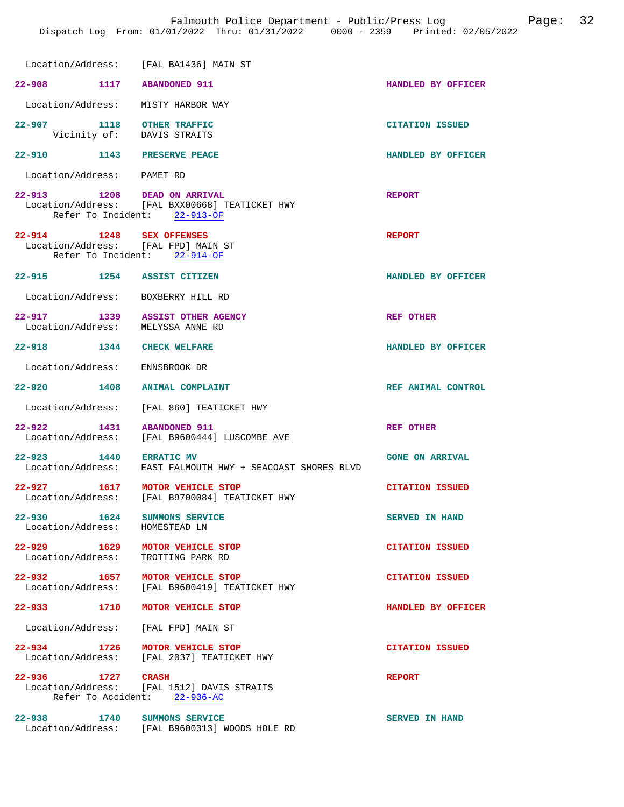Dispatch Log From: 01/01/2022 Thru: 01/31/2022 0000 - 2359 Printed: 02/05/2022

|                                                                 | Location/Address: [FAL BA1436] MAIN ST                                                                 |                        |
|-----------------------------------------------------------------|--------------------------------------------------------------------------------------------------------|------------------------|
| 22-908                                                          | 1117 ABANDONED 911                                                                                     | HANDLED BY OFFICER     |
| Location/Address: MISTY HARBOR WAY                              |                                                                                                        |                        |
| 22-907 1118 OTHER TRAFFIC<br>Vicinity of: DAVIS STRAITS         |                                                                                                        | <b>CITATION ISSUED</b> |
| 22-910 1143 PRESERVE PEACE                                      |                                                                                                        | HANDLED BY OFFICER     |
| Location/Address: PAMET RD                                      |                                                                                                        |                        |
| 22-913                                                          | 1208 DEAD ON ARRIVAL<br>Location/Address: [FAL BXX00668] TEATICKET HWY<br>Refer To Incident: 22-913-OF | <b>REPORT</b>          |
| 22-914 1248 SEX OFFENSES<br>Location/Address: [FAL FPD] MAIN ST | Refer To Incident: 22-914-OF                                                                           | <b>REPORT</b>          |
| 22-915 1254 ASSIST CITIZEN                                      |                                                                                                        | HANDLED BY OFFICER     |
| Location/Address: BOXBERRY HILL RD                              |                                                                                                        |                        |
| 22-917 1339<br>Location/Address: MELYSSA ANNE RD                | <b>ASSIST OTHER AGENCY</b>                                                                             | REF OTHER              |
| 22-918 1344                                                     | <b>CHECK WELFARE</b>                                                                                   | HANDLED BY OFFICER     |
| Location/Address: ENNSBROOK DR                                  |                                                                                                        |                        |
| 22-920 1408                                                     | <b>ANIMAL COMPLAINT</b>                                                                                | REF ANIMAL CONTROL     |
|                                                                 | Location/Address: [FAL 860] TEATICKET HWY                                                              |                        |
| 22-922 1431                                                     | <b>ABANDONED 911</b><br>Location/Address: [FAL B9600444] LUSCOMBE AVE                                  | REF OTHER              |
| 22-923 1440<br>Location/Address:                                | <b>ERRATIC MV</b><br>EAST FALMOUTH HWY + SEACOAST SHORES BLVD                                          | <b>GONE ON ARRIVAL</b> |
| 22-927 1617 MOTOR VEHICLE STOP                                  | Location/Address: [FAL B9700084] TEATICKET HWY                                                         | <b>CITATION ISSUED</b> |
| 22–930 1624<br>Location/Address:                                | SUMMONS SERVICE<br>HOMESTEAD LN                                                                        | <b>SERVED IN HAND</b>  |
| 22-929 1629 MOTOR VEHICLE STOP<br>Location/Address:             | TROTTING PARK RD                                                                                       | <b>CITATION ISSUED</b> |
| 22-932 1657                                                     | MOTOR VEHICLE STOP<br>Location/Address: [FAL B9600419] TEATICKET HWY                                   | <b>CITATION ISSUED</b> |
| 22–933 1710                                                     | MOTOR VEHICLE STOP                                                                                     | HANDLED BY OFFICER     |
| Location/Address: [FAL FPD] MAIN ST                             |                                                                                                        |                        |
| 22-934 1726                                                     | MOTOR VEHICLE STOP<br>Location/Address: [FAL 2037] TEATICKET HWY                                       | <b>CITATION ISSUED</b> |
| 22-936 1727 CRASH                                               | Location/Address: [FAL 1512] DAVIS STRAITS<br>Refer To Accident: 22-936-AC                             | <b>REPORT</b>          |
| 22-938 1740 SUMMONS SERVICE                                     | Location/Address: [FAL B9600313] WOODS HOLE RD                                                         | <b>SERVED IN HAND</b>  |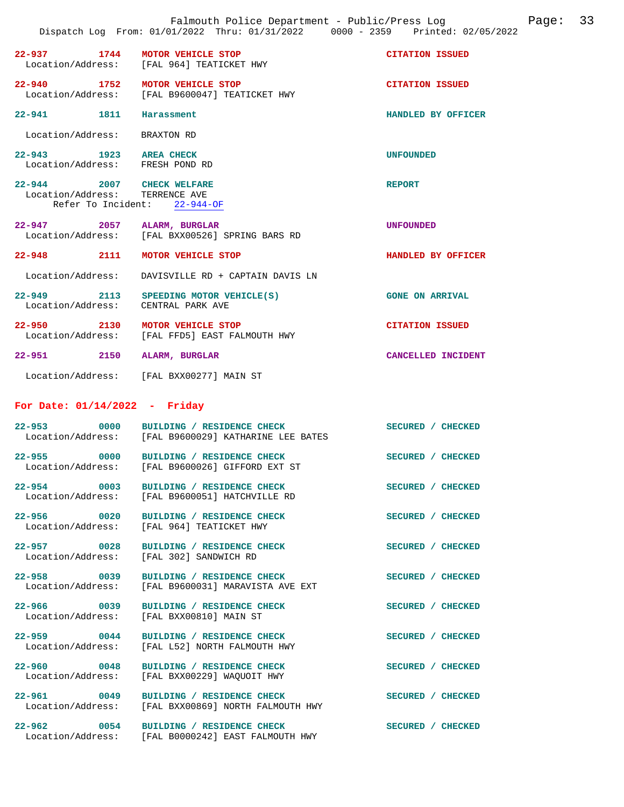|                                                             | Falmouth Police Department - Public/Press Log<br>Dispatch Log From: 01/01/2022 Thru: 01/31/2022 0000 - 2359 Printed: 02/05/2022 |                        | Paqe: | 33 |
|-------------------------------------------------------------|---------------------------------------------------------------------------------------------------------------------------------|------------------------|-------|----|
|                                                             | 22-937 1744 MOTOR VEHICLE STOP<br>Location/Address: [FAL 964] TEATICKET HWY                                                     | <b>CITATION ISSUED</b> |       |    |
|                                                             | 22-940 1752 MOTOR VEHICLE STOP<br>Location/Address: [FAL B9600047] TEATICKET HWY                                                | <b>CITATION ISSUED</b> |       |    |
| 22-941 1811                                                 | Harassment                                                                                                                      | HANDLED BY OFFICER     |       |    |
| Location/Address: BRAXTON RD                                |                                                                                                                                 |                        |       |    |
| 22-943 1923 AREA CHECK<br>Location/Address: FRESH POND RD   |                                                                                                                                 | <b>UNFOUNDED</b>       |       |    |
| 22-944 2007 CHECK WELFARE<br>Location/Address: TERRENCE AVE | Refer To Incident: 22-944-OF                                                                                                    | <b>REPORT</b>          |       |    |
| 22-947 2057 ALARM, BURGLAR                                  | Location/Address: [FAL BXX00526] SPRING BARS RD                                                                                 | UNFOUNDED              |       |    |
|                                                             | 22-948 2111 MOTOR VEHICLE STOP                                                                                                  | HANDLED BY OFFICER     |       |    |
| Location/Address:                                           | DAVISVILLE RD + CAPTAIN DAVIS LN                                                                                                |                        |       |    |
| Location/Address: CENTRAL PARK AVE                          | 22-949 2113 SPEEDING MOTOR VEHICLE(S)                                                                                           | <b>GONE ON ARRIVAL</b> |       |    |
|                                                             | 22-950 2130 MOTOR VEHICLE STOP<br>Location/Address: [FAL FFD5] EAST FALMOUTH HWY                                                | <b>CITATION ISSUED</b> |       |    |
| 22-951 2150 ALARM, BURGLAR                                  |                                                                                                                                 | CANCELLED INCIDENT     |       |    |
|                                                             | Location/Address: [FAL BXX00277] MAIN ST                                                                                        |                        |       |    |
| For Date: $01/14/2022 -$ Friday                             |                                                                                                                                 |                        |       |    |
|                                                             | 22-953 0000 BUILDING / RESIDENCE CHECK<br>Location/Address: [FAL B9600029] KATHARINE LEE BATES                                  | SECURED / CHECKED      |       |    |
| Location/Address:                                           | 22-955 0000 BUILDING / RESIDENCE CHECK<br>[FAL B9600026] GIFFORD EXT ST                                                         | SECURED / CHECKED      |       |    |
|                                                             | 22-954 0003 BUILDING / RESIDENCE CHECK<br>Location/Address: [FAL B9600051] HATCHVILLE RD                                        | SECURED / CHECKED      |       |    |
| 22-956 0020<br>Location/Address:                            | BUILDING / RESIDENCE CHECK<br>[FAL 964] TEATICKET HWY                                                                           | SECURED / CHECKED      |       |    |
| Location/Address:                                           | 22-957 0028 BUILDING / RESIDENCE CHECK<br>[FAL 302] SANDWICH RD                                                                 | SECURED / CHECKED      |       |    |
| 22-958 0039<br>Location/Address:                            | BUILDING / RESIDENCE CHECK<br>[FAL B9600031] MARAVISTA AVE EXT                                                                  | SECURED / CHECKED      |       |    |
| 22–966 0039<br>Location/Address:                            | BUILDING / RESIDENCE CHECK<br>[FAL BXX00810] MAIN ST                                                                            | SECURED / CHECKED      |       |    |
| 22–959 0044<br>Location/Address:                            | BUILDING / RESIDENCE CHECK<br>[FAL L52] NORTH FALMOUTH HWY                                                                      | SECURED / CHECKED      |       |    |
| 22-960 0048<br>Location/Address:                            | BUILDING / RESIDENCE CHECK<br>[FAL BXX00229] WAQUOIT HWY                                                                        | SECURED / CHECKED      |       |    |
| 22-961 0049<br>Location/Address:                            | BUILDING / RESIDENCE CHECK<br>[FAL BXX00869] NORTH FALMOUTH HWY                                                                 | SECURED / CHECKED      |       |    |
|                                                             | 22-962 0054 BUILDING / RESIDENCE CHECK<br>Location/Address: [FAL B0000242] EAST FALMOUTH HWY                                    | SECURED / CHECKED      |       |    |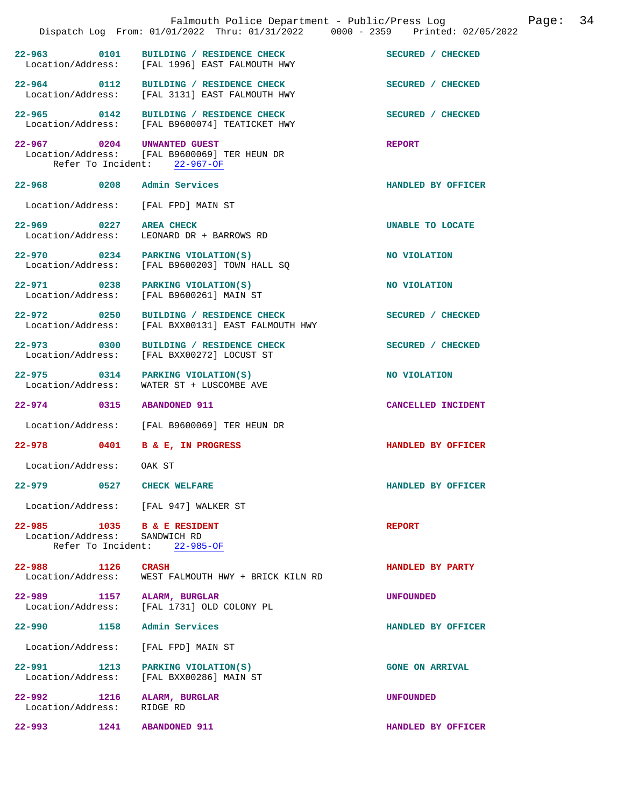|                                                             |      | Falmouth Police Department - Public/Press Log<br>Dispatch Log From: 01/01/2022 Thru: 01/31/2022 0000 - 2359 Printed: 02/05/2022 |                        | 34<br>Page: |
|-------------------------------------------------------------|------|---------------------------------------------------------------------------------------------------------------------------------|------------------------|-------------|
|                                                             |      | 22-963 0101 BUILDING / RESIDENCE CHECK<br>Location/Address: [FAL 1996] EAST FALMOUTH HWY                                        | SECURED / CHECKED      |             |
|                                                             |      | 22-964 0112 BUILDING / RESIDENCE CHECK<br>Location/Address: [FAL 3131] EAST FALMOUTH HWY                                        | SECURED / CHECKED      |             |
|                                                             |      | 22-965 0142 BUILDING / RESIDENCE CHECK<br>Location/Address: [FAL B9600074] TEATICKET HWY                                        | SECURED / CHECKED      |             |
| 22-967 0204 UNWANTED GUEST                                  |      | Location/Address: [FAL B9600069] TER HEUN DR<br>Refer To Incident: 22-967-OF                                                    | <b>REPORT</b>          |             |
| 22-968 0208 Admin Services                                  |      |                                                                                                                                 | HANDLED BY OFFICER     |             |
|                                                             |      | Location/Address: [FAL FPD] MAIN ST                                                                                             |                        |             |
| Location/Address:                                           |      | 22-969 0227 AREA CHECK<br>LEONARD DR + BARROWS RD                                                                               | UNABLE TO LOCATE       |             |
|                                                             |      | 22-970 0234 PARKING VIOLATION(S)<br>Location/Address: [FAL B9600203] TOWN HALL SO                                               | NO VIOLATION           |             |
|                                                             |      | 22-971 0238 PARKING VIOLATION(S)<br>Location/Address: [FAL B9600261] MAIN ST                                                    | NO VIOLATION           |             |
| 22-972 0250<br>Location/Address:                            |      | BUILDING / RESIDENCE CHECK<br>[FAL BXX00131] EAST FALMOUTH HWY                                                                  | SECURED / CHECKED      |             |
| 22-973 0300                                                 |      | BUILDING / RESIDENCE CHECK<br>Location/Address: [FAL BXX00272] LOCUST ST                                                        | SECURED / CHECKED      |             |
| Location/Address:                                           |      | 22-975 0314 PARKING VIOLATION(S)<br>WATER ST + LUSCOMBE AVE                                                                     | NO VIOLATION           |             |
| 22-974 0315                                                 |      | <b>ABANDONED 911</b>                                                                                                            | CANCELLED INCIDENT     |             |
|                                                             |      | Location/Address: [FAL B9600069] TER HEUN DR                                                                                    |                        |             |
|                                                             |      | 22-978 0401 B & E, IN PROGRESS                                                                                                  | HANDLED BY OFFICER     |             |
| Location/Address:                                           |      | OAK ST                                                                                                                          |                        |             |
| 22–979                                                      | 0527 | <b>CHECK WELFARE</b>                                                                                                            | HANDLED BY OFFICER     |             |
|                                                             |      | Location/Address: [FAL 947] WALKER ST                                                                                           |                        |             |
| 22-985 1035 B & E RESIDENT<br>Location/Address: SANDWICH RD |      | Refer To Incident: 22-985-OF                                                                                                    | <b>REPORT</b>          |             |
| 22-988 1126<br>Location/Address:                            |      | <b>CRASH</b><br>WEST FALMOUTH HWY + BRICK KILN RD                                                                               | HANDLED BY PARTY       |             |
| 22–989 1157<br>Location/Address:                            |      | ALARM, BURGLAR<br>[FAL 1731] OLD COLONY PL                                                                                      | <b>UNFOUNDED</b>       |             |
| 22–990 1158                                                 |      | Admin Services                                                                                                                  | HANDLED BY OFFICER     |             |
| Location/Address:                                           |      | [FAL FPD] MAIN ST                                                                                                               |                        |             |
| $22 - 991$<br>Location/Address:                             | 1213 | PARKING VIOLATION(S)<br>[FAL BXX00286] MAIN ST                                                                                  | <b>GONE ON ARRIVAL</b> |             |
| 22-992 1216<br>Location/Address:                            |      | ALARM, BURGLAR<br>RIDGE RD                                                                                                      | <b>UNFOUNDED</b>       |             |
| $22 - 993$                                                  |      | 1241 ABANDONED 911                                                                                                              | HANDLED BY OFFICER     |             |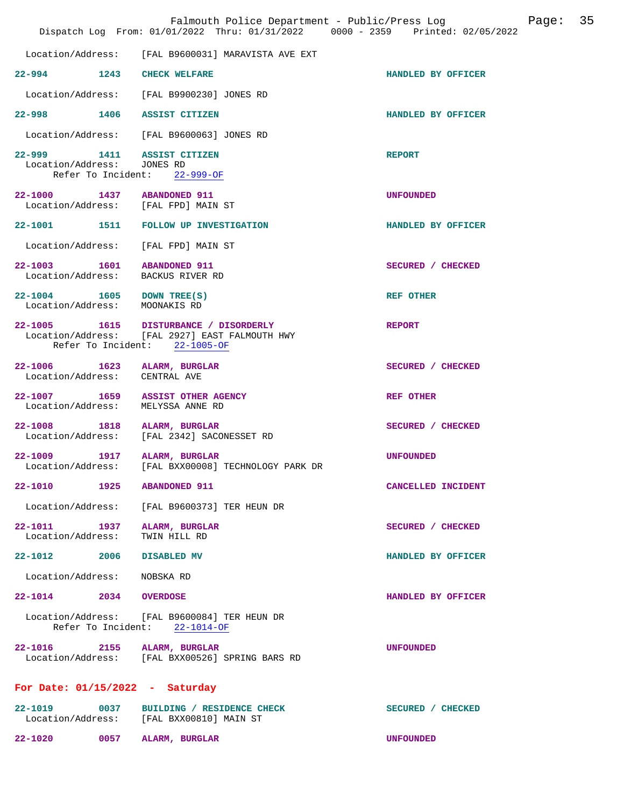|                                   | Falmouth Police Department - Public/Press Log<br>Dispatch Log From: 01/01/2022 Thru: 01/31/2022 0000 - 2359 Printed: 02/05/2022 |                    | Page: | 35 |
|-----------------------------------|---------------------------------------------------------------------------------------------------------------------------------|--------------------|-------|----|
| Location/Address:                 | [FAL B9600031] MARAVISTA AVE EXT                                                                                                |                    |       |    |
|                                   | 22-994 1243 CHECK WELFARE                                                                                                       | HANDLED BY OFFICER |       |    |
|                                   | Location/Address: [FAL B9900230] JONES RD                                                                                       |                    |       |    |
|                                   | 22-998 1406 ASSIST CITIZEN                                                                                                      | HANDLED BY OFFICER |       |    |
|                                   | Location/Address: [FAL B9600063] JONES RD                                                                                       |                    |       |    |
| Location/Address: JONES RD        | 22-999 1411 ASSIST CITIZEN<br>Refer To Incident: 22-999-OF                                                                      | <b>REPORT</b>      |       |    |
|                                   | 22-1000 1437 ABANDONED 911<br>Location/Address: [FAL FPD] MAIN ST                                                               | <b>UNFOUNDED</b>   |       |    |
|                                   | 22-1001 1511 FOLLOW UP INVESTIGATION                                                                                            | HANDLED BY OFFICER |       |    |
|                                   | Location/Address: [FAL FPD] MAIN ST                                                                                             |                    |       |    |
|                                   | 22-1003 1601 ABANDONED 911<br>Location/Address: BACKUS RIVER RD                                                                 | SECURED / CHECKED  |       |    |
|                                   | 22-1004 1605 DOWN TREE(S)<br>Location/Address: MOONAKIS RD                                                                      | <b>REF OTHER</b>   |       |    |
|                                   | 22-1005 1615 DISTURBANCE / DISORDERLY<br>Location/Address: [FAL 2927] EAST FALMOUTH HWY<br>Refer To Incident: 22-1005-OF        | <b>REPORT</b>      |       |    |
|                                   | 22-1006 1623 ALARM, BURGLAR<br>Location/Address: CENTRAL AVE                                                                    | SECURED / CHECKED  |       |    |
| Location/Address:                 | 22-1007 1659 ASSIST OTHER AGENCY<br>MELYSSA ANNE RD                                                                             | <b>REF OTHER</b>   |       |    |
| 22-1008<br>Location/Address:      | 1818 ALARM, BURGLAR<br>[FAL 2342] SACONESSET RD                                                                                 | SECURED / CHECKED  |       |    |
| Location/Address:                 | 22-1009 1917 ALARM, BURGLAR<br>[FAL BXX00008] TECHNOLOGY PARK DR                                                                | <b>UNFOUNDED</b>   |       |    |
|                                   | 22-1010 1925 ABANDONED 911                                                                                                      | CANCELLED INCIDENT |       |    |
|                                   | Location/Address: [FAL B9600373] TER HEUN DR                                                                                    |                    |       |    |
| 22-1011 1937<br>Location/Address: | ALARM, BURGLAR<br>TWIN HILL RD                                                                                                  | SECURED / CHECKED  |       |    |
|                                   | 22-1012 2006 DISABLED MV                                                                                                        | HANDLED BY OFFICER |       |    |
| Location/Address: NOBSKA RD       |                                                                                                                                 |                    |       |    |
| 22-1014 2034 OVERDOSE             |                                                                                                                                 | HANDLED BY OFFICER |       |    |
|                                   | Location/Address: [FAL B9600084] TER HEUN DR<br>Refer To Incident: 22-1014-OF                                                   |                    |       |    |
|                                   | 22-1016 2155 ALARM, BURGLAR<br>Location/Address: [FAL BXX00526] SPRING BARS RD                                                  | <b>UNFOUNDED</b>   |       |    |
|                                   | For Date: $01/15/2022 - Saturday$                                                                                               |                    |       |    |
|                                   | 22-1019 0037 BUILDING / RESIDENCE CHECK<br>Location/Address: [FAL BXX00810] MAIN ST                                             | SECURED / CHECKED  |       |    |
| $22 - 1020$                       | 0057 ALARM, BURGLAR                                                                                                             | <b>UNFOUNDED</b>   |       |    |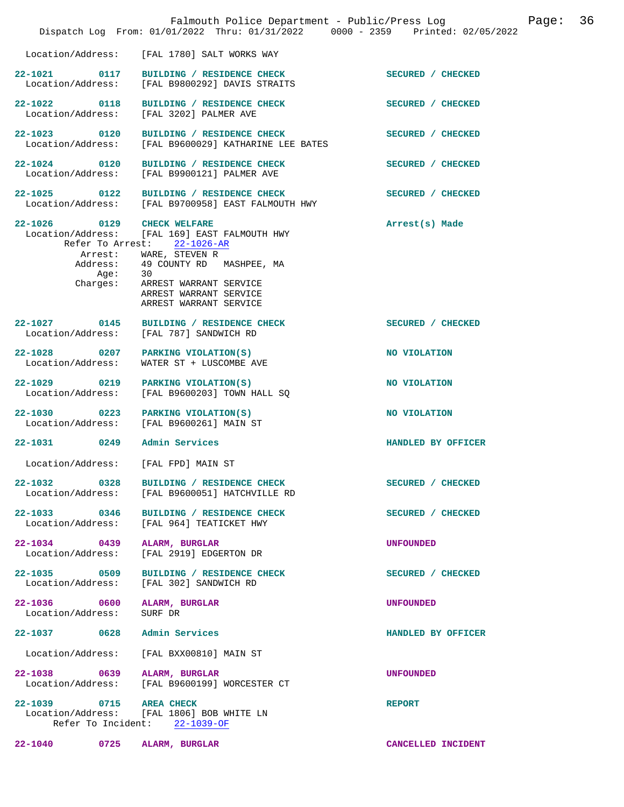|                                                       | Falmouth Police Department - Public/Press Log<br>Dispatch Log From: 01/01/2022 Thru: 01/31/2022 0000 - 2359 Printed: 02/05/2022                                                                                                 |                    | Page: | 36 |
|-------------------------------------------------------|---------------------------------------------------------------------------------------------------------------------------------------------------------------------------------------------------------------------------------|--------------------|-------|----|
| Location/Address:                                     | [FAL 1780] SALT WORKS WAY                                                                                                                                                                                                       |                    |       |    |
| 22-1021 0117<br>Location/Address:                     | BUILDING / RESIDENCE CHECK<br>[FAL B9800292] DAVIS STRAITS                                                                                                                                                                      | SECURED / CHECKED  |       |    |
| 22-1022 0118<br>Location/Address:                     | BUILDING / RESIDENCE CHECK<br>[FAL 3202] PALMER AVE                                                                                                                                                                             | SECURED / CHECKED  |       |    |
| 22-1023 0120<br>Location/Address:                     | BUILDING / RESIDENCE CHECK<br>[FAL B9600029] KATHARINE LEE BATES                                                                                                                                                                | SECURED / CHECKED  |       |    |
| 22-1024 0120<br>Location/Address:                     | BUILDING / RESIDENCE CHECK<br>[FAL B9900121] PALMER AVE                                                                                                                                                                         | SECURED / CHECKED  |       |    |
| $22 - 1025$<br>0122<br>Location/Address:              | BUILDING / RESIDENCE CHECK<br>[FAL B9700958] EAST FALMOUTH HWY                                                                                                                                                                  | SECURED / CHECKED  |       |    |
| 22-1026 0129 CHECK WELFARE<br>Aqe:<br>Charges:        | Location/Address: [FAL 169] EAST FALMOUTH HWY<br>Refer To Arrest: 22-1026-AR<br>Arrest: WARE, STEVEN R<br>Address: 49 COUNTY RD MASHPEE, MA<br>30<br>ARREST WARRANT SERVICE<br>ARREST WARRANT SERVICE<br>ARREST WARRANT SERVICE | Arrest(s) Made     |       |    |
| 22-1027 0145<br>Location/Address:                     | BUILDING / RESIDENCE CHECK<br>[FAL 787] SANDWICH RD                                                                                                                                                                             | SECURED / CHECKED  |       |    |
| 0207<br>$22 - 1028$<br>Location/Address:              | PARKING VIOLATION(S)<br>WATER ST + LUSCOMBE AVE                                                                                                                                                                                 | NO VIOLATION       |       |    |
| 22-1029 0219<br>Location/Address:                     | PARKING VIOLATION(S)<br>[FAL B9600203] TOWN HALL SQ                                                                                                                                                                             | NO VIOLATION       |       |    |
| $\overline{0223}$<br>$22 - 1030$<br>Location/Address: | PARKING VIOLATION(S)<br>[FAL B9600261] MAIN ST                                                                                                                                                                                  | NO VIOLATION       |       |    |
| 0249<br>$22 - 1031$                                   | Admin Services                                                                                                                                                                                                                  | HANDLED BY OFFICER |       |    |
| Location/Address:                                     | [FAL FPD] MAIN ST                                                                                                                                                                                                               |                    |       |    |
| 22-1032 0328<br>Location/Address:                     | BUILDING / RESIDENCE CHECK<br>[FAL B9600051] HATCHVILLE RD                                                                                                                                                                      | SECURED / CHECKED  |       |    |
| 22-1033 0346<br>Location/Address:                     | BUILDING / RESIDENCE CHECK<br>[FAL 964] TEATICKET HWY                                                                                                                                                                           | SECURED / CHECKED  |       |    |
| 22-1034 0439<br>Location/Address:                     | ALARM, BURGLAR<br>[FAL 2919] EDGERTON DR                                                                                                                                                                                        | <b>UNFOUNDED</b>   |       |    |
| 22-1035 0509<br>Location/Address:                     | BUILDING / RESIDENCE CHECK<br>[FAL 302] SANDWICH RD                                                                                                                                                                             | SECURED / CHECKED  |       |    |
| 22-1036 0600<br>Location/Address:                     | ALARM, BURGLAR<br>SURF DR                                                                                                                                                                                                       | <b>UNFOUNDED</b>   |       |    |
| 22-1037 0628                                          | Admin Services                                                                                                                                                                                                                  | HANDLED BY OFFICER |       |    |
| Location/Address:                                     | [FAL BXX00810] MAIN ST                                                                                                                                                                                                          |                    |       |    |
| 22-1038 0639<br>Location/Address:                     | ALARM, BURGLAR<br>[FAL B9600199] WORCESTER CT                                                                                                                                                                                   | <b>UNFOUNDED</b>   |       |    |
| 22-1039 0715 AREA CHECK                               | Location/Address: [FAL 1806] BOB WHITE LN<br>Refer To Incident: 22-1039-OF                                                                                                                                                      | <b>REPORT</b>      |       |    |
| 22-1040 0725                                          | ALARM, BURGLAR                                                                                                                                                                                                                  | CANCELLED INCIDENT |       |    |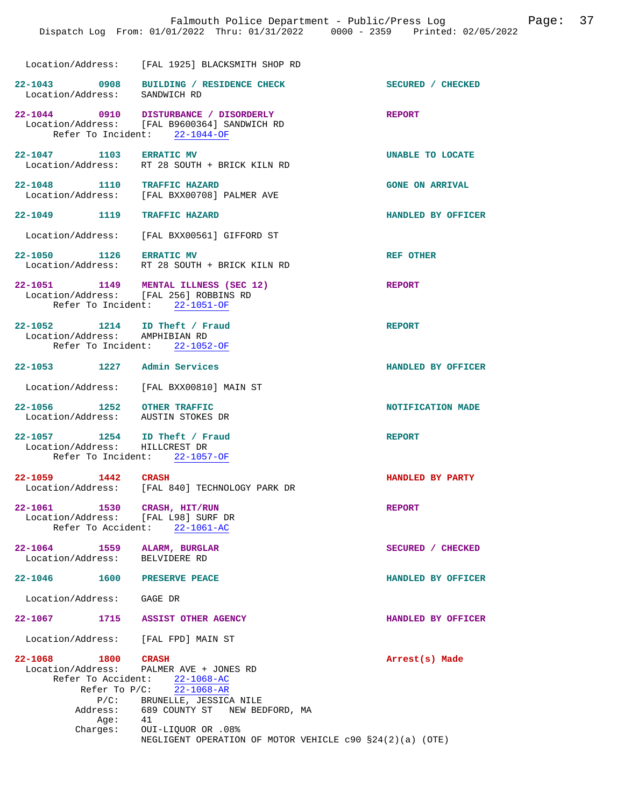|                                                                    | Location/Address: [FAL 1925] BLACKSMITH SHOP RD                                                                                                                                    |                        |
|--------------------------------------------------------------------|------------------------------------------------------------------------------------------------------------------------------------------------------------------------------------|------------------------|
| Location/Address: SANDWICH RD                                      | 22-1043 0908 BUILDING / RESIDENCE CHECK                                                                                                                                            | SECURED / CHECKED      |
|                                                                    | 22-1044 0910 DISTURBANCE / DISORDERLY<br>Location/Address: [FAL B9600364] SANDWICH RD<br>Refer To Incident: 22-1044-OF                                                             | <b>REPORT</b>          |
|                                                                    | 22-1047 1103 ERRATIC MV<br>Location/Address: RT 28 SOUTH + BRICK KILN RD                                                                                                           | UNABLE TO LOCATE       |
| 22-1048 1110 TRAFFIC HAZARD                                        | Location/Address: [FAL BXX00708] PALMER AVE                                                                                                                                        | <b>GONE ON ARRIVAL</b> |
| 22-1049 1119 TRAFFIC HAZARD                                        |                                                                                                                                                                                    | HANDLED BY OFFICER     |
|                                                                    | Location/Address: [FAL BXX00561] GIFFORD ST                                                                                                                                        |                        |
| 22-1050 1126 ERRATIC MV                                            | Location/Address: RT 28 SOUTH + BRICK KILN RD                                                                                                                                      | <b>REF OTHER</b>       |
|                                                                    | 22-1051 1149 MENTAL ILLNESS (SEC 12)<br>Location/Address: [FAL 256] ROBBINS RD<br>Refer To Incident: 22-1051-OF                                                                    | <b>REPORT</b>          |
| 22-1052 1214 ID Theft / Fraud<br>Location/Address: AMPHIBIAN RD    | Refer To Incident: 22-1052-OF                                                                                                                                                      | <b>REPORT</b>          |
| 22-1053 1227 Admin Services                                        |                                                                                                                                                                                    | HANDLED BY OFFICER     |
|                                                                    | Location/Address: [FAL BXX00810] MAIN ST                                                                                                                                           |                        |
| 22-1056 1252 OTHER TRAFFIC<br>Location/Address: AUSTIN STOKES DR   |                                                                                                                                                                                    | NOTIFICATION MADE      |
| 22-1057 1254 ID Theft / Fraud<br>Location/Address: HILLCREST DR    | Refer To Incident: 22-1057-OF                                                                                                                                                      | <b>REPORT</b>          |
| 22-1059 1442 CRASH                                                 | Location/Address: [FAL 840] TECHNOLOGY PARK DR                                                                                                                                     | HANDLED BY PARTY       |
| 22-1061 1530 CRASH, HIT/RUN<br>Location/Address: [FAL L98] SURF DR | Refer To Accident: 22-1061-AC                                                                                                                                                      | <b>REPORT</b>          |
| 22-1064 1559 ALARM, BURGLAR<br>Location/Address: BELVIDERE RD      |                                                                                                                                                                                    | SECURED / CHECKED      |
| 22-1046  1600  PRESERVE PEACE                                      |                                                                                                                                                                                    | HANDLED BY OFFICER     |
| Location/Address: GAGE DR                                          |                                                                                                                                                                                    |                        |
| $22 - 1067$                                                        | 1715 ASSIST OTHER AGENCY                                                                                                                                                           | HANDLED BY OFFICER     |
| Location/Address: [FAL FPD] MAIN ST                                |                                                                                                                                                                                    |                        |
| 22-1068 1800 CRASH<br>Age: 41                                      | Location/Address: PALMER AVE + JONES RD<br>Refer To Accident: 22-1068-AC<br>Refer To $P/C$ : $22-1068-AR$<br>P/C: BRUNELLE, JESSICA NILE<br>Address: 689 COUNTY ST NEW BEDFORD, MA | Arrest(s) Made         |
|                                                                    | Charges: OUI-LIQUOR OR .08%                                                                                                                                                        |                        |

NEGLIGENT OPERATION OF MOTOR VEHICLE c90 §24(2)(a) (OTE)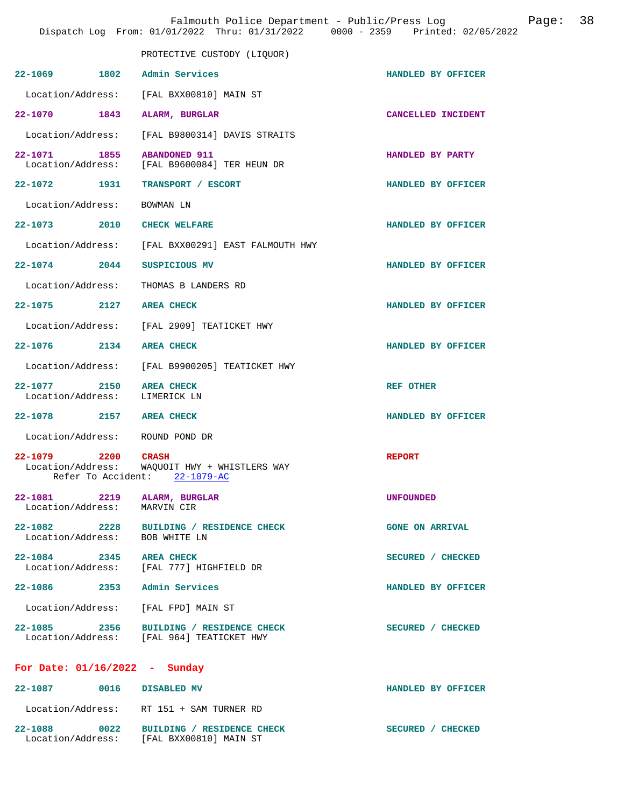|                                                                | Falmouth Police Department - Public/Press Log<br>Dispatch Log From: 01/01/2022 Thru: 01/31/2022 0000 - 2359 Printed: 02/05/2022 |                        | Page: | 38 |
|----------------------------------------------------------------|---------------------------------------------------------------------------------------------------------------------------------|------------------------|-------|----|
|                                                                | PROTECTIVE CUSTODY (LIQUOR)                                                                                                     |                        |       |    |
| 22-1069 1802 Admin Services                                    |                                                                                                                                 | HANDLED BY OFFICER     |       |    |
|                                                                | Location/Address: [FAL BXX00810] MAIN ST                                                                                        |                        |       |    |
| 22-1070 1843 ALARM, BURGLAR                                    |                                                                                                                                 | CANCELLED INCIDENT     |       |    |
|                                                                | Location/Address: [FAL B9800314] DAVIS STRAITS                                                                                  |                        |       |    |
| 22-1071 1855 ABANDONED 911                                     | Location/Address: [FAL B9600084] TER HEUN DR                                                                                    | HANDLED BY PARTY       |       |    |
|                                                                | 22-1072 1931 TRANSPORT / ESCORT                                                                                                 | HANDLED BY OFFICER     |       |    |
| Location/Address:                                              | BOWMAN LN                                                                                                                       |                        |       |    |
| 22-1073 2010 CHECK WELFARE                                     |                                                                                                                                 | HANDLED BY OFFICER     |       |    |
|                                                                | Location/Address: [FAL BXX00291] EAST FALMOUTH HWY                                                                              |                        |       |    |
| 22-1074 2044 SUSPICIOUS MV                                     |                                                                                                                                 | HANDLED BY OFFICER     |       |    |
|                                                                | Location/Address: THOMAS B LANDERS RD                                                                                           |                        |       |    |
| 22-1075 2127 AREA CHECK                                        |                                                                                                                                 | HANDLED BY OFFICER     |       |    |
|                                                                | Location/Address: [FAL 2909] TEATICKET HWY                                                                                      |                        |       |    |
| 22-1076 2134 AREA CHECK                                        |                                                                                                                                 | HANDLED BY OFFICER     |       |    |
|                                                                | Location/Address: [FAL B9900205] TEATICKET HWY                                                                                  |                        |       |    |
| 22-1077 2150<br>Location/Address:                              | <b>AREA CHECK</b><br>LIMERICK LN                                                                                                | <b>REF OTHER</b>       |       |    |
| 22-1078 2157 AREA CHECK                                        |                                                                                                                                 | HANDLED BY OFFICER     |       |    |
| Location/Address:                                              | ROUND POND DR                                                                                                                   |                        |       |    |
| 22-1079 2200 CRASH<br>Location/Address:                        | WAQUOIT HWY + WHISTLERS WAY<br>Refer To Accident: 22-1079-AC                                                                    | <b>REPORT</b>          |       |    |
| 22-1081 2219 ALARM, BURGLAR                                    |                                                                                                                                 | <b>UNFOUNDED</b>       |       |    |
| Location/Address: MARVIN CIR<br>Location/Address: BOB WHITE LN | 22-1082 2228 BUILDING / RESIDENCE CHECK                                                                                         | <b>GONE ON ARRIVAL</b> |       |    |
| 22-1084 2345 AREA CHECK                                        | Location/Address: [FAL 777] HIGHFIELD DR                                                                                        | SECURED / CHECKED      |       |    |
| 22-1086 2353 Admin Services                                    |                                                                                                                                 | HANDLED BY OFFICER     |       |    |
|                                                                | Location/Address: [FAL FPD] MAIN ST                                                                                             |                        |       |    |
|                                                                | 22-1085 2356 BUILDING / RESIDENCE CHECK<br>Location/Address: [FAL 964] TEATICKET HWY                                            | SECURED / CHECKED      |       |    |
| For Date: $01/16/2022 - Sunday$                                |                                                                                                                                 |                        |       |    |
| 22-1087 0016 DISABLED MV                                       |                                                                                                                                 | HANDLED BY OFFICER     |       |    |
|                                                                | Location/Address: RT 151 + SAM TURNER RD                                                                                        |                        |       |    |

**22-1088 0022 BUILDING / RESIDENCE CHECK SECURED / CHECKED**  Location/Address: [FAL BXX00810] MAIN ST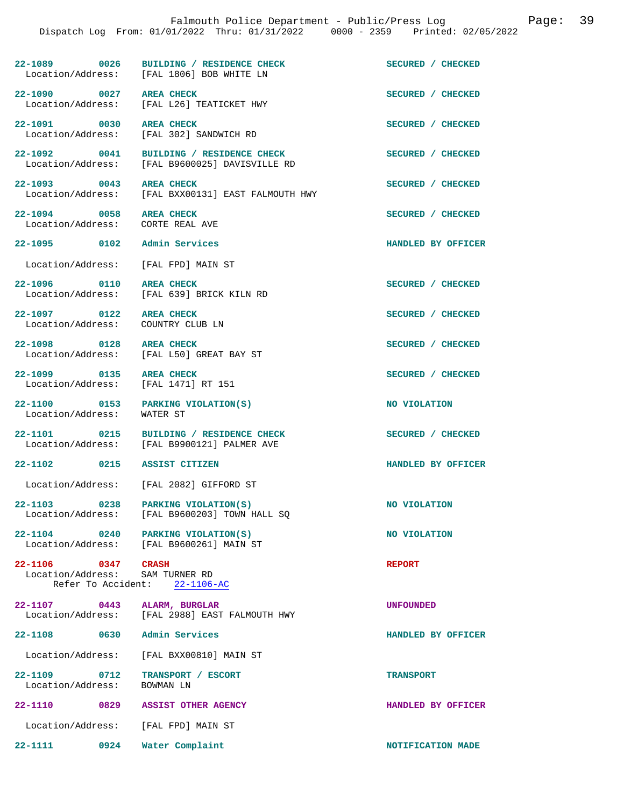**22-1089** 0026 BUILDING / RESIDENCE CHECK SECURED / CHECKED Location/Address: [FAL 1806] BOB WHITE LN Location/Address:

**22-1090** 0027 AREA CHECK **CHECK SECURED** / CHECKED Location / Address: [FAL L26] TEATICKET HWY

22-1091 0030 AREA CHECK **Department of the CHECKED** SECURED / CHECKED Location/Address: [FAL 302] SANDWICH RD

**22-1092 0041 BUILDING / RESIDENCE CHECK SECURED / CHECKED**  Location/Address: [FAL B9600025] DAVISVILLE RD

**22-1093 0043 AREA CHECK SECURED / CHECKED** 

Location/Address: [FAL BXX00131] EAST FALMOUTH HWY

**22-1094** 0058 AREA CHECK **DESCURED** / CHECKED Location/Address: CORTE REAL AVE Location/Address:

[FAL 639] BRICK KILN RD

[FAL L26] TEATICKET HWY

[FAL 302] SANDWICH RD

Location/Address: [FAL FPD] MAIN ST

**22-1096** 0110 AREA CHECK **DECALL ASSECURED** / CHECKED Location/Address: [FAL 639] BRICK KILN RD

**22-1097** 0122 AREA CHECK **DEALL AND SECURED** / CHECKED Location/Address: COUNTRY CLUB LN Location/Address:

**22-1098 0128 AREA CHECK SECURED / CHECKED** 

Location/Address: [FAL L50] GREAT BAY ST

Location/Address: [FAL 1471] RT 151

**22-1100** 0153 PARKING VIOLATION(S) NO VIOLATION Location/Address: WATER ST Location/Address:

**22-1101** 0215 BUILDING / RESIDENCE CHECK SECURED / CHECKED Location/Address: [FAL B9900121] PALMER AVE [FAL B9900121] PALMER AVE

**22-1102 0215 ASSIST CITIZEN HANDLED BY OFFICER** 

Location/Address: [FAL 2082] GIFFORD ST

**22-1103** 0238 PARKING VIOLATION(S) NO VIOLATION Location/Address: [FAL B9600203] TOWN HALL SO [FAL B9600203] TOWN HALL SQ

**22-1104** 0240 PARKING VIOLATION(S) NO VIOLATION<br>
Location/Address: [FAL B9600261] MAIN ST [FAL B9600261] MAIN ST

**22-1106 0347 CRASH REPORT**  Location/Address: SAM TURNER RD Refer To Accident: 22-1106-AC

**22-1107 0443 ALARM, BURGLAR UNFOUNDED**  Location/Address: [FAL 2988] EAST FALMOUTH HWY

**22-1108 0630 Admin Services HANDLED BY OFFICER** 

Location/Address: [FAL BXX00810] MAIN ST

**22-1109 0712 TRANSPORT / ESCORT TRANSPORT**  Location/Address: BOWMAN LN

**22-1110 0829 ASSIST OTHER AGENCY HANDLED BY OFFICER**  Location/Address: [FAL FPD] MAIN ST

**22-1111 0924 Water Complaint NOTIFICATION MADE** 

**22-1095 0102 Admin Services HANDLED BY OFFICER** 

**22-1099 0135 AREA CHECK SECURED / CHECKED**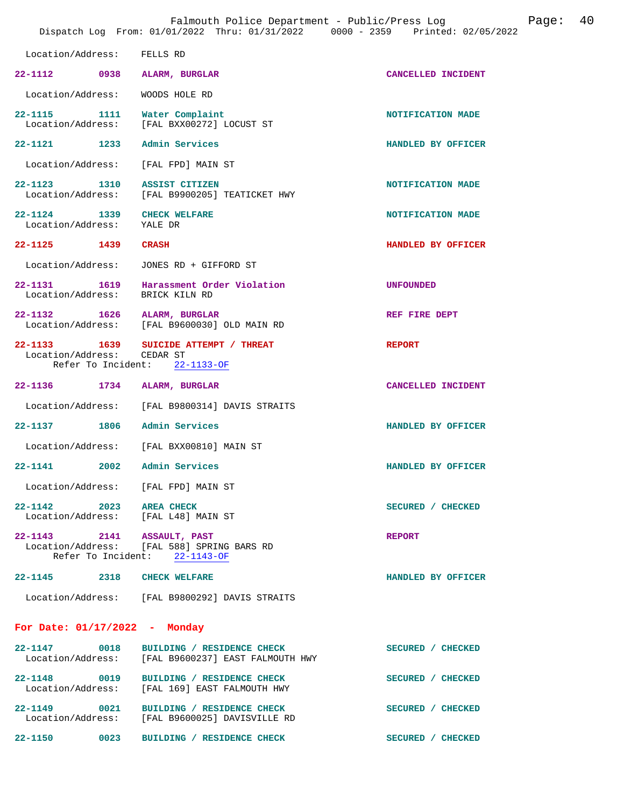| Falmouth Police Department - Public/Press Log<br>Dispatch Log From: 01/01/2022 Thru: 01/31/2022 0000 - 2359 Printed: 02/05/2022 |      |                                                                                           |                    | Page: | 40 |
|---------------------------------------------------------------------------------------------------------------------------------|------|-------------------------------------------------------------------------------------------|--------------------|-------|----|
| Location/Address:                                                                                                               |      | FELLS RD                                                                                  |                    |       |    |
| 22-1112 0938 ALARM, BURGLAR                                                                                                     |      |                                                                                           | CANCELLED INCIDENT |       |    |
| Location/Address:                                                                                                               |      | WOODS HOLE RD                                                                             |                    |       |    |
|                                                                                                                                 |      | 22-1115 1111 Water Complaint<br>Location/Address: [FAL BXX00272] LOCUST ST                | NOTIFICATION MADE  |       |    |
| 22-1121 1233 Admin Services                                                                                                     |      |                                                                                           | HANDLED BY OFFICER |       |    |
|                                                                                                                                 |      | Location/Address: [FAL FPD] MAIN ST                                                       |                    |       |    |
| 22-1123 1310 ASSIST CITIZEN                                                                                                     |      | Location/Address: [FAL B9900205] TEATICKET HWY                                            | NOTIFICATION MADE  |       |    |
| 22-1124 1339<br>Location/Address:                                                                                               |      | <b>CHECK WELFARE</b><br>YALE DR                                                           | NOTIFICATION MADE  |       |    |
| 22-1125 1439 CRASH                                                                                                              |      |                                                                                           | HANDLED BY OFFICER |       |    |
| Location/Address:                                                                                                               |      | JONES RD + GIFFORD ST                                                                     |                    |       |    |
| Location/Address:                                                                                                               |      | 22-1131 1619 Harassment Order Violation<br>BRICK KILN RD                                  | <b>UNFOUNDED</b>   |       |    |
| 22-1132 1626 ALARM, BURGLAR                                                                                                     |      | Location/Address: [FAL B9600030] OLD MAIN RD                                              | REF FIRE DEPT      |       |    |
| Location/Address: CEDAR ST                                                                                                      |      | 22-1133 1639 SUICIDE ATTEMPT / THREAT<br>Refer To Incident: 22-1133-OF                    | <b>REPORT</b>      |       |    |
| 22-1136 1734 ALARM, BURGLAR                                                                                                     |      |                                                                                           | CANCELLED INCIDENT |       |    |
| Location/Address:                                                                                                               |      | [FAL B9800314] DAVIS STRAITS                                                              |                    |       |    |
| 22-1137 1806 Admin Services                                                                                                     |      |                                                                                           | HANDLED BY OFFICER |       |    |
|                                                                                                                                 |      | Location/Address: [FAL BXX00810] MAIN ST                                                  |                    |       |    |
| 22-1141                                                                                                                         | 2002 | Admin Services                                                                            | HANDLED BY OFFICER |       |    |
|                                                                                                                                 |      | Location/Address: [FAL FPD] MAIN ST                                                       |                    |       |    |
| 22-1142 2023 AREA CHECK                                                                                                         |      | Location/Address: [FAL L48] MAIN ST                                                       | SECURED / CHECKED  |       |    |
| 22-1143 2141 ASSAULT, PAST                                                                                                      |      | Location/Address: [FAL 588] SPRING BARS RD<br>Refer To Incident: 22-1143-OF               | <b>REPORT</b>      |       |    |
| 22-1145 2318 CHECK WELFARE                                                                                                      |      |                                                                                           | HANDLED BY OFFICER |       |    |
|                                                                                                                                 |      | Location/Address: [FAL B9800292] DAVIS STRAITS                                            |                    |       |    |
| For Date: $01/17/2022 -$ Monday                                                                                                 |      |                                                                                           |                    |       |    |
| 22-1147 0018                                                                                                                    |      | BUILDING / RESIDENCE CHECK<br>Location/Address: [FAL B9600237] EAST FALMOUTH HWY          | SECURED / CHECKED  |       |    |
|                                                                                                                                 |      | 22-1148 0019 BUILDING / RESIDENCE CHECK<br>Location/Address: [FAL 169] EAST FALMOUTH HWY  | SECURED / CHECKED  |       |    |
|                                                                                                                                 |      | 22-1149 0021 BUILDING / RESIDENCE CHECK<br>Location/Address: [FAL B9600025] DAVISVILLE RD | SECURED / CHECKED  |       |    |
|                                                                                                                                 |      | 22-1150 0023 BUILDING / RESIDENCE CHECK                                                   | SECURED / CHECKED  |       |    |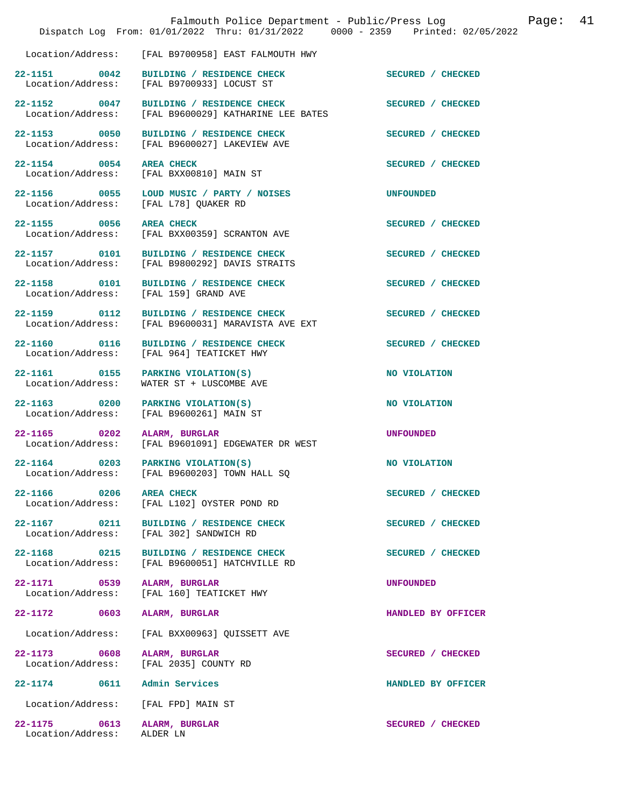|                                                   | Falmouth Police Department - Public/Press Log<br>Dispatch Log From: 01/01/2022 Thru: 01/31/2022 0000 - 2359 Printed: 02/05/2022 |                    | Page: | 41 |
|---------------------------------------------------|---------------------------------------------------------------------------------------------------------------------------------|--------------------|-------|----|
|                                                   | Location/Address: [FAL B9700958] EAST FALMOUTH HWY                                                                              |                    |       |    |
| 22-1151 0042                                      | BUILDING / RESIDENCE CHECK<br>Location/Address: [FAL B9700933] LOCUST ST                                                        | SECURED / CHECKED  |       |    |
| 22-1152 0047<br>Location/Address:                 | BUILDING / RESIDENCE CHECK<br>[FAL B9600029] KATHARINE LEE BATES                                                                | SECURED / CHECKED  |       |    |
| 22-1153 0050<br>Location/Address:                 | BUILDING / RESIDENCE CHECK<br>[FAL B9600027] LAKEVIEW AVE                                                                       | SECURED / CHECKED  |       |    |
| 22-1154 0054 AREA CHECK<br>Location/Address:      | [FAL BXX00810] MAIN ST                                                                                                          | SECURED / CHECKED  |       |    |
| Location/Address:                                 | 22-1156 0055 LOUD MUSIC / PARTY / NOISES<br>[FAL L78] QUAKER RD                                                                 | <b>UNFOUNDED</b>   |       |    |
| 22-1155 0056                                      | <b>AREA CHECK</b><br>Location/Address: [FAL BXX00359] SCRANTON AVE                                                              | SECURED / CHECKED  |       |    |
| 22-1157 0101<br>Location/Address:                 | BUILDING / RESIDENCE CHECK<br>[FAL B9800292] DAVIS STRAITS                                                                      | SECURED / CHECKED  |       |    |
| 22-1158 0101                                      | BUILDING / RESIDENCE CHECK<br>Location/Address: [FAL 159] GRAND AVE                                                             | SECURED / CHECKED  |       |    |
| 22-1159 0112<br>Location/Address:                 | BUILDING / RESIDENCE CHECK<br>[FAL B9600031] MARAVISTA AVE EXT                                                                  | SECURED / CHECKED  |       |    |
| 22-1160 0116                                      | BUILDING / RESIDENCE CHECK<br>Location/Address: [FAL 964] TEATICKET HWY                                                         | SECURED / CHECKED  |       |    |
| 22-1161 0155<br>Location/Address:                 | PARKING VIOLATION(S)<br>WATER ST + LUSCOMBE AVE                                                                                 | NO VIOLATION       |       |    |
| 22-1163 0200<br>Location/Address:                 | PARKING VIOLATION(S)<br>[FAL B9600261] MAIN ST                                                                                  | NO VIOLATION       |       |    |
| 22-1165 0202<br>Location/Address:                 | ALARM, BURGLAR<br>[FAL B9601091] EDGEWATER DR WEST                                                                              | <b>UNFOUNDED</b>   |       |    |
| $\overline{0203}$<br>22-1164<br>Location/Address: | PARKING VIOLATION(S)<br>[FAL B9600203] TOWN HALL SQ                                                                             | NO VIOLATION       |       |    |
| 22-1166 0206<br>Location/Address:                 | <b>AREA CHECK</b><br>[FAL L102] OYSTER POND RD                                                                                  | SECURED / CHECKED  |       |    |
| 22-1167 0211<br>Location/Address:                 | BUILDING / RESIDENCE CHECK<br>[FAL 302] SANDWICH RD                                                                             | SECURED / CHECKED  |       |    |
| 22-1168 0215<br>Location/Address:                 | BUILDING / RESIDENCE CHECK<br>[FAL B9600051] HATCHVILLE RD                                                                      | SECURED / CHECKED  |       |    |
| 22-1171 0539<br>Location/Address:                 | ALARM, BURGLAR<br>[FAL 160] TEATICKET HWY                                                                                       | <b>UNFOUNDED</b>   |       |    |
| 22-1172 0603                                      | ALARM, BURGLAR                                                                                                                  | HANDLED BY OFFICER |       |    |
| Location/Address:                                 | [FAL BXX00963] QUISSETT AVE                                                                                                     |                    |       |    |
| 22-1173 0608<br>Location/Address:                 | ALARM, BURGLAR<br>[FAL 2035] COUNTY RD                                                                                          | SECURED / CHECKED  |       |    |
| 22-1174 0611                                      | Admin Services                                                                                                                  | HANDLED BY OFFICER |       |    |
| Location/Address:                                 | [FAL FPD] MAIN ST                                                                                                               |                    |       |    |
| 22-1175 0613<br>Location/Address:                 | ALARM, BURGLAR<br>ALDER LN                                                                                                      | SECURED / CHECKED  |       |    |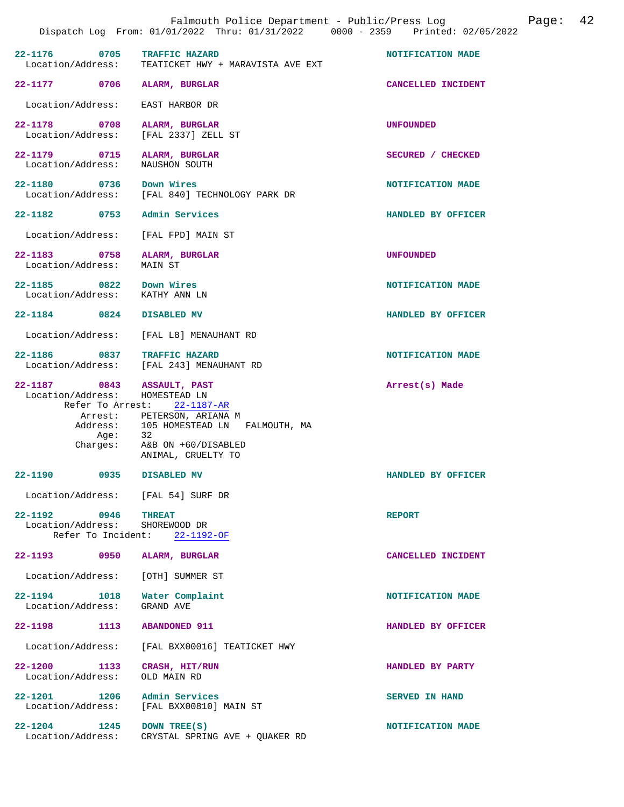|                                                                                  | Falmouth Police Department - Public/Press Log<br>Dispatch Log From: 01/01/2022 Thru: 01/31/2022 0000 - 2359 Printed: 02/05/2022                         | 42<br>Page:           |
|----------------------------------------------------------------------------------|---------------------------------------------------------------------------------------------------------------------------------------------------------|-----------------------|
| 22-1176 0705<br>Location/Address:                                                | TRAFFIC HAZARD<br>TEATICKET HWY + MARAVISTA AVE EXT                                                                                                     | NOTIFICATION MADE     |
| 22–1177 0706                                                                     | ALARM, BURGLAR                                                                                                                                          | CANCELLED INCIDENT    |
| Location/Address:                                                                | EAST HARBOR DR                                                                                                                                          |                       |
| 22-1178 0708<br>Location/Address:                                                | ALARM, BURGLAR<br>[FAL 2337] ZELL ST                                                                                                                    | <b>UNFOUNDED</b>      |
| 22-1179 0715<br>Location/Address:                                                | ALARM, BURGLAR<br>NAUSHON SOUTH                                                                                                                         | SECURED / CHECKED     |
| 22-1180 0736 Down Wires                                                          | Location/Address: [FAL 840] TECHNOLOGY PARK DR                                                                                                          | NOTIFICATION MADE     |
| 22-1182 0753 Admin Services                                                      |                                                                                                                                                         | HANDLED BY OFFICER    |
| Location/Address:                                                                | [FAL FPD] MAIN ST                                                                                                                                       |                       |
| 22-1183 0758<br>Location/Address:                                                | ALARM, BURGLAR<br>MAIN ST                                                                                                                               | <b>UNFOUNDED</b>      |
| 22-1185 0822 Down Wires<br>Location/Address: KATHY ANN LN                        |                                                                                                                                                         | NOTIFICATION MADE     |
| 22-1184 0824                                                                     | <b>DISABLED MV</b>                                                                                                                                      | HANDLED BY OFFICER    |
| Location/Address:                                                                | [FAL L8] MENAUHANT RD                                                                                                                                   |                       |
| 22-1186 0837 TRAFFIC HAZARD                                                      | Location/Address: [FAL 243] MENAUHANT RD                                                                                                                | NOTIFICATION MADE     |
| 22-1187 0843 ASSAULT, PAST<br>Location/Address: HOMESTEAD LN<br>Age:<br>Charges: | Refer To Arrest: 22-1187-AR<br>Arrest: PETERSON, ARIANA M<br>Address: 105 HOMESTEAD LN FALMOUTH, MA<br>-32<br>A&B ON +60/DISABLED<br>ANIMAL, CRUELTY TO | Arrest(s) Made        |
| 22-1190<br>0935                                                                  | DISABLED MV                                                                                                                                             | HANDLED BY OFFICER    |
| Location/Address: [FAL 54] SURF DR                                               |                                                                                                                                                         |                       |
| 22-1192 0946<br>Location/Address: SHOREWOOD DR                                   | <b>THREAT</b><br>Refer To Incident: 22-1192-OF                                                                                                          | <b>REPORT</b>         |
| 22-1193 0950 ALARM, BURGLAR                                                      |                                                                                                                                                         | CANCELLED INCIDENT    |
| Location/Address:                                                                | [OTH] SUMMER ST                                                                                                                                         |                       |
| 22-1194 1018<br>Location/Address:                                                | Water Complaint<br>GRAND AVE                                                                                                                            | NOTIFICATION MADE     |
| 22-1198 1113                                                                     | <b>ABANDONED 911</b>                                                                                                                                    | HANDLED BY OFFICER    |
| Location/Address:                                                                | [FAL BXX00016] TEATICKET HWY                                                                                                                            |                       |
| 22-1200 1133<br>Location/Address:                                                | CRASH, HIT/RUN<br>OLD MAIN RD                                                                                                                           | HANDLED BY PARTY      |
| 22-1201 1206 Admin Services<br>Location/Address:                                 | [FAL BXX00810] MAIN ST                                                                                                                                  | <b>SERVED IN HAND</b> |
| 22-1204 1245                                                                     | DOWN TREE(S)<br>Location/Address: CRYSTAL SPRING AVE + QUAKER RD                                                                                        | NOTIFICATION MADE     |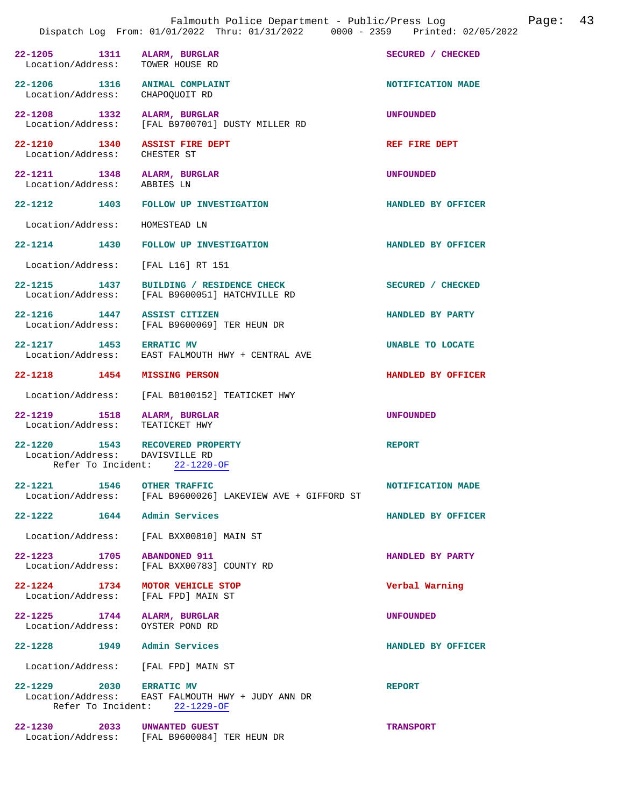|                                       |                                                                                                     | Falmouth Police Department - Public/Press Log<br>Dispatch Log From: 01/01/2022 Thru: 01/31/2022 0000 - 2359 Printed: 02/05/2022 |                    | Page: 43 |  |
|---------------------------------------|-----------------------------------------------------------------------------------------------------|---------------------------------------------------------------------------------------------------------------------------------|--------------------|----------|--|
| Location/Address:                     | 22-1205 1311 ALARM, BURGLAR<br>TOWER HOUSE RD                                                       |                                                                                                                                 | SECURED / CHECKED  |          |  |
| Location/Address: CHAPOQUOIT RD       | 22-1206 1316 ANIMAL COMPLAINT                                                                       |                                                                                                                                 | NOTIFICATION MADE  |          |  |
|                                       | 22-1208 1332 ALARM, BURGLAR<br>Location/Address: [FAL B9700701] DUSTY MILLER RD                     |                                                                                                                                 | <b>UNFOUNDED</b>   |          |  |
| Location/Address: CHESTER ST          | 22-1210 1340 ASSIST FIRE DEPT                                                                       |                                                                                                                                 | REF FIRE DEPT      |          |  |
| Location/Address: ABBIES LN           | 22-1211 1348 ALARM, BURGLAR                                                                         |                                                                                                                                 | <b>UNFOUNDED</b>   |          |  |
|                                       | 22-1212 1403 FOLLOW UP INVESTIGATION                                                                |                                                                                                                                 | HANDLED BY OFFICER |          |  |
| Location/Address: HOMESTEAD LN        |                                                                                                     |                                                                                                                                 |                    |          |  |
|                                       | 22-1214 1430 FOLLOW UP INVESTIGATION                                                                |                                                                                                                                 | HANDLED BY OFFICER |          |  |
| Location/Address:                     | [FAL L16] RT 151                                                                                    |                                                                                                                                 |                    |          |  |
|                                       | 22-1215 1437 BUILDING / RESIDENCE CHECK<br>Location/Address: [FAL B9600051] HATCHVILLE RD           |                                                                                                                                 | SECURED / CHECKED  |          |  |
|                                       | 22-1216 1447 ASSIST CITIZEN<br>Location/Address: [FAL B9600069] TER HEUN DR                         |                                                                                                                                 | HANDLED BY PARTY   |          |  |
| 22-1217 1453 ERRATIC MV               | Location/Address: EAST FALMOUTH HWY + CENTRAL AVE                                                   |                                                                                                                                 | UNABLE TO LOCATE   |          |  |
|                                       | 22-1218 1454 MISSING PERSON                                                                         |                                                                                                                                 | HANDLED BY OFFICER |          |  |
| Location/Address:                     | [FAL B0100152] TEATICKET HWY                                                                        |                                                                                                                                 |                    |          |  |
| Location/Address: TEATICKET HWY       | 22-1219 1518 ALARM, BURGLAR                                                                         |                                                                                                                                 | <b>UNFOUNDED</b>   |          |  |
|                                       | 22-1220 1543 RECOVERED PROPERTY<br>Location/Address: DAVISVILLE RD<br>Refer To Incident: 22-1220-OF |                                                                                                                                 | <b>REPORT</b>      |          |  |
|                                       | 22-1221 1546 OTHER TRAFFIC                                                                          | Location/Address: [FAL B9600026] LAKEVIEW AVE + GIFFORD ST                                                                      | NOTIFICATION MADE  |          |  |
| $22 - 1222$ 1644                      | Admin Services                                                                                      |                                                                                                                                 | HANDLED BY OFFICER |          |  |
| Location/Address:                     | [FAL BXX00810] MAIN ST                                                                              |                                                                                                                                 |                    |          |  |
| 22-1223 1705<br>Location/Address:     | <b>ABANDONED 911</b><br>[FAL BXX00783] COUNTY RD                                                    |                                                                                                                                 | HANDLED BY PARTY   |          |  |
| $22 - 1224$ 1734<br>Location/Address: | MOTOR VEHICLE STOP<br>[FAL FPD] MAIN ST                                                             |                                                                                                                                 | Verbal Warning     |          |  |
| Location/Address:                     | 22-1225 1744 ALARM, BURGLAR<br>OYSTER POND RD                                                       |                                                                                                                                 | <b>UNFOUNDED</b>   |          |  |
|                                       | 22-1228 1949 Admin Services                                                                         |                                                                                                                                 | HANDLED BY OFFICER |          |  |
|                                       | Location/Address: [FAL FPD] MAIN ST                                                                 |                                                                                                                                 |                    |          |  |
| 22-1229 2030 ERRATIC MV               | Location/Address: EAST FALMOUTH HWY + JUDY ANN DR<br>Refer To Incident: 22-1229-OF                  |                                                                                                                                 | <b>REPORT</b>      |          |  |
|                                       | 22-1230 2033 UNWANTED GUEST<br>Location/Address: [FAL B9600084] TER HEUN DR                         |                                                                                                                                 | <b>TRANSPORT</b>   |          |  |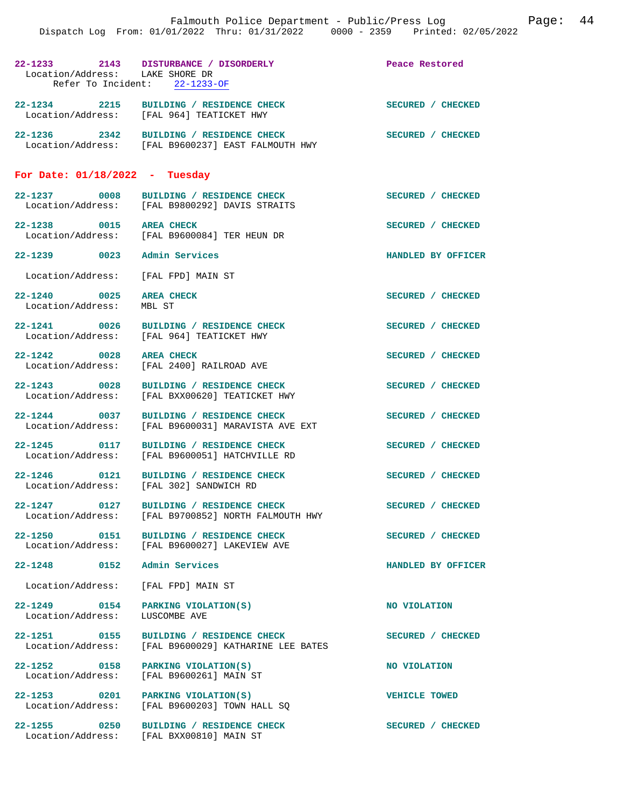| Location/Address: LAKE SHORE DR                        | 22-1233 2143 DISTURBANCE / DISORDERLY                                              | Peace Restored       |
|--------------------------------------------------------|------------------------------------------------------------------------------------|----------------------|
|                                                        | Refer To Incident: 22-1233-OF                                                      |                      |
|                                                        | 22-1234 2215 BUILDING / RESIDENCE CHECK                                            | SECURED / CHECKED    |
|                                                        | Location/Address: [FAL 964] TEATICKET HWY                                          |                      |
|                                                        | 22-1236 2342 BUILDING / RESIDENCE CHECK                                            | SECURED / CHECKED    |
|                                                        | Location/Address: [FAL B9600237] EAST FALMOUTH HWY                                 |                      |
|                                                        |                                                                                    |                      |
| For Date: $01/18/2022 - Tuesday$                       |                                                                                    |                      |
|                                                        | 22-1237 0008 BUILDING / RESIDENCE CHECK                                            | SECURED / CHECKED    |
|                                                        | Location/Address: [FAL B9800292] DAVIS STRAITS                                     |                      |
| 22-1238 0015 AREA CHECK                                |                                                                                    | SECURED / CHECKED    |
|                                                        | Location/Address: [FAL B9600084] TER HEUN DR                                       |                      |
| 22–1239 0023                                           | Admin Services                                                                     | HANDLED BY OFFICER   |
| Location/Address:                                      | [FAL FPD] MAIN ST                                                                  |                      |
|                                                        |                                                                                    |                      |
| 22-1240 0025<br>Location/Address:                      | <b>AREA CHECK</b><br>MBL ST                                                        | SECURED / CHECKED    |
|                                                        |                                                                                    |                      |
| $22 - 1241$ 0026                                       | BUILDING / RESIDENCE CHECK<br>Location/Address: [FAL 964] TEATICKET HWY            | SECURED / CHECKED    |
|                                                        |                                                                                    |                      |
| 22-1242 0028<br>Location/Address:                      | <b>AREA CHECK</b><br>[FAL 2400] RAILROAD AVE                                       | SECURED / CHECKED    |
|                                                        |                                                                                    |                      |
| 22-1243 0028<br>Location/Address:                      | BUILDING / RESIDENCE CHECK<br>[FAL BXX00620] TEATICKET HWY                         | SECURED / CHECKED    |
|                                                        |                                                                                    |                      |
| 22-1244 0037<br>Location/Address:                      | BUILDING / RESIDENCE CHECK<br>[FAL B9600031] MARAVISTA AVE EXT                     | SECURED / CHECKED    |
|                                                        |                                                                                    |                      |
| 22-1245 0117                                           | BUILDING / RESIDENCE CHECK<br>Location/Address: [FAL B9600051] HATCHVILLE RD       | SECURED / CHECKED    |
|                                                        |                                                                                    |                      |
|                                                        | 22-1246 0121 BUILDING / RESIDENCE CHECK<br>Location/Address: [FAL 302] SANDWICH RD | SECURED / CHECKED    |
|                                                        |                                                                                    |                      |
| 22-1247 0127<br>Location/Address:                      | BUILDING / RESIDENCE CHECK<br>[FAL B9700852] NORTH FALMOUTH HWY                    | SECURED / CHECKED    |
| 22-1250 0151                                           | BUILDING / RESIDENCE CHECK                                                         | SECURED / CHECKED    |
|                                                        | Location/Address: [FAL B9600027] LAKEVIEW AVE                                      |                      |
| 22-1248 0152 Admin Services                            |                                                                                    | HANDLED BY OFFICER   |
| Location/Address: [FAL FPD] MAIN ST                    |                                                                                    |                      |
|                                                        |                                                                                    |                      |
| 22-1249 0154 PARKING VIOLATION(S)<br>Location/Address: | LUSCOMBE AVE                                                                       | NO VIOLATION         |
|                                                        |                                                                                    |                      |
| Location/Address:                                      | 22-1251 0155 BUILDING / RESIDENCE CHECK<br>[FAL B9600029] KATHARINE LEE BATES      | SECURED / CHECKED    |
| 22-1252 0158 PARKING VIOLATION(S)                      |                                                                                    | NO VIOLATION         |
| Location/Address:                                      | [FAL B9600261] MAIN ST                                                             |                      |
| 22-1253 0201 PARKING VIOLATION(S)                      |                                                                                    | <b>VEHICLE TOWED</b> |
|                                                        | Location/Address: [FAL B9600203] TOWN HALL SQ                                      |                      |
| 22-1255 0250                                           | BUILDING / RESIDENCE CHECK                                                         | SECURED / CHECKED    |
| Location/Address:                                      | [FAL BXX00810] MAIN ST                                                             |                      |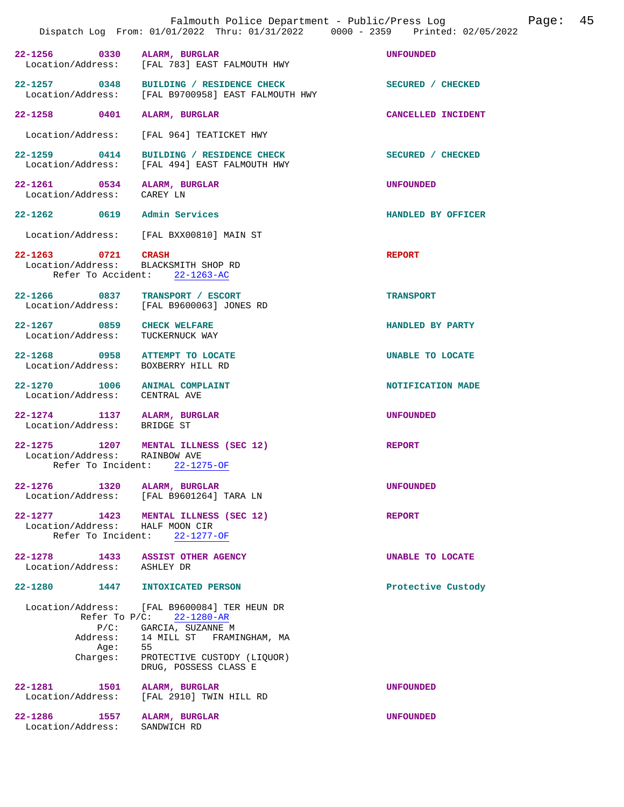|                                                                                             | Falmouth Police Department - Public/Press Log<br>Dispatch Log From: 01/01/2022 Thru: 01/31/2022 0000 - 2359 Printed: 02/05/2022                                                             |                    | Page: 45 |  |
|---------------------------------------------------------------------------------------------|---------------------------------------------------------------------------------------------------------------------------------------------------------------------------------------------|--------------------|----------|--|
| 22-1256 0330 ALARM, BURGLAR                                                                 | Location/Address: [FAL 783] EAST FALMOUTH HWY                                                                                                                                               | <b>UNFOUNDED</b>   |          |  |
|                                                                                             | 22-1257 0348 BUILDING / RESIDENCE CHECK<br>Location/Address: [FAL B9700958] EAST FALMOUTH HWY                                                                                               | SECURED / CHECKED  |          |  |
| 22-1258 0401 ALARM, BURGLAR                                                                 |                                                                                                                                                                                             | CANCELLED INCIDENT |          |  |
|                                                                                             | Location/Address: [FAL 964] TEATICKET HWY                                                                                                                                                   |                    |          |  |
|                                                                                             | 22-1259 0414 BUILDING / RESIDENCE CHECK<br>Location/Address: [FAL 494] EAST FALMOUTH HWY                                                                                                    | SECURED / CHECKED  |          |  |
| 22-1261 0534 ALARM, BURGLAR<br>Location/Address: CAREY LN                                   |                                                                                                                                                                                             | <b>UNFOUNDED</b>   |          |  |
| 22-1262 0619 Admin Services                                                                 |                                                                                                                                                                                             | HANDLED BY OFFICER |          |  |
|                                                                                             | Location/Address: [FAL BXX00810] MAIN ST                                                                                                                                                    |                    |          |  |
| 22-1263 0721 CRASH<br>Location/Address: BLACKSMITH SHOP RD<br>Refer To Accident: 22-1263-AC |                                                                                                                                                                                             | <b>REPORT</b>      |          |  |
|                                                                                             | 22-1266 0837 TRANSPORT / ESCORT<br>Location/Address: [FAL B9600063] JONES RD                                                                                                                | <b>TRANSPORT</b>   |          |  |
| 22-1267 0859 CHECK WELFARE<br>Location/Address: TUCKERNUCK WAY                              |                                                                                                                                                                                             | HANDLED BY PARTY   |          |  |
| 22-1268 0958 ATTEMPT TO LOCATE<br>Location/Address: BOXBERRY HILL RD                        |                                                                                                                                                                                             | UNABLE TO LOCATE   |          |  |
| 22-1270 1006 ANIMAL COMPLAINT<br>Location/Address: CENTRAL AVE                              |                                                                                                                                                                                             | NOTIFICATION MADE  |          |  |
| 22-1274 1137 ALARM, BURGLAR<br>Location/Address: BRIDGE ST                                  |                                                                                                                                                                                             | <b>UNFOUNDED</b>   |          |  |
| Location/Address: RAINBOW AVE<br>Refer To Incident: 22-1275-OF                              | 22-1275 1207 MENTAL ILLNESS (SEC 12)                                                                                                                                                        | <b>REPORT</b>      |          |  |
| 22-1276 1320 ALARM, BURGLAR                                                                 | Location/Address: [FAL B9601264] TARA LN                                                                                                                                                    | <b>UNFOUNDED</b>   |          |  |
| Location/Address: HALF MOON CIR                                                             | 22-1277 1423 MENTAL ILLNESS (SEC 12)<br>Refer To Incident: 22-1277-OF                                                                                                                       | <b>REPORT</b>      |          |  |
| 22-1278 1433 ASSIST OTHER AGENCY<br>Location/Address: ASHLEY DR                             |                                                                                                                                                                                             | UNABLE TO LOCATE   |          |  |
| 22-1280 1447 INTOXICATED PERSON                                                             |                                                                                                                                                                                             | Protective Custody |          |  |
| $P/C$ :<br>Address:<br>Aqe:<br>Charges:                                                     | Location/Address: [FAL B9600084] TER HEUN DR<br>Refer To $P/C$ : 22-1280-AR<br>GARCIA, SUZANNE M<br>14 MILL ST FRAMINGHAM, MA<br>55<br>PROTECTIVE CUSTODY (LIQUOR)<br>DRUG, POSSESS CLASS E |                    |          |  |
| 22-1281<br>1501<br>Location/Address:                                                        | ALARM, BURGLAR<br>[FAL 2910] TWIN HILL RD                                                                                                                                                   | <b>UNFOUNDED</b>   |          |  |
| 22-1286 1557 ALARM, BURGLAR<br>Location/Address:                                            | SANDWICH RD                                                                                                                                                                                 | <b>UNFOUNDED</b>   |          |  |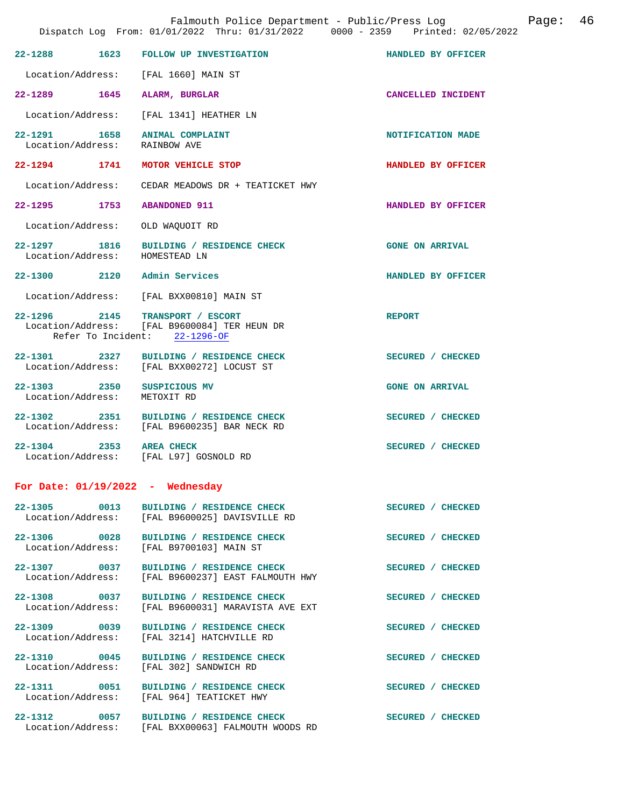|                                                                | Dispatch Log From: 01/01/2022 Thru: 01/31/2022 0000 - 2359 Printed: 02/05/2022                |                        |
|----------------------------------------------------------------|-----------------------------------------------------------------------------------------------|------------------------|
|                                                                | 22-1288 1623 FOLLOW UP INVESTIGATION                                                          | HANDLED BY OFFICER     |
| Location/Address: [FAL 1660] MAIN ST                           |                                                                                               |                        |
| 22-1289 1645                                                   | ALARM, BURGLAR                                                                                | CANCELLED INCIDENT     |
|                                                                | Location/Address: [FAL 1341] HEATHER LN                                                       |                        |
| 22-1291 1658 ANIMAL COMPLAINT<br>Location/Address: RAINBOW AVE |                                                                                               | NOTIFICATION MADE      |
| 22-1294 1741                                                   | MOTOR VEHICLE STOP                                                                            | HANDLED BY OFFICER     |
|                                                                | Location/Address: CEDAR MEADOWS DR + TEATICKET HWY                                            |                        |
| 22-1295 1753                                                   | <b>ABANDONED 911</b>                                                                          | HANDLED BY OFFICER     |
| Location/Address:                                              | OLD WAQUOIT RD                                                                                |                        |
| Location/Address: HOMESTEAD LN                                 | 22-1297 1816 BUILDING / RESIDENCE CHECK                                                       | <b>GONE ON ARRIVAL</b> |
| 22-1300 2120 Admin Services                                    |                                                                                               | HANDLED BY OFFICER     |
|                                                                | Location/Address: [FAL BXX00810] MAIN ST                                                      |                        |
| 22-1296 2145 TRANSPORT / ESCORT                                | Location/Address: [FAL B9600084] TER HEUN DR<br>Refer To Incident: $22-1296-OF$               | <b>REPORT</b>          |
|                                                                | 22-1301 2327 BUILDING / RESIDENCE CHECK<br>Location/Address: [FAL BXX00272] LOCUST ST         | SECURED / CHECKED      |
| 22-1303 2350 SUSPICIOUS MV<br>Location/Address:                | METOXIT RD                                                                                    | <b>GONE ON ARRIVAL</b> |
|                                                                | 22-1302 2351 BUILDING / RESIDENCE CHECK<br>Location/Address: [FAL B9600235] BAR NECK RD       | SECURED / CHECKED      |
| 22-1304 2353 AREA CHECK                                        | Location/Address: [FAL L97] GOSNOLD RD                                                        | SECURED / CHECKED      |
| For Date: $01/19/2022 -$ Wednesday                             |                                                                                               |                        |
|                                                                | 22-1305 0013 BUILDING / RESIDENCE CHECK<br>Location/Address: [FAL B9600025] DAVISVILLE RD     | SECURED / CHECKED      |
|                                                                | 22-1306 0028 BUILDING / RESIDENCE CHECK<br>Location/Address: [FAL B9700103] MAIN ST           | SECURED / CHECKED      |
|                                                                | 22-1307 0037 BUILDING / RESIDENCE CHECK<br>Location/Address: [FAL B9600237] EAST FALMOUTH HWY | SECURED / CHECKED      |
|                                                                | 22-1308 0037 BUILDING / RESIDENCE CHECK<br>Location/Address: [FAL B9600031] MARAVISTA AVE EXT | SECURED / CHECKED      |
|                                                                | 22-1309 0039 BUILDING / RESIDENCE CHECK<br>Location/Address: [FAL 3214] HATCHVILLE RD         | SECURED / CHECKED      |
|                                                                | 22-1310 0045 BUILDING / RESIDENCE CHECK<br>Location/Address: [FAL 302] SANDWICH RD            | SECURED / CHECKED      |
|                                                                | 22-1311 0051 BUILDING / RESIDENCE CHECK<br>Location/Address: [FAL 964] TEATICKET HWY          | SECURED / CHECKED      |
|                                                                | 22-1312 0057 BUILDING / RESIDENCE CHECK<br>Location/Address: [FAL BXX00063] FALMOUTH WOODS RD | SECURED / CHECKED      |

Falmouth Police Department - Public/Press Log Fage: 46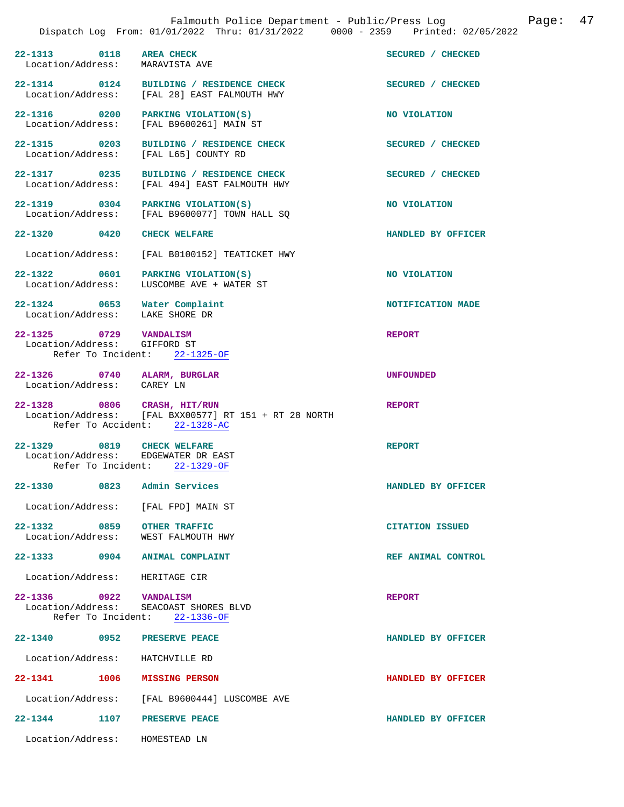|                                                                   | DISPACCH LOG From. 01/01/2022 INFU. 01/31/2022                                         | $0000 - 2359$ Princed, 02/05/ |
|-------------------------------------------------------------------|----------------------------------------------------------------------------------------|-------------------------------|
| 22-1313 0118<br>Location/Address:                                 | <b>AREA CHECK</b><br>MARAVISTA AVE                                                     | SECURED / CHECKED             |
| Location/Address:                                                 | 22-1314 0124 BUILDING / RESIDENCE CHECK<br>[FAL 28] EAST FALMOUTH HWY                  | SECURED / CHECKED             |
| Location/Address:                                                 | 22-1316 0200 PARKING VIOLATION(S)<br>[FAL B9600261] MAIN ST                            | NO VIOLATION                  |
| 22-1315 0203<br>Location/Address:                                 | BUILDING / RESIDENCE CHECK<br>[FAL L65] COUNTY RD                                      | SECURED / CHECKED             |
| 22-1317 0235<br>Location/Address:                                 | BUILDING / RESIDENCE CHECK<br>[FAL 494] EAST FALMOUTH HWY                              | SECURED / CHECKED             |
|                                                                   | 22-1319 0304 PARKING VIOLATION(S)<br>Location/Address: [FAL B9600077] TOWN HALL SO     | NO VIOLATION                  |
| 22-1320 0420                                                      | <b>CHECK WELFARE</b>                                                                   | HANDLED BY OFFICER            |
|                                                                   | Location/Address: [FAL B0100152] TEATICKET HWY                                         |                               |
| 22-1322 0601<br>Location/Address:                                 | PARKING VIOLATION(S)<br>LUSCOMBE AVE + WATER ST                                        | NO VIOLATION                  |
| 22-1324 0653 Water Complaint<br>Location/Address: LAKE SHORE DR   |                                                                                        | NOTIFICATION MADE             |
| 22-1325 0729 VANDALISM<br>Location/Address: GIFFORD ST            | Refer To Incident: 22-1325-OF                                                          | <b>REPORT</b>                 |
|                                                                   |                                                                                        |                               |
| 22-1326 0740 ALARM, BURGLAR<br>Location/Address: CAREY LN         |                                                                                        | <b>UNFOUNDED</b>              |
| 22-1328 0806 CRASH, HIT/RUN                                       | Location/Address: [FAL BXX00577] RT 151 + RT 28 NORTH<br>Refer To Accident: 22-1328-AC | <b>REPORT</b>                 |
| 22-1329 0819 CHECK WELFARE<br>Location/Address: EDGEWATER DR EAST | Refer To Incident: 22-1329-OF                                                          | <b>REPORT</b>                 |
| 22-1330<br>0823                                                   | Admin Services                                                                         | HANDLED BY OFFICER            |
| Location/Address: [FAL FPD] MAIN ST                               |                                                                                        |                               |
| 0859<br>22-1332<br>Location/Address: WEST FALMOUTH HWY            | <b>OTHER TRAFFIC</b>                                                                   | <b>CITATION ISSUED</b>        |
| 22-1333 0904 ANIMAL COMPLAINT                                     |                                                                                        | REF ANIMAL CONTROL            |
| Location/Address: HERITAGE CIR                                    |                                                                                        |                               |
| 22-1336 0922 VANDALISM                                            | Location/Address: SEACOAST SHORES BLVD<br>Refer To Incident: 22-1336-OF                | <b>REPORT</b>                 |
| 22-1340<br>0952                                                   | PRESERVE PEACE                                                                         | HANDLED BY OFFICER            |
| Location/Address:                                                 | HATCHVILLE RD                                                                          |                               |
| 22-1341 1006 MISSING PERSON                                       |                                                                                        | HANDLED BY OFFICER            |
|                                                                   | Location/Address: [FAL B9600444] LUSCOMBE AVE                                          |                               |

**22-1344 1107 PRESERVE PEACE HANDLED BY OFFICER** 

Location/Address: HOMESTEAD LN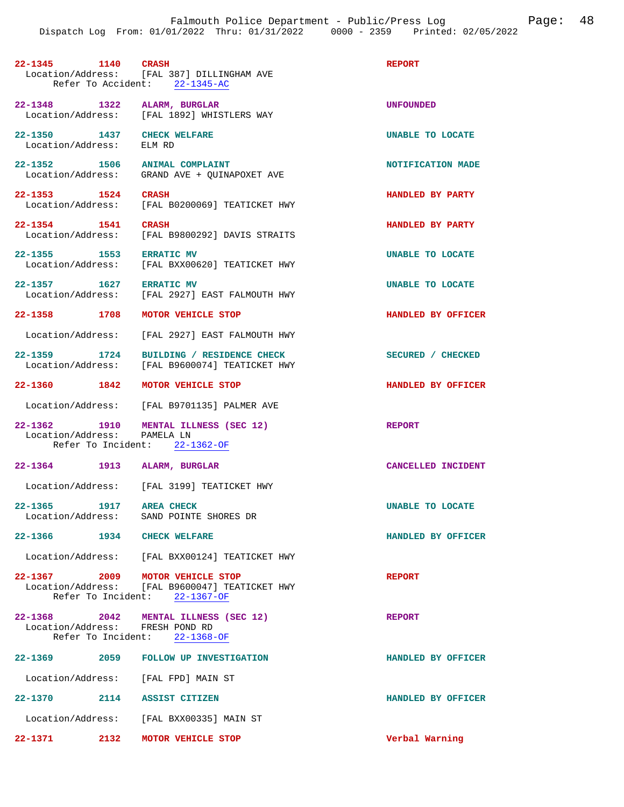| 22-1345 1140 CRASH                                     | Location/Address: [FAL 387] DILLINGHAM AVE<br>Refer To Accident: 22-1345-AC     | <b>REPORT</b>           |
|--------------------------------------------------------|---------------------------------------------------------------------------------|-------------------------|
| 22-1348 1322 ALARM, BURGLAR                            | Location/Address: [FAL 1892] WHISTLERS WAY                                      | <b>UNFOUNDED</b>        |
| 22-1350 1437 CHECK WELFARE<br>Location/Address: ELM RD |                                                                                 | <b>UNABLE TO LOCATE</b> |
| 22-1352 1506 ANIMAL COMPLAINT                          | Location/Address: GRAND AVE + QUINAPOXET AVE                                    | NOTIFICATION MADE       |
| 22-1353 1524                                           | CRASH<br>Location/Address: [FAL B0200069] TEATICKET HWY                         | HANDLED BY PARTY        |
|                                                        | 22-1354 1541 CRASH<br>Location/Address: [FAL B9800292] DAVIS STRAITS            | HANDLED BY PARTY        |
| 22-1355 1553 ERRATIC MV                                | Location/Address: [FAL BXX00620] TEATICKET HWY                                  | UNABLE TO LOCATE        |
| 22-1357 1627 ERRATIC MV                                | Location/Address: [FAL 2927] EAST FALMOUTH HWY                                  | UNABLE TO LOCATE        |
| 22-1358 1708                                           | MOTOR VEHICLE STOP                                                              | HANDLED BY OFFICER      |
| Location/Address:                                      | [FAL 2927] EAST FALMOUTH HWY                                                    |                         |
| 1724<br>$22 - 1359$                                    | BUILDING / RESIDENCE CHECK<br>Location/Address: [FAL B9600074] TEATICKET HWY    | SECURED / CHECKED       |
| 22-1360 1842 MOTOR VEHICLE STOP                        |                                                                                 | HANDLED BY OFFICER      |
|                                                        | Location/Address: [FAL B9701135] PALMER AVE                                     |                         |
| Location/Address: PAMELA LN                            | 22-1362 1910 MENTAL ILLNESS (SEC 12)<br>Refer To Incident: 22-1362-OF           | <b>REPORT</b>           |
| 22-1364 1913 ALARM, BURGLAR                            |                                                                                 | CANCELLED INCIDENT      |
|                                                        | Location/Address: [FAL 3199] TEATICKET HWY                                      |                         |
| 1917<br>$22 - 1365$<br>Location/Address:               | <b>AREA CHECK</b><br>SAND POINTE SHORES DR                                      | <b>UNABLE TO LOCATE</b> |
| 22-1366                                                | 1934 CHECK WELFARE                                                              | HANDLED BY OFFICER      |
|                                                        | Location/Address: [FAL BXX00124] TEATICKET HWY                                  |                         |
| 22-1367 2009 MOTOR VEHICLE STOP                        | Location/Address: [FAL B9600047] TEATICKET HWY<br>Refer To Incident: 22-1367-OF | <b>REPORT</b>           |
| Location/Address: FRESH POND RD                        | 22-1368 2042 MENTAL ILLNESS (SEC 12)<br>Refer To Incident: 22-1368-OF           | <b>REPORT</b>           |
| 22-1369                                                | 2059 FOLLOW UP INVESTIGATION                                                    | HANDLED BY OFFICER      |
| Location/Address: [FAL FPD] MAIN ST                    |                                                                                 |                         |
| 22-1370 2114 ASSIST CITIZEN                            |                                                                                 | HANDLED BY OFFICER      |
|                                                        | Location/Address: [FAL BXX00335] MAIN ST                                        |                         |
| 22–1371 2132                                           | MOTOR VEHICLE STOP                                                              | Verbal Warning          |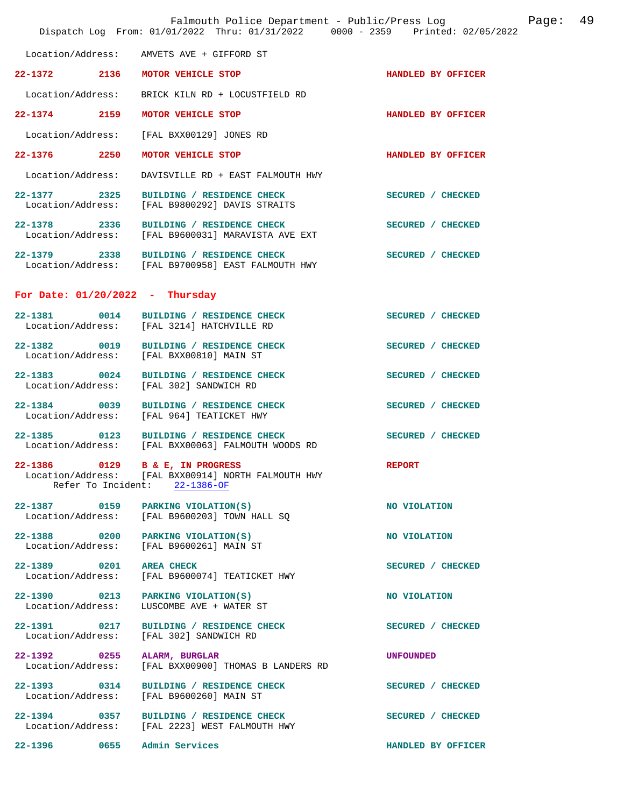|                                                       | Falmouth Police Department - Public/Press Log<br>Dispatch Log From: 01/01/2022 Thru: 01/31/2022 0000 - 2359 Printed: 02/05/2022 |                    | Page: | 49 |
|-------------------------------------------------------|---------------------------------------------------------------------------------------------------------------------------------|--------------------|-------|----|
|                                                       | Location/Address: AMVETS AVE + GIFFORD ST                                                                                       |                    |       |    |
| 22–1372 2136                                          | MOTOR VEHICLE STOP                                                                                                              | HANDLED BY OFFICER |       |    |
| Location/Address:                                     | BRICK KILN RD + LOCUSTFIELD RD                                                                                                  |                    |       |    |
| 22-1374 2159                                          | MOTOR VEHICLE STOP                                                                                                              | HANDLED BY OFFICER |       |    |
| Location/Address:                                     | [FAL BXX00129] JONES RD                                                                                                         |                    |       |    |
| 22-1376 2250                                          | MOTOR VEHICLE STOP                                                                                                              | HANDLED BY OFFICER |       |    |
| Location/Address:                                     | DAVISVILLE RD + EAST FALMOUTH HWY                                                                                               |                    |       |    |
| 22–1377 2325<br>Location/Address:                     | BUILDING / RESIDENCE CHECK<br>[FAL B9800292] DAVIS STRAITS                                                                      | SECURED / CHECKED  |       |    |
|                                                       | 22-1378 2336 BUILDING / RESIDENCE CHECK<br>Location/Address: [FAL B9600031] MARAVISTA AVE EXT                                   | SECURED / CHECKED  |       |    |
|                                                       | 22-1379 2338 BUILDING / RESIDENCE CHECK<br>Location/Address: [FAL B9700958] EAST FALMOUTH HWY                                   | SECURED / CHECKED  |       |    |
|                                                       | For Date: $01/20/2022 - Thursday$                                                                                               |                    |       |    |
| 22-1381                                               | 0014 BUILDING / RESIDENCE CHECK<br>Location/Address: [FAL 3214] HATCHVILLE RD                                                   | SECURED / CHECKED  |       |    |
| 22-1382 0019                                          | <b>BUILDING / RESIDENCE CHECK</b><br>Location/Address: [FAL BXX00810] MAIN ST                                                   | SECURED / CHECKED  |       |    |
| $\overline{0024}$<br>$22 - 1383$<br>Location/Address: | BUILDING / RESIDENCE CHECK<br>[FAL 302] SANDWICH RD                                                                             | SECURED / CHECKED  |       |    |
| 22-1384 0039                                          | BUILDING / RESIDENCE CHECK<br>Location/Address: [FAL 964] TEATICKET HWY                                                         | SECURED / CHECKED  |       |    |
| 22-1385 0123                                          | BUILDING / RESIDENCE CHECK<br>Location/Address: [FAL BXX00063] FALMOUTH WOODS RD                                                | SECURED / CHECKED  |       |    |
| $\overline{0129}$<br>22-1386                          | B & E, IN PROGRESS<br>Location/Address: [FAL BXX00914] NORTH FALMOUTH HWY<br>Refer To Incident: 22-1386-OF                      | <b>REPORT</b>      |       |    |
| 22-1387 0159<br>Location/Address:                     | PARKING VIOLATION(S)<br>[FAL B9600203] TOWN HALL SO                                                                             | NO VIOLATION       |       |    |
| 22-1388 0200<br>Location/Address:                     | PARKING VIOLATION(S)<br>[FAL B9600261] MAIN ST                                                                                  | NO VIOLATION       |       |    |
| 22-1389 0201<br>Location/Address:                     | <b>AREA CHECK</b><br>[FAL B9600074] TEATICKET HWY                                                                               | SECURED / CHECKED  |       |    |
| 22-1390 0213<br>Location/Address:                     | PARKING VIOLATION(S)<br>LUSCOMBE AVE + WATER ST                                                                                 | NO VIOLATION       |       |    |
| 22-1391 0217<br>Location/Address:                     | BUILDING / RESIDENCE CHECK<br>[FAL 302] SANDWICH RD                                                                             | SECURED / CHECKED  |       |    |
| 22–1392 0255<br>Location/Address:                     | ALARM, BURGLAR<br>[FAL BXX00900] THOMAS B LANDERS RD                                                                            | <b>UNFOUNDED</b>   |       |    |
| 22-1393 0314<br>Location/Address:                     | BUILDING / RESIDENCE CHECK<br>[FAL B9600260] MAIN ST                                                                            | SECURED / CHECKED  |       |    |
| 22–1394 0357                                          | BUILDING / RESIDENCE CHECK<br>Location/Address: [FAL 2223] WEST FALMOUTH HWY                                                    | SECURED / CHECKED  |       |    |
| $22 - 1396$<br>0655                                   | Admin Services                                                                                                                  | HANDLED BY OFFICER |       |    |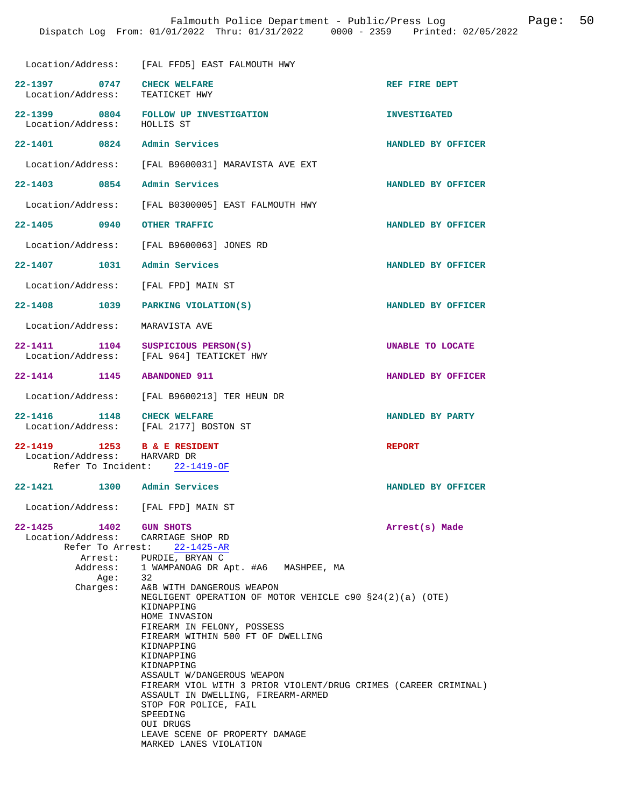|                                                              | Location/Address: [FAL FFD5] EAST FALMOUTH HWY                                                                                                                                         |                     |
|--------------------------------------------------------------|----------------------------------------------------------------------------------------------------------------------------------------------------------------------------------------|---------------------|
| 22-1397 0747<br>Location/Address:                            | <b>CHECK WELFARE</b><br>TEATICKET HWY                                                                                                                                                  | REF FIRE DEPT       |
| Location/Address: HOLLIS ST                                  | 22-1399 0804 FOLLOW UP INVESTIGATION                                                                                                                                                   | <b>INVESTIGATED</b> |
| 22-1401 0824                                                 | Admin Services                                                                                                                                                                         | HANDLED BY OFFICER  |
|                                                              | Location/Address: [FAL B9600031] MARAVISTA AVE EXT                                                                                                                                     |                     |
| 22-1403 0854                                                 | Admin Services                                                                                                                                                                         | HANDLED BY OFFICER  |
|                                                              | Location/Address: [FAL B0300005] EAST FALMOUTH HWY                                                                                                                                     |                     |
| 22-1405 0940                                                 | OTHER TRAFFIC                                                                                                                                                                          | HANDLED BY OFFICER  |
|                                                              | Location/Address: [FAL B9600063] JONES RD                                                                                                                                              |                     |
| 22-1407 1031                                                 | Admin Services                                                                                                                                                                         | HANDLED BY OFFICER  |
| Location/Address:                                            | [FAL FPD] MAIN ST                                                                                                                                                                      |                     |
| 22-1408 1039 PARKING VIOLATION(S)                            |                                                                                                                                                                                        | HANDLED BY OFFICER  |
| Location/Address:                                            | MARAVISTA AVE                                                                                                                                                                          |                     |
| 22-1411 1104                                                 | SUSPICIOUS PERSON(S)<br>Location/Address: [FAL 964] TEATICKET HWY                                                                                                                      | UNABLE TO LOCATE    |
| 22-1414 1145                                                 | <b>ABANDONED 911</b>                                                                                                                                                                   | HANDLED BY OFFICER  |
|                                                              | Location/Address: [FAL B9600213] TER HEUN DR                                                                                                                                           |                     |
| 22-1416 1148                                                 | <b>CHECK WELFARE</b><br>Location/Address: [FAL 2177] BOSTON ST                                                                                                                         | HANDLED BY PARTY    |
| 22-1419 1253 B & E RESIDENT<br>Location/Address: HARVARD DR  | Refer To Incident: 22-1419-OF                                                                                                                                                          | <b>REPORT</b>       |
| 22-1421 1300 Admin Services                                  |                                                                                                                                                                                        | HANDLED BY OFFICER  |
| Location/Address: [FAL FPD] MAIN ST                          |                                                                                                                                                                                        |                     |
| 22-1425 1402 GUN SHOTS<br>Location/Address: CARRIAGE SHOP RD | Refer To Arrest: 22-1425-AR<br>Arrest: PURDIE, BRYAN C                                                                                                                                 | Arrest(s) Made      |
| Address:                                                     | 1 WAMPANOAG DR Apt. #A6 MASHPEE, MA                                                                                                                                                    |                     |
| Age:<br>Charges:                                             | 32<br>A&B WITH DANGEROUS WEAPON<br>NEGLIGENT OPERATION OF MOTOR VEHICLE c90 §24(2)(a) (OTE)<br>KIDNAPPING                                                                              |                     |
|                                                              | HOME INVASION<br>FIREARM IN FELONY, POSSESS<br>FIREARM WITHIN 500 FT OF DWELLING<br>KIDNAPPING<br>KIDNAPPING                                                                           |                     |
|                                                              | KIDNAPPING<br>ASSAULT W/DANGEROUS WEAPON<br>FIREARM VIOL WITH 3 PRIOR VIOLENT/DRUG CRIMES (CAREER CRIMINAL)<br>ASSAULT IN DWELLING, FIREARM-ARMED<br>STOP FOR POLICE, FAIL<br>SPEEDING |                     |
|                                                              | OUI DRUGS<br>LEAVE SCENE OF PROPERTY DAMAGE<br>MARKED LANES VIOLATION                                                                                                                  |                     |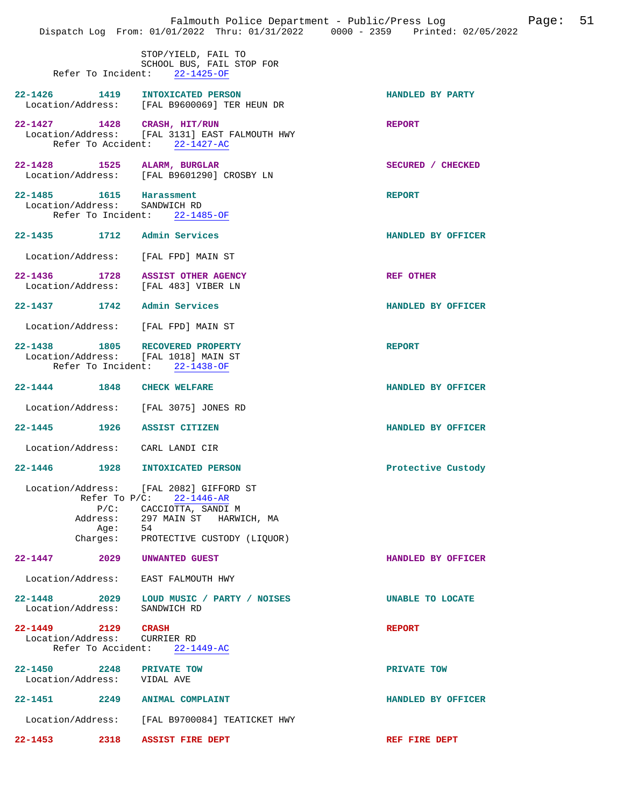|                                                          |      | Falmouth Police Department - Public/Press Log<br>Dispatch Log From: 01/01/2022 Thru: 01/31/2022 0000 - 2359 Printed: 02/05/2022                                                     | 51<br>Page:        |
|----------------------------------------------------------|------|-------------------------------------------------------------------------------------------------------------------------------------------------------------------------------------|--------------------|
|                                                          |      | STOP/YIELD, FAIL TO<br>SCHOOL BUS, FAIL STOP FOR<br>Refer To Incident: 22-1425-OF                                                                                                   |                    |
|                                                          |      | 22-1426 1419 INTOXICATED PERSON<br>Location/Address: [FAL B9600069] TER HEUN DR                                                                                                     | HANDLED BY PARTY   |
| 22-1427 1428 CRASH, HIT/RUN                              |      | Location/Address: [FAL 3131] EAST FALMOUTH HWY<br>Refer To Accident: 22-1427-AC                                                                                                     | <b>REPORT</b>      |
| 22-1428 1525 ALARM, BURGLAR                              |      | Location/Address: [FAL B9601290] CROSBY LN                                                                                                                                          | SECURED / CHECKED  |
| 22-1485 1615 Harassment<br>Location/Address: SANDWICH RD |      | Refer To Incident: 22-1485-OF                                                                                                                                                       | <b>REPORT</b>      |
| 22-1435 1712 Admin Services                              |      |                                                                                                                                                                                     | HANDLED BY OFFICER |
|                                                          |      | Location/Address: [FAL FPD] MAIN ST                                                                                                                                                 |                    |
|                                                          |      | 22-1436 1728 ASSIST OTHER AGENCY<br>Location/Address: [FAL 483] VIBER LN                                                                                                            | <b>REF OTHER</b>   |
| 22-1437 1742 Admin Services                              |      |                                                                                                                                                                                     | HANDLED BY OFFICER |
|                                                          |      | Location/Address: [FAL FPD] MAIN ST                                                                                                                                                 |                    |
|                                                          |      | 22-1438 1805 RECOVERED PROPERTY<br>Location/Address: [FAL 1018] MAIN ST<br>Refer To Incident: 22-1438-OF                                                                            | <b>REPORT</b>      |
| 22-1444 1848 CHECK WELFARE                               |      |                                                                                                                                                                                     | HANDLED BY OFFICER |
|                                                          |      | Location/Address: [FAL 3075] JONES RD                                                                                                                                               |                    |
| 22-1445 1926 ASSIST CITIZEN                              |      |                                                                                                                                                                                     | HANDLED BY OFFICER |
| Location/Address: CARL LANDI CIR                         |      |                                                                                                                                                                                     |                    |
| 22-1446<br>1928                                          |      | <b>INTOXICATED PERSON</b>                                                                                                                                                           | Protective Custody |
|                                                          | Aqe: | Location/Address: [FAL 2082] GIFFORD ST<br>Refer To $P/C$ : 22-1446-AR<br>P/C: CACCIOTTA, SANDI M<br>Address: 297 MAIN ST HARWICH, MA<br>54<br>Charges: PROTECTIVE CUSTODY (LIQUOR) |                    |
| 22-1447 2029 UNWANTED GUEST                              |      |                                                                                                                                                                                     | HANDLED BY OFFICER |
|                                                          |      | Location/Address: EAST FALMOUTH HWY                                                                                                                                                 |                    |
| Location/Address: SANDWICH RD                            |      | 22-1448 2029 LOUD MUSIC / PARTY / NOISES                                                                                                                                            | UNABLE TO LOCATE   |
| 22-1449 2129 CRASH<br>Location/Address: CURRIER RD       |      | Refer To Accident: 22-1449-AC                                                                                                                                                       | <b>REPORT</b>      |
| 22-1450 2248 PRIVATE TOW<br>Location/Address: VIDAL AVE  |      |                                                                                                                                                                                     | PRIVATE TOW        |
|                                                          |      | 22-1451  2249  ANIMAL COMPLAINT                                                                                                                                                     | HANDLED BY OFFICER |
|                                                          |      | Location/Address: [FAL B9700084] TEATICKET HWY                                                                                                                                      |                    |
| $22 - 1453$                                              |      | 2318 ASSIST FIRE DEPT                                                                                                                                                               | REF FIRE DEPT      |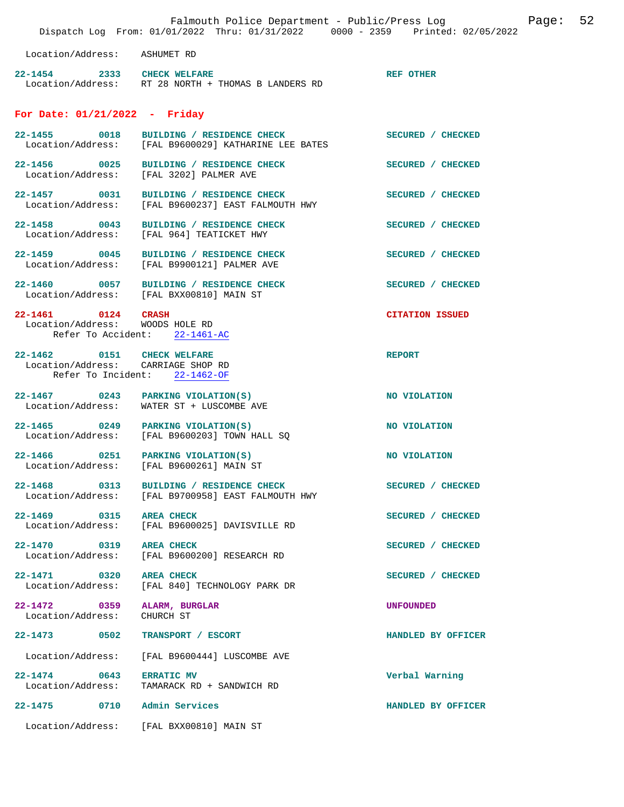|                                                                  | Falmouth Police Department - Public/Press Log<br>Dispatch Log From: 01/01/2022 Thru: 01/31/2022 0000 - 2359 Printed: 02/05/2022 |                        | Page: | 52 |
|------------------------------------------------------------------|---------------------------------------------------------------------------------------------------------------------------------|------------------------|-------|----|
| Location/Address: ASHUMET RD                                     |                                                                                                                                 |                        |       |    |
| 22-1454 2333 CHECK WELFARE                                       | Location/Address: RT 28 NORTH + THOMAS B LANDERS RD                                                                             | <b>REF OTHER</b>       |       |    |
| For Date: $01/21/2022 -$ Friday                                  |                                                                                                                                 |                        |       |    |
|                                                                  | 22-1455 0018 BUILDING / RESIDENCE CHECK<br>Location/Address: [FAL B9600029] KATHARINE LEE BATES                                 | SECURED / CHECKED      |       |    |
| Location/Address:                                                | 22-1456 0025 BUILDING / RESIDENCE CHECK<br>[FAL 3202] PALMER AVE                                                                | SECURED / CHECKED      |       |    |
| 22-1457 0031                                                     | BUILDING / RESIDENCE CHECK<br>Location/Address: [FAL B9600237] EAST FALMOUTH HWY                                                | SECURED / CHECKED      |       |    |
| Location/Address:                                                | 22-1458 0043 BUILDING / RESIDENCE CHECK<br>[FAL 964] TEATICKET HWY                                                              | SECURED / CHECKED      |       |    |
| 22-1459 0045<br>Location/Address:                                | BUILDING / RESIDENCE CHECK<br>[FAL B9900121] PALMER AVE                                                                         | SECURED / CHECKED      |       |    |
|                                                                  | 22-1460 0057 BUILDING / RESIDENCE CHECK<br>Location/Address: [FAL BXX00810] MAIN ST                                             | SECURED / CHECKED      |       |    |
| 22-1461 0124 CRASH<br>Location/Address: WOODS HOLE RD            | Refer To Accident: 22-1461-AC                                                                                                   | <b>CITATION ISSUED</b> |       |    |
| 22-1462 0151 CHECK WELFARE<br>Location/Address: CARRIAGE SHOP RD | Refer To Incident: 22-1462-OF                                                                                                   | <b>REPORT</b>          |       |    |
|                                                                  | 22-1467 0243 PARKING VIOLATION(S)<br>Location/Address: WATER ST + LUSCOMBE AVE                                                  | NO VIOLATION           |       |    |
|                                                                  | 22-1465 0249 PARKING VIOLATION(S)<br>Location/Address: [FAL B9600203] TOWN HALL SQ                                              | NO VIOLATION           |       |    |
|                                                                  | $22-1466$ 0251 PARKING VIOLATION(S)<br>Location/Address: [FAL B9600261] MAIN ST                                                 | NO VIOLATION           |       |    |
|                                                                  | 22-1468 0313 BUILDING / RESIDENCE CHECK<br>Location/Address: [FAL B9700958] EAST FALMOUTH HWY                                   | SECURED / CHECKED      |       |    |
| 22-1469 0315<br>Location/Address:                                | <b>AREA CHECK</b><br>[FAL B9600025] DAVISVILLE RD                                                                               | SECURED / CHECKED      |       |    |
| 22-1470 0319 AREA CHECK<br>Location/Address:                     | [FAL B9600200] RESEARCH RD                                                                                                      | SECURED / CHECKED      |       |    |
| 22-1471 0320<br>Location/Address:                                | <b>AREA CHECK</b><br>[FAL 840] TECHNOLOGY PARK DR                                                                               | SECURED / CHECKED      |       |    |
| 22–1472 0359<br>Location/Address:                                | ALARM, BURGLAR<br>CHURCH ST                                                                                                     | <b>UNFOUNDED</b>       |       |    |
| 22-1473 0502                                                     | TRANSPORT / ESCORT                                                                                                              | HANDLED BY OFFICER     |       |    |
| Location/Address:                                                | [FAL B9600444] LUSCOMBE AVE                                                                                                     |                        |       |    |
| $22 - 1474$ 0643<br>Location/Address:                            | <b>ERRATIC MV</b><br>TAMARACK RD + SANDWICH RD                                                                                  | Verbal Warning         |       |    |
| $22 - 1475$<br>0710                                              | Admin Services                                                                                                                  | HANDLED BY OFFICER     |       |    |
|                                                                  | Location/Address: [FAL BXX00810] MAIN ST                                                                                        |                        |       |    |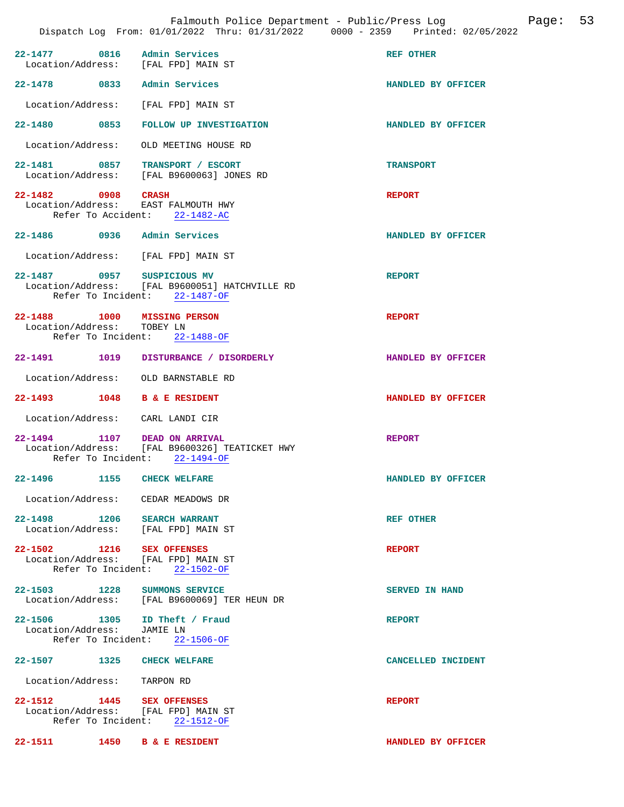| 22-1477 0816 Admin Services                                 | Location/Address: [FAL FPD] MAIN ST                                             | REF OTHER             |
|-------------------------------------------------------------|---------------------------------------------------------------------------------|-----------------------|
| 22-1478 0833                                                | Admin Services                                                                  | HANDLED BY OFFICER    |
|                                                             | Location/Address: [FAL FPD] MAIN ST                                             |                       |
| 22–1480 0853                                                | <b>FOLLOW UP INVESTIGATION</b>                                                  | HANDLED BY OFFICER    |
| Location/Address:                                           | OLD MEETING HOUSE RD                                                            |                       |
|                                                             | 22-1481 0857 TRANSPORT / ESCORT<br>Location/Address: [FAL B9600063] JONES RD    | <b>TRANSPORT</b>      |
| 22-1482 0908 CRASH                                          | Location/Address: EAST FALMOUTH HWY<br>Refer To Accident: 22-1482-AC            | <b>REPORT</b>         |
| 22-1486 0936 Admin Services                                 |                                                                                 | HANDLED BY OFFICER    |
|                                                             | Location/Address: [FAL FPD] MAIN ST                                             |                       |
| 22-1487 0957 SUSPICIOUS MV                                  | Location/Address: [FAL B9600051] HATCHVILLE RD<br>Refer To Incident: 22-1487-OF | <b>REPORT</b>         |
| 22-1488 1000 MISSING PERSON<br>Location/Address: TOBEY LN   | Refer To Incident: 22-1488-OF                                                   | <b>REPORT</b>         |
|                                                             | 22-1491   1019   DISTURBANCE / DISORDERLY                                       | HANDLED BY OFFICER    |
|                                                             | Location/Address: OLD BARNSTABLE RD                                             |                       |
| 22-1493 1048 B & E RESIDENT                                 |                                                                                 | HANDLED BY OFFICER    |
| Location/Address: CARL LANDI CIR                            |                                                                                 |                       |
| 22-1494 1107 DEAD ON ARRIVAL                                | Location/Address: [FAL B9600326] TEATICKET HWY<br>Refer To Incident: 22-1494-OF | <b>REPORT</b>         |
| 22-1496 1155 CHECK WELFARE                                  |                                                                                 | HANDLED BY OFFICER    |
| Location/Address:                                           | CEDAR MEADOWS DR                                                                |                       |
| 22-1498 1206 SEARCH WARRANT                                 | Location/Address: [FAL FPD] MAIN ST                                             | <b>REF OTHER</b>      |
| 22-1502 1216 SEX OFFENSES                                   | Location/Address: [FAL FPD] MAIN ST<br>Refer To Incident: 22-1502-OF            | <b>REPORT</b>         |
| 22-1503 1228 SUMMONS SERVICE                                | Location/Address: [FAL B9600069] TER HEUN DR                                    | <b>SERVED IN HAND</b> |
| 22-1506 1305 ID Theft / Fraud<br>Location/Address: JAMIE LN | Refer To Incident: 22-1506-OF                                                   | <b>REPORT</b>         |
| 22–1507 1325                                                |                                                                                 |                       |
|                                                             | <b>CHECK WELFARE</b>                                                            | CANCELLED INCIDENT    |
| Location/Address: TARPON RD                                 |                                                                                 |                       |
| 22-1512 1445 SEX OFFENSES                                   | Location/Address: [FAL FPD] MAIN ST<br>Refer To Incident: 22-1512-OF            | <b>REPORT</b>         |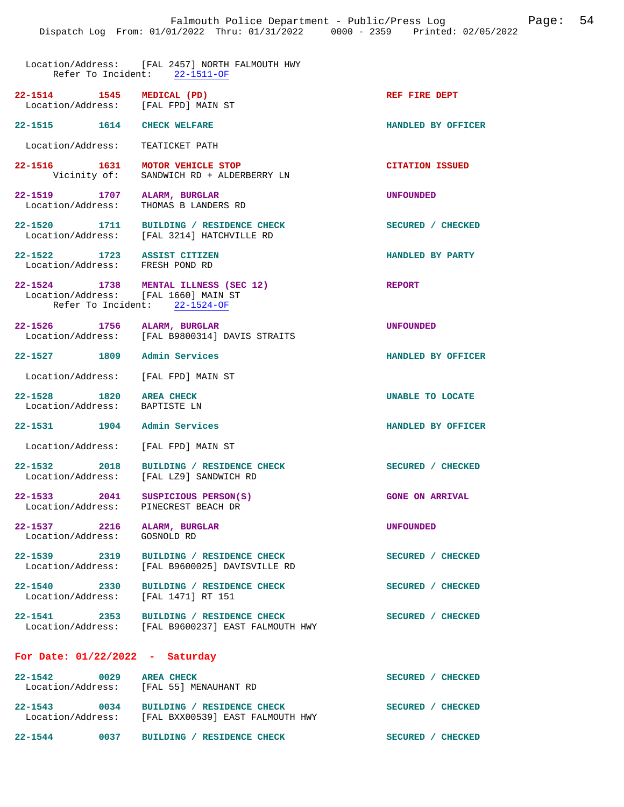**22-1514 1545 MEDICAL (PD) REF FIRE DEPT** 

## Location/Address: [FAL 2457] NORTH FALMOUTH HWY Refer To Incident: 22-1511-OF

| 22-1514           | 1545 | MEDICAL (PD)      |
|-------------------|------|-------------------|
| Location/Address: |      | [FAL FPD] MAIN ST |

**22-1515 1614 CHECK WELFARE HANDLED BY OFFICER** 

Location/Address: TEATICKET PATH

**22-1516 1631 MOTOR VEHICLE STOP CITATION ISSUED CITATION ISSUED Vicinity of:** SANDWICH RD + ALDERBERRY LN SANDWICH RD + ALDERBERRY LN

**22-1519 1707 ALARM, BURGLAR UNFOUNDED**  Location/Address: THOMAS B LANDERS RD

**22-1520 1711 BUILDING / RESIDENCE CHECK SECURED / CHECKED**  Location/Address: [FAL 3214] HATCHVILLE RD

**22-1522 1723 ASSIST CITIZEN HANDLED BY PARTY**  Location/Address: FRESH POND RD

**22-1524 1738 MENTAL ILLNESS (SEC 12) REPORT** 

Location/Address: Refer To Incident: 22-1524-OF

**22-1526 1756 ALARM, BURGLAR UNFOUNDED**  [FAL B9800314] DAVIS STRAITS

**22-1527 1809 Admin Services HANDLED BY OFFICER** 

Location/Address: [FAL FPD] MAIN ST

**22-1528 1820 AREA CHECK UNABLE TO LOCATE**  Location/Address: BAPTISTE LN

**22-1531 1904 Admin Services HANDLED BY OFFICER** 

Location/Address: [FAL FPD] MAIN ST

22-1532 2018 BUILDING / RESIDENCE CHECK<br>
Location/Address: [FAL LZ9] SANDWICH RD [FAL LZ9] SANDWICH RD

**22-1533 2041 SUSPICIOUS PERSON(S)** GONE ON ARRIVAL Location/Address: PINECREST BEACH DR Location/Address:

**22-1537 2216 ALARM, BURGLAR UNFOUNDED**  Location/Address:

**22-1539 2319 BUILDING / RESIDENCE CHECK SECURED / CHECKED**  Location/Address: [FAL B9600025] DAVISVILLE RD

**22-1540 2330 BUILDING / RESIDENCE CHECK SECURED / CHECKED**  Location/Address:

**22-1541 2353 BUILDING / RESIDENCE CHECK SECURED / CHECKED**  Location/Address: [FAL B9600237] EAST FALMOUTH HWY

## **For Date: 01/22/2022 - Saturday**

| $22 - 1542$       | 0029 | <b>AREA CHECK</b>                    | <b>SECURED</b><br><b>CHECKED</b> |
|-------------------|------|--------------------------------------|----------------------------------|
| Location/Address: |      | [FAL 55] MENAUHANT RD                |                                  |
|                   |      |                                      |                                  |
| $22 - 1543$       | 0034 | BUILDING / RESIDENCE CHECK           | <b>SECURED</b><br><b>CHECKED</b> |
| Location/Address: |      | [FAL BXX00539] EAST FALMOUTH HWY     |                                  |
| $22 - 1544$       | 0037 | <b>RESIDENCE CHECK</b><br>BUILDING / | <b>SECURED</b><br><b>CHECKED</b> |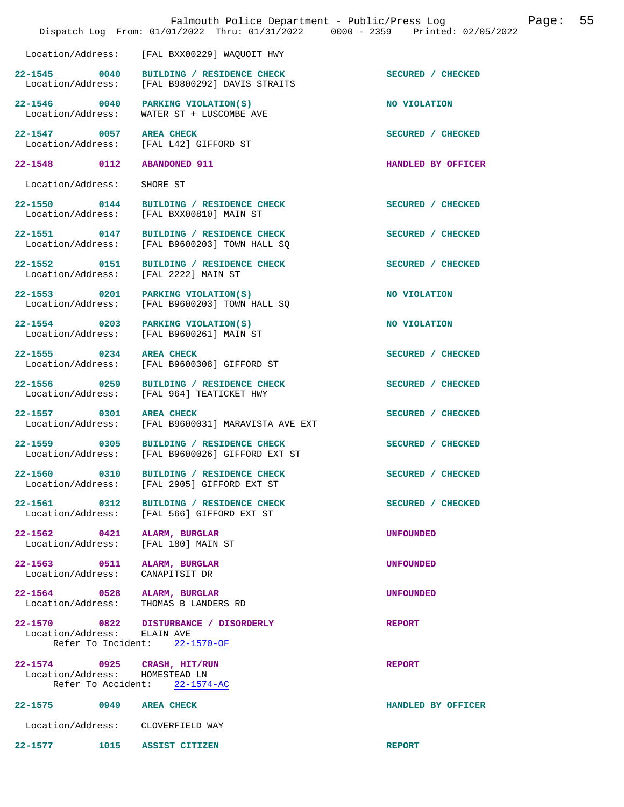|                                                                |                                                                                            | Falmouth Police Department - Public/Press Log<br>Page:<br>Dispatch Log From: 01/01/2022 Thru: 01/31/2022 0000 - 2359 Printed: 02/05/2022 | 55 |
|----------------------------------------------------------------|--------------------------------------------------------------------------------------------|------------------------------------------------------------------------------------------------------------------------------------------|----|
| Location/Address:                                              | [FAL BXX00229] WAQUOIT HWY                                                                 |                                                                                                                                          |    |
|                                                                | 22-1545 0040 BUILDING / RESIDENCE CHECK<br>Location/Address: [FAL B9800292] DAVIS STRAITS  | SECURED / CHECKED                                                                                                                        |    |
| Location/Address:                                              | 22-1546 0040 PARKING VIOLATION(S)<br>WATER ST + LUSCOMBE AVE                               | NO VIOLATION                                                                                                                             |    |
| 22-1547 0057 AREA CHECK                                        | Location/Address: [FAL L42] GIFFORD ST                                                     | SECURED / CHECKED                                                                                                                        |    |
| 22-1548 0112 ABANDONED 911                                     |                                                                                            | HANDLED BY OFFICER                                                                                                                       |    |
| Location/Address:                                              | SHORE ST                                                                                   |                                                                                                                                          |    |
|                                                                | 22-1550 0144 BUILDING / RESIDENCE CHECK<br>Location/Address: [FAL BXX00810] MAIN ST        | SECURED / CHECKED                                                                                                                        |    |
|                                                                | 22-1551 0147 BUILDING / RESIDENCE CHECK<br>Location/Address: [FAL B9600203] TOWN HALL SQ   | SECURED / CHECKED                                                                                                                        |    |
|                                                                | 22-1552 0151 BUILDING / RESIDENCE CHECK<br>Location/Address: [FAL 2222] MAIN ST            | SECURED / CHECKED                                                                                                                        |    |
|                                                                | 22-1553 0201 PARKING VIOLATION(S)<br>Location/Address: [FAL B9600203] TOWN HALL SQ         | NO VIOLATION                                                                                                                             |    |
| Location/Address:                                              | 22-1554 0203 PARKING VIOLATION(S)<br>[FAL B9600261] MAIN ST                                | NO VIOLATION                                                                                                                             |    |
| 22-1555 0234 AREA CHECK                                        | Location/Address: [FAL B9600308] GIFFORD ST                                                | SECURED / CHECKED                                                                                                                        |    |
| Location/Address:                                              | 22-1556 0259 BUILDING / RESIDENCE CHECK<br>[FAL 964] TEATICKET HWY                         | SECURED / CHECKED                                                                                                                        |    |
| 22-1557 0301 AREA CHECK                                        | Location/Address: [FAL B9600031] MARAVISTA AVE EXT                                         | SECURED / CHECKED                                                                                                                        |    |
|                                                                | 22-1559 0305 BUILDING / RESIDENCE CHECK<br>Location/Address: [FAL B9600026] GIFFORD EXT ST | SECURED / CHECKED                                                                                                                        |    |
|                                                                | 22-1560 0310 BUILDING / RESIDENCE CHECK<br>Location/Address: [FAL 2905] GIFFORD EXT ST     | SECURED / CHECKED                                                                                                                        |    |
| 22-1561 0312                                                   | BUILDING / RESIDENCE CHECK<br>Location/Address: [FAL 566] GIFFORD EXT ST                   | SECURED / CHECKED                                                                                                                        |    |
| 22-1562 0421 ALARM, BURGLAR                                    | Location/Address: [FAL 180] MAIN ST                                                        | <b>UNFOUNDED</b>                                                                                                                         |    |
| 22-1563 0511 ALARM, BURGLAR<br>Location/Address: CANAPITSIT DR |                                                                                            | <b>UNFOUNDED</b>                                                                                                                         |    |
| 22-1564 0528 ALARM, BURGLAR                                    | Location/Address: THOMAS B LANDERS RD                                                      | <b>UNFOUNDED</b>                                                                                                                         |    |
| Location/Address: ELAIN AVE                                    | 22-1570 0822 DISTURBANCE / DISORDERLY<br>Refer To Incident: 22-1570-OF                     | <b>REPORT</b>                                                                                                                            |    |
| 22-1574 0925 CRASH, HIT/RUN<br>Location/Address: HOMESTEAD LN  | Refer To Accident: 22-1574-AC                                                              | <b>REPORT</b>                                                                                                                            |    |
| 22-1575 0949 AREA CHECK                                        |                                                                                            | HANDLED BY OFFICER                                                                                                                       |    |
| Location/Address: CLOVERFIELD WAY                              |                                                                                            |                                                                                                                                          |    |
| 22-1577 1015 ASSIST CITIZEN                                    |                                                                                            | <b>REPORT</b>                                                                                                                            |    |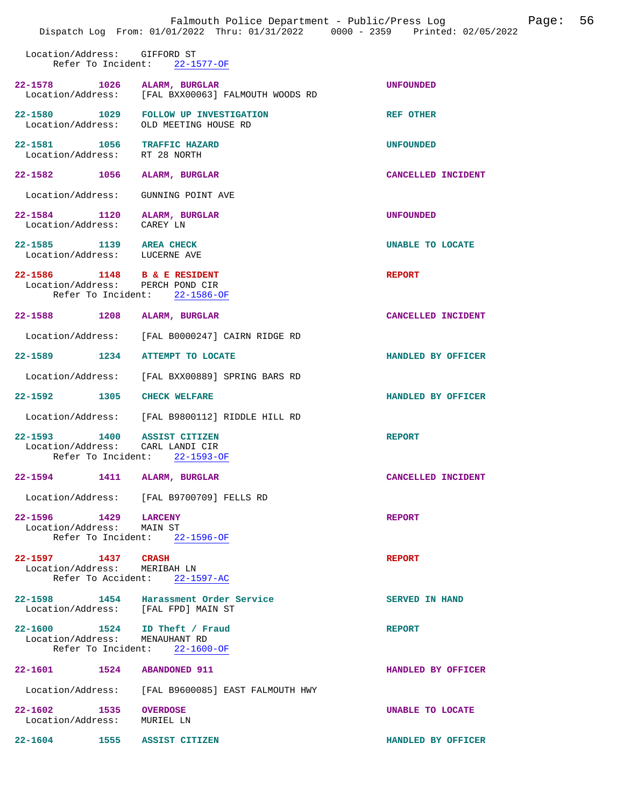|                                                              | Falmouth Police Department - Public/Press Log<br>Dispatch Log From: 01/01/2022 Thru: 01/31/2022 0000 - 2359 Printed: 02/05/2022 |                       | Page: 56 |  |
|--------------------------------------------------------------|---------------------------------------------------------------------------------------------------------------------------------|-----------------------|----------|--|
| Location/Address: GIFFORD ST                                 | Refer To Incident: 22-1577-OF                                                                                                   |                       |          |  |
| 22-1578 1026 ALARM, BURGLAR                                  | Location/Address: [FAL BXX00063] FALMOUTH WOODS RD                                                                              | <b>UNFOUNDED</b>      |          |  |
|                                                              | 22-1580 1029 FOLLOW UP INVESTIGATION<br>Location/Address: OLD MEETING HOUSE RD                                                  | <b>REF OTHER</b>      |          |  |
| 22-1581 1056 TRAFFIC HAZARD<br>Location/Address: RT 28 NORTH |                                                                                                                                 | <b>UNFOUNDED</b>      |          |  |
| 22-1582 1056                                                 | ALARM, BURGLAR                                                                                                                  | CANCELLED INCIDENT    |          |  |
| Location/Address:                                            | GUNNING POINT AVE                                                                                                               |                       |          |  |
| 22-1584 1120<br>Location/Address: CAREY LN                   | ALARM, BURGLAR                                                                                                                  | <b>UNFOUNDED</b>      |          |  |
| 22-1585 1139 AREA CHECK<br>Location/Address: LUCERNE AVE     |                                                                                                                                 | UNABLE TO LOCATE      |          |  |
| 22-1586 1148 B & E RESIDENT                                  | Location/Address: PERCH POND CIR<br>Refer To Incident: 22-1586-OF                                                               | <b>REPORT</b>         |          |  |
| 22-1588 1208                                                 | ALARM, BURGLAR                                                                                                                  | CANCELLED INCIDENT    |          |  |
|                                                              | Location/Address: [FAL B0000247] CAIRN RIDGE RD                                                                                 |                       |          |  |
| 22-1589 1234                                                 | ATTEMPT TO LOCATE                                                                                                               | HANDLED BY OFFICER    |          |  |
| Location/Address:                                            | [FAL BXX00889] SPRING BARS RD                                                                                                   |                       |          |  |
| 22-1592 1305                                                 | <b>CHECK WELFARE</b>                                                                                                            | HANDLED BY OFFICER    |          |  |
|                                                              | Location/Address: [FAL B9800112] RIDDLE HILL RD                                                                                 |                       |          |  |
| 22-1593 1400 ASSIST CITIZEN<br>Refer To Incident:            | Location/Address: CARL LANDI CIR<br>$22 - 1593 - OF$                                                                            | <b>REPORT</b>         |          |  |
| 22-1594 1411 ALARM, BURGLAR                                  |                                                                                                                                 | CANCELLED INCIDENT    |          |  |
|                                                              | Location/Address: [FAL B9700709] FELLS RD                                                                                       |                       |          |  |
| 22-1596 1429 LARCENY<br>Location/Address: MAIN ST            | Refer To Incident: 22-1596-OF                                                                                                   | <b>REPORT</b>         |          |  |
| 22-1597 1437 CRASH<br>Location/Address: MERIBAH LN           | Refer To Accident: 22-1597-AC                                                                                                   | <b>REPORT</b>         |          |  |
|                                                              | 22-1598 1454 Harassment Order Service<br>Location/Address: [FAL FPD] MAIN ST                                                    | <b>SERVED IN HAND</b> |          |  |
| Location/Address: MENAUHANT RD                               | 22-1600 1524 ID Theft / Fraud<br>Refer To Incident: 22-1600-OF                                                                  | <b>REPORT</b>         |          |  |
| 22-1601 1524 ABANDONED 911                                   |                                                                                                                                 | HANDLED BY OFFICER    |          |  |
|                                                              | Location/Address: [FAL B9600085] EAST FALMOUTH HWY                                                                              |                       |          |  |
| 22-1602 1535 OVERDOSE<br>Location/Address: MURIEL LN         |                                                                                                                                 | UNABLE TO LOCATE      |          |  |
| 22-1604 1555 ASSIST CITIZEN                                  |                                                                                                                                 | HANDLED BY OFFICER    |          |  |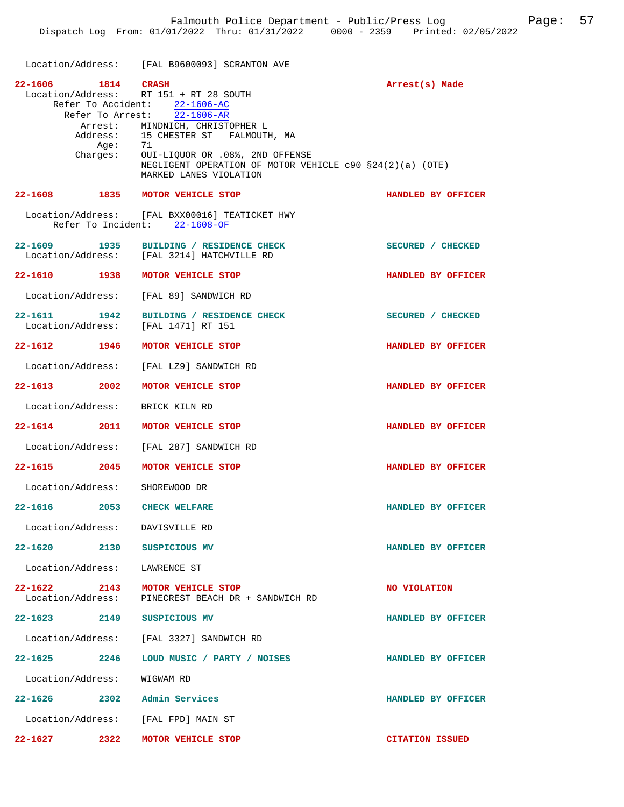|                                                     | Location/Address: [FAL B9600093] SCRANTON AVE                                                                                                                                                                                                                                                                                     |                        |
|-----------------------------------------------------|-----------------------------------------------------------------------------------------------------------------------------------------------------------------------------------------------------------------------------------------------------------------------------------------------------------------------------------|------------------------|
| 22-1606 1814 CRASH                                  | Location/Address: RT 151 + RT 28 SOUTH<br>Refer To Accident: 22-1606-AC<br>Refer To Arrest: 22-1606-AR<br>Arrest: MINDNICH, CHRISTOPHER L<br>Address: 15 CHESTER ST FALMOUTH, MA<br>Age: 71<br>Charges: OUI-LIQUOR OR .08%, 2ND OFFENSE<br>NEGLIGENT OPERATION OF MOTOR VEHICLE $c90$ $$24(2)(a)$ (OTE)<br>MARKED LANES VIOLATION | Arrest(s) Made         |
| 22-1608 1835 MOTOR VEHICLE STOP                     |                                                                                                                                                                                                                                                                                                                                   | HANDLED BY OFFICER     |
|                                                     | Location/Address: [FAL BXX00016] TEATICKET HWY<br>Refer To Incident: 22-1608-OF                                                                                                                                                                                                                                                   |                        |
| 22-1609 1935                                        | BUILDING / RESIDENCE CHECK<br>Location/Address: [FAL 3214] HATCHVILLE RD                                                                                                                                                                                                                                                          | SECURED / CHECKED      |
| 22-1610 1938 MOTOR VEHICLE STOP                     |                                                                                                                                                                                                                                                                                                                                   | HANDLED BY OFFICER     |
|                                                     | Location/Address: [FAL 89] SANDWICH RD                                                                                                                                                                                                                                                                                            |                        |
| 22-1611 1942<br>Location/Address: [FAL 1471] RT 151 | BUILDING / RESIDENCE CHECK                                                                                                                                                                                                                                                                                                        | SECURED / CHECKED      |
| 22-1612 1946                                        | MOTOR VEHICLE STOP                                                                                                                                                                                                                                                                                                                | HANDLED BY OFFICER     |
|                                                     | Location/Address: [FAL LZ9] SANDWICH RD                                                                                                                                                                                                                                                                                           |                        |
| $22 - 1613$ 2002                                    | MOTOR VEHICLE STOP                                                                                                                                                                                                                                                                                                                | HANDLED BY OFFICER     |
| Location/Address:                                   | BRICK KILN RD                                                                                                                                                                                                                                                                                                                     |                        |
| 22-1614 2011                                        | MOTOR VEHICLE STOP                                                                                                                                                                                                                                                                                                                | HANDLED BY OFFICER     |
|                                                     | Location/Address: [FAL 287] SANDWICH RD                                                                                                                                                                                                                                                                                           |                        |
| 22-1615 2045                                        | MOTOR VEHICLE STOP                                                                                                                                                                                                                                                                                                                | HANDLED BY OFFICER     |
| Location/Address:                                   | SHOREWOOD DR                                                                                                                                                                                                                                                                                                                      |                        |
| 2053<br>22-1616                                     | <b>CHECK WELFARE</b>                                                                                                                                                                                                                                                                                                              | HANDLED BY OFFICER     |
| Location/Address: DAVISVILLE RD                     |                                                                                                                                                                                                                                                                                                                                   |                        |
| 22-1620 2130 SUSPICIOUS MV                          |                                                                                                                                                                                                                                                                                                                                   | HANDLED BY OFFICER     |
| Location/Address: LAWRENCE ST                       |                                                                                                                                                                                                                                                                                                                                   |                        |
| 22-1622<br>2143<br>Location/Address:                | MOTOR VEHICLE STOP<br>PINECREST BEACH DR + SANDWICH RD                                                                                                                                                                                                                                                                            | NO VIOLATION           |
| 22-1623 2149 SUSPICIOUS MV                          |                                                                                                                                                                                                                                                                                                                                   | HANDLED BY OFFICER     |
|                                                     | Location/Address: [FAL 3327] SANDWICH RD                                                                                                                                                                                                                                                                                          |                        |
| $22 - 1625$ 2246                                    | LOUD MUSIC / PARTY / NOISES                                                                                                                                                                                                                                                                                                       | HANDLED BY OFFICER     |
| Location/Address: WIGWAM RD                         |                                                                                                                                                                                                                                                                                                                                   |                        |
| 22-1626 2302 Admin Services                         |                                                                                                                                                                                                                                                                                                                                   | HANDLED BY OFFICER     |
| Location/Address: [FAL FPD] MAIN ST                 |                                                                                                                                                                                                                                                                                                                                   |                        |
| $22 - 1627$ 2322                                    | MOTOR VEHICLE STOP                                                                                                                                                                                                                                                                                                                | <b>CITATION ISSUED</b> |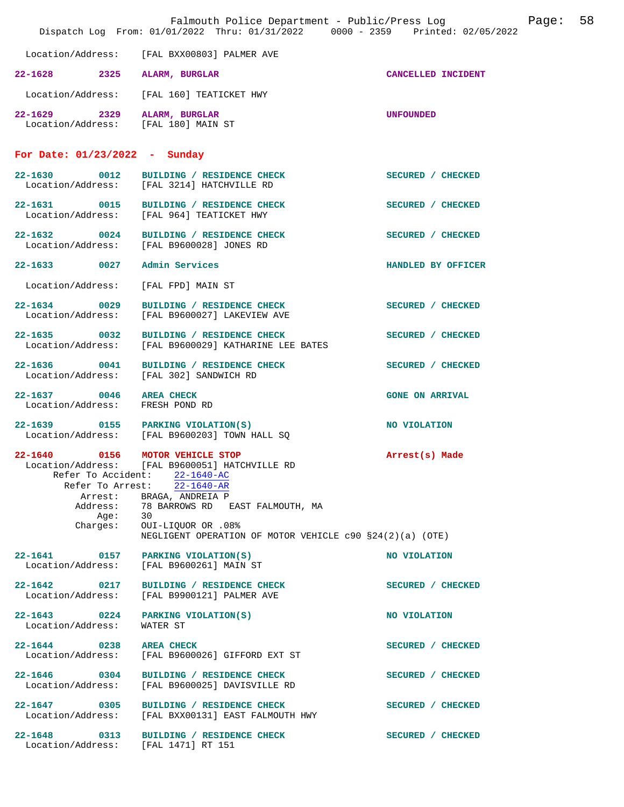|                                                                    | Falmouth Police Department - Public/Press Log<br>Dispatch Log From: 01/01/2022 Thru: 01/31/2022 0000 - 2359 Printed: 02/05/2022                                                                                                                                                              |                        | Page: | 58 |
|--------------------------------------------------------------------|----------------------------------------------------------------------------------------------------------------------------------------------------------------------------------------------------------------------------------------------------------------------------------------------|------------------------|-------|----|
| Location/Address:                                                  | [FAL BXX00803] PALMER AVE                                                                                                                                                                                                                                                                    |                        |       |    |
| 22-1628 2325 ALARM, BURGLAR                                        |                                                                                                                                                                                                                                                                                              | CANCELLED INCIDENT     |       |    |
|                                                                    | Location/Address: [FAL 160] TEATICKET HWY                                                                                                                                                                                                                                                    |                        |       |    |
| 22-1629 2329 ALARM, BURGLAR<br>Location/Address: [FAL 180] MAIN ST |                                                                                                                                                                                                                                                                                              | <b>UNFOUNDED</b>       |       |    |
| For Date: $01/23/2022 - Sunday$                                    |                                                                                                                                                                                                                                                                                              |                        |       |    |
|                                                                    | 22-1630 0012 BUILDING / RESIDENCE CHECK<br>Location/Address: [FAL 3214] HATCHVILLE RD                                                                                                                                                                                                        | SECURED / CHECKED      |       |    |
|                                                                    | 22-1631 0015 BUILDING / RESIDENCE CHECK<br>Location/Address: [FAL 964] TEATICKET HWY                                                                                                                                                                                                         | SECURED / CHECKED      |       |    |
| 22-1632 0024                                                       | BUILDING / RESIDENCE CHECK<br>Location/Address: [FAL B9600028] JONES RD                                                                                                                                                                                                                      | SECURED / CHECKED      |       |    |
| 22-1633 0027                                                       | Admin Services                                                                                                                                                                                                                                                                               | HANDLED BY OFFICER     |       |    |
| Location/Address:                                                  | [FAL FPD] MAIN ST                                                                                                                                                                                                                                                                            |                        |       |    |
| 22-1634 0029<br>Location/Address:                                  | BUILDING / RESIDENCE CHECK<br>[FAL B9600027] LAKEVIEW AVE                                                                                                                                                                                                                                    | SECURED / CHECKED      |       |    |
| 22-1635 0032<br>Location/Address:                                  | BUILDING / RESIDENCE CHECK<br>[FAL B9600029] KATHARINE LEE BATES                                                                                                                                                                                                                             | SECURED / CHECKED      |       |    |
| 22-1636 0041                                                       | BUILDING / RESIDENCE CHECK<br>Location/Address: [FAL 302] SANDWICH RD                                                                                                                                                                                                                        | SECURED / CHECKED      |       |    |
| 22-1637 0046<br>Location/Address: FRESH POND RD                    | <b>AREA CHECK</b>                                                                                                                                                                                                                                                                            | <b>GONE ON ARRIVAL</b> |       |    |
| 22-1639 0155 PARKING VIOLATION(S)                                  | Location/Address: [FAL B9600203] TOWN HALL SQ                                                                                                                                                                                                                                                | NO VIOLATION           |       |    |
| 22-1640 0156 MOTOR VEHICLE STOP                                    | Location/Address: [FAL B9600051] HATCHVILLE RD<br>Refer To Accident: 22-1640-AC<br>Refer To Arrest: 22-1640-AR<br>Arrest: BRAGA, ANDREIA P<br>Address: 78 BARROWS RD EAST FALMOUTH, MA<br>Age: 30<br>Charges: OUI-LIQUOR OR .08%<br>NEGLIGENT OPERATION OF MOTOR VEHICLE c90 §24(2)(a) (OTE) | Arrest(s) Made         |       |    |
| 22-1641 0157 PARKING VIOLATION(S)<br>Location/Address:             | [FAL B9600261] MAIN ST                                                                                                                                                                                                                                                                       | NO VIOLATION           |       |    |
| Location/Address:                                                  | 22-1642 0217 BUILDING / RESIDENCE CHECK<br>[FAL B9900121] PALMER AVE                                                                                                                                                                                                                         | SECURED / CHECKED      |       |    |
| $22 - 1643$ 0224<br>Location/Address:                              | PARKING VIOLATION(S)<br>WATER ST                                                                                                                                                                                                                                                             | NO VIOLATION           |       |    |
| 22-1644 0238<br>Location/Address:                                  | <b>AREA CHECK</b><br>[FAL B9600026] GIFFORD EXT ST                                                                                                                                                                                                                                           | SECURED / CHECKED      |       |    |
| 22-1646 0304<br>Location/Address:                                  | BUILDING / RESIDENCE CHECK<br>[FAL B9600025] DAVISVILLE RD                                                                                                                                                                                                                                   | SECURED / CHECKED      |       |    |
| 22-1647 0305                                                       | BUILDING / RESIDENCE CHECK<br>Location/Address: [FAL BXX00131] EAST FALMOUTH HWY                                                                                                                                                                                                             | SECURED / CHECKED      |       |    |
| 22-1648 0313<br>Location/Address: [FAL 1471] RT 151                | BUILDING / RESIDENCE CHECK                                                                                                                                                                                                                                                                   | SECURED / CHECKED      |       |    |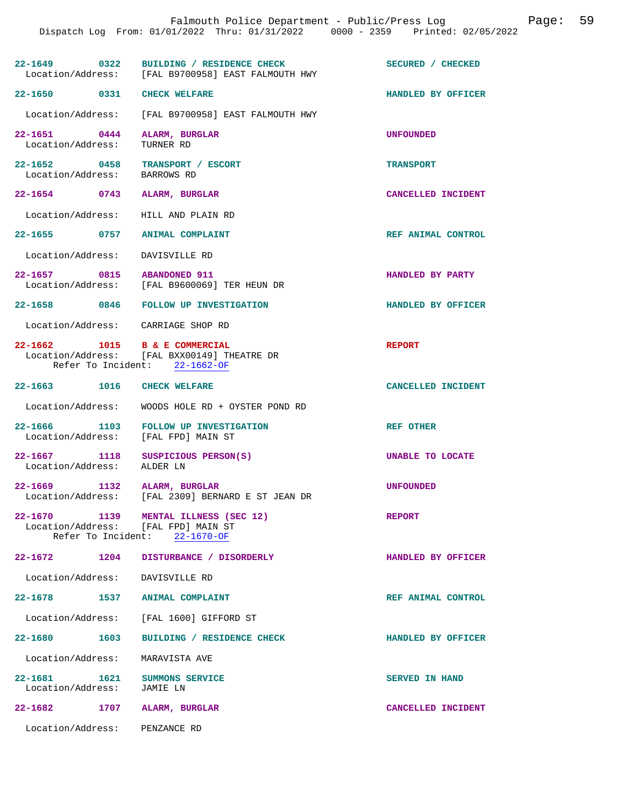| 22-1649 0322                                                    | BUILDING / RESIDENCE CHECK<br>Location/Address: [FAL B9700958] EAST FALMOUTH HWY | SECURED / CHECKED     |
|-----------------------------------------------------------------|----------------------------------------------------------------------------------|-----------------------|
| 22-1650 0331 CHECK WELFARE                                      |                                                                                  | HANDLED BY OFFICER    |
|                                                                 | Location/Address: [FAL B9700958] EAST FALMOUTH HWY                               |                       |
| 22-1651 0444 ALARM, BURGLAR<br>Location/Address:                | TURNER RD                                                                        | <b>UNFOUNDED</b>      |
| 22-1652 0458 TRANSPORT / ESCORT<br>Location/Address: BARROWS RD |                                                                                  | TRANSPORT             |
| 22-1654 0743 ALARM, BURGLAR                                     |                                                                                  | CANCELLED INCIDENT    |
| Location/Address: HILL AND PLAIN RD                             |                                                                                  |                       |
| 22-1655 0757 ANIMAL COMPLAINT                                   |                                                                                  | REF ANIMAL CONTROL    |
| Location/Address: DAVISVILLE RD                                 |                                                                                  |                       |
| 22-1657 0815 ABANDONED 911                                      | Location/Address: [FAL B9600069] TER HEUN DR                                     | HANDLED BY PARTY      |
|                                                                 | 22-1658 0846 FOLLOW UP INVESTIGATION                                             | HANDLED BY OFFICER    |
| Location/Address: CARRIAGE SHOP RD                              |                                                                                  |                       |
| 22-1662 1015 B & E COMMERCIAL                                   | Location/Address: [FAL BXX00149] THEATRE DR<br>Refer To Incident: 22-1662-OF     | <b>REPORT</b>         |
| 22-1663 1016 CHECK WELFARE                                      |                                                                                  | CANCELLED INCIDENT    |
| Location/Address:                                               | WOODS HOLE RD + OYSTER POND RD                                                   |                       |
|                                                                 |                                                                                  |                       |
| Location/Address: [FAL FPD] MAIN ST                             | 22-1666 1103 FOLLOW UP INVESTIGATION                                             | <b>REF OTHER</b>      |
| Location/Address: ALDER LN                                      | 22-1667 1118 SUSPICIOUS PERSON(S)                                                | UNABLE TO LOCATE      |
| 22-1669 1132 ALARM, BURGLAR                                     | Location/Address: [FAL 2309] BERNARD E ST JEAN DR                                | <b>UNFOUNDED</b>      |
| $22 - 1670$<br>Location/Address: [FAL FPD] MAIN ST              | 1139 MENTAL ILLNESS (SEC 12)<br>Refer To Incident: 22-1670-OF                    | <b>REPORT</b>         |
| 22-1672 1204                                                    | DISTURBANCE / DISORDERLY                                                         | HANDLED BY OFFICER    |
| Location/Address: DAVISVILLE RD                                 |                                                                                  |                       |
| 22-1678 1537 ANIMAL COMPLAINT                                   |                                                                                  | REF ANIMAL CONTROL    |
|                                                                 | Location/Address: [FAL 1600] GIFFORD ST                                          |                       |
| 22-1680 1603                                                    | BUILDING / RESIDENCE CHECK                                                       | HANDLED BY OFFICER    |
| Location/Address:                                               | MARAVISTA AVE                                                                    |                       |
| 22-1681   1621   SUMMONS SERVICE<br>Location/Address:           | JAMIE LN                                                                         | <b>SERVED IN HAND</b> |
| 22-1682 1707 ALARM, BURGLAR                                     |                                                                                  | CANCELLED INCIDENT    |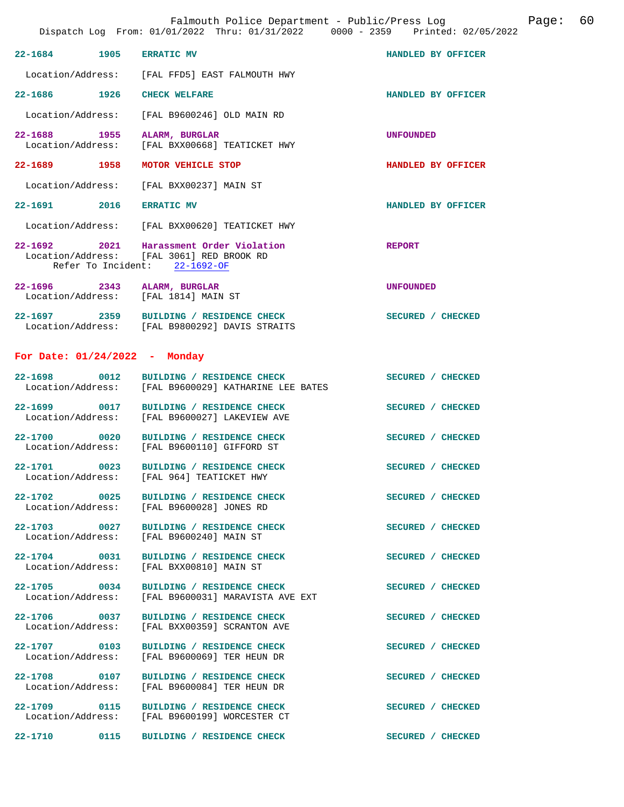Falmouth Police Department - Public/Press Log Communication Page: 60

|                                                                     | DISPACCH LOG FIOM. 01/01/2022 INIU. 01/31/2022                                                                        | UUUU - 4339 - PIIIILEU V4/U3/4 |
|---------------------------------------------------------------------|-----------------------------------------------------------------------------------------------------------------------|--------------------------------|
| 22-1684 1905                                                        | <b>ERRATIC MV</b>                                                                                                     | HANDLED BY OFFICER             |
|                                                                     | Location/Address: [FAL FFD5] EAST FALMOUTH HWY                                                                        |                                |
| 22-1686 1926                                                        | <b>CHECK WELFARE</b>                                                                                                  | HANDLED BY OFFICER             |
|                                                                     | Location/Address: [FAL B9600246] OLD MAIN RD                                                                          |                                |
| 22-1688 1955                                                        | ALARM, BURGLAR<br>Location/Address: [FAL BXX00668] TEATICKET HWY                                                      | <b>UNFOUNDED</b>               |
| 22-1689 1958                                                        | MOTOR VEHICLE STOP                                                                                                    | HANDLED BY OFFICER             |
|                                                                     | Location/Address: [FAL BXX00237] MAIN ST                                                                              |                                |
| 22-1691 2016                                                        | <b>ERRATIC MV</b>                                                                                                     | HANDLED BY OFFICER             |
|                                                                     | Location/Address: [FAL BXX00620] TEATICKET HWY                                                                        |                                |
|                                                                     | 22-1692 2021 Harassment Order Violation<br>Location/Address: [FAL 3061] RED BROOK RD<br>Refer To Incident: 22-1692-OF | <b>REPORT</b>                  |
| 22-1696 2343 ALARM, BURGLAR<br>Location/Address: [FAL 1814] MAIN ST |                                                                                                                       | <b>UNFOUNDED</b>               |
|                                                                     | 22-1697 2359 BUILDING / RESIDENCE CHECK<br>Location/Address: [FAL B9800292] DAVIS STRAITS                             | SECURED / CHECKED              |
| For Date: $01/24/2022 -$ Monday                                     |                                                                                                                       |                                |
| 22-1698 0012                                                        | BUILDING / RESIDENCE CHECK<br>Location/Address: [FAL B9600029] KATHARINE LEE BATES                                    | SECURED / CHECKED              |
|                                                                     | 22-1699 0017 BUILDING / RESIDENCE CHECK<br>Location/Address: [FAL B9600027] LAKEVIEW AVE                              | SECURED / CHECKED              |

22-1700 0020 BUILDING / RESIDENCE CHECK SECURED / CHECKED Location/Address: [FAL B9600110] GIFFORD ST

**22-1701** 0023 BUILDING / RESIDENCE CHECK SECURED / CHECKED Location/Address: [FAL 964] TEATICKET HWY

**22-1702 0025 BUILDING / RESIDENCE CHECK SECURED / CHECKED** 

**22-1709 0115 BUILDING / RESIDENCE CHECK SECURED / CHECKED** 

[FAL B9600110] GIFFORD ST

[FAL 964] TEATICKET HWY

Location/Address: [FAL B9600028] JONES RD

**22-1703 0027 BUILDING / RESIDENCE CHECK SECURED / CHECKED**  Location/Address: [FAL B9600240] MAIN ST

**22-1704 0031 BUILDING / RESIDENCE CHECK SECURED / CHECKED**  Location/Address: [FAL BXX00810] MAIN ST

22-1705 0034 BUILDING / RESIDENCE CHECK<br>
Location/Address: [FAL B9600031] MARAVISTA AVE EXT [FAL B9600031] MARAVISTA AVE EXT

22-1706 0037 BUILDING / RESIDENCE CHECK SECURED / CHECKED Location/Address: [FAL BXX00359] SCRANTON AVE [FAL BXX00359] SCRANTON AVE

**22-1707 0103 BUILDING / RESIDENCE CHECK SECURED / CHECKED**  Location/Address: [FAL B9600069] TER HEUN DR

22-1708 0107 BUILDING / RESIDENCE CHECK SECURED / CHECKED Location/Address: [FAL B9600084] TER HEUN DR [FAL B9600084] TER HEUN DR

 Location/Address: [FAL B9600199] WORCESTER CT **22-1710 0115 BUILDING / RESIDENCE CHECK SECURED / CHECKED**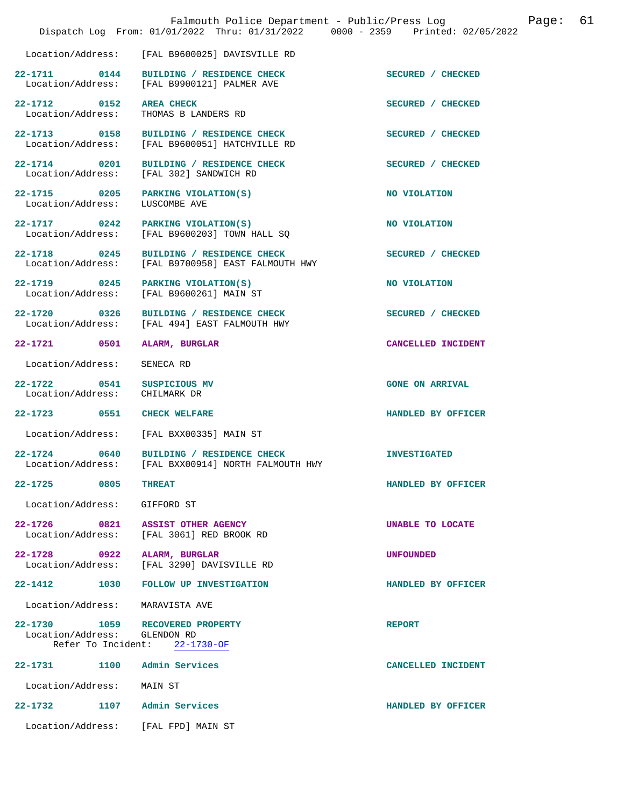|                                                         |      | Falmouth Police Department - Public/Press Log<br>Dispatch Log From: 01/01/2022 Thru: 01/31/2022 0000 - 2359 Printed: 02/05/2022 |                         | Page: | 61 |
|---------------------------------------------------------|------|---------------------------------------------------------------------------------------------------------------------------------|-------------------------|-------|----|
| Location/Address:                                       |      | [FAL B9600025] DAVISVILLE RD                                                                                                    |                         |       |    |
| 22-1711 0144                                            |      | BUILDING / RESIDENCE CHECK<br>Location/Address: [FAL B9900121] PALMER AVE                                                       | SECURED / CHECKED       |       |    |
| Location/Address:                                       |      | 22-1712 0152 AREA CHECK<br>THOMAS B LANDERS RD                                                                                  | SECURED / CHECKED       |       |    |
| 22-1713 0158                                            |      | BUILDING / RESIDENCE CHECK<br>Location/Address: [FAL B9600051] HATCHVILLE RD                                                    | SECURED / CHECKED       |       |    |
|                                                         |      | 22-1714 0201 BUILDING / RESIDENCE CHECK<br>Location/Address: [FAL 302] SANDWICH RD                                              | SECURED / CHECKED       |       |    |
| Location/Address:                                       |      | 22-1715 0205 PARKING VIOLATION(S)<br>LUSCOMBE AVE                                                                               | NO VIOLATION            |       |    |
| 22-1717 0242                                            |      | PARKING VIOLATION(S)<br>Location/Address: [FAL B9600203] TOWN HALL SQ                                                           | NO VIOLATION            |       |    |
| 22-1718 0245<br>Location/Address:                       |      | BUILDING / RESIDENCE CHECK<br>[FAL B9700958] EAST FALMOUTH HWY                                                                  | SECURED / CHECKED       |       |    |
| 22-1719 0245                                            |      | PARKING VIOLATION(S)<br>Location/Address: [FAL B9600261] MAIN ST                                                                | NO VIOLATION            |       |    |
| 22-1720 0326<br>Location/Address:                       |      | BUILDING / RESIDENCE CHECK<br>[FAL 494] EAST FALMOUTH HWY                                                                       | SECURED / CHECKED       |       |    |
| 22-1721 0501                                            |      | ALARM, BURGLAR                                                                                                                  | CANCELLED INCIDENT      |       |    |
| Location/Address:                                       |      | SENECA RD                                                                                                                       |                         |       |    |
| 22-1722 0541<br>Location/Address:                       |      | SUSPICIOUS MV<br>CHILMARK DR                                                                                                    | <b>GONE ON ARRIVAL</b>  |       |    |
| 22-1723 0551                                            |      | <b>CHECK WELFARE</b>                                                                                                            | HANDLED BY OFFICER      |       |    |
| Location/Address:                                       |      | [FAL BXX00335] MAIN ST                                                                                                          |                         |       |    |
| 22-1724 0640                                            |      | BUILDING / RESIDENCE CHECK<br>Location/Address: [FAL BXX00914] NORTH FALMOUTH HWY                                               | <b>INVESTIGATED</b>     |       |    |
| $22 - 1725$                                             | 0805 | <b>THREAT</b>                                                                                                                   | HANDLED BY OFFICER      |       |    |
| Location/Address:                                       |      | GIFFORD ST                                                                                                                      |                         |       |    |
| 22-1726 0821<br>Location/Address:                       |      | <b>ASSIST OTHER AGENCY</b><br>[FAL 3061] RED BROOK RD                                                                           | <b>UNABLE TO LOCATE</b> |       |    |
| 22-1728 0922<br>Location/Address:                       |      | ALARM, BURGLAR<br>[FAL 3290] DAVISVILLE RD                                                                                      | <b>UNFOUNDED</b>        |       |    |
| 22-1412                                                 | 1030 | FOLLOW UP INVESTIGATION                                                                                                         | HANDLED BY OFFICER      |       |    |
| Location/Address:                                       |      | MARAVISTA AVE                                                                                                                   |                         |       |    |
| 22–1730 1059<br>Location/Address:<br>Refer To Incident: |      | RECOVERED PROPERTY<br>GLENDON RD<br>22-1730-OF                                                                                  | <b>REPORT</b>           |       |    |
| 22-1731 1100                                            |      | Admin Services                                                                                                                  | CANCELLED INCIDENT      |       |    |
| Location/Address:                                       |      | MAIN ST                                                                                                                         |                         |       |    |
| 22-1732                                                 | 1107 | Admin Services                                                                                                                  | HANDLED BY OFFICER      |       |    |
| Location/Address:                                       |      | [FAL FPD] MAIN ST                                                                                                               |                         |       |    |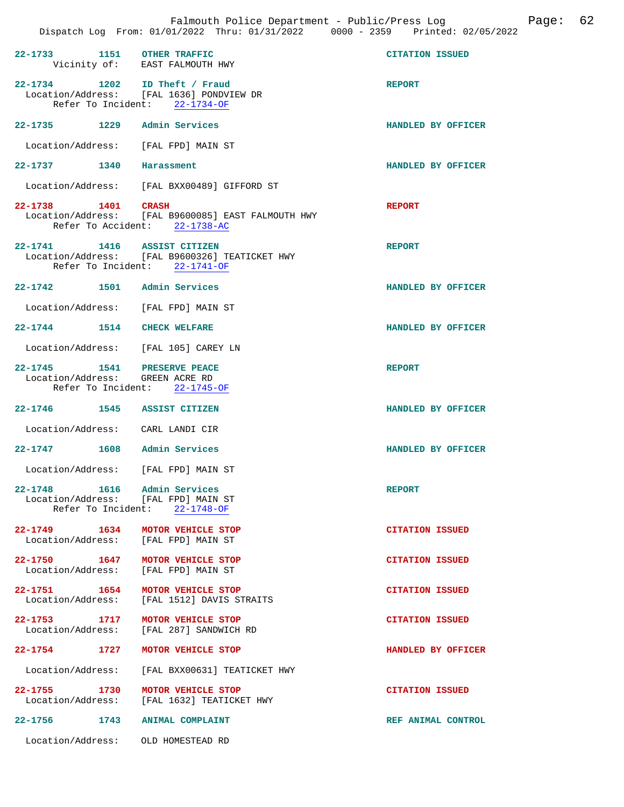| 22-1733 1151 OTHER TRAFFIC                                     | Vicinity of: EAST FALMOUTH HWY                                                                             | <b>CITATION ISSUED</b> |
|----------------------------------------------------------------|------------------------------------------------------------------------------------------------------------|------------------------|
|                                                                | 22-1734 1202 ID Theft / Fraud<br>Location/Address: [FAL 1636] PONDVIEW DR<br>Refer To Incident: 22-1734-OF | <b>REPORT</b>          |
| 22-1735 1229 Admin Services                                    |                                                                                                            | HANDLED BY OFFICER     |
|                                                                | Location/Address: [FAL FPD] MAIN ST                                                                        |                        |
| 22-1737 1340                                                   | Harassment                                                                                                 | HANDLED BY OFFICER     |
|                                                                | Location/Address: [FAL BXX00489] GIFFORD ST                                                                |                        |
| 22-1738 1401 CRASH                                             | Location/Address: [FAL B9600085] EAST FALMOUTH HWY<br>Refer To Accident: 22-1738-AC                        | <b>REPORT</b>          |
| 22-1741 1416 ASSIST CITIZEN                                    | Location/Address: [FAL B9600326] TEATICKET HWY<br>Refer To Incident: 22-1741-OF                            | <b>REPORT</b>          |
| 22-1742 1501 Admin Services                                    |                                                                                                            | HANDLED BY OFFICER     |
|                                                                | Location/Address: [FAL FPD] MAIN ST                                                                        |                        |
| 22-1744 1514 CHECK WELFARE                                     |                                                                                                            | HANDLED BY OFFICER     |
|                                                                | Location/Address: [FAL 105] CAREY LN                                                                       |                        |
| 22-1745 1541 PRESERVE PEACE<br>Location/Address: GREEN ACRE RD | Refer To Incident: 22-1745-OF                                                                              | <b>REPORT</b>          |
|                                                                | 22-1746 1545 ASSIST CITIZEN                                                                                | HANDLED BY OFFICER     |
|                                                                | Location/Address: CARL LANDI CIR                                                                           |                        |
| 22-1747 1608 Admin Services                                    |                                                                                                            | HANDLED BY OFFICER     |
|                                                                | Location/Address: [FAL FPD] MAIN ST                                                                        |                        |
| 22-1748                                                        | 1616 Admin Services<br>Location/Address: [FAL FPD] MAIN ST<br>Refer To Incident: 22-1748-OF                | <b>REPORT</b>          |
|                                                                | 22-1749 1634 MOTOR VEHICLE STOP<br>Location/Address: [FAL FPD] MAIN ST                                     | <b>CITATION ISSUED</b> |
|                                                                | 22-1750 1647 MOTOR VEHICLE STOP<br>Location/Address: [FAL FPD] MAIN ST                                     | <b>CITATION ISSUED</b> |
|                                                                | 22-1751 1654 MOTOR VEHICLE STOP<br>Location/Address: [FAL 1512] DAVIS STRAITS                              | <b>CITATION ISSUED</b> |
|                                                                | 22-1753 1717 MOTOR VEHICLE STOP<br>Location/Address: [FAL 287] SANDWICH RD                                 | <b>CITATION ISSUED</b> |
| 22-1754 1727                                                   | MOTOR VEHICLE STOP                                                                                         | HANDLED BY OFFICER     |
|                                                                | Location/Address: [FAL BXX00631] TEATICKET HWY                                                             |                        |
| 22-1755 1730                                                   | MOTOR VEHICLE STOP<br>Location/Address: [FAL 1632] TEATICKET HWY                                           | <b>CITATION ISSUED</b> |
|                                                                | 22-1756 1743 ANIMAL COMPLAINT                                                                              | REF ANIMAL CONTROL     |
|                                                                | Location/Address: OLD HOMESTEAD RD                                                                         |                        |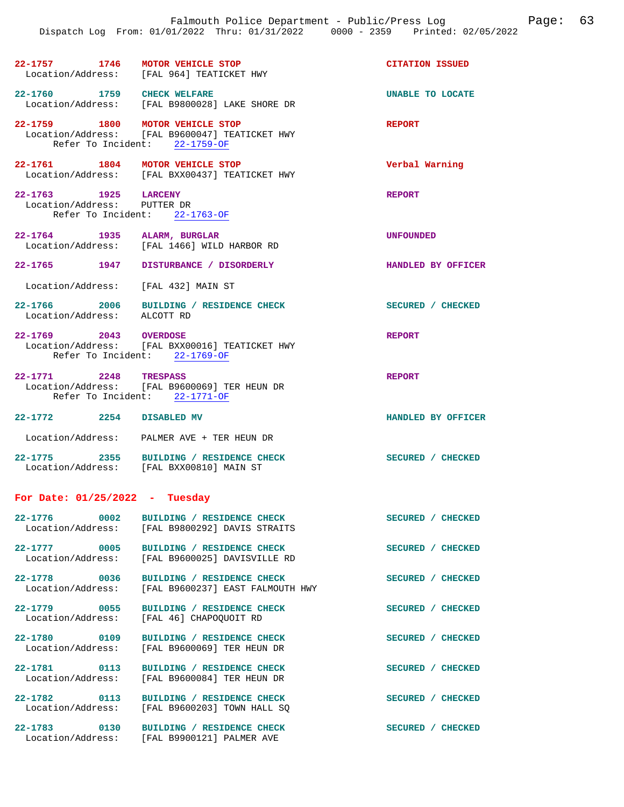| $22 - 1757$       | 1746 | MOTOR VEHICLE STOP      | <b>CITATION ISSUED</b> |  |
|-------------------|------|-------------------------|------------------------|--|
| Location/Address: |      | [FAL 964] TEATICKET HWY |                        |  |

**22-1760 1759 CHECK WELFARE UNABLE TO LOCATE**  Location/Address: [FAL B9800028] LAKE SHORE DR

**22-1759 1800 MOTOR VEHICLE STOP REPORT**  Location/Address: [FAL B9600047] TEATICKET HWY Refer To Incident: 22-1759-OF

**22-1761** 1804 MOTOR VEHICLE STOP **Verbal Warning** Location/Address: [FAL BXX00437] TEATICKET HWY [FAL BXX00437] TEATICKET HWY

**22-1763 1925 LARCENY REPORT**  Location/Address: PUTTER DR Refer To Incident: 22-1763-OF

**22-1764 1935 ALARM, BURGLAR UNFOUNDED**  [FAL 1466] WILD HARBOR RD

- **22-1765 1947 DISTURBANCE / DISORDERLY HANDLED BY OFFICER**
- Location/Address: [FAL 432] MAIN ST
- **22-1766 2006 BUILDING / RESIDENCE CHECK SECURED / CHECKED**  Location/Address:
- **22-1769 2043 OVERDOSE REPORT**  Location/Address: [FAL BXX00016] TEATICKET HWY Refer To Incident: 22-1769-OF
- **22-1771 2248 TRESPASS REPORT**  Location/Address: [FAL B9600069] TER HEUN DR Refer To Incident: 22-1771-OF

**22-1772 2254 DISABLED MV HANDLED BY OFFICER**  Location/Address: PALMER AVE + TER HEUN DR

**22-1775 2355 BUILDING / RESIDENCE CHECK SECURED / CHECKED**  Location/Address: [FAL BXX00810] MAIN ST

## **For Date: 01/25/2022 - Tuesday**

| $22 - 1776$<br>0002                      | BUILDING / RESIDENCE CHECK<br>Location/Address: [FAL B9800292] DAVIS STRAITS     | SECURED /<br><b>CHECKED</b>      |
|------------------------------------------|----------------------------------------------------------------------------------|----------------------------------|
| 0005<br>$22 - 1777$<br>Location/Address: | BUILDING / RESIDENCE CHECK<br>[FAL B9600025] DAVISVILLE RD                       | SECURED / CHECKED                |
| 0036<br>$22 - 1778$                      | BUILDING / RESIDENCE CHECK<br>Location/Address: [FAL B9600237] EAST FALMOUTH HWY | SECURED /<br><b>CHECKED</b>      |
| 0055<br>$22 - 1779$<br>Location/Address: | BUILDING / RESIDENCE CHECK<br>[FAL 46] CHAPOQUOIT RD                             | <b>SECURED</b><br><b>CHECKED</b> |
| $22 - 1780$<br>0109<br>Location/Address: | BUILDING / RESIDENCE CHECK<br>[FAL B9600069] TER HEUN DR                         | <b>SECURED</b><br><b>CHECKED</b> |
| 22-1781<br>0113<br>Location/Address:     | BUILDING / RESIDENCE CHECK<br>[FAL B9600084] TER HEUN DR                         | <b>SECURED</b><br><b>CHECKED</b> |
| $22 - 1782$<br>0113<br>Location/Address: | BUILDING / RESIDENCE CHECK<br>[FAL B9600203] TOWN HALL SO                        | <b>SECURED</b><br><b>CHECKED</b> |
| $22 - 1783$<br>0130<br>Location/Address: | <b>RESIDENCE CHECK</b><br>BUILDING /<br>[FAL B9900121] PALMER AVE                | <b>SECURED</b><br><b>CHECKED</b> |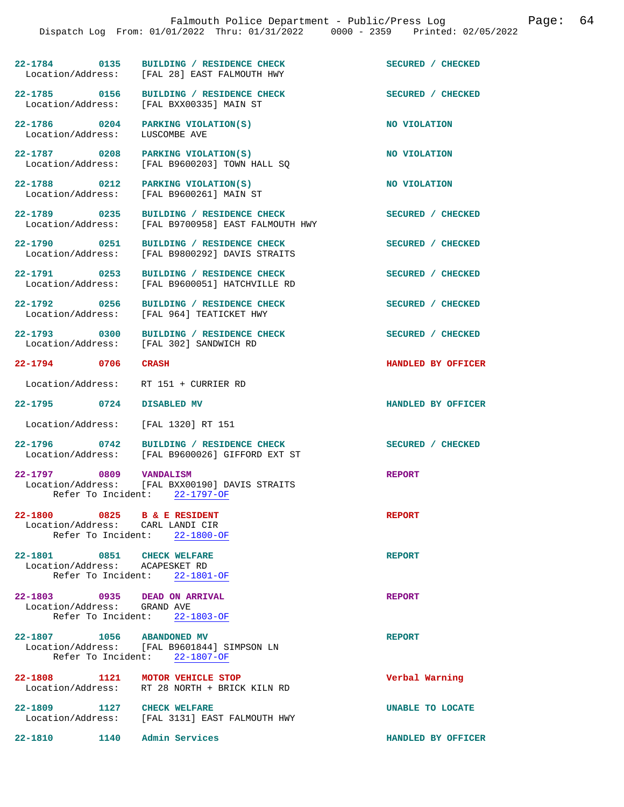**22-1784 0135 BUILDING / RESIDENCE CHECK SECURED / CHECKED**  [FAL 28] EAST FALMOUTH HWY 22-1785 0156 BUILDING / RESIDENCE CHECK<br>
Location/Address: [FAL BXX00335] MAIN ST [FAL BXX00335] MAIN ST **22-1786** 0204 PARKING VIOLATION(S) NO VIOLATION Location/Address: LUSCOMBE AVE Location/Address: **22-1787** 0208 PARKING VIOLATION(S) NO VIOLATION Location/Address: [FAL B9600203] TOWN HALL SQ **22-1788 0212 PARKING VIOLATION(S) NO VIOLATION**  Location/Address: [FAL B9600261] MAIN ST 22-1789 0235 BUILDING / RESIDENCE CHECK<br>
Location/Address: [FAL B9700958] EAST FALMOUTH HWY [FAL B9700958] EAST FALMOUTH HWY **22-1790** 0251 BUILDING / RESIDENCE CHECK SECURED / CHECKED Location/Address: [FAL B9800292] DAVIS STRAITS [FAL B9800292] DAVIS STRAITS **22-1791 0253 BUILDING / RESIDENCE CHECK SECURED / CHECKED**  [FAL B9600051] HATCHVILLE RD **22-1792 0256 BUILDING / RESIDENCE CHECK SECURED / CHECKED**  Location/Address: [FAL 964] TEATICKET HWY **22-1793 0300 BUILDING / RESIDENCE CHECK SECURED / CHECKED**  Location/Address: [FAL 302] SANDWICH RD **22-1794 0706 CRASH HANDLED BY OFFICER**  Location/Address: RT 151 + CURRIER RD **22-1795 0724 DISABLED MV HANDLED BY OFFICER**  Location/Address: [FAL 1320] RT 151 **22-1796 0742 BUILDING / RESIDENCE CHECK SECURED / CHECKED**  Location/Address: [FAL B9600026] GIFFORD EXT ST **22-1797 0809 VANDALISM REPORT**  Location/Address: [FAL BXX00190] DAVIS STRAITS Refer To Incident: 22-1797-OF **22-1800 0825 B & E RESIDENT REPORT**  Location/Address: CARL LANDI CIR<br>Refer To Incident: 22-1800-OF Refer To Incident: **22-1801** 0851 CHECK WELFARE **REPORT** Location/Address: ACAPESKET RD Location/Address: ACAPESKET RD<br>Refer To Incident: 22-1801-OF Refer To Incident: **22-1803 0935 DEAD ON ARRIVAL REPORT**  Location/Address: GRAND AVE Refer To Incident: 22-1803-OF **22-1807 1056 ABANDONED MV REPORT**  Location/Address: [FAL B9601844] SIMPSON LN Refer To Incident: 22-1807-OF **22-1808 1121 MOTOR VEHICLE STOP Verbal Warning** 

Location/Address: RT 28 NORTH + BRICK KILN RD

[FAL 3131] EAST FALMOUTH HWY

**22-1809** 1127 CHECK WELFARE **In the UNABLE TO LOCATE** Location/Address: [FAL 3131] EAST FALMOUTH HWY

**22-1810 1140 Admin Services HANDLED BY OFFICER**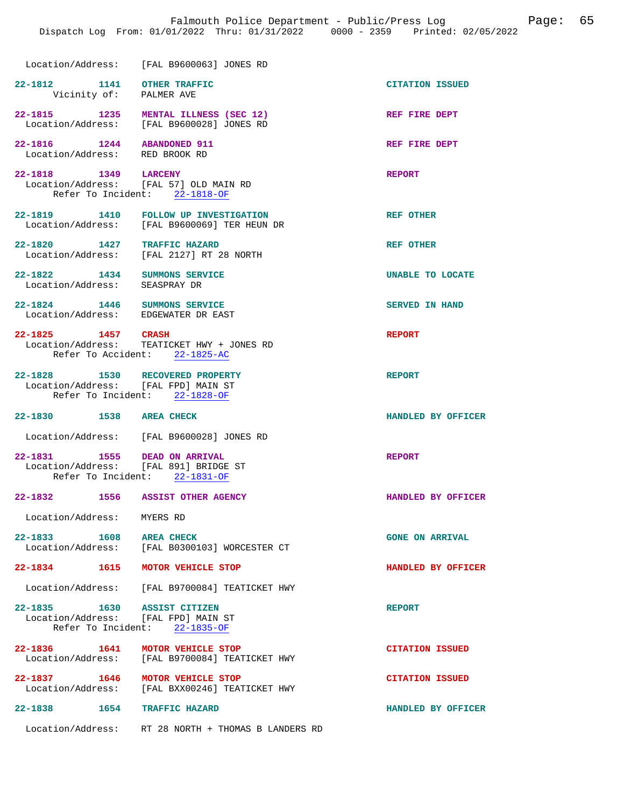| coation/Address: | LEAL RAGOODE31 JONES PD |  |
|------------------|-------------------------|--|

| Location/Address:                                     | [FAL B9600063] JONES RD                                                        |                        |
|-------------------------------------------------------|--------------------------------------------------------------------------------|------------------------|
| $22 - 1812$<br>1141<br>Vicinity of: PALMER AVE        | OTHER TRAFFIC                                                                  | <b>CITATION ISSUED</b> |
| $22 - 1815$<br>1235<br>Location/Address:              | MENTAL ILLNESS (SEC 12)<br>[FAL B9600028] JONES RD                             | REF FIRE DEPT          |
| $22 - 1816$<br>1244<br>Location/Address: RED BROOK RD | <b>ABANDONED 911</b>                                                           | REF FIRE DEPT          |
| $22 - 1818$<br>Refer To Incident:                     | 1349 LARCENY<br>Location/Address: [FAL 57] OLD MAIN RD<br>22-1818-OF           | <b>REPORT</b>          |
| $22 - 1819$<br>1410                                   | <b>FOLLOW UP INVESTIGATION</b><br>Location/Address: [FAL B9600069] TER HEUN DR | <b>REF OTHER</b>       |
| $22 - 1820$<br>1427<br>Location/Address:              | TRAFFIC HAZARD<br>[FAL 2127] RT 28 NORTH                                       | <b>REF OTHER</b>       |

- **22-1822 1434 SUMMONS SERVICE UNABLE TO LOCATE**  Location/Address: SEASPRAY DR
- **22-1824 1446 SUMMONS SERVICE SERVED IN HAND**  Location/Address: EDGEWATER DR EAST
- **22-1825 1457 CRASH REPORT**  Location/Address: TEATICKET HWY + JONES RD Refer To Accident: 22-1825-AC
- **22-1828 1530 RECOVERED PROPERTY REPORT**  Location/Address: Refer To Incident: 22-1828-OF
- **22-1830 1538 AREA CHECK HANDLED BY OFFICER**
- Location/Address: [FAL B9600028] JONES RD
- **22-1831 1555 DEAD ON ARRIVAL REPORT**  Location/Address: [FAL 891] BRIDGE ST Refer To Incident: 22-1831-OF
- **22-1832 1556 ASSIST OTHER AGENCY HANDLED BY OFFICER** 
	- Location/Address: MYERS RD
- 22-1833 1608 AREA CHECK **DEAR CHECK CONE ON ARRIVAL** Location/Address: [FAL B0300103] WORCESTER CT [FAL B0300103] WORCESTER CT
- **22-1834 1615 MOTOR VEHICLE STOP HANDLED BY OFFICER**
- Location/Address: [FAL B9700084] TEATICKET HWY
- **22-1835 1630 ASSIST CITIZEN REPORT**  Location/Address: [FAL FPD] MAIN ST Refer To Incident: 22-1835-OF
- **22-1836 1641 MOTOR VEHICLE STOP CITATION ISSUED**  Location/Address: [FAL B9700084] TEATICKET HWY
- **22-1837 1646 MOTOR VEHICLE STOP CITATION ISSUED**<br>
Location/Address: [FAL BXX00246] TEATICKET HWY [FAL BXX00246] TEATICKET HWY
- **22-1838 1654 TRAFFIC HAZARD HANDLED BY OFFICER** 
	- Location/Address: RT 28 NORTH + THOMAS B LANDERS RD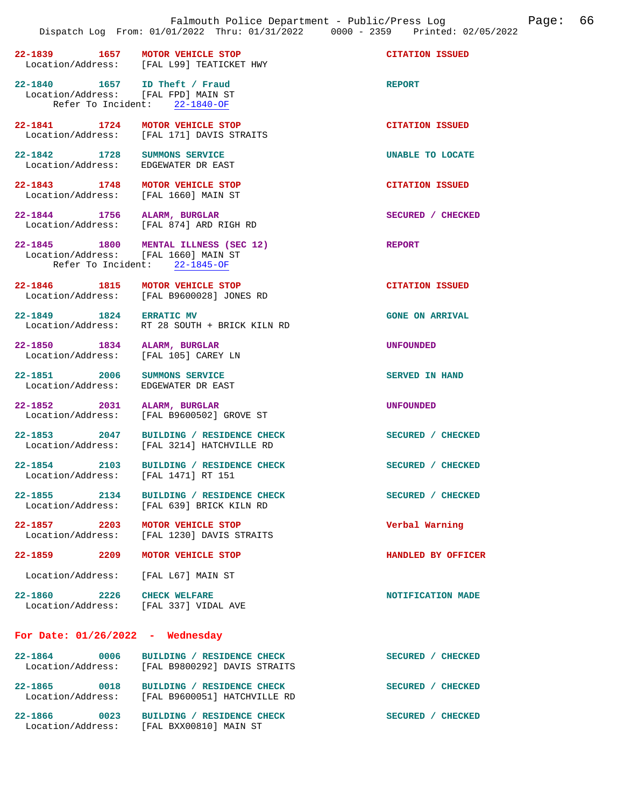|                                                                          | Falmouth Police Department - Public/Press Log<br>Dispatch Log From: 01/01/2022 Thru: 01/31/2022 0000 - 2359 Printed: 02/05/2022 |                        |
|--------------------------------------------------------------------------|---------------------------------------------------------------------------------------------------------------------------------|------------------------|
| 1657<br>22-1839                                                          | MOTOR VEHICLE STOP<br>Location/Address: [FAL L99] TEATICKET HWY                                                                 | <b>CITATION ISSUED</b> |
| 22-1840   1657   ID Theft / Fraud<br>Location/Address: [FAL FPD] MAIN ST | Refer To Incident: 22-1840-OF                                                                                                   | <b>REPORT</b>          |
| 22-1841 1724<br>Location/Address:                                        | MOTOR VEHICLE STOP<br>[FAL 171] DAVIS STRAITS                                                                                   | <b>CITATION ISSUED</b> |
| 22-1842 1728<br>Location/Address:                                        | SUMMONS SERVICE<br>EDGEWATER DR EAST                                                                                            | UNABLE TO LOCATE       |
| 22-1843 1748<br>Location/Address: [FAL 1660] MAIN ST                     | MOTOR VEHICLE STOP                                                                                                              | <b>CITATION ISSUED</b> |
| 22-1844 1756                                                             | ALARM, BURGLAR<br>Location/Address: [FAL 874] ARD RIGH RD                                                                       | SECURED / CHECKED      |
| 22-1845 1800<br>Location/Address: [FAL 1660] MAIN ST                     | MENTAL ILLNESS (SEC 12)<br>Refer To Incident: 22-1845-OF                                                                        | <b>REPORT</b>          |
| 22-1846 1815                                                             | MOTOR VEHICLE STOP<br>Location/Address: [FAL B9600028] JONES RD                                                                 | <b>CITATION ISSUED</b> |
| 22-1849 1824 ERRATIC MV                                                  | Location/Address: RT 28 SOUTH + BRICK KILN RD                                                                                   | <b>GONE ON ARRIVAL</b> |
| $22 - 1850$<br>1834<br>Location/Address:                                 | ALARM, BURGLAR<br>[FAL 105] CAREY LN                                                                                            | <b>UNFOUNDED</b>       |
| 22-1851 2006<br>Location/Address:                                        | SUMMONS SERVICE<br>EDGEWATER DR EAST                                                                                            | <b>SERVED IN HAND</b>  |
| $22 - 1852$<br>2031<br>Location/Address:                                 | ALARM, BURGLAR<br>[FAL B9600502] GROVE ST                                                                                       | <b>UNFOUNDED</b>       |
| 22-1853 2047<br>Location/Address:                                        | BUILDING / RESIDENCE CHECK<br>[FAL 3214] HATCHVILLE RD                                                                          | SECURED / CHECKED      |
| $22 - 1854$<br>2103<br>Location/Address: [FAL 1471] RT 151               | BUILDING / RESIDENCE CHECK                                                                                                      | SECURED / CHECKED      |
| 22-1855<br>2134                                                          | BUILDING / RESIDENCE CHECK<br>Location/Address: [FAL 639] BRICK KILN RD                                                         | SECURED / CHECKED      |
| 22-1857 2203                                                             | MOTOR VEHICLE STOP<br>Location/Address: [FAL 1230] DAVIS STRAITS                                                                | Verbal Warning         |
| 22-1859 2209 MOTOR VEHICLE STOP                                          |                                                                                                                                 | HANDLED BY OFFICER     |
| Location/Address: [FAL L67] MAIN ST                                      |                                                                                                                                 |                        |
| 22-1860 2226 CHECK WELFARE                                               | Location/Address: [FAL 337] VIDAL AVE                                                                                           | NOTIFICATION MADE      |
| For Date: $01/26/2022 -$ Wednesday                                       |                                                                                                                                 |                        |
| 22-1864                                                                  | 2-1864 0006 BUILDING / RESIDENCE CHECK<br>Location/Address: [FAL B9800292] DAVIS STRAITS                                        | SECURED / CHECKED      |
| 22-1865 0018                                                             | BUILDING / RESIDENCE CHECK                                                                                                      | SECURED / CHECKED      |

**22-1866 0023 BUILDING / RESIDENCE CHECK SECURED / CHECKED**  Location/Address: [FAL BXX00810] MAIN ST

Location/Address: [FAL B9600051] HATCHVILLE RD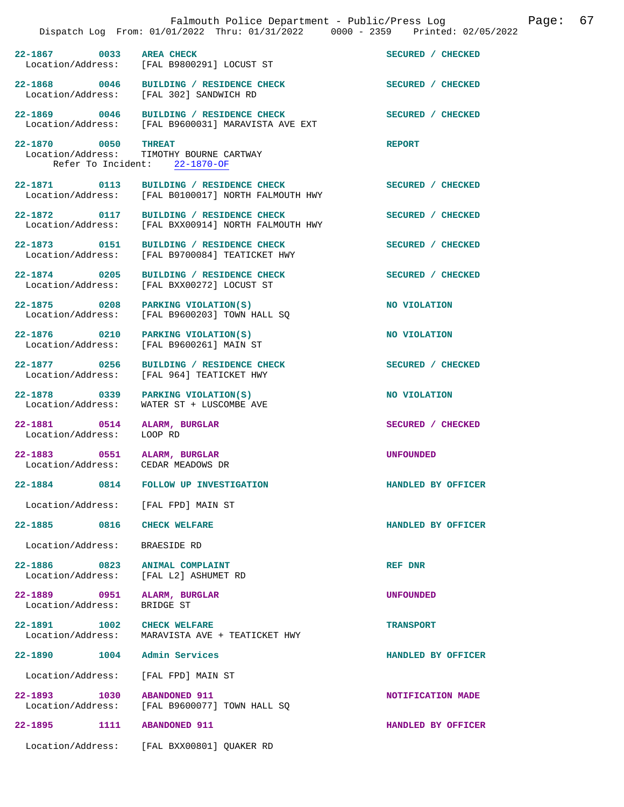|                                                                   | Falmouth Police Department - Public/Press Log<br>Dispatch Log From: 01/01/2022 Thru: 01/31/2022 0000 - 2359 Printed: 02/05/2022 | 67<br>Page:        |
|-------------------------------------------------------------------|---------------------------------------------------------------------------------------------------------------------------------|--------------------|
| 22-1867 0033 AREA CHECK                                           |                                                                                                                                 | SECURED / CHECKED  |
|                                                                   | Location/Address: [FAL B9800291] LOCUST ST                                                                                      |                    |
|                                                                   | 22-1868 0046 BUILDING / RESIDENCE CHECK<br>Location/Address: [FAL 302] SANDWICH RD                                              | SECURED / CHECKED  |
|                                                                   | 22-1869 0046 BUILDING / RESIDENCE CHECK<br>Location/Address: [FAL B9600031] MARAVISTA AVE EXT                                   | SECURED / CHECKED  |
| 22-1870 0050 THREAT<br>Location/Address:                          | TIMOTHY BOURNE CARTWAY<br>Refer To Incident: 22-1870-OF                                                                         | <b>REPORT</b>      |
|                                                                   | 22-1871 0113 BUILDING / RESIDENCE CHECK<br>Location/Address: [FAL B0100017] NORTH FALMOUTH HWY                                  | SECURED / CHECKED  |
|                                                                   | 22-1872 0117 BUILDING / RESIDENCE CHECK<br>Location/Address: [FAL BXX00914] NORTH FALMOUTH HWY                                  | SECURED / CHECKED  |
| 22-1873 0151                                                      | BUILDING / RESIDENCE CHECK<br>Location/Address: [FAL B9700084] TEATICKET HWY                                                    | SECURED / CHECKED  |
| 22-1874 0205<br>Location/Address:                                 | BUILDING / RESIDENCE CHECK<br>[FAL BXX00272] LOCUST ST                                                                          | SECURED / CHECKED  |
| 22-1875 0208                                                      | PARKING VIOLATION(S)<br>Location/Address: [FAL B9600203] TOWN HALL SQ                                                           | NO VIOLATION       |
| Location/Address:                                                 | 22-1876 0210 PARKING VIOLATION(S)<br>[FAL B9600261] MAIN ST                                                                     | NO VIOLATION       |
| 22-1877 0256<br>Location/Address:                                 | BUILDING / RESIDENCE CHECK<br>[FAL 964] TEATICKET HWY                                                                           | SECURED / CHECKED  |
| 22-1878 0339<br>Location/Address:                                 | PARKING VIOLATION(S)<br>WATER ST + LUSCOMBE AVE                                                                                 | NO VIOLATION       |
| 22-1881 0514<br>Location/Address:                                 | ALARM, BURGLAR<br>LOOP RD                                                                                                       | SECURED / CHECKED  |
| 22-1883 0551 ALARM, BURGLAR<br>Location/Address: CEDAR MEADOWS DR |                                                                                                                                 | <b>UNFOUNDED</b>   |
| 22-1884                                                           | 0814 FOLLOW UP INVESTIGATION                                                                                                    | HANDLED BY OFFICER |
| Location/Address: [FAL FPD] MAIN ST                               |                                                                                                                                 |                    |
| 22-1885 0816                                                      | <b>CHECK WELFARE</b>                                                                                                            | HANDLED BY OFFICER |
| Location/Address:                                                 | BRAESIDE RD                                                                                                                     |                    |
| 22–1886 0823<br>Location/Address:                                 | ANIMAL COMPLAINT<br>[FAL L2] ASHUMET RD                                                                                         | REF DNR            |
| 22-1889 0951<br>Location/Address:                                 | ALARM, BURGLAR<br>BRIDGE ST                                                                                                     | <b>UNFOUNDED</b>   |
| 22-1891 1002<br>Location/Address:                                 | <b>CHECK WELFARE</b><br>MARAVISTA AVE + TEATICKET HWY                                                                           | <b>TRANSPORT</b>   |
| 22-1890 1004 Admin Services                                       |                                                                                                                                 | HANDLED BY OFFICER |
| Location/Address:                                                 | [FAL FPD] MAIN ST                                                                                                               |                    |
| 22-1893 1030                                                      | <b>ABANDONED 911</b><br>Location/Address: [FAL B9600077] TOWN HALL SQ                                                           | NOTIFICATION MADE  |
| 22-1895 1111                                                      | <b>ABANDONED 911</b>                                                                                                            | HANDLED BY OFFICER |
| Location/Address:                                                 | [FAL BXX00801] QUAKER RD                                                                                                        |                    |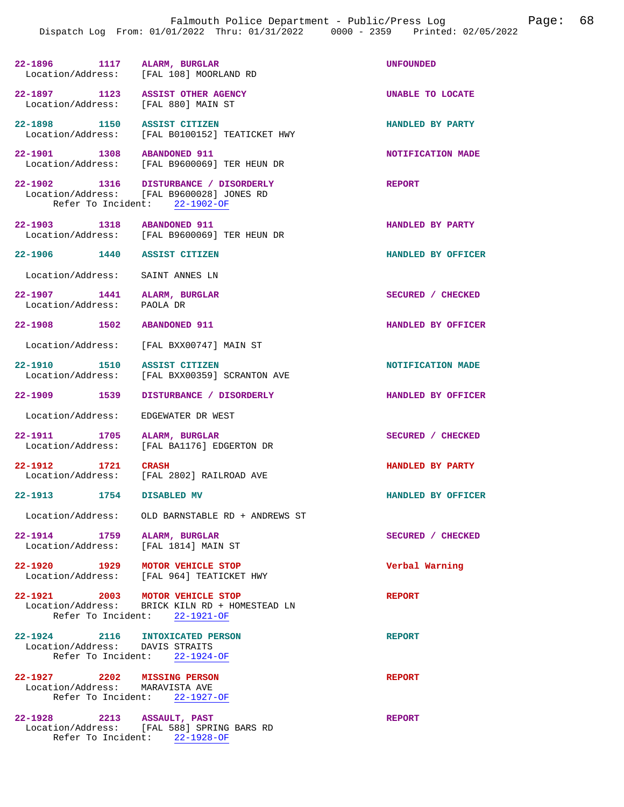|                                                                         | Dispatch Log From: 01/01/2022 Thru: 01/31/2022 0000 - 2359                                                          | Printed: 02/05/2022 |
|-------------------------------------------------------------------------|---------------------------------------------------------------------------------------------------------------------|---------------------|
| 22-1896 1117 ALARM, BURGLAR                                             | Location/Address: [FAL 108] MOORLAND RD                                                                             | <b>UNFOUNDED</b>    |
| 22-1897 1123 ASSIST OTHER AGENCY<br>Location/Address: [FAL 880] MAIN ST |                                                                                                                     | UNABLE TO LOCATE    |
| 22-1898 1150 ASSIST CITIZEN                                             | Location/Address: [FAL B0100152] TEATICKET HWY                                                                      | HANDLED BY PARTY    |
| 22-1901 1308 ABANDONED 911                                              | Location/Address: [FAL B9600069] TER HEUN DR                                                                        | NOTIFICATION MADE   |
|                                                                         | 22-1902 1316 DISTURBANCE / DISORDERLY<br>Location/Address: [FAL B9600028] JONES RD<br>Refer To Incident: 22-1902-OF | <b>REPORT</b>       |
| 22-1903 1318 ABANDONED 911                                              | Location/Address: [FAL B9600069] TER HEUN DR                                                                        | HANDLED BY PARTY    |
| 22-1906 1440 ASSIST CITIZEN                                             |                                                                                                                     | HANDLED BY OFFICER  |
| Location/Address: SAINT ANNES LN                                        |                                                                                                                     |                     |
| 22-1907 1441 ALARM, BURGLAR<br>Location/Address: PAOLA DR               |                                                                                                                     | SECURED / CHECKED   |
| 22-1908 1502                                                            | <b>ABANDONED 911</b>                                                                                                | HANDLED BY OFFICER  |
|                                                                         | Location/Address: [FAL BXX00747] MAIN ST                                                                            |                     |
| 22-1910 1510                                                            | ASSIST CITIZEN<br>Location/Address: [FAL BXX00359] SCRANTON AVE                                                     | NOTIFICATION MADE   |
| 22–1909 1539                                                            | DISTURBANCE / DISORDERLY                                                                                            | HANDLED BY OFFICER  |
| Location/Address:                                                       | EDGEWATER DR WEST                                                                                                   |                     |
| 22-1911 1705                                                            | ALARM, BURGLAR<br>Location/Address: [FAL BA1176] EDGERTON DR                                                        | SECURED / CHECKED   |
| 1721<br>22-1912                                                         | <b>CRASH</b><br>Location/Address: [FAL 2802] RAILROAD AVE                                                           | HANDLED BY PARTY    |
| 22-1913 1754 DISABLED MV                                                |                                                                                                                     | HANDLED BY OFFICER  |
|                                                                         | Location/Address: OLD BARNSTABLE RD + ANDREWS ST                                                                    |                     |
| 22-1914 1759 ALARM, BURGLAR<br>Location/Address: [FAL 1814] MAIN ST     |                                                                                                                     | SECURED / CHECKED   |
| 22-1920 1929                                                            | MOTOR VEHICLE STOP<br>Location/Address: [FAL 964] TEATICKET HWY                                                     | Verbal Warning      |
| 22-1921 2003 MOTOR VEHICLE STOP                                         | Location/Address: BRICK KILN RD + HOMESTEAD LN<br>Refer To Incident: 22-1921-OF                                     | <b>REPORT</b>       |
| 22-1924 2116 INTOXICATED PERSON<br>Location/Address: DAVIS STRAITS      | Refer To Incident: 22-1924-OF                                                                                       | <b>REPORT</b>       |
| 22-1927 2202 MISSING PERSON<br>Location/Address: MARAVISTA AVE          | Refer To Incident: 22-1927-OF                                                                                       | <b>REPORT</b>       |

**22-1928 2213 ASSAULT, PAST REPORT**  Location/Address: [FAL 588] SPRING BARS RD Refer To Incident: 22-1928-OF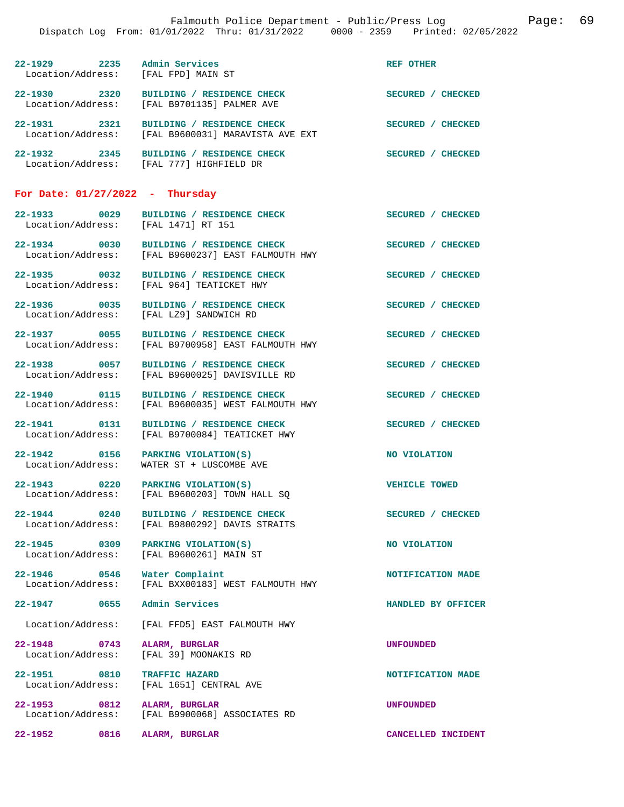**22-1929 2235 Admin Services REF OTHER Location/Address:** [FAL FPD] MAIN ST Location/Address: **22-1930 2320 BUILDING / RESIDENCE CHECK SECURED / CHECKED**  Location/Address: [FAL B9701135] PALMER AVE **22-1931 2321 BUILDING / RESIDENCE CHECK SECURED / CHECKED**  Location/Address: [FAL B9600031] MARAVISTA AVE EXT **22-1932 2345 BUILDING / RESIDENCE CHECK SECURED / CHECKED**  Location/Address: [FAL 777] HIGHFIELD DR

## **For Date: 01/27/2022 - Thursday**

**22-1933** 0029 BUILDING / RESIDENCE CHECK SECURED / CHECKED Location/Address: [FAL 1471] RT 151 Location/Address:

**22-1934 0030 BUILDING / RESIDENCE CHECK SECURED / CHECKED**  Location/Address: [FAL B9600237] EAST FALMOUTH HWY

**22-1935 0032 BUILDING / RESIDENCE CHECK SECURED / CHECKED** 

**22-1936 0035 BUILDING / RESIDENCE CHECK SECURED / CHECKED** 

**22-1947 0655 Admin Services HANDLED BY OFFICER** 

**22-1948 0743 ALARM, BURGLAR UNFOUNDED** 

**22-1951 0810 TRAFFIC HAZARD NOTIFICATION MADE** 

Location/Address: [FAL 964] TEATICKET HWY

Location/Address: [FAL LZ9] SANDWICH RD

**22-1937** 0055 BUILDING / RESIDENCE CHECK<br>
Location/Address: [FAL B9700958] EAST FALMOUTH HWY [FAL B9700958] EAST FALMOUTH HWY

**22-1938** 0057 BUILDING / RESIDENCE CHECK SECURED / CHECKED Location/Address: [FAL B9600025] DAVISVILLE RD Location/Address: [FAL B9600025] DAVISVILLE RD

**22-1940 0115 BUILDING / RESIDENCE CHECK SECURED / CHECKED**  Location/Address: [FAL B9600035] WEST FALMOUTH HWY

**22-1941 0131 BUILDING / RESIDENCE CHECK SECURED / CHECKED**  Location/Address: [FAL B9700084] TEATICKET HWY

**22-1942 0156 PARKING VIOLATION(S) NO VIOLATION**  Location/Address: WATER ST + LUSCOMBE AVE

**22-1943 0220 PARKING VIOLATION(S) VEHICLE TOWED**  [FAL B9600203] TOWN HALL SQ

**22-1944** 0240 BUILDING / RESIDENCE CHECK SECURED / CHECKED Location/Address: [FAL B9800292] DAVIS STRAITS [FAL B9800292] DAVIS STRAITS

**22-1945** 0309 PARKING VIOLATION(S) NO VIOLATION Location/Address: [FAL B9600261] MAIN ST

**22-1946 0546 Water Complaint NOTIFICATION MADE**  Location/Address: [FAL BXX00183] WEST FALMOUTH HWY

Location/Address: [FAL FFD5] EAST FALMOUTH HWY

Location/Address: [FAL 39] MOONAKIS RD

Location/Address: [FAL 1651] CENTRAL AVE

**22-1953 0812 ALARM, BURGLAR UNFOUNDED**  Location/Address: [FAL B9900068] ASSOCIATES RD

**22-1952 0816 ALARM, BURGLAR CANCELLED INCIDENT**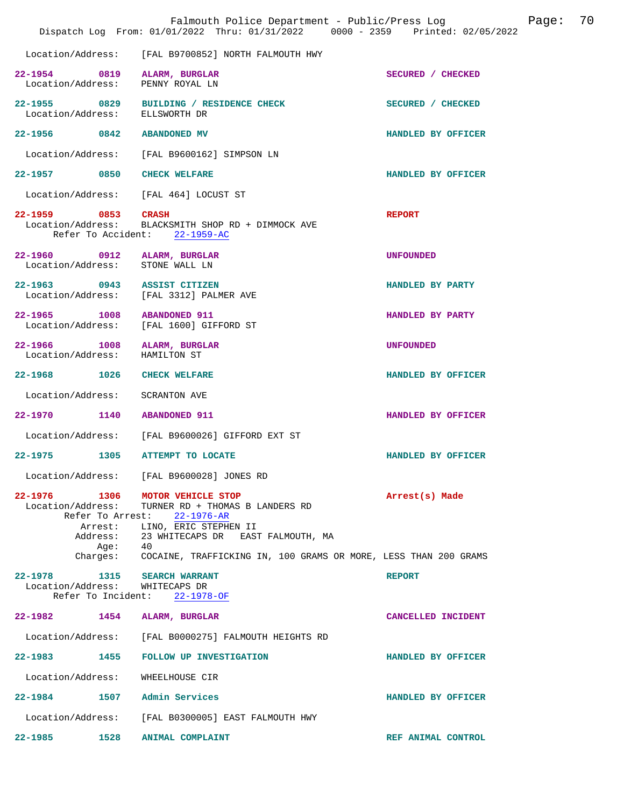|         |                                                              | Falmouth Police Department - Public/Press Log<br>Dispatch Log From: 01/01/2022 Thru: 01/31/2022 0000 - 2359 Printed: 02/05/2022        |                    | Page: | 70 |
|---------|--------------------------------------------------------------|----------------------------------------------------------------------------------------------------------------------------------------|--------------------|-------|----|
|         |                                                              | Location/Address: [FAL B9700852] NORTH FALMOUTH HWY                                                                                    |                    |       |    |
|         |                                                              | 22-1954 0819 ALARM, BURGLAR<br>Location/Address: PENNY ROYAL LN                                                                        | SECURED / CHECKED  |       |    |
|         | Location/Address:                                            | 22-1955 0829 BUILDING / RESIDENCE CHECK<br>ELLSWORTH DR                                                                                | SECURED / CHECKED  |       |    |
|         |                                                              | 22-1956 0842 ABANDONED MV                                                                                                              | HANDLED BY OFFICER |       |    |
|         |                                                              | Location/Address: [FAL B9600162] SIMPSON LN                                                                                            |                    |       |    |
|         |                                                              | 22-1957 0850 CHECK WELFARE                                                                                                             | HANDLED BY OFFICER |       |    |
|         |                                                              | Location/Address: [FAL 464] LOCUST ST                                                                                                  |                    |       |    |
|         | 22-1959 0853 CRASH                                           | Location/Address: BLACKSMITH SHOP RD + DIMMOCK AVE<br>Refer To Accident: 22-1959-AC                                                    | <b>REPORT</b>      |       |    |
|         |                                                              | 22-1960 0912 ALARM, BURGLAR<br>Location/Address: STONE WALL LN                                                                         | <b>UNFOUNDED</b>   |       |    |
|         |                                                              | 22-1963 0943 ASSIST CITIZEN<br>Location/Address: [FAL 3312] PALMER AVE                                                                 | HANDLED BY PARTY   |       |    |
|         |                                                              | 22-1965 1008 ABANDONED 911<br>Location/Address: [FAL 1600] GIFFORD ST                                                                  | HANDLED BY PARTY   |       |    |
|         |                                                              | 22-1966 1008 ALARM, BURGLAR<br>Location/Address: HAMILTON ST                                                                           | <b>UNFOUNDED</b>   |       |    |
|         |                                                              | 22-1968 1026 CHECK WELFARE                                                                                                             | HANDLED BY OFFICER |       |    |
|         |                                                              | Location/Address: SCRANTON AVE                                                                                                         |                    |       |    |
|         |                                                              | 22-1970 1140 ABANDONED 911                                                                                                             | HANDLED BY OFFICER |       |    |
|         |                                                              | Location/Address: [FAL B9600026] GIFFORD EXT ST                                                                                        |                    |       |    |
|         |                                                              | 22-1975 1305 ATTEMPT TO LOCATE                                                                                                         | HANDLED BY OFFICER |       |    |
|         | Location/Address:                                            | [FAL B9600028] JONES RD                                                                                                                |                    |       |    |
| 22-1976 | Location/Address:<br>Refer To Arrest:<br>Arrest:<br>Address: | 1306 MOTOR VEHICLE STOP<br>TURNER RD + THOMAS B LANDERS RD<br>22-1976-AR<br>LINO, ERIC STEPHEN II<br>23 WHITECAPS DR EAST FALMOUTH, MA | Arrest(s) Made     |       |    |
|         | Aqe:                                                         | - 40<br>Charges: COCAINE, TRAFFICKING IN, 100 GRAMS OR MORE, LESS THAN 200 GRAMS                                                       |                    |       |    |
|         | Location/Address:<br>Refer To Incident:                      | 22-1978 1315 SEARCH WARRANT<br>WHITECAPS DR<br>$22 - 1978 - OF$                                                                        | <b>REPORT</b>      |       |    |
| 22-1982 | 1454                                                         | ALARM, BURGLAR                                                                                                                         | CANCELLED INCIDENT |       |    |
|         | Location/Address:                                            | [FAL B0000275] FALMOUTH HEIGHTS RD                                                                                                     |                    |       |    |
| 22–1983 | 1455                                                         | FOLLOW UP INVESTIGATION                                                                                                                | HANDLED BY OFFICER |       |    |
|         | Location/Address:                                            | WHEELHOUSE CIR                                                                                                                         |                    |       |    |
|         |                                                              | 22-1984 1507 Admin Services                                                                                                            | HANDLED BY OFFICER |       |    |
|         | Location/Address:                                            | [FAL B0300005] EAST FALMOUTH HWY                                                                                                       |                    |       |    |
| 22-1985 | 1528                                                         | <b>ANIMAL COMPLAINT</b>                                                                                                                | REF ANIMAL CONTROL |       |    |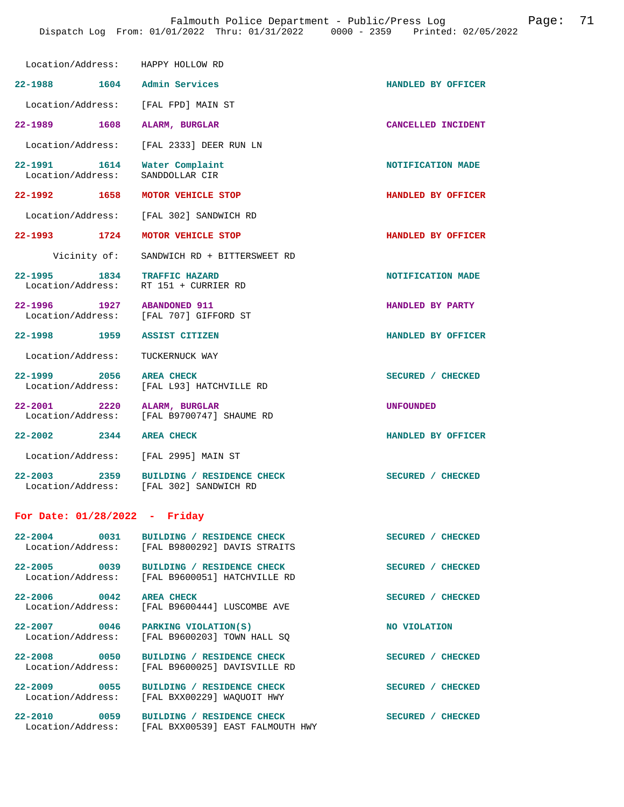| Location/Address:                                              | HAPPY HOLLOW RD                                                                         |                    |
|----------------------------------------------------------------|-----------------------------------------------------------------------------------------|--------------------|
| 22-1988 1604 Admin Services                                    |                                                                                         | HANDLED BY OFFICER |
| Location/Address: [FAL FPD] MAIN ST                            |                                                                                         |                    |
| 22-1989 1608                                                   | ALARM, BURGLAR                                                                          | CANCELLED INCIDENT |
| Location/Address:                                              | [FAL 2333] DEER RUN LN                                                                  |                    |
| 22-1991 1614<br>Location/Address:                              | Water Complaint<br>SANDDOLLAR CIR                                                       | NOTIFICATION MADE  |
| 22-1992 1658                                                   | MOTOR VEHICLE STOP                                                                      | HANDLED BY OFFICER |
|                                                                | Location/Address: [FAL 302] SANDWICH RD                                                 |                    |
| 22-1993 1724 MOTOR VEHICLE STOP                                |                                                                                         | HANDLED BY OFFICER |
| Vicinity of:                                                   | SANDWICH RD + BITTERSWEET RD                                                            |                    |
| 22-1995 1834 TRAFFIC HAZARD<br>Location/Address:               | RT 151 + CURRIER RD                                                                     | NOTIFICATION MADE  |
| 22-1996 1927 ABANDONED 911<br>Location/Address: [FAL 707] GIFF | [FAL 707] GIFFORD ST                                                                    | HANDLED BY PARTY   |
| 22-1998 1959                                                   | <b>ASSIST CITIZEN</b>                                                                   | HANDLED BY OFFICER |
| Location/Address:                                              | TUCKERNUCK WAY                                                                          |                    |
| 2056 AREA CHECK<br>$22 - 1999$                                 | Location/Address: [FAL L93] HATCHVILLE RD                                               | SECURED / CHECKED  |
| 22-2001 2220 ALARM, BURGLAR                                    | Location/Address: [FAL B9700747] SHAUME RD                                              | <b>UNFOUNDED</b>   |
| 22-2002 2344 AREA CHECK                                        |                                                                                         | HANDLED BY OFFICER |
| Location/Address: [FAL 2995] MAIN ST                           |                                                                                         |                    |
| 22–2003 2359                                                   | <b>BUILDING / RESIDENCE CHECK</b><br>Location/Address: [FAL 302] SANDWICH RD            | SECURED / CHECKED  |
|                                                                |                                                                                         |                    |
| For Date: $01/28/2022 -$ Friday                                |                                                                                         |                    |
| 22-2004 0031                                                   | BUILDING / RESIDENCE CHECK<br>Location/Address: [FAL B9800292] DAVIS STRAITS            | SECURED / CHECKED  |
| 22-2005 0039                                                   | BUILDING / RESIDENCE CHECK<br>Location/Address: [FAL B9600051] HATCHVILLE RD            | SECURED / CHECKED  |
| 22-2006 0042 AREA CHECK<br>Location/Address:                   | [FAL B9600444] LUSCOMBE AVE                                                             | SECURED / CHECKED  |
| 22-2007 0046 PARKING VIOLATION(S)<br>Location/Address:         | [FAL B9600203] TOWN HALL SO                                                             | NO VIOLATION       |
| Location/Address:                                              | 22-2008 0050 BUILDING / RESIDENCE CHECK<br>[FAL B9600025] DAVISVILLE RD                 | SECURED / CHECKED  |
|                                                                | 22-2009 0055 BUILDING / RESIDENCE CHECK<br>Location/Address: [FAL BXX00229] WAQUOIT HWY | SECURED / CHECKED  |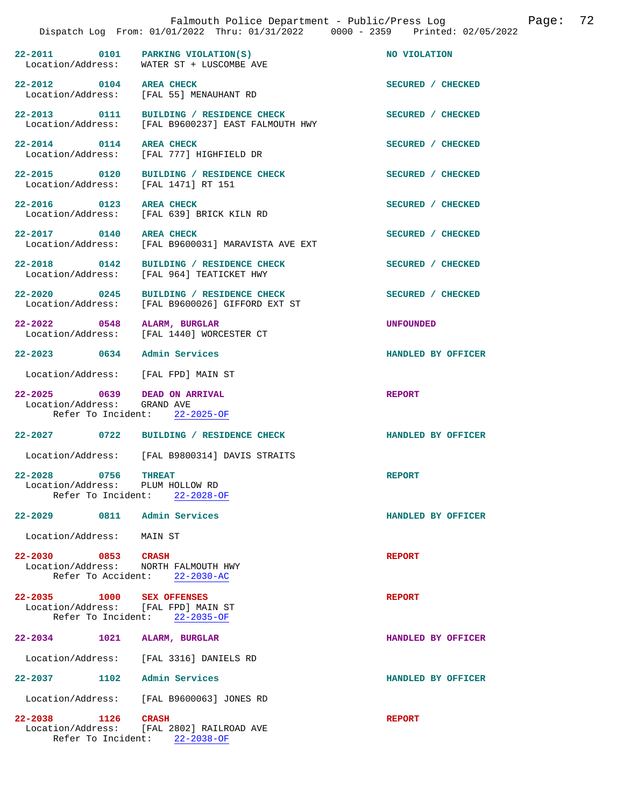|                                                                    | Dispatch Log From: 01/01/2022 Thru: 01/31/2022 0000 - 2359 Printed: 02/05/2022                | Falmouth Police Department - Public/Press Log | 72<br>Page: |
|--------------------------------------------------------------------|-----------------------------------------------------------------------------------------------|-----------------------------------------------|-------------|
|                                                                    | 22-2011 0101 PARKING VIOLATION(S)<br>Location/Address: WATER ST + LUSCOMBE AVE                | NO VIOLATION                                  |             |
| 22-2012 0104 AREA CHECK                                            | Location/Address: [FAL 55] MENAUHANT RD                                                       | SECURED / CHECKED                             |             |
|                                                                    | 22-2013 0111 BUILDING / RESIDENCE CHECK<br>Location/Address: [FAL B9600237] EAST FALMOUTH HWY | SECURED / CHECKED                             |             |
| 22-2014 0114 AREA CHECK                                            | Location/Address: [FAL 777] HIGHFIELD DR                                                      | SECURED / CHECKED                             |             |
| Location/Address: [FAL 1471] RT 151                                | 22-2015 0120 BUILDING / RESIDENCE CHECK                                                       | SECURED / CHECKED                             |             |
| 22-2016 0123 AREA CHECK                                            | Location/Address: [FAL 639] BRICK KILN RD                                                     | SECURED / CHECKED                             |             |
| 22-2017 0140 AREA CHECK                                            | Location/Address: [FAL B9600031] MARAVISTA AVE EXT                                            | SECURED / CHECKED                             |             |
|                                                                    | 22-2018 0142 BUILDING / RESIDENCE CHECK<br>Location/Address: [FAL 964] TEATICKET HWY          | SECURED / CHECKED                             |             |
| 22-2020 0245                                                       | BUILDING / RESIDENCE CHECK<br>Location/Address: [FAL B9600026] GIFFORD EXT ST                 | SECURED / CHECKED                             |             |
| 22-2022 0548 ALARM, BURGLAR                                        | Location/Address: [FAL 1440] WORCESTER CT                                                     | UNFOUNDED                                     |             |
| 22-2023 0634 Admin Services<br>Location/Address: [FAL FPD] MAIN ST |                                                                                               | HANDLED BY OFFICER                            |             |
| 22-2025 0639 DEAD ON ARRIVAL<br>Location/Address: GRAND AVE        | Refer To Incident: 22-2025-OF                                                                 | <b>REPORT</b>                                 |             |
|                                                                    | 22-2027 0722 BUILDING / RESIDENCE CHECK                                                       | HANDLED BY OFFICER                            |             |
|                                                                    | Location/Address: [FAL B9800314] DAVIS STRAITS                                                |                                               |             |
| 22-2028<br>$0756$ THREAT<br>Location/Address: PLUM HOLLOW RD       | Refer To Incident: 22-2028-OF                                                                 | <b>REPORT</b>                                 |             |
| 22-2029 0811 Admin Services                                        |                                                                                               | HANDLED BY OFFICER                            |             |
| Location/Address: MAIN ST                                          |                                                                                               |                                               |             |
| 22-2030 0853 CRASH                                                 | Location/Address: NORTH FALMOUTH HWY<br>Refer To Accident: 22-2030-AC                         | <b>REPORT</b>                                 |             |
| 22-2035 1000 SEX OFFENSES                                          | Location/Address: [FAL FPD] MAIN ST<br>Refer To Incident: 22-2035-OF                          | <b>REPORT</b>                                 |             |
| 22-2034 1021 ALARM, BURGLAR                                        |                                                                                               | HANDLED BY OFFICER                            |             |
|                                                                    | Location/Address: [FAL 3316] DANIELS RD                                                       |                                               |             |
| 22-2037 1102 Admin Services                                        |                                                                                               | HANDLED BY OFFICER                            |             |
|                                                                    | Location/Address: [FAL B9600063] JONES RD                                                     |                                               |             |
| 22-2038 1126 CRASH                                                 | Location/Address: [FAL 2802] RAILROAD AVE<br>Refer To Incident: 22-2038-OF                    | <b>REPORT</b>                                 |             |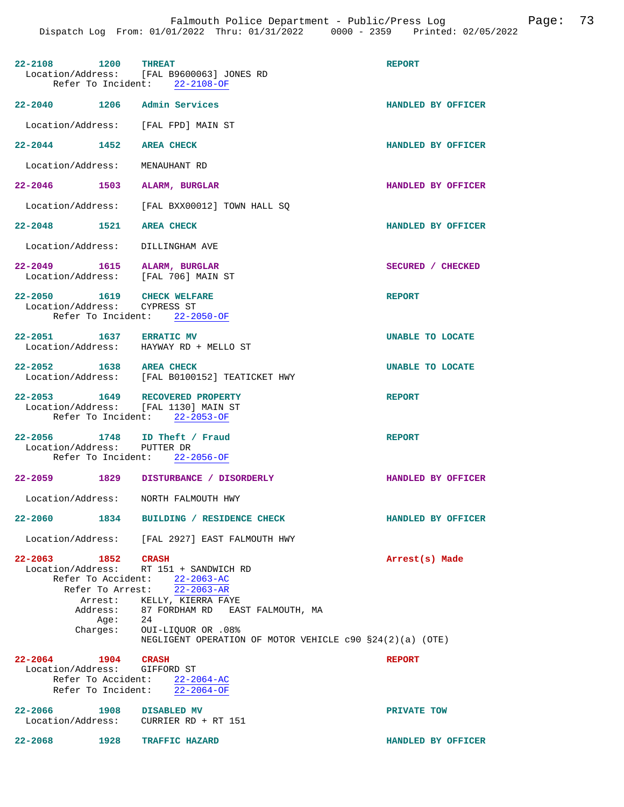| 22-2108 1200 THREAT                                                     | Location/Address: [FAL B9600063] JONES RD<br>Refer To Incident: 22-2108-OF                                                                                                                                                                                             | <b>REPORT</b>           |
|-------------------------------------------------------------------------|------------------------------------------------------------------------------------------------------------------------------------------------------------------------------------------------------------------------------------------------------------------------|-------------------------|
| 22-2040 1206 Admin Services                                             |                                                                                                                                                                                                                                                                        | HANDLED BY OFFICER      |
| Location/Address: [FAL FPD] MAIN ST                                     |                                                                                                                                                                                                                                                                        |                         |
| 22-2044 1452 AREA CHECK                                                 |                                                                                                                                                                                                                                                                        | HANDLED BY OFFICER      |
| Location/Address: MENAUHANT RD                                          |                                                                                                                                                                                                                                                                        |                         |
| 22-2046 1503 ALARM, BURGLAR                                             |                                                                                                                                                                                                                                                                        | HANDLED BY OFFICER      |
|                                                                         | Location/Address: [FAL BXX00012] TOWN HALL SQ                                                                                                                                                                                                                          |                         |
| 22-2048 1521 AREA CHECK                                                 |                                                                                                                                                                                                                                                                        | HANDLED BY OFFICER      |
| Location/Address: DILLINGHAM AVE                                        |                                                                                                                                                                                                                                                                        |                         |
| 22-2049 1615 ALARM, BURGLAR<br>Location/Address: [FAL 706] MAIN ST      |                                                                                                                                                                                                                                                                        | SECURED / CHECKED       |
| 22-2050 1619 CHECK WELFARE<br>Location/Address: CYPRESS ST              | Refer To Incident: 22-2050-OF                                                                                                                                                                                                                                          | <b>REPORT</b>           |
| 22-2051 1637 ERRATIC MV                                                 | Location/Address: HAYWAY RD + MELLO ST                                                                                                                                                                                                                                 | UNABLE TO LOCATE        |
| 22-2052 1638 AREA CHECK                                                 | Location/Address: [FAL B0100152] TEATICKET HWY                                                                                                                                                                                                                         | <b>UNABLE TO LOCATE</b> |
| 22-2053 1649 RECOVERED PROPERTY<br>Location/Address: [FAL 1130] MAIN ST | Refer To Incident: 22-2053-OF                                                                                                                                                                                                                                          | <b>REPORT</b>           |
| 22-2056 1748 ID Theft / Fraud<br>Location/Address: PUTTER DR            | Refer To Incident: 22-2056-OF                                                                                                                                                                                                                                          | <b>REPORT</b>           |
|                                                                         | 22-2059 1829 DISTURBANCE / DISORDERLY                                                                                                                                                                                                                                  | HANDLED BY OFFICER      |
| Location/Address: NORTH FALMOUTH HWY                                    |                                                                                                                                                                                                                                                                        |                         |
| 22-2060                                                                 | 1834 BUILDING / RESIDENCE CHECK                                                                                                                                                                                                                                        | HANDLED BY OFFICER      |
|                                                                         | Location/Address: [FAL 2927] EAST FALMOUTH HWY                                                                                                                                                                                                                         |                         |
| 22-2063 1852 CRASH<br>Age: 24<br>Charges:                               | Location/Address: RT 151 + SANDWICH RD<br>Refer To Accident: 22-2063-AC<br>Refer To Arrest: 22-2063-AR<br>Arrest: KELLY, KIERRA FAYE<br>Address: 87 FORDHAM RD EAST FALMOUTH, MA<br>OUI-LIQUOR OR .08%<br>NEGLIGENT OPERATION OF MOTOR VEHICLE $c90$ $$24(2)(a)$ (OTE) | Arrest(s) Made          |
| $22 - 2064$<br>1904 CRASH                                               |                                                                                                                                                                                                                                                                        | <b>REPORT</b>           |
| Location/Address: GIFFORD ST                                            | Refer To Accident: 22-2064-AC<br>Refer To Incident: $22-2064-OF$                                                                                                                                                                                                       |                         |
| 22-2066 1908 DISABLED MV                                                | Location/Address: CURRIER RD + RT 151                                                                                                                                                                                                                                  | PRIVATE TOW             |
| 22-2068 1928 TRAFFIC HAZARD                                             |                                                                                                                                                                                                                                                                        | HANDLED BY OFFICER      |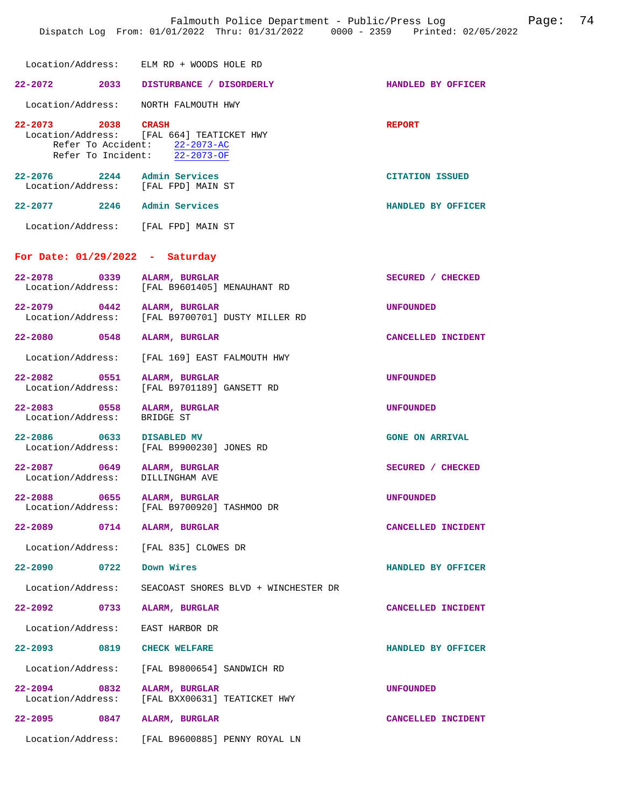Location/Address: [FAL 664] TEATICKET HWY Refer To Accident: 22-2073-AC Refer To Incident: 22-2073-OF **22-2076 2244 Admin Services CITATION ISSUED**  Location/Address: [FAL FPD] MAIN ST

**22-2077 2246 Admin Services HANDLED BY OFFICER** 

Location/Address: [FAL FPD] MAIN ST

## **For Date: 01/29/2022 - Saturday**

| $22 - 2078$<br>$\overline{0}$ 0339<br>Location/Address: | ALARM, BURGLAR<br>[FAL B9601405] MENAUHANT RD         | SECURED / CHECKED      |
|---------------------------------------------------------|-------------------------------------------------------|------------------------|
| $22 - 2079$<br>Location/Address:                        | 0442 ALARM, BURGLAR<br>[FAL B9700701] DUSTY MILLER RD | <b>UNFOUNDED</b>       |
| 22-2080 0548                                            | ALARM, BURGLAR                                        | CANCELLED INCIDENT     |
| Location/Address:                                       | [FAL 169] EAST FALMOUTH HWY                           |                        |
| 22-2082 0551<br>Location/Address:                       | ALARM, BURGLAR<br>[FAL B9701189] GANSETT RD           | <b>UNFOUNDED</b>       |
| $22 - 2083$<br>Location/Address:                        | 0558 ALARM, BURGLAR<br>BRIDGE ST                      | <b>UNFOUNDED</b>       |
| 22-2086 0633 DISABLED MV<br>Location/Address:           | [FAL B9900230] JONES RD                               | <b>GONE ON ARRIVAL</b> |
| 22-2087 0649<br>Location/Address:                       | ALARM, BURGLAR<br>DILLINGHAM AVE                      | SECURED / CHECKED      |
| $22 - 2088$<br>0655<br>Location/Address:                | ALARM, BURGLAR<br>[FAL B9700920] TASHMOO DR           | <b>UNFOUNDED</b>       |
| 22-2089 0714                                            | ALARM, BURGLAR                                        | CANCELLED INCIDENT     |
| Location/Address:                                       | [FAL 835] CLOWES DR                                   |                        |
| $22 - 2090$ 0722                                        | Down Wires                                            | HANDLED BY OFFICER     |
| Location/Address:                                       | SEACOAST SHORES BLVD + WINCHESTER DR                  |                        |
| 22–2092 0733                                            | ALARM, BURGLAR                                        | CANCELLED INCIDENT     |
| Location/Address:                                       | EAST HARBOR DR                                        |                        |
| 22-2093 0819 CHECK WELFARE                              |                                                       | HANDLED BY OFFICER     |
| Location/Address:                                       | [FAL B9800654] SANDWICH RD                            |                        |
| 22-2094 0832 ALARM, BURGLAR                             | Location/Address: [FAL BXX00631] TEATICKET HWY        | <b>UNFOUNDED</b>       |
| $22 - 2095$<br>0847                                     | ALARM, BURGLAR                                        | CANCELLED INCIDENT     |
| Location/Address:                                       | [FAL B9600885] PENNY ROYAL LN                         |                        |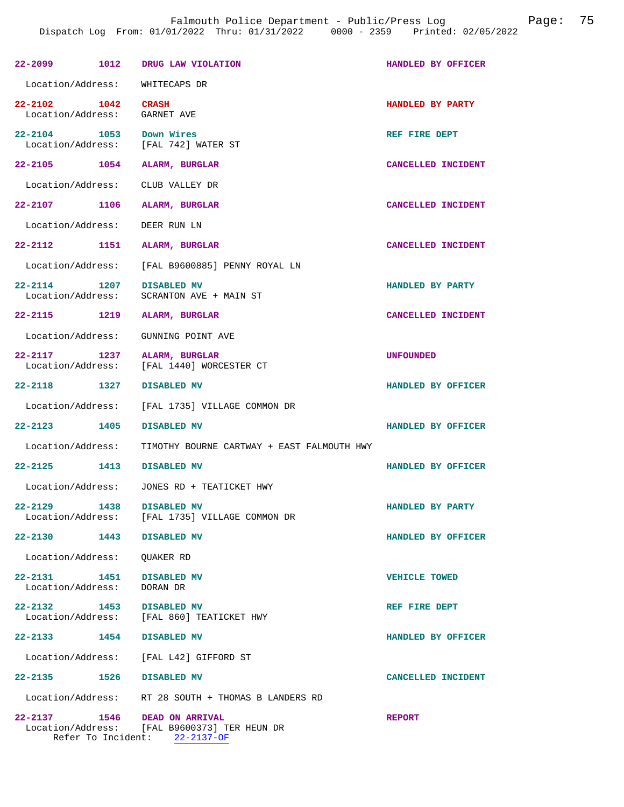|                                                    |      | 22-2099 1012 DRUG LAW VIOLATION                                                                         | HANDLED BY OFFICER   |
|----------------------------------------------------|------|---------------------------------------------------------------------------------------------------------|----------------------|
| Location/Address: WHITECAPS DR                     |      |                                                                                                         |                      |
| 22-2102 1042 CRASH<br>Location/Address: GARNET AVE |      |                                                                                                         | HANDLED BY PARTY     |
| 22-2104 1053 Down Wires                            |      | Location/Address: [FAL 742] WATER ST                                                                    | REF FIRE DEPT        |
| 22-2105 1054 ALARM, BURGLAR                        |      |                                                                                                         | CANCELLED INCIDENT   |
| Location/Address: CLUB VALLEY DR                   |      |                                                                                                         |                      |
| 22-2107 1106 ALARM, BURGLAR                        |      |                                                                                                         | CANCELLED INCIDENT   |
| Location/Address:                                  |      | DEER RUN LN                                                                                             |                      |
| 22-2112 1151 ALARM, BURGLAR                        |      |                                                                                                         | CANCELLED INCIDENT   |
|                                                    |      | Location/Address: [FAL B9600885] PENNY ROYAL LN                                                         |                      |
| 22-2114 1207 DISABLED MV                           |      | Location/Address: SCRANTON AVE + MAIN ST                                                                | HANDLED BY PARTY     |
| 22-2115 1219 ALARM, BURGLAR                        |      |                                                                                                         | CANCELLED INCIDENT   |
|                                                    |      | Location/Address: GUNNING POINT AVE                                                                     |                      |
| 22-2117 1237 ALARM, BURGLAR                        |      | Location/Address: [FAL 1440] WORCESTER CT                                                               | <b>UNFOUNDED</b>     |
| 22-2118 1327                                       |      | DISABLED MV                                                                                             | HANDLED BY OFFICER   |
|                                                    |      | Location/Address: [FAL 1735] VILLAGE COMMON DR                                                          |                      |
| 22-2123 1405                                       |      | DISABLED MV                                                                                             | HANDLED BY OFFICER   |
|                                                    |      | Location/Address: TIMOTHY BOURNE CARTWAY + EAST FALMOUTH HWY                                            |                      |
| 22-2125 1413 DISABLED MV                           |      |                                                                                                         | HANDLED BY OFFICER   |
|                                                    |      | Location/Address: JONES RD + TEATICKET HWY                                                              |                      |
| $22 - 2129$                                        | 1438 | DISABLED MV<br>Location/Address: [FAL 1735] VILLAGE COMMON DR                                           | HANDLED BY PARTY     |
| $22 - 2130$                                        | 1443 | DISABLED MV                                                                                             | HANDLED BY OFFICER   |
| Location/Address: QUAKER RD                        |      |                                                                                                         |                      |
| 22-2131 1451<br>Location/Address:                  |      | <b>DISABLED MV</b><br>DORAN DR                                                                          | <b>VEHICLE TOWED</b> |
| $22 - 2132$                                        | 1453 | DISABLED MV<br>Location/Address: [FAL 860] TEATICKET HWY                                                | REF FIRE DEPT        |
| 22-2133 1454                                       |      | DISABLED MV                                                                                             | HANDLED BY OFFICER   |
|                                                    |      | Location/Address: [FAL L42] GIFFORD ST                                                                  |                      |
| 22-2135 1526 DISABLED MV                           |      |                                                                                                         | CANCELLED INCIDENT   |
|                                                    |      | Location/Address: RT 28 SOUTH + THOMAS B LANDERS RD                                                     |                      |
| 22-2137 1546                                       |      | <b>DEAD ON ARRIVAL</b><br>Location/Address: [FAL B9600373] TER HEUN DR<br>Refer To Incident: 22-2137-OF | <b>REPORT</b>        |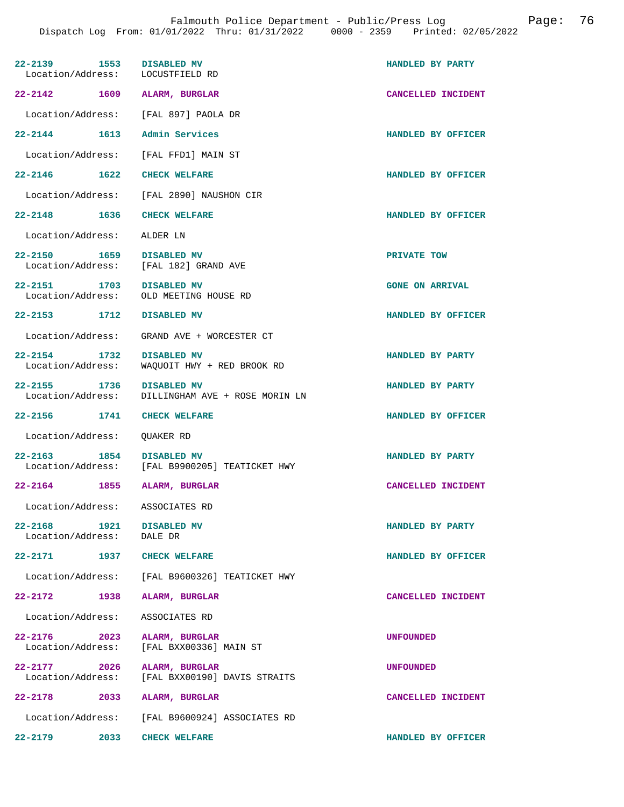| 22-2139 1553 DISABLED MV<br>Location/Address: LOCUSTFIELD RD |                                                  | HANDLED BY PARTY       |
|--------------------------------------------------------------|--------------------------------------------------|------------------------|
| 22-2142 1609 ALARM, BURGLAR                                  |                                                  | CANCELLED INCIDENT     |
|                                                              | Location/Address: [FAL 897] PAOLA DR             |                        |
| 22-2144 1613 Admin Services                                  |                                                  | HANDLED BY OFFICER     |
|                                                              | Location/Address: [FAL FFD1] MAIN ST             |                        |
| 22-2146 1622                                                 | <b>CHECK WELFARE</b>                             | HANDLED BY OFFICER     |
|                                                              | Location/Address: [FAL 2890] NAUSHON CIR         |                        |
| 22-2148 1636 CHECK WELFARE                                   |                                                  | HANDLED BY OFFICER     |
| Location/Address: ALDER LN                                   |                                                  |                        |
| 22-2150 1659 DISABLED MV                                     |                                                  | PRIVATE TOW            |
|                                                              | Location/Address: [FAL 182] GRAND AVE            |                        |
| 22-2151 1703 DISABLED MV                                     |                                                  | <b>GONE ON ARRIVAL</b> |
|                                                              | Location/Address: OLD MEETING HOUSE RD           |                        |
| 22-2153 1712 DISABLED MV                                     |                                                  | HANDLED BY OFFICER     |
|                                                              | Location/Address: GRAND AVE + WORCESTER CT       |                        |
| 22-2154 1732                                                 | <b>DISABLED MV</b>                               | HANDLED BY PARTY       |
| Location/Address:                                            | WAQUOIT HWY + RED BROOK RD                       |                        |
| 22-2155 1736 DISABLED MV                                     |                                                  | HANDLED BY PARTY       |
|                                                              | Location/Address: DILLINGHAM AVE + ROSE MORIN LN |                        |
| 22-2156 1741 CHECK WELFARE                                   |                                                  | HANDLED BY OFFICER     |
| Location/Address: QUAKER RD                                  |                                                  |                        |
| 22-2163 1854 DISABLED MV                                     |                                                  | HANDLED BY PARTY       |
|                                                              | Location/Address: [FAL B9900205] TEATICKET HWY   |                        |
| 22-2164 1855 ALARM, BURGLAR                                  |                                                  | CANCELLED INCIDENT     |
| Location/Address: ASSOCIATES RD                              |                                                  |                        |
| 22-2168 1921 DISABLED MV<br>Location/Address: DALE DR        |                                                  | HANDLED BY PARTY       |
| 22-2171 1937 CHECK WELFARE                                   |                                                  | HANDLED BY OFFICER     |
|                                                              | Location/Address: [FAL B9600326] TEATICKET HWY   |                        |
| 22-2172 1938                                                 | ALARM, BURGLAR                                   | CANCELLED INCIDENT     |
| Location/Address: ASSOCIATES RD                              |                                                  |                        |
|                                                              |                                                  |                        |
| 22-2176 2023 ALARM, BURGLAR                                  | Location/Address: [FAL BXX00336] MAIN ST         | <b>UNFOUNDED</b>       |
| 22-2177 2026 ALARM, BURGLAR                                  | Location/Address: [FAL BXX00190] DAVIS STRAITS   | <b>UNFOUNDED</b>       |
|                                                              |                                                  |                        |
| 22-2178 2033 ALARM, BURGLAR                                  |                                                  | CANCELLED INCIDENT     |
|                                                              | Location/Address: [FAL B9600924] ASSOCIATES RD   |                        |
| 22-2179                                                      | <b>2033 CHECK WELFARE</b>                        | HANDLED BY OFFICER     |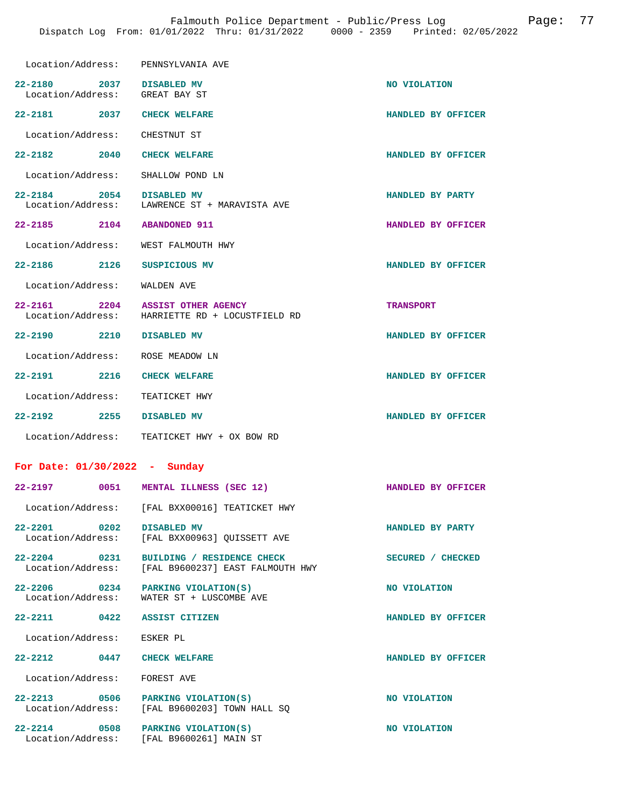| Location/Address: PENNSYLVANIA AVE                                |                                                                        |                    |
|-------------------------------------------------------------------|------------------------------------------------------------------------|--------------------|
| 2037 DISABLED MV<br>$22 - 2180$<br>Location/Address: GREAT BAY ST |                                                                        | NO VIOLATION       |
| 22-2181 2037 CHECK WELFARE                                        |                                                                        | HANDLED BY OFFICER |
| Location/Address: CHESTNUT ST                                     |                                                                        |                    |
| 22-2182 2040                                                      | <b>CHECK WELFARE</b>                                                   | HANDLED BY OFFICER |
| Location/Address: SHALLOW POND LN                                 |                                                                        |                    |
| 22-2184 2054 DISABLED MV                                          | Location/Address: LAWRENCE ST + MARAVISTA AVE                          | HANDLED BY PARTY   |
| 22-2185 2104 ABANDONED 911                                        |                                                                        | HANDLED BY OFFICER |
| Location/Address: WEST FALMOUTH HWY                               |                                                                        |                    |
| 22-2186 2126                                                      | SUSPICIOUS MV                                                          | HANDLED BY OFFICER |
| Location/Address: WALDEN AVE                                      |                                                                        |                    |
| 2204<br>22-2161                                                   | ASSIST OTHER AGENCY<br>Location/Address: HARRIETTE RD + LOCUSTFIELD RD | <b>TRANSPORT</b>   |
| 22-2190 2210 DISABLED MV                                          |                                                                        | HANDLED BY OFFICER |
| Location/Address:                                                 | ROSE MEADOW LN                                                         |                    |
| 22-2191 2216                                                      | <b>CHECK WELFARE</b>                                                   | HANDLED BY OFFICER |
| Location/Address: TEATICKET HWY                                   |                                                                        |                    |
| 22-2192 2255 DISABLED MV                                          |                                                                        | HANDLED BY OFFICER |
|                                                                   | Location/Address: TEATICKET HWY + OX BOW RD                            |                    |
| For Date: $01/30/2022 - Sunday$                                   |                                                                        |                    |
|                                                                   | 22-2197 0051 MENTAL ILLNESS (SEC 12)                                   | HANDLED BY OFFICER |
|                                                                   | Location/Address: [FAL BXX00016] TEATICKET HWY                         |                    |
| $22 - 2201$<br>0202                                               | <b>DISABLED MV</b><br>Location/Address: [FAL BXX00963] QUISSETT AVE    | HANDLED BY PARTY   |
| $22 - 2204$ 0231<br>Location/Address:                             | BUILDING / RESIDENCE CHECK<br>[FAL B9600237] EAST FALMOUTH HWY         | SECURED / CHECKED  |
| 22-2206 0234<br>Location/Address:                                 | PARKING VIOLATION(S)<br>WATER ST + LUSCOMBE AVE                        | NO VIOLATION       |
| 22-2211                                                           | 0422 ASSIST CITIZEN                                                    | HANDLED BY OFFICER |
| Location/Address:                                                 | ESKER PL                                                               |                    |
| $22 - 2212$ 0447                                                  | <b>CHECK WELFARE</b>                                                   | HANDLED BY OFFICER |
| Location/Address:                                                 | FOREST AVE                                                             |                    |
| 22-2213 0506                                                      | PARKING VIOLATION(S)<br>Location/Address: [FAL B9600203] TOWN HALL SQ  | NO VIOLATION       |
| $22 - 2214$<br>0508                                               | PARKING VIOLATION(S)<br>Location/Address: [FAL B9600261] MAIN ST       | NO VIOLATION       |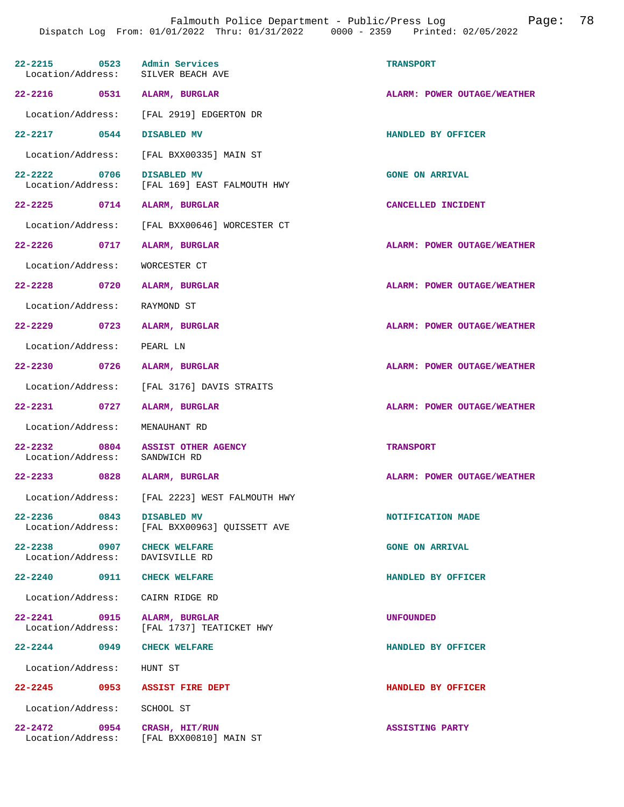| 22-2215 0523 Admin Services                                   | Location/Address: SILVER BEACH AVE                           | <b>TRANSPORT</b>            |
|---------------------------------------------------------------|--------------------------------------------------------------|-----------------------------|
| 22-2216 0531 ALARM, BURGLAR                                   |                                                              | ALARM: POWER OUTAGE/WEATHER |
|                                                               | Location/Address: [FAL 2919] EDGERTON DR                     |                             |
| 22-2217 0544 DISABLED MV                                      |                                                              | HANDLED BY OFFICER          |
|                                                               | Location/Address: [FAL BXX00335] MAIN ST                     |                             |
| 22-2222 0706 DISABLED MV                                      | Location/Address: [FAL 169] EAST FALMOUTH HWY                | <b>GONE ON ARRIVAL</b>      |
| 22-2225 0714 ALARM, BURGLAR                                   |                                                              | CANCELLED INCIDENT          |
|                                                               | Location/Address: [FAL BXX00646] WORCESTER CT                |                             |
| 22–2226 0717                                                  | ALARM, BURGLAR                                               | ALARM: POWER OUTAGE/WEATHER |
| Location/Address:                                             | WORCESTER CT                                                 |                             |
| 22-2228 0720 ALARM, BURGLAR                                   |                                                              | ALARM: POWER OUTAGE/WEATHER |
| Location/Address: RAYMOND ST                                  |                                                              |                             |
| 22-2229 0723 ALARM, BURGLAR                                   |                                                              | ALARM: POWER OUTAGE/WEATHER |
| Location/Address: PEARL LN                                    |                                                              |                             |
| 22-2230 0726 ALARM, BURGLAR                                   |                                                              | ALARM: POWER OUTAGE/WEATHER |
|                                                               | Location/Address: [FAL 3176] DAVIS STRAITS                   |                             |
| 22-2231 0727                                                  | ALARM, BURGLAR                                               | ALARM: POWER OUTAGE/WEATHER |
| Location/Address: MENAUHANT RD                                |                                                              |                             |
| Location/Address: SANDWICH RD                                 | 22-2232 0804 ASSIST OTHER AGENCY                             | <b>TRANSPORT</b>            |
| 22-2233 0828 ALARM, BURGLAR                                   |                                                              | ALARM: POWER OUTAGE/WEATHER |
|                                                               | Location/Address: [FAL 2223] WEST FALMOUTH HWY               |                             |
| 22-2236 0843                                                  | DISABLED MV<br>Location/Address: [FAL BXX00963] QUISSETT AVE | NOTIFICATION MADE           |
| 22-2238 0907 CHECK WELFARE<br>Location/Address: DAVISVILLE RD |                                                              | <b>GONE ON ARRIVAL</b>      |
| 22-2240 0911 CHECK WELFARE                                    |                                                              | HANDLED BY OFFICER          |
| Location/Address: CAIRN RIDGE RD                              |                                                              |                             |
| 22-2241 0915 ALARM, BURGLAR                                   | Location/Address: [FAL 1737] TEATICKET HWY                   | <b>UNFOUNDED</b>            |
| 22-2244 0949 CHECK WELFARE                                    |                                                              | HANDLED BY OFFICER          |
| Location/Address: HUNT ST                                     |                                                              |                             |
|                                                               | 22-2245 0953 ASSIST FIRE DEPT                                | HANDLED BY OFFICER          |
| Location/Address: SCHOOL ST                                   |                                                              |                             |
| 22-2472 0954 CRASH, HIT/RUN                                   | Location/Address: [FAL BXX00810] MAIN ST                     | <b>ASSISTING PARTY</b>      |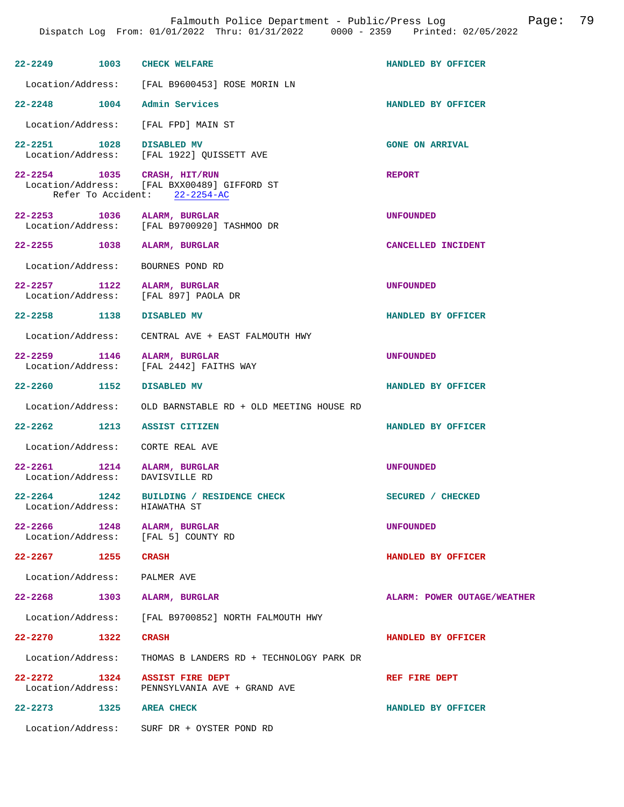| 22-2249 1003 CHECK WELFARE            |      |                                                                                                             | HANDLED BY OFFICER          |
|---------------------------------------|------|-------------------------------------------------------------------------------------------------------------|-----------------------------|
|                                       |      | Location/Address: [FAL B9600453] ROSE MORIN LN                                                              |                             |
| $22 - 2248$                           |      | 1004 Admin Services                                                                                         | HANDLED BY OFFICER          |
|                                       |      | Location/Address: [FAL FPD] MAIN ST                                                                         |                             |
| 22-2251 1028                          |      | <b>DISABLED MV</b><br>Location/Address: [FAL 1922] QUISSETT AVE                                             | <b>GONE ON ARRIVAL</b>      |
|                                       |      | 22-2254 1035 CRASH, HIT/RUN<br>Location/Address: [FAL BXX00489] GIFFORD ST<br>Refer To Accident: 22-2254-AC | <b>REPORT</b>               |
|                                       |      | 22-2253 1036 ALARM, BURGLAR<br>Location/Address: [FAL B9700920] TASHMOO DR                                  | <b>UNFOUNDED</b>            |
|                                       |      | 22-2255 1038 ALARM, BURGLAR                                                                                 | CANCELLED INCIDENT          |
|                                       |      | Location/Address: BOURNES POND RD                                                                           |                             |
| 22-2257 1122                          |      | ALARM, BURGLAR<br>Location/Address: [FAL 897] PAOLA DR                                                      | <b>UNFOUNDED</b>            |
| 22-2258 1138                          |      | <b>DISABLED MV</b>                                                                                          | HANDLED BY OFFICER          |
|                                       |      | Location/Address: CENTRAL AVE + EAST FALMOUTH HWY                                                           |                             |
| 22-2259 1146<br>Location/Address:     |      | ALARM, BURGLAR<br>[FAL 2442] FAITHS WAY                                                                     | <b>UNFOUNDED</b>            |
| $22 - 2260$                           | 1152 | DISABLED MV                                                                                                 | HANDLED BY OFFICER          |
|                                       |      | Location/Address: OLD BARNSTABLE RD + OLD MEETING HOUSE RD                                                  |                             |
|                                       |      | 22-2262 1213 ASSIST CITIZEN                                                                                 | HANDLED BY OFFICER          |
|                                       |      | Location/Address: CORTE REAL AVE                                                                            |                             |
| $22 - 2261$<br>Location/Address:      |      | 1214 ALARM, BURGLAR<br>DAVISVILLE RD                                                                        | <b>UNFOUNDED</b>            |
| $22 - 2264$<br>Location/Address:      | 1242 | BUILDING / RESIDENCE CHECK<br>HIAWATHA ST                                                                   | SECURED / CHECKED           |
|                                       |      | 22-2266 1248 ALARM, BURGLAR<br>Location/Address: [FAL 5] COUNTY RD                                          | <b>UNFOUNDED</b>            |
| 22-2267 1255 CRASH                    |      |                                                                                                             | HANDLED BY OFFICER          |
| Location/Address: PALMER AVE          |      |                                                                                                             |                             |
|                                       |      | 22-2268 1303 ALARM, BURGLAR                                                                                 | ALARM: POWER OUTAGE/WEATHER |
|                                       |      | Location/Address: [FAL B9700852] NORTH FALMOUTH HWY                                                         |                             |
| 22–2270 1322                          |      | <b>CRASH</b>                                                                                                | HANDLED BY OFFICER          |
| Location/Address:                     |      | THOMAS B LANDERS RD + TECHNOLOGY PARK DR                                                                    |                             |
| $22 - 2272$ 1324<br>Location/Address: |      | <b>ASSIST FIRE DEPT</b><br>PENNSYLVANIA AVE + GRAND AVE                                                     | REF FIRE DEPT               |
| 22-2273 1325 AREA CHECK               |      |                                                                                                             | HANDLED BY OFFICER          |
|                                       |      | Location/Address: SURF DR + OYSTER POND RD                                                                  |                             |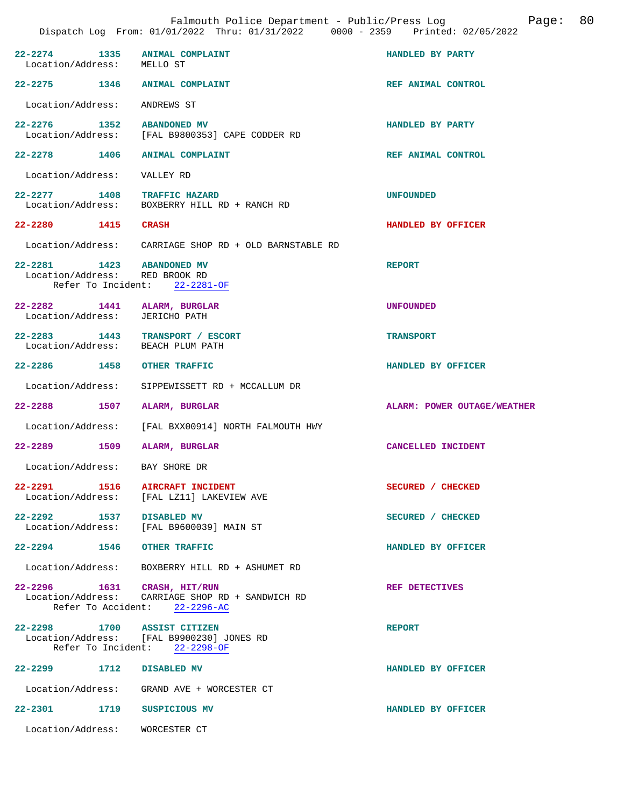| Location/Address: MELLO ST                                  | 22-2274 1335 ANIMAL COMPLAINT                                                                                    | HANDLED BY PARTY            |
|-------------------------------------------------------------|------------------------------------------------------------------------------------------------------------------|-----------------------------|
|                                                             | 22-2275 1346 ANIMAL COMPLAINT                                                                                    | REF ANIMAL CONTROL          |
| Location/Address: ANDREWS ST                                |                                                                                                                  |                             |
| 22-2276 1352 ABANDONED MV                                   | Location/Address: [FAL B9800353] CAPE CODDER RD                                                                  | HANDLED BY PARTY            |
|                                                             | 22-2278 1406 ANIMAL COMPLAINT                                                                                    | REF ANIMAL CONTROL          |
| Location/Address:    VALLEY RD                              |                                                                                                                  |                             |
|                                                             | 22-2277 1408 TRAFFIC HAZARD<br>Location/Address: BOXBERRY HILL RD + RANCH RD                                     | <b>UNFOUNDED</b>            |
| 22-2280 1415 CRASH                                          |                                                                                                                  | HANDLED BY OFFICER          |
|                                                             | Location/Address: CARRIAGE SHOP RD + OLD BARNSTABLE RD                                                           |                             |
| 22-2281 1423 ABANDONED MV<br>Location/Address: RED BROOK RD | Refer To Incident: 22-2281-OF                                                                                    | <b>REPORT</b>               |
| Location/Address:                                           | 22-2282 1441 ALARM, BURGLAR<br>JERICHO PATH                                                                      | <b>UNFOUNDED</b>            |
|                                                             | 22-2283 1443 TRANSPORT / ESCORT<br>Location/Address: BEACH PLUM PATH                                             | <b>TRANSPORT</b>            |
| 22-2286 1458 OTHER TRAFFIC                                  |                                                                                                                  | HANDLED BY OFFICER          |
|                                                             | Location/Address: SIPPEWISSETT RD + MCCALLUM DR                                                                  |                             |
| 22-2288 1507 ALARM, BURGLAR                                 |                                                                                                                  | ALARM: POWER OUTAGE/WEATHER |
|                                                             | Location/Address: [FAL BXX00914] NORTH FALMOUTH HWY                                                              |                             |
| 22-2289 1509                                                | ALARM, BURGLAR                                                                                                   | CANCELLED INCIDENT          |
| Location/Address: BAY SHORE DR                              |                                                                                                                  |                             |
| Location/Address:                                           | 22-2291 1516 AIRCRAFT INCIDENT<br>[FAL LZ11] LAKEVIEW AVE                                                        | SECURED / CHECKED           |
| 22-2292 1537 DISABLED MV                                    | Location/Address: [FAL B9600039] MAIN ST                                                                         | SECURED / CHECKED           |
| 22-2294 1546 OTHER TRAFFIC                                  |                                                                                                                  | HANDLED BY OFFICER          |
|                                                             | Location/Address: BOXBERRY HILL RD + ASHUMET RD                                                                  |                             |
|                                                             | 22-2296 1631 CRASH, HIT/RUN<br>Location/Address: CARRIAGE SHOP RD + SANDWICH RD<br>Refer To Accident: 22-2296-AC | <b>REF DETECTIVES</b>       |
|                                                             | 22-2298 1700 ASSIST CITIZEN<br>Location/Address: [FAL B9900230] JONES RD<br>Refer To Incident: 22-2298-OF        | <b>REPORT</b>               |
| 22-2299 1712 DISABLED MV                                    |                                                                                                                  | HANDLED BY OFFICER          |
|                                                             | Location/Address: GRAND AVE + WORCESTER CT                                                                       |                             |
| 22-2301 1719 SUSPICIOUS MV                                  |                                                                                                                  | HANDLED BY OFFICER          |
| Location/Address: WORCESTER CT                              |                                                                                                                  |                             |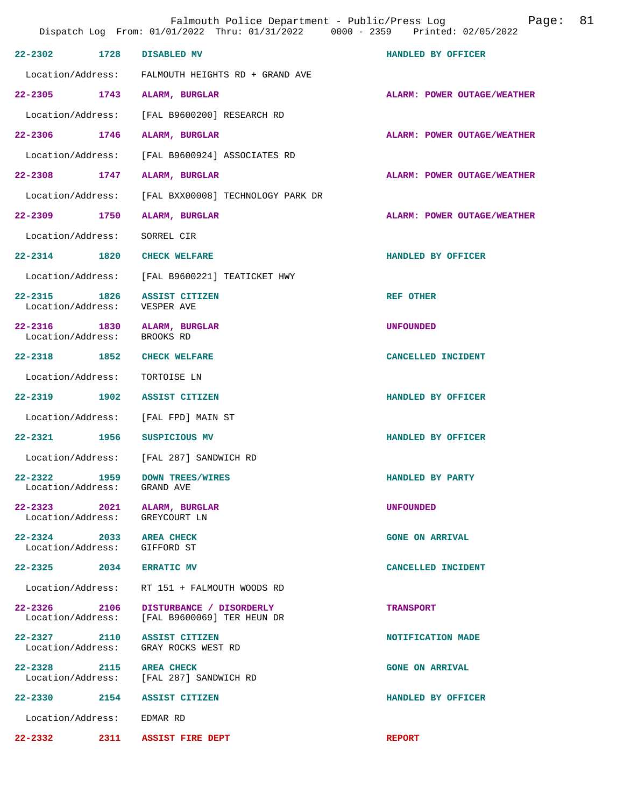|                                       |      | Falmouth Police Department - Public/Press Log<br>Dispatch Log From: 01/01/2022 Thru: 01/31/2022 0000 - 2359 Printed: 02/05/2022 | 81<br>Page:                        |
|---------------------------------------|------|---------------------------------------------------------------------------------------------------------------------------------|------------------------------------|
| $22 - 2302$                           | 1728 | DISABLED MV                                                                                                                     | HANDLED BY OFFICER                 |
|                                       |      | Location/Address: FALMOUTH HEIGHTS RD + GRAND AVE                                                                               |                                    |
| 22-2305 1743                          |      | ALARM, BURGLAR                                                                                                                  | ALARM: POWER OUTAGE/WEATHER        |
| Location/Address:                     |      | [FAL B9600200] RESEARCH RD                                                                                                      |                                    |
| 22-2306 1746                          |      | ALARM, BURGLAR                                                                                                                  | ALARM: POWER OUTAGE/WEATHER        |
| Location/Address:                     |      | [FAL B9600924] ASSOCIATES RD                                                                                                    |                                    |
| $22 - 2308$                           | 1747 | ALARM, BURGLAR                                                                                                                  | ALARM: POWER OUTAGE/WEATHER        |
| Location/Address:                     |      | [FAL BXX00008] TECHNOLOGY PARK DR                                                                                               |                                    |
| 22-2309 1750                          |      | ALARM, BURGLAR                                                                                                                  | <b>ALARM: POWER OUTAGE/WEATHER</b> |
| Location/Address:                     |      | SORREL CIR                                                                                                                      |                                    |
| 22-2314 1820                          |      | <b>CHECK WELFARE</b>                                                                                                            | HANDLED BY OFFICER                 |
| Location/Address:                     |      | [FAL B9600221] TEATICKET HWY                                                                                                    |                                    |
| 22-2315                               | 1826 | ASSIST CITIZEN<br>Location/Address: VESPER AVE                                                                                  | <b>REF OTHER</b>                   |
| 22-2316 1830<br>Location/Address:     |      | ALARM, BURGLAR<br>BROOKS RD                                                                                                     | <b>UNFOUNDED</b>                   |
| $22 - 2318$                           | 1852 | <b>CHECK WELFARE</b>                                                                                                            | CANCELLED INCIDENT                 |
| Location/Address:                     |      | TORTOISE LN                                                                                                                     |                                    |
| 22-2319 1902                          |      | ASSIST CITIZEN                                                                                                                  | HANDLED BY OFFICER                 |
|                                       |      | Location/Address: [FAL FPD] MAIN ST                                                                                             |                                    |
| 22-2321 1956                          |      | SUSPICIOUS MV                                                                                                                   | HANDLED BY OFFICER                 |
|                                       |      | Location/Address: [FAL 287] SANDWICH RD                                                                                         |                                    |
| $22 - 2322$<br>Location/Address:      | 1959 | <b>DOWN TREES/WIRES</b><br>GRAND AVE                                                                                            | HANDLED BY PARTY                   |
| $22 - 2323$<br>Location/Address:      | 2021 | ALARM, BURGLAR<br>GREYCOURT LN                                                                                                  | <b>UNFOUNDED</b>                   |
| $22 - 2324$ 2033<br>Location/Address: |      | <b>AREA CHECK</b><br>GIFFORD ST                                                                                                 | <b>GONE ON ARRIVAL</b>             |
| $22 - 2325$ 2034                      |      | <b>ERRATIC MV</b>                                                                                                               | CANCELLED INCIDENT                 |
| Location/Address:                     |      | RT 151 + FALMOUTH WOODS RD                                                                                                      |                                    |
| $22 - 2326$<br>Location/Address:      | 2106 | DISTURBANCE / DISORDERLY<br>[FAL B9600069] TER HEUN DR                                                                          | <b>TRANSPORT</b>                   |
| 22-2327 2110<br>Location/Address:     |      | ASSIST CITIZEN<br>GRAY ROCKS WEST RD                                                                                            | NOTIFICATION MADE                  |
| $22 - 2328$                           | 2115 | <b>AREA CHECK</b><br>Location/Address: [FAL 287] SANDWICH RD                                                                    | <b>GONE ON ARRIVAL</b>             |
| 22-2330 2154                          |      | ASSIST CITIZEN                                                                                                                  | HANDLED BY OFFICER                 |
| Location/Address:                     |      | EDMAR RD                                                                                                                        |                                    |
| 22-2332                               | 2311 | <b>ASSIST FIRE DEPT</b>                                                                                                         | <b>REPORT</b>                      |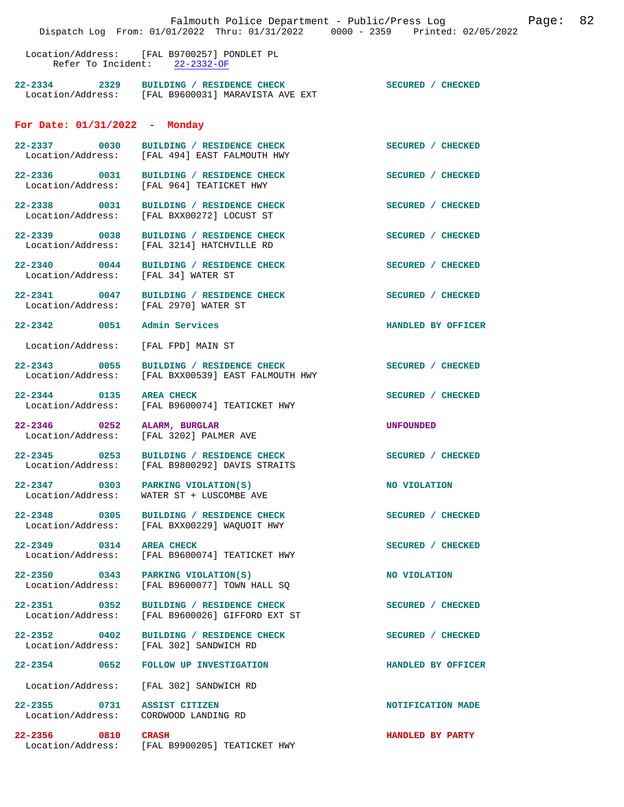|                                                       | Falmouth Police Department - Public/Press Log<br>Dispatch Log From: 01/01/2022 Thru: 01/31/2022 0000 - 2359 Printed: 02/05/2022 |                    | Page: | 82 |
|-------------------------------------------------------|---------------------------------------------------------------------------------------------------------------------------------|--------------------|-------|----|
|                                                       | Location/Address: [FAL B9700257] PONDLET PL<br>Refer To Incident: 22-2332-OF                                                    |                    |       |    |
|                                                       | 22-2334 2329 BUILDING / RESIDENCE CHECK<br>Location/Address: [FAL B9600031] MARAVISTA AVE EXT                                   | SECURED / CHECKED  |       |    |
| For Date: $01/31/2022 -$ Monday                       |                                                                                                                                 |                    |       |    |
| 22-2337 0030                                          | BUILDING / RESIDENCE CHECK<br>Location/Address: [FAL 494] EAST FALMOUTH HWY                                                     | SECURED / CHECKED  |       |    |
|                                                       | 22-2336 0031 BUILDING / RESIDENCE CHECK<br>Location/Address: [FAL 964] TEATICKET HWY                                            | SECURED / CHECKED  |       |    |
|                                                       | 22-2338 0031 BUILDING / RESIDENCE CHECK<br>Location/Address: [FAL BXX00272] LOCUST ST                                           | SECURED / CHECKED  |       |    |
| 22-2339 0038                                          | BUILDING / RESIDENCE CHECK<br>Location/Address: [FAL 3214] HATCHVILLE RD                                                        | SECURED / CHECKED  |       |    |
| Location/Address: [FAL 34] WATER ST                   | 22-2340 0044 BUILDING / RESIDENCE CHECK                                                                                         | SECURED / CHECKED  |       |    |
| Location/Address: [FAL 2970] WATER ST                 | 22-2341 0047 BUILDING / RESIDENCE CHECK                                                                                         | SECURED / CHECKED  |       |    |
| 22-2342 0051 Admin Services                           |                                                                                                                                 | HANDLED BY OFFICER |       |    |
| Location/Address:                                     | [FAL FPD] MAIN ST                                                                                                               |                    |       |    |
| 22-2343 0055                                          | BUILDING / RESIDENCE CHECK<br>Location/Address: [FAL BXX00539] EAST FALMOUTH HWY                                                | SECURED / CHECKED  |       |    |
| 22-2344 0135                                          | <b>AREA CHECK</b><br>Location/Address: [FAL B9600074] TEATICKET HWY                                                             | SECURED / CHECKED  |       |    |
| 22-2346 0252                                          | ALARM, BURGLAR<br>Location/Address: [FAL 3202] PALMER AVE                                                                       | <b>UNFOUNDED</b>   |       |    |
|                                                       | 22-2345 0253 BUILDING / RESIDENCE CHECK<br>Location/Address: [FAL B9800292] DAVIS STRAITS                                       | SECURED / CHECKED  |       |    |
| 22-2347 0303 PARKING VIOLATION(S)                     | Location/Address: WATER ST + LUSCOMBE AVE                                                                                       | NO VIOLATION       |       |    |
| 22-2348 0305<br>Location/Address:                     | BUILDING / RESIDENCE CHECK<br>[FAL BXX00229] WAQUOIT HWY                                                                        | SECURED / CHECKED  |       |    |
| 22-2349 0314<br>Location/Address:                     | <b>AREA CHECK</b><br>[FAL B9600074] TEATICKET HWY                                                                               | SECURED / CHECKED  |       |    |
| 22-2350 0343<br>Location/Address:                     | PARKING VIOLATION(S)<br>[FAL B9600077] TOWN HALL SQ                                                                             | NO VIOLATION       |       |    |
| 22-2351 0352<br>Location/Address:                     | BUILDING / RESIDENCE CHECK<br>[FAL B9600026] GIFFORD EXT ST                                                                     | SECURED / CHECKED  |       |    |
| 22-2352 0402<br>Location/Address:                     | BUILDING / RESIDENCE CHECK<br>[FAL 302] SANDWICH RD                                                                             | SECURED / CHECKED  |       |    |
| 22–2354 0652                                          | FOLLOW UP INVESTIGATION                                                                                                         | HANDLED BY OFFICER |       |    |
| Location/Address:                                     | [FAL 302] SANDWICH RD                                                                                                           |                    |       |    |
| 22-2355 0731<br>Location/Address: CORDWOOD LANDING RD | ASSIST CITIZEN                                                                                                                  | NOTIFICATION MADE  |       |    |
| 22-2356 0810                                          | <b>CRASH</b><br>Location/Address: [FAL B9900205] TEATICKET HWY                                                                  | HANDLED BY PARTY   |       |    |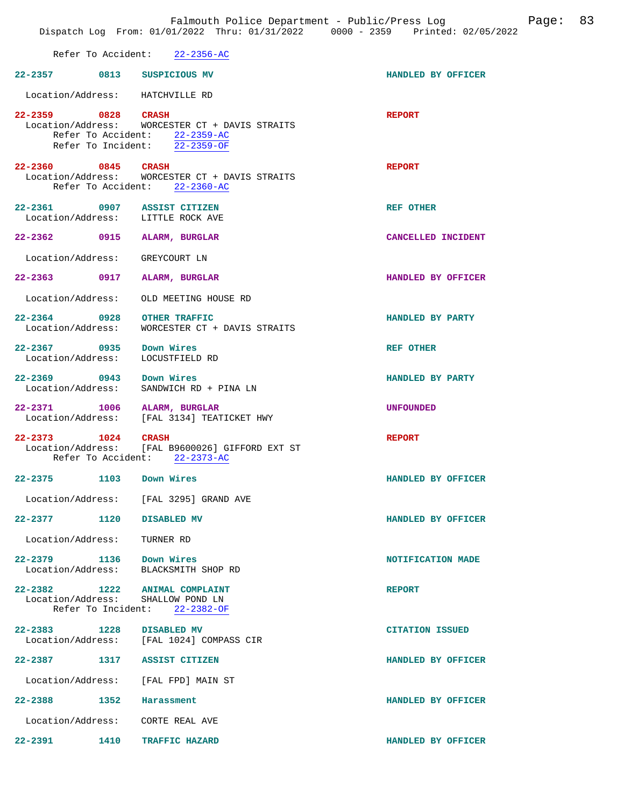|                                                                    |                                                                                                                    | Falmouth Police Department - Public/Press Log<br>Page:<br>Dispatch Log From: 01/01/2022 Thru: 01/31/2022 0000 - 2359 Printed: 02/05/2022 | 83 |
|--------------------------------------------------------------------|--------------------------------------------------------------------------------------------------------------------|------------------------------------------------------------------------------------------------------------------------------------------|----|
|                                                                    | Refer To Accident: 22-2356-AC                                                                                      |                                                                                                                                          |    |
| 22-2357 0813 SUSPICIOUS MV                                         |                                                                                                                    | HANDLED BY OFFICER                                                                                                                       |    |
| Location/Address: HATCHVILLE RD                                    |                                                                                                                    |                                                                                                                                          |    |
| 22-2359 0828 CRASH                                                 | Location/Address: WORCESTER CT + DAVIS STRAITS<br>Refer To Accident: 22-2359-AC<br>Refer To Incident: $22-2359-OF$ | <b>REPORT</b>                                                                                                                            |    |
| 22-2360 0845 CRASH                                                 | Location/Address: WORCESTER CT + DAVIS STRAITS<br>Refer To Accident: 22-2360-AC                                    | <b>REPORT</b>                                                                                                                            |    |
| 22-2361 0907 ASSIST CITIZEN<br>Location/Address: LITTLE ROCK AVE   |                                                                                                                    | <b>REF OTHER</b>                                                                                                                         |    |
| 22-2362 0915                                                       | ALARM, BURGLAR                                                                                                     | CANCELLED INCIDENT                                                                                                                       |    |
| Location/Address:                                                  | GREYCOURT LN                                                                                                       |                                                                                                                                          |    |
| 22-2363 0917                                                       | ALARM, BURGLAR                                                                                                     | HANDLED BY OFFICER                                                                                                                       |    |
| Location/Address:                                                  | OLD MEETING HOUSE RD                                                                                               |                                                                                                                                          |    |
| 22-2364 0928<br>Location/Address:                                  | <b>OTHER TRAFFIC</b><br>WORCESTER CT + DAVIS STRAITS                                                               | HANDLED BY PARTY                                                                                                                         |    |
| 22-2367 0935 Down Wires<br>Location/Address:                       | LOCUSTFIELD RD                                                                                                     | <b>REF OTHER</b>                                                                                                                         |    |
| 22-2369 0943<br>Location/Address:                                  | Down Wires<br>SANDWICH RD + PINA LN                                                                                | HANDLED BY PARTY                                                                                                                         |    |
| 22-2371 1006 ALARM, BURGLAR                                        | Location/Address: [FAL 3134] TEATICKET HWY                                                                         | <b>UNFOUNDED</b>                                                                                                                         |    |
| $22 - 2373$<br>1024<br>Refer To Accident:                          | <b>CRASH</b><br>Location/Address: [FAL B9600026] GIFFORD EXT ST<br>$22 - 2373 - AC$                                | <b>REPORT</b>                                                                                                                            |    |
| $22 - 2375$<br>1103                                                | Down Wires                                                                                                         | HANDLED BY OFFICER                                                                                                                       |    |
|                                                                    | Location/Address: [FAL 3295] GRAND AVE                                                                             |                                                                                                                                          |    |
| 22-2377 1120 DISABLED MV                                           |                                                                                                                    | HANDLED BY OFFICER                                                                                                                       |    |
| Location/Address:                                                  | TURNER RD                                                                                                          |                                                                                                                                          |    |
| 22-2379 1136 Down Wires                                            | Location/Address: BLACKSMITH SHOP RD                                                                               | NOTIFICATION MADE                                                                                                                        |    |
| 22-2382 1222 ANIMAL COMPLAINT<br>Location/Address: SHALLOW POND LN | Refer To Incident: 22-2382-OF                                                                                      | <b>REPORT</b>                                                                                                                            |    |
| 22–2383 1228                                                       | <b>DISABLED MV</b><br>Location/Address: [FAL 1024] COMPASS CIR                                                     | <b>CITATION ISSUED</b>                                                                                                                   |    |
| 22-2387 1317 ASSIST CITIZEN                                        |                                                                                                                    | HANDLED BY OFFICER                                                                                                                       |    |
| Location/Address: [FAL FPD] MAIN ST                                |                                                                                                                    |                                                                                                                                          |    |
| 22–2388 1352                                                       | Harassment                                                                                                         | HANDLED BY OFFICER                                                                                                                       |    |
| Location/Address: CORTE REAL AVE                                   |                                                                                                                    |                                                                                                                                          |    |
| 22-2391<br>1410                                                    | TRAFFIC HAZARD                                                                                                     | HANDLED BY OFFICER                                                                                                                       |    |